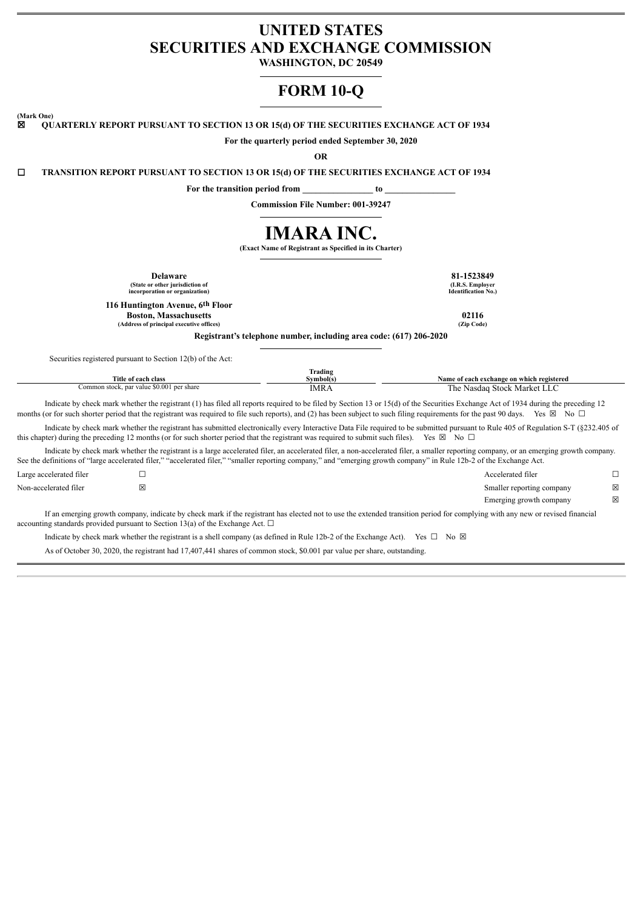# **UNITED STATES SECURITIES AND EXCHANGE COMMISSION**

**WASHINGTON, DC 20549**

# **FORM 10-Q**

**(Mark One)** ☒ **QUARTERLY REPORT PURSUANT TO SECTION 13 OR 15(d) OF THE SECURITIES EXCHANGE ACT OF 1934**

**For the quarterly period ended September 30, 2020**

**OR**

☐ **TRANSITION REPORT PURSUANT TO SECTION 13 OR 15(d) OF THE SECURITIES EXCHANGE ACT OF 1934**

**For the transition period from \_\_\_\_\_\_\_\_\_\_\_\_\_\_\_\_ to \_\_\_\_\_\_\_\_\_\_\_\_\_\_\_\_**

**Commission File Number: 001-39247**

# **IMARA INC.**

**(Exact Name of Registrant as Specified in its Charter)**

| <b>Delaware</b><br>(State or other jurisdiction of<br>incorporation or organization)                                                                                                                                                                                                                                                                                                  |                                                                    | 81-1523849<br>(I.R.S. Employer<br><b>Identification No.)</b>             |             |
|---------------------------------------------------------------------------------------------------------------------------------------------------------------------------------------------------------------------------------------------------------------------------------------------------------------------------------------------------------------------------------------|--------------------------------------------------------------------|--------------------------------------------------------------------------|-------------|
| 116 Huntington Avenue, 6th Floor<br><b>Boston, Massachusetts</b><br>(Address of principal executive offices)                                                                                                                                                                                                                                                                          | Registrant's telephone number, including area code: (617) 206-2020 | 02116<br>(Zip Code)                                                      |             |
| Securities registered pursuant to Section 12(b) of the Act:                                                                                                                                                                                                                                                                                                                           |                                                                    |                                                                          |             |
| Title of each class<br>Common stock, par value \$0.001 per share                                                                                                                                                                                                                                                                                                                      | Trading<br>Symbol(s)<br><b>IMRA</b>                                | Name of each exchange on which registered<br>The Nasdaq Stock Market LLC |             |
| Indicate by check mark whether the registrant (1) has filed all reports required to be filed by Section 13 or 15(d) of the Securities Exchange Act of 1934 during the preceding 12<br>months (or for such shorter period that the registrant was required to file such reports), and (2) has been subject to such filing requirements for the past 90 days. Yes $\boxtimes$ No $\Box$ |                                                                    |                                                                          |             |
| Indicate by check mark whether the registrant has submitted electronically every Interactive Data File required to be submitted pursuant to Rule 405 of Regulation S-T (§232.405 of<br>this chapter) during the preceding 12 months (or for such shorter period that the registrant was required to submit such files). Yes $\boxtimes$ No $\square$                                  |                                                                    |                                                                          |             |
| Indicate by check mark whether the registrant is a large accelerated filer, an accelerated filer, a non-accelerated filer, a smaller reporting company, or an emerging growth company.<br>See the definitions of "large accelerated filer," "accelerated filer," "smaller reporting company," and "emerging growth company" in Rule 12b-2 of the Exchange Act.                        |                                                                    |                                                                          |             |
| □<br>Large accelerated filer                                                                                                                                                                                                                                                                                                                                                          |                                                                    | Accelerated filer                                                        | □           |
| ⊠<br>Non-accelerated filer                                                                                                                                                                                                                                                                                                                                                            |                                                                    | Smaller reporting company                                                | X           |
|                                                                                                                                                                                                                                                                                                                                                                                       |                                                                    | Emerging growth company                                                  | $\boxtimes$ |
| If an emerging growth company, indicate by check mark if the registrant has elected not to use the extended transition period for complying with any new or revised financial<br>accounting standards provided pursuant to Section 13(a) of the Exchange Act. $\Box$                                                                                                                  |                                                                    |                                                                          |             |
| Indicate by check mark whether the registrant is a shell company (as defined in Rule 12b-2 of the Exchange Act). Yes $\Box$ No $\boxtimes$                                                                                                                                                                                                                                            |                                                                    |                                                                          |             |
| As of October 30, 2020, the registrant had 17,407,441 shares of common stock, \$0.001 par value per share, outstanding.                                                                                                                                                                                                                                                               |                                                                    |                                                                          |             |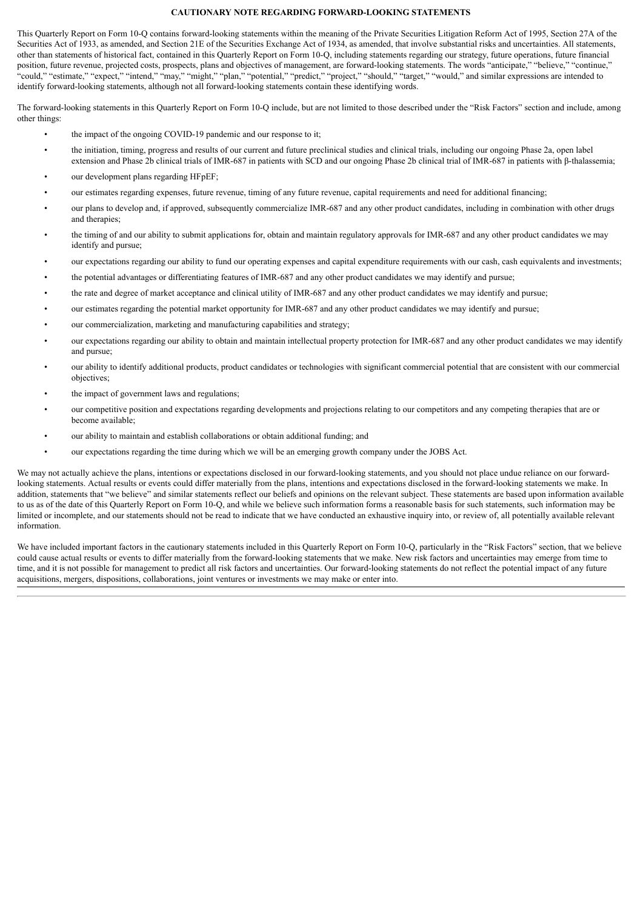# **CAUTIONARY NOTE REGARDING FORWARD-LOOKING STATEMENTS**

This Quarterly Report on Form 10-Q contains forward-looking statements within the meaning of the Private Securities Litigation Reform Act of 1995, Section 27A of the Securities Act of 1933, as amended, and Section 21E of the Securities Exchange Act of 1934, as amended, that involve substantial risks and uncertainties. All statements, other than statements of historical fact, contained in this Quarterly Report on Form 10-Q, including statements regarding our strategy, future operations, future financial position, future revenue, projected costs, prospects, plans and objectives of management, are forward-looking statements. The words "anticipate," "believe," "continue," "could," "estimate," "expect," "intend," "may," "might," "plan," "potential," "predict," "project," "should," "target," "would," and similar expressions are intended to identify forward-looking statements, although not all forward-looking statements contain these identifying words.

The forward-looking statements in this Quarterly Report on Form 10-Q include, but are not limited to those described under the "Risk Factors" section and include, among other things:

- the impact of the ongoing COVID-19 pandemic and our response to it;
- the initiation, timing, progress and results of our current and future preclinical studies and clinical trials, including our ongoing Phase 2a, open label extension and Phase 2b clinical trials of IMR-687 in patients with SCD and our ongoing Phase 2b clinical trial of IMR-687 in patients with β-thalassemia;
- our development plans regarding HFpEF;
- our estimates regarding expenses, future revenue, timing of any future revenue, capital requirements and need for additional financing;
- our plans to develop and, if approved, subsequently commercialize IMR-687 and any other product candidates, including in combination with other drugs and therapies;
- the timing of and our ability to submit applications for, obtain and maintain regulatory approvals for IMR-687 and any other product candidates we may identify and pursue;
- our expectations regarding our ability to fund our operating expenses and capital expenditure requirements with our cash, cash equivalents and investments;
- the potential advantages or differentiating features of IMR-687 and any other product candidates we may identify and pursue;
- the rate and degree of market acceptance and clinical utility of IMR-687 and any other product candidates we may identify and pursue;
- our estimates regarding the potential market opportunity for IMR-687 and any other product candidates we may identify and pursue;
- our commercialization, marketing and manufacturing capabilities and strategy;
- our expectations regarding our ability to obtain and maintain intellectual property protection for IMR-687 and any other product candidates we may identify and pursue;
- our ability to identify additional products, product candidates or technologies with significant commercial potential that are consistent with our commercial objectives;
- the impact of government laws and regulations;
- our competitive position and expectations regarding developments and projections relating to our competitors and any competing therapies that are or become available;
- our ability to maintain and establish collaborations or obtain additional funding; and
- our expectations regarding the time during which we will be an emerging growth company under the JOBS Act.

We may not actually achieve the plans, intentions or expectations disclosed in our forward-looking statements, and you should not place undue reliance on our forwardlooking statements. Actual results or events could differ materially from the plans, intentions and expectations disclosed in the forward-looking statements we make. In addition, statements that "we believe" and similar statements reflect our beliefs and opinions on the relevant subject. These statements are based upon information available to us as of the date of this Quarterly Report on Form 10-Q, and while we believe such information forms a reasonable basis for such statements, such information may be limited or incomplete, and our statements should not be read to indicate that we have conducted an exhaustive inquiry into, or review of, all potentially available relevant information.

We have included important factors in the cautionary statements included in this Quarterly Report on Form 10-Q, particularly in the "Risk Factors" section, that we believe could cause actual results or events to differ materially from the forward-looking statements that we make. New risk factors and uncertainties may emerge from time to time, and it is not possible for management to predict all risk factors and uncertainties. Our forward-looking statements do not reflect the potential impact of any future acquisitions, mergers, dispositions, collaborations, joint ventures or investments we may make or enter into.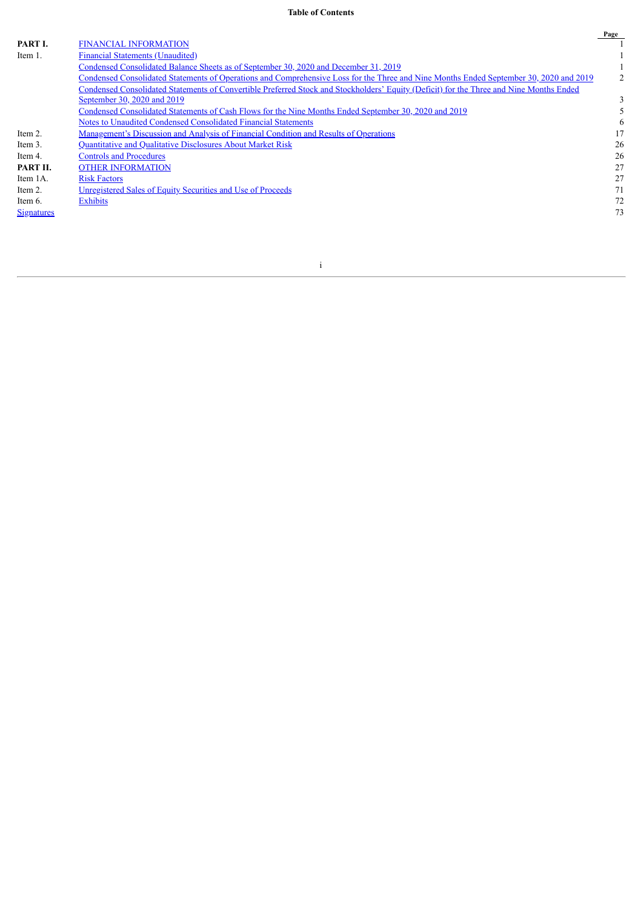# **Table of Contents**

**Page**

| PART I.           | <b>FINANCIAL INFORMATION</b>                                                                                                            |                |
|-------------------|-----------------------------------------------------------------------------------------------------------------------------------------|----------------|
| Item 1.           | <b>Financial Statements (Unaudited)</b>                                                                                                 |                |
|                   | Condensed Consolidated Balance Sheets as of September 30, 2020 and December 31, 2019                                                    |                |
|                   | Condensed Consolidated Statements of Operations and Comprehensive Loss for the Three and Nine Months Ended September 30, 2020 and 2019  | $\mathfrak{D}$ |
|                   | Condensed Consolidated Statements of Convertible Preferred Stock and Stockholders' Equity (Deficit) for the Three and Nine Months Ended |                |
|                   | September 30, 2020 and 2019                                                                                                             | 3              |
|                   | Condensed Consolidated Statements of Cash Flows for the Nine Months Ended September 30, 2020 and 2019                                   |                |
|                   | Notes to Unaudited Condensed Consolidated Financial Statements                                                                          | 6              |
| Item 2.           | Management's Discussion and Analysis of Financial Condition and Results of Operations                                                   | 17             |
| Item 3.           | <b>Quantitative and Qualitative Disclosures About Market Risk</b>                                                                       | 26             |
| Item 4.           | <b>Controls and Procedures</b>                                                                                                          | 26             |
| PART II.          | <b>OTHER INFORMATION</b>                                                                                                                | 27             |
| Item 1A.          | <b>Risk Factors</b>                                                                                                                     | 27             |
| Item 2.           | Unregistered Sales of Equity Securities and Use of Proceeds                                                                             | 71             |
| Item 6.           | <b>Exhibits</b>                                                                                                                         | 72             |
| <b>Signatures</b> |                                                                                                                                         | 73             |
|                   |                                                                                                                                         |                |

i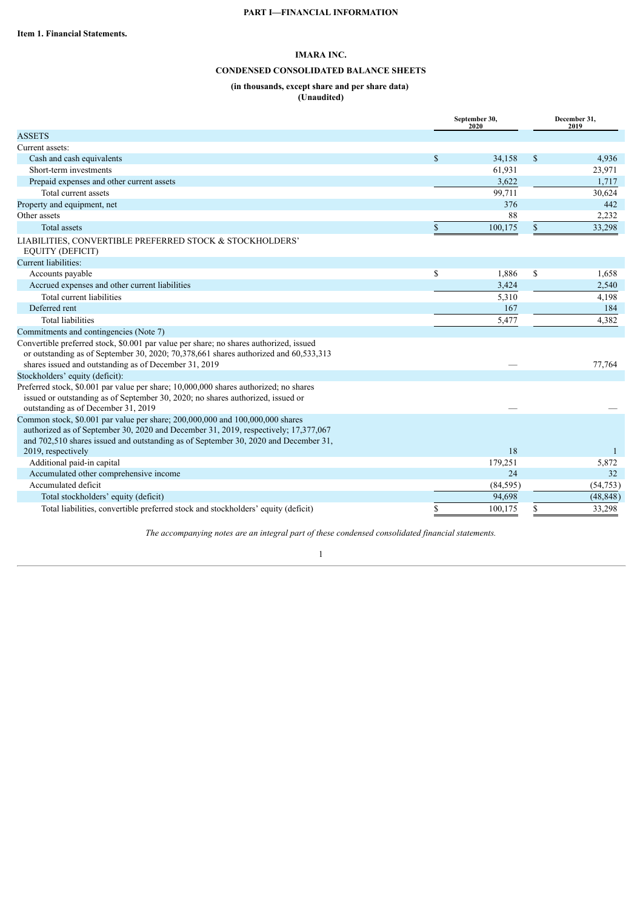# **CONDENSED CONSOLIDATED BALANCE SHEETS**

# **(in thousands, except share and per share data) (Unaudited)**

<span id="page-3-2"></span><span id="page-3-1"></span><span id="page-3-0"></span>

|                                                                                                                                                                                                                                                             |              | September 30,<br>2020 | December 31,<br>2019 |           |  |  |
|-------------------------------------------------------------------------------------------------------------------------------------------------------------------------------------------------------------------------------------------------------------|--------------|-----------------------|----------------------|-----------|--|--|
| <b>ASSETS</b>                                                                                                                                                                                                                                               |              |                       |                      |           |  |  |
| Current assets:                                                                                                                                                                                                                                             |              |                       |                      |           |  |  |
| Cash and cash equivalents                                                                                                                                                                                                                                   | $\mathbb{S}$ | 34,158                | <sup>\$</sup>        | 4,936     |  |  |
| Short-term investments                                                                                                                                                                                                                                      |              | 61,931                |                      | 23,971    |  |  |
| Prepaid expenses and other current assets                                                                                                                                                                                                                   |              | 3,622                 |                      | 1,717     |  |  |
| Total current assets                                                                                                                                                                                                                                        |              | 99,711                |                      | 30,624    |  |  |
| Property and equipment, net                                                                                                                                                                                                                                 |              | 376                   |                      | 442       |  |  |
| Other assets                                                                                                                                                                                                                                                |              | 88                    |                      | 2,232     |  |  |
| Total assets                                                                                                                                                                                                                                                | \$           | 100,175               | \$                   | 33,298    |  |  |
| LIABILITIES, CONVERTIBLE PREFERRED STOCK & STOCKHOLDERS'<br><b>EQUITY (DEFICIT)</b>                                                                                                                                                                         |              |                       |                      |           |  |  |
| Current liabilities:                                                                                                                                                                                                                                        |              |                       |                      |           |  |  |
| Accounts payable                                                                                                                                                                                                                                            | \$           | 1,886                 | \$                   | 1,658     |  |  |
| Accrued expenses and other current liabilities                                                                                                                                                                                                              |              | 3,424                 |                      | 2,540     |  |  |
| Total current liabilities                                                                                                                                                                                                                                   |              | 5,310                 |                      | 4,198     |  |  |
| Deferred rent                                                                                                                                                                                                                                               |              | 167                   |                      | 184       |  |  |
| <b>Total liabilities</b>                                                                                                                                                                                                                                    |              | 5,477                 |                      | 4,382     |  |  |
| Commitments and contingencies (Note 7)                                                                                                                                                                                                                      |              |                       |                      |           |  |  |
| Convertible preferred stock, \$0.001 par value per share; no shares authorized, issued<br>or outstanding as of September 30, 2020; 70, 378, 661 shares authorized and 60, 533, 313<br>shares issued and outstanding as of December 31, 2019                 |              |                       |                      | 77,764    |  |  |
| Stockholders' equity (deficit):                                                                                                                                                                                                                             |              |                       |                      |           |  |  |
| Preferred stock, \$0.001 par value per share; 10,000,000 shares authorized; no shares<br>issued or outstanding as of September 30, 2020; no shares authorized, issued or<br>outstanding as of December 31, 2019                                             |              |                       |                      |           |  |  |
| Common stock, \$0.001 par value per share; 200,000,000 and 100,000,000 shares<br>authorized as of September 30, 2020 and December 31, 2019, respectively; 17,377,067<br>and 702,510 shares issued and outstanding as of September 30, 2020 and December 31, |              |                       |                      |           |  |  |
| 2019, respectively                                                                                                                                                                                                                                          |              | 18                    |                      |           |  |  |
| Additional paid-in capital                                                                                                                                                                                                                                  |              | 179,251               |                      | 5,872     |  |  |
| Accumulated other comprehensive income                                                                                                                                                                                                                      |              | 24                    |                      | 32        |  |  |
| Accumulated deficit                                                                                                                                                                                                                                         |              | (84, 595)             |                      | (54, 753) |  |  |
| Total stockholders' equity (deficit)                                                                                                                                                                                                                        |              | 94,698                |                      | (48, 848) |  |  |
| Total liabilities, convertible preferred stock and stockholders' equity (deficit)                                                                                                                                                                           |              | 100,175               |                      | 33,298    |  |  |

*The accompanying notes are an integral part of these condensed consolidated financial statements.*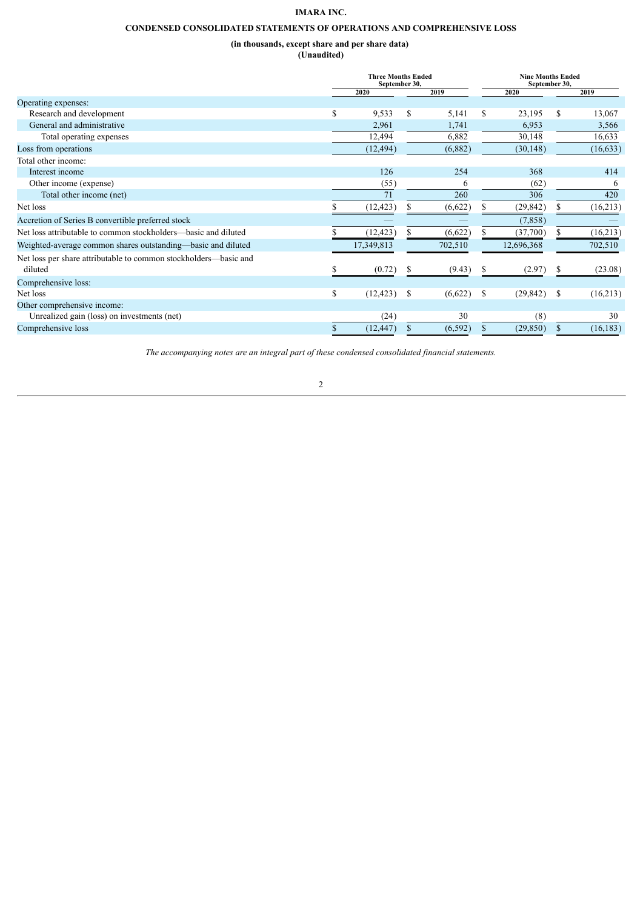# **CONDENSED CONSOLIDATED STATEMENTS OF OPERATIONS AND COMPREHENSIVE LOSS**

**(in thousands, except share and per share data)**

**(Unaudited)**

<span id="page-4-0"></span>

|                                                                  | <b>Three Months Ended</b><br>September 30, |    |          | <b>Nine Months Ended</b><br>September 30. |            |   |           |
|------------------------------------------------------------------|--------------------------------------------|----|----------|-------------------------------------------|------------|---|-----------|
|                                                                  | 2020                                       |    | 2019     |                                           | 2020       |   | 2019      |
| Operating expenses:                                              |                                            |    |          |                                           |            |   |           |
| Research and development                                         | \$<br>9,533                                | S  | 5,141    | S                                         | 23,195     |   | 13,067    |
| General and administrative                                       | 2,961                                      |    | 1,741    |                                           | 6,953      |   | 3,566     |
| Total operating expenses                                         | 12,494                                     |    | 6,882    |                                           | 30,148     |   | 16,633    |
| Loss from operations                                             | (12, 494)                                  |    | (6,882)  |                                           | (30, 148)  |   | (16, 633) |
| Total other income:                                              |                                            |    |          |                                           |            |   |           |
| Interest income                                                  | 126                                        |    | 254      |                                           | 368        |   | 414       |
| Other income (expense)                                           | (55)                                       |    | 6        |                                           | (62)       |   | 6         |
| Total other income (net)                                         | 71                                         |    | 260      |                                           | 306        |   | 420       |
| Net loss                                                         | (12, 423)                                  |    | (6,622)  |                                           | (29, 842)  |   | (16,213)  |
| Accretion of Series B convertible preferred stock                |                                            |    |          |                                           | (7, 858)   |   |           |
| Net loss attributable to common stockholders—basic and diluted   | (12, 423)                                  |    | (6,622)  |                                           | (37,700)   |   | (16, 213) |
| Weighted-average common shares outstanding-basic and diluted     | 17,349,813                                 |    | 702,510  |                                           | 12,696,368 |   | 702,510   |
| Net loss per share attributable to common stockholders—basic and |                                            |    |          |                                           |            |   |           |
| diluted                                                          | (0.72)                                     | S  | (9.43)   |                                           | (2.97)     | S | (23.08)   |
| Comprehensive loss:                                              |                                            |    |          |                                           |            |   |           |
| Net loss                                                         | \$<br>(12, 423)                            | \$ | (6,622)  | S                                         | (29, 842)  | S | (16,213)  |
| Other comprehensive income:                                      |                                            |    |          |                                           |            |   |           |
| Unrealized gain (loss) on investments (net)                      | (24)                                       |    | 30       |                                           | (8)        |   | 30        |
| Comprehensive loss                                               | (12, 447)                                  |    | (6, 592) |                                           | (29, 850)  |   | (16, 183) |

*The accompanying notes are an integral part of these condensed consolidated financial statements.*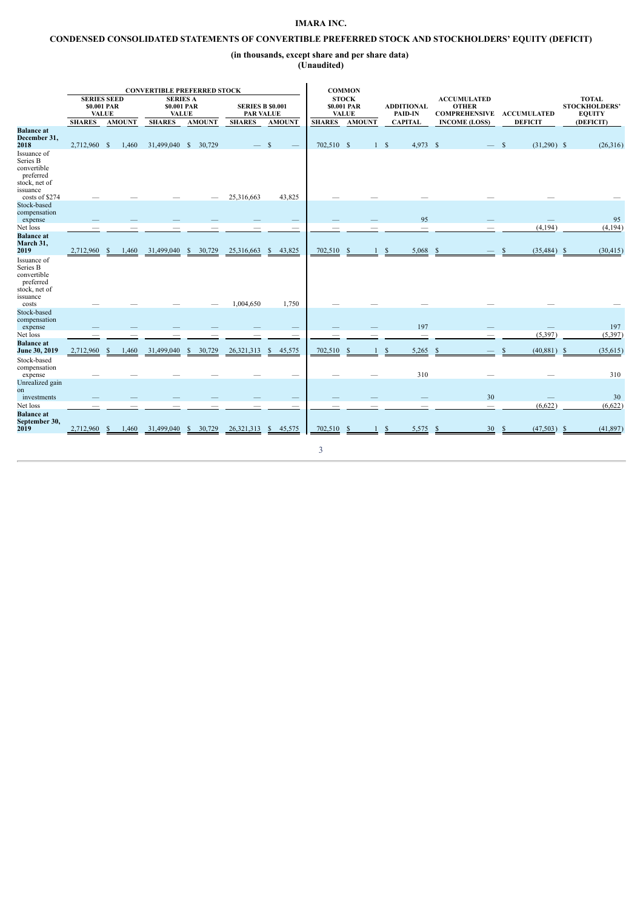# <span id="page-5-0"></span>**CONDENSED CONSOLIDATED STATEMENTS OF CONVERTIBLE PREFERRED STOCK AND STOCKHOLDERS' EQUITY (DEFICIT)**

**(in thousands, except share and per share data)**

**(Unaudited)**

|                                                                                                    |                                   |              |               | <b>CONVERTIBLE PREFERRED STOCK</b>             |               |               |                                             |               |               | <b>COMMON</b> |                              |               |               |                                     |                                                            |    |                    |    |                                                       |
|----------------------------------------------------------------------------------------------------|-----------------------------------|--------------|---------------|------------------------------------------------|---------------|---------------|---------------------------------------------|---------------|---------------|---------------|------------------------------|---------------|---------------|-------------------------------------|------------------------------------------------------------|----|--------------------|----|-------------------------------------------------------|
|                                                                                                    | <b>SERIES SEED</b><br>\$0.001 PAR | <b>VALUE</b> |               | <b>SERIES A</b><br>\$0.001 PAR<br><b>VALUE</b> |               |               | <b>SERIES B \$0.001</b><br><b>PAR VALUE</b> |               |               | \$0.001 PAR   | <b>STOCK</b><br><b>VALUE</b> |               |               | <b>ADDITIONAL</b><br><b>PAID-IN</b> | <b>ACCUMULATED</b><br><b>OTHER</b><br><b>COMPREHENSIVE</b> |    | <b>ACCUMULATED</b> |    | <b>TOTAL</b><br><b>STOCKHOLDERS'</b><br><b>EQUITY</b> |
|                                                                                                    | <b>SHARES</b>                     |              | <b>AMOUNT</b> | <b>SHARES</b>                                  |               | <b>AMOUNT</b> | <b>SHARES</b>                               |               | <b>AMOUNT</b> | <b>SHARES</b> |                              | <b>AMOUNT</b> |               | <b>CAPITAL</b>                      | <b>INCOME (LOSS)</b>                                       |    | <b>DEFICIT</b>     |    | (DEFICIT)                                             |
| <b>Balance</b> at<br>December 31,<br>2018                                                          | 2,712,960 \$                      |              | 1,460         | 31,499,040                                     | $\mathbb{S}$  | 30,729        |                                             |               |               | 702,510 \$    |                              | 1 S           |               | $4,973$ \$                          | $-$ \$                                                     |    | $(31,290)$ \$      |    | (26,316)                                              |
| Issuance of<br>Series B<br>convertible<br>preferred<br>stock, net of<br>issuance<br>costs of \$274 |                                   |              |               |                                                |               |               | 25,316,663                                  |               | 43,825        |               |                              |               |               |                                     |                                                            |    |                    |    |                                                       |
| Stock-based<br>compensation                                                                        |                                   |              |               |                                                |               |               |                                             |               |               |               |                              |               |               | 95                                  |                                                            |    |                    |    |                                                       |
| expense<br>Net loss                                                                                |                                   |              |               |                                                |               |               |                                             |               |               |               |                              |               |               |                                     |                                                            |    | (4,194)            |    | 95<br>(4,194)                                         |
| <b>Balance</b> at<br>March 31,<br>2019                                                             | 2,712,960                         | - \$         | 1,460         | 31,499,040                                     | <sup>\$</sup> | 30,729        | 25,316,663                                  | <sup>\$</sup> | 43,825        | 702,510       | -S                           | $\mathbf{1}$  | <sup>\$</sup> | 5,068                               | -S                                                         |    | (35, 484)          | S  | (30, 415)                                             |
| Issuance of<br>Series B<br>convertible<br>preferred<br>stock, net of<br>issuance<br>costs          |                                   |              |               |                                                |               |               | 1,004,650                                   |               | 1,750         |               |                              |               |               |                                     |                                                            |    |                    |    |                                                       |
| Stock-based<br>compensation<br>expense<br>Net loss                                                 |                                   |              |               |                                                |               |               |                                             |               |               |               |                              |               |               | 197                                 |                                                            |    | (5,397)            |    | 197<br>(5,397)                                        |
| <b>Balance</b> at<br>June 30, 2019                                                                 | 2,712,960                         | - \$         | 1,460         | 31,499,040                                     | $\mathbf{s}$  | 30,729        | 26,321,313                                  | \$            | 45,575        | 702,510       |                              |               | S             | 5,265                               | -8                                                         |    | (40, 881)          | S  | (35, 615)                                             |
| Stock-based<br>compensation<br>expense                                                             |                                   |              |               |                                                |               |               |                                             |               |               |               |                              |               |               | 310                                 |                                                            |    |                    |    | 310                                                   |
| Unrealized gain<br>on<br>investments<br>Net loss                                                   |                                   |              |               |                                                |               |               |                                             |               |               |               |                              |               |               |                                     | 30                                                         |    | (6,622)            |    | 30<br>(6,622)                                         |
| <b>Balance</b> at<br>September 30,<br>2019                                                         | 2,712,960                         | -S           | 1,460         | 31,499,040                                     | <sup>\$</sup> | 30,729        | 26,321,313                                  | <sup>S</sup>  | 45,575        | 702,510       |                              |               | S             | 5,575                               | 30<br>-S                                                   | -8 | (47, 503)          | -S | (41,897)                                              |
|                                                                                                    |                                   |              |               |                                                |               |               |                                             |               |               | 3             |                              |               |               |                                     |                                                            |    |                    |    |                                                       |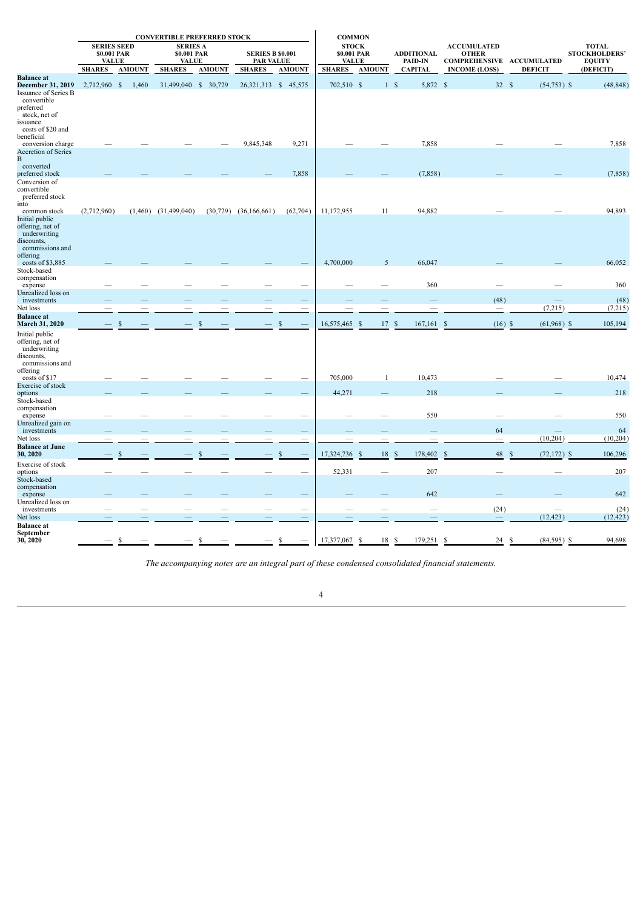|                                                                                                                                              |                                                   |               | <b>CONVERTIBLE PREFERRED STOCK</b>             |               |                                      |               | <b>COMMON</b>                               |               |                              |                                                                 |                     |                                                       |
|----------------------------------------------------------------------------------------------------------------------------------------------|---------------------------------------------------|---------------|------------------------------------------------|---------------|--------------------------------------|---------------|---------------------------------------------|---------------|------------------------------|-----------------------------------------------------------------|---------------------|-------------------------------------------------------|
|                                                                                                                                              | <b>SERIES SEED</b><br>\$0.001 PAR<br><b>VALUE</b> |               | <b>SERIES A</b><br>\$0.001 PAR<br><b>VALUE</b> |               | <b>SERIES B \$0.001</b><br>PAR VALUE |               | <b>STOCK</b><br>\$0.001 PAR<br><b>VALUE</b> |               | <b>ADDITIONAL</b><br>PAID-IN | <b>ACCUMULATED</b><br><b>OTHER</b><br>COMPREHENSIVE ACCUMULATED |                     | <b>TOTAL</b><br><b>STOCKHOLDERS'</b><br><b>EQUITY</b> |
|                                                                                                                                              | <b>SHARES</b>                                     | <b>AMOUNT</b> | <b>SHARES</b>                                  | <b>AMOUNT</b> | <b>SHARES</b>                        | <b>AMOUNT</b> | <b>SHARES</b>                               | <b>AMOUNT</b> | <b>CAPITAL</b>               | <b>INCOME (LOSS)</b>                                            | <b>DEFICIT</b>      | (DEFICIT)                                             |
| <b>Balance</b> at<br>December 31, 2019<br>Issuance of Series B<br>convertible<br>preferred<br>stock, net of<br>issuance<br>costs of \$20 and | 2,712,960 \$                                      | 1,460         | 31,499,040 \$ 30,729                           |               | 26, 321, 313 \$ 45, 575              |               | 702,510 \$                                  |               | 1 <sup>5</sup><br>5,872 \$   | 32S                                                             | $(54, 753)$ \$      | (48, 848)                                             |
| beneficial<br>conversion charge<br><b>Accretion of Series</b>                                                                                |                                                   |               |                                                |               | 9,845,348                            | 9,271         |                                             |               | 7,858                        |                                                                 |                     | 7,858                                                 |
| B<br>converted<br>preferred stock                                                                                                            |                                                   |               |                                                |               |                                      | 7,858         |                                             |               | (7, 858)                     |                                                                 |                     | (7, 858)                                              |
| Conversion of<br>convertible<br>preferred stock<br>into                                                                                      |                                                   |               |                                                |               |                                      |               |                                             |               |                              |                                                                 |                     |                                                       |
| common stock                                                                                                                                 | (2,712,960)                                       | (1,460)       | (31, 499, 040)                                 | (30, 729)     | (36, 166, 661)                       | (62, 704)     | 11,172,955                                  | 11            | 94,882                       |                                                                 |                     | 94,893                                                |
| Initial public<br>offering, net of<br>underwriting<br>discounts,<br>commissions and<br>offering                                              |                                                   |               |                                                |               |                                      |               |                                             |               |                              |                                                                 |                     |                                                       |
| costs of $$3,885$                                                                                                                            |                                                   |               |                                                |               |                                      |               | 4,700,000                                   | 5             | 66,047                       |                                                                 |                     | 66,052                                                |
| Stock-based<br>compensation<br>expense                                                                                                       |                                                   |               |                                                |               |                                      |               |                                             |               | 360                          |                                                                 |                     | 360                                                   |
| Unrealized loss on<br>investments<br>Net loss                                                                                                |                                                   |               |                                                |               |                                      |               |                                             |               |                              | (48)                                                            | (7,215)             | (48)<br>(7,215)                                       |
| <b>Balance</b> at<br><b>March 31, 2020</b>                                                                                                   |                                                   |               |                                                |               |                                      |               | 16,575,465                                  | 17<br>-S      | 167,161<br>-S                | $(16)$ \$<br><b>S</b>                                           | $(61,968)$ \$       | 105,194                                               |
| Initial public<br>offering, net of<br>underwriting<br>discounts,<br>commissions and<br>offering                                              |                                                   |               |                                                |               |                                      |               |                                             |               |                              |                                                                 |                     |                                                       |
| costs of \$17                                                                                                                                |                                                   |               |                                                |               |                                      |               | 705,000                                     | 1             | 10,473                       |                                                                 |                     | 10,474                                                |
| Exercise of stock<br>options                                                                                                                 |                                                   |               |                                                |               |                                      |               | 44,271                                      |               | 218                          |                                                                 |                     | 218                                                   |
| Stock-based<br>compensation<br>expense                                                                                                       |                                                   |               |                                                |               |                                      |               |                                             |               | 550                          |                                                                 |                     | 550                                                   |
| Unrealized gain on<br>investments                                                                                                            |                                                   |               |                                                |               |                                      |               |                                             |               |                              | 64                                                              |                     | 64                                                    |
| Net loss                                                                                                                                     |                                                   |               |                                                |               |                                      |               |                                             |               |                              |                                                                 | (10, 204)           | (10, 204)                                             |
| <b>Balance at June</b><br>30, 2020                                                                                                           |                                                   | S             |                                                |               |                                      |               | 17,324,736                                  | 18<br>-S      | 178,402<br>-S                | 48                                                              | (72, 172)<br>S      | 106,296<br>-9                                         |
| Exercise of stock<br>options                                                                                                                 |                                                   |               |                                                |               |                                      |               | 52,331                                      |               | 207                          |                                                                 |                     | 207                                                   |
| Stock-based<br>compensation<br>expense                                                                                                       |                                                   |               |                                                |               |                                      |               |                                             |               | 642                          |                                                                 |                     | 642                                                   |
| Unrealized loss on<br>investments<br>Net loss                                                                                                |                                                   |               |                                                |               |                                      |               |                                             |               |                              | (24)                                                            | (12, 423)           | (24)<br>(12, 423)                                     |
| <b>Balance</b> at<br>September<br>30, 2020                                                                                                   |                                                   |               |                                                |               |                                      | -S            | 17,377,067 \$                               | 18 \$         | 179,251                      | <sup>S</sup><br>24                                              | $(84,595)$ \$<br>-S | 94,698                                                |

*The accompanying notes are an integral part of these condensed consolidated financial statements.*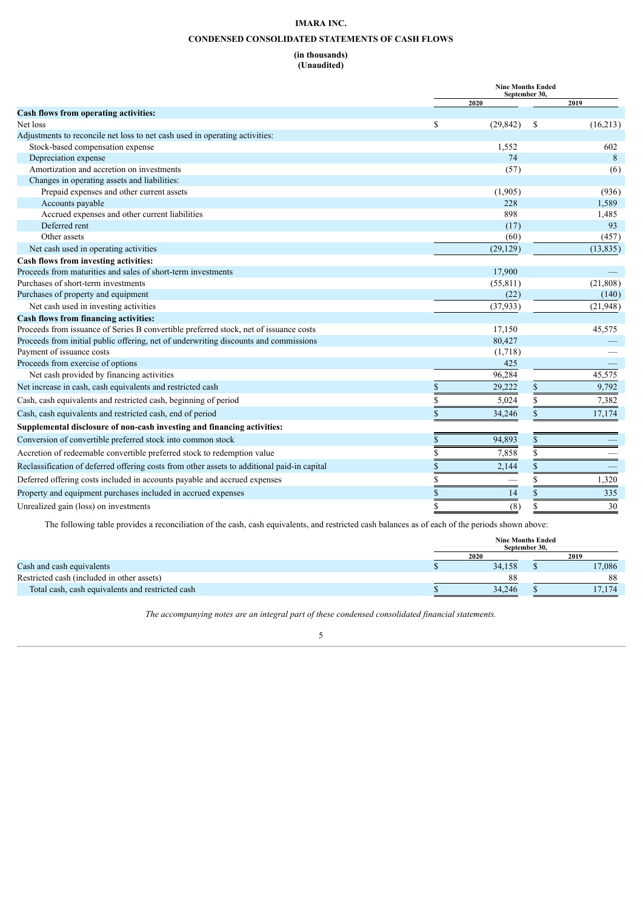# **CONDENSED CONSOLIDATED STATEMENTS OF CASH FLOWS**

# **(in thousands)**

# **(Unaudited)**

<span id="page-7-0"></span>

|                                                                                             |               | <b>Nine Months Ended</b><br>September 30, |      |           |  |  |  |  |  |  |  |
|---------------------------------------------------------------------------------------------|---------------|-------------------------------------------|------|-----------|--|--|--|--|--|--|--|
|                                                                                             |               | 2020                                      |      | 2019      |  |  |  |  |  |  |  |
| Cash flows from operating activities:                                                       |               |                                           |      |           |  |  |  |  |  |  |  |
| Net loss                                                                                    | \$            | (29, 842)                                 | \$   | (16,213)  |  |  |  |  |  |  |  |
| Adjustments to reconcile net loss to net cash used in operating activities:                 |               |                                           |      |           |  |  |  |  |  |  |  |
| Stock-based compensation expense                                                            |               | 1,552                                     |      | 602       |  |  |  |  |  |  |  |
| Depreciation expense                                                                        |               | 74                                        |      | 8         |  |  |  |  |  |  |  |
| Amortization and accretion on investments                                                   |               | (57)                                      |      | (6)       |  |  |  |  |  |  |  |
| Changes in operating assets and liabilities:                                                |               |                                           |      |           |  |  |  |  |  |  |  |
| Prepaid expenses and other current assets                                                   |               | (1,905)                                   |      | (936)     |  |  |  |  |  |  |  |
| Accounts payable                                                                            |               | 228                                       |      | 1,589     |  |  |  |  |  |  |  |
| Accrued expenses and other current liabilities                                              |               | 898                                       |      | 1,485     |  |  |  |  |  |  |  |
| Deferred rent                                                                               |               | (17)                                      |      | 93        |  |  |  |  |  |  |  |
| Other assets                                                                                |               | (60)                                      |      | (457)     |  |  |  |  |  |  |  |
| Net cash used in operating activities                                                       |               | (29, 129)                                 |      | (13, 835) |  |  |  |  |  |  |  |
| Cash flows from investing activities:                                                       |               |                                           |      |           |  |  |  |  |  |  |  |
| Proceeds from maturities and sales of short-term investments                                |               | 17,900                                    |      |           |  |  |  |  |  |  |  |
| Purchases of short-term investments                                                         |               | (55, 811)                                 |      | (21, 808) |  |  |  |  |  |  |  |
| Purchases of property and equipment                                                         |               | (22)                                      |      | (140)     |  |  |  |  |  |  |  |
| Net cash used in investing activities                                                       |               | (37,933)                                  |      | (21,948)  |  |  |  |  |  |  |  |
| <b>Cash flows from financing activities:</b>                                                |               |                                           |      |           |  |  |  |  |  |  |  |
| Proceeds from issuance of Series B convertible preferred stock, net of issuance costs       |               | 17,150                                    |      | 45,575    |  |  |  |  |  |  |  |
| Proceeds from initial public offering, net of underwriting discounts and commissions        |               | 80,427                                    |      |           |  |  |  |  |  |  |  |
| Payment of issuance costs                                                                   |               | (1,718)                                   |      |           |  |  |  |  |  |  |  |
| Proceeds from exercise of options                                                           |               | 425                                       |      |           |  |  |  |  |  |  |  |
| Net cash provided by financing activities                                                   |               | 96,284                                    |      | 45,575    |  |  |  |  |  |  |  |
| Net increase in cash, cash equivalents and restricted cash                                  | \$            | 29,222                                    | $\$$ | 9,792     |  |  |  |  |  |  |  |
| Cash, cash equivalents and restricted cash, beginning of period                             | S             | 5,024                                     | \$   | 7,382     |  |  |  |  |  |  |  |
| Cash, cash equivalents and restricted cash, end of period                                   | \$.           | 34,246                                    | \$   | 17,174    |  |  |  |  |  |  |  |
| Supplemental disclosure of non-cash investing and financing activities:                     |               |                                           |      |           |  |  |  |  |  |  |  |
| Conversion of convertible preferred stock into common stock                                 | <sup>\$</sup> | 94,893                                    | \$   |           |  |  |  |  |  |  |  |
| Accretion of redeemable convertible preferred stock to redemption value                     | S             | 7,858                                     | \$   |           |  |  |  |  |  |  |  |
| Reclassification of deferred offering costs from other assets to additional paid-in capital | \$            | 2,144                                     | \$   |           |  |  |  |  |  |  |  |
| Deferred offering costs included in accounts payable and accrued expenses                   | \$            |                                           | \$   | 1,320     |  |  |  |  |  |  |  |
| Property and equipment purchases included in accrued expenses                               | \$            | 14                                        | $\$$ | 335       |  |  |  |  |  |  |  |
| Unrealized gain (loss) on investments                                                       | S             | (8)                                       | \$   | 30        |  |  |  |  |  |  |  |

The following table provides a reconciliation of the cash, cash equivalents, and restricted cash balances as of each of the periods shown above:

|                                                  | <b>Nine Months Ended</b> | September 30, |        |
|--------------------------------------------------|--------------------------|---------------|--------|
|                                                  | 2020                     |               | 2019   |
| Cash and cash equivalents                        | 34.158                   |               | 17,086 |
| Restricted cash (included in other assets)       | 88                       |               | 88     |
| Total cash, cash equivalents and restricted cash | 34.246                   |               | 17.174 |

*The accompanying notes are an integral part of these condensed consolidated financial statements.*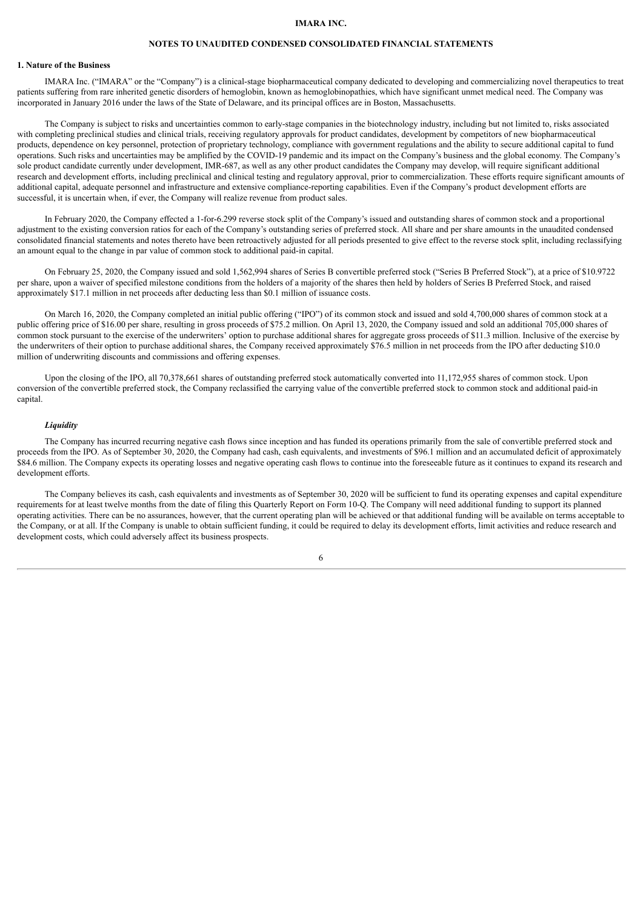# **NOTES TO UNAUDITED CONDENSED CONSOLIDATED FINANCIAL STATEMENTS**

### <span id="page-8-0"></span>**1. Nature of the Business**

IMARA Inc. ("IMARA" or the "Company") is a clinical-stage biopharmaceutical company dedicated to developing and commercializing novel therapeutics to treat patients suffering from rare inherited genetic disorders of hemoglobin, known as hemoglobinopathies, which have significant unmet medical need. The Company was incorporated in January 2016 under the laws of the State of Delaware, and its principal offices are in Boston, Massachusetts.

The Company is subject to risks and uncertainties common to early-stage companies in the biotechnology industry, including but not limited to, risks associated with completing preclinical studies and clinical trials, receiving regulatory approvals for product candidates, development by competitors of new biopharmaceutical products, dependence on key personnel, protection of proprietary technology, compliance with government regulations and the ability to secure additional capital to fund operations. Such risks and uncertainties may be amplified by the COVID-19 pandemic and its impact on the Company's business and the global economy. The Company's sole product candidate currently under development, IMR-687, as well as any other product candidates the Company may develop, will require significant additional research and development efforts, including preclinical and clinical testing and regulatory approval, prior to commercialization. These efforts require significant amounts of additional capital, adequate personnel and infrastructure and extensive compliance-reporting capabilities. Even if the Company's product development efforts are successful, it is uncertain when, if ever, the Company will realize revenue from product sales.

In February 2020, the Company effected a 1-for-6.299 reverse stock split of the Company's issued and outstanding shares of common stock and a proportional adjustment to the existing conversion ratios for each of the Company's outstanding series of preferred stock. All share and per share amounts in the unaudited condensed consolidated financial statements and notes thereto have been retroactively adjusted for all periods presented to give effect to the reverse stock split, including reclassifying an amount equal to the change in par value of common stock to additional paid-in capital.

On February 25, 2020, the Company issued and sold 1,562,994 shares of Series B convertible preferred stock ("Series B Preferred Stock"), at a price of \$10.9722 per share, upon a waiver of specified milestone conditions from the holders of a majority of the shares then held by holders of Series B Preferred Stock, and raised approximately \$17.1 million in net proceeds after deducting less than \$0.1 million of issuance costs.

On March 16, 2020, the Company completed an initial public offering ("IPO") of its common stock and issued and sold 4,700,000 shares of common stock at a public offering price of \$16.00 per share, resulting in gross proceeds of \$75.2 million. On April 13, 2020, the Company issued and sold an additional 705,000 shares of common stock pursuant to the exercise of the underwriters' option to purchase additional shares for aggregate gross proceeds of \$11.3 million. Inclusive of the exercise by the underwriters of their option to purchase additional shares, the Company received approximately \$76.5 million in net proceeds from the IPO after deducting \$10.0 million of underwriting discounts and commissions and offering expenses.

Upon the closing of the IPO, all 70,378,661 shares of outstanding preferred stock automatically converted into 11,172,955 shares of common stock. Upon conversion of the convertible preferred stock, the Company reclassified the carrying value of the convertible preferred stock to common stock and additional paid-in capital.

# *Liquidity*

The Company has incurred recurring negative cash flows since inception and has funded its operations primarily from the sale of convertible preferred stock and proceeds from the IPO. As of September 30, 2020, the Company had cash, cash equivalents, and investments of \$96.1 million and an accumulated deficit of approximately \$84.6 million. The Company expects its operating losses and negative operating cash flows to continue into the foreseeable future as it continues to expand its research and development efforts.

The Company believes its cash, cash equivalents and investments as of September 30, 2020 will be sufficient to fund its operating expenses and capital expenditure requirements for at least twelve months from the date of filing this Quarterly Report on Form 10-Q. The Company will need additional funding to support its planned operating activities. There can be no assurances, however, that the current operating plan will be achieved or that additional funding will be available on terms acceptable to the Company, or at all. If the Company is unable to obtain sufficient funding, it could be required to delay its development efforts, limit activities and reduce research and development costs, which could adversely affect its business prospects.

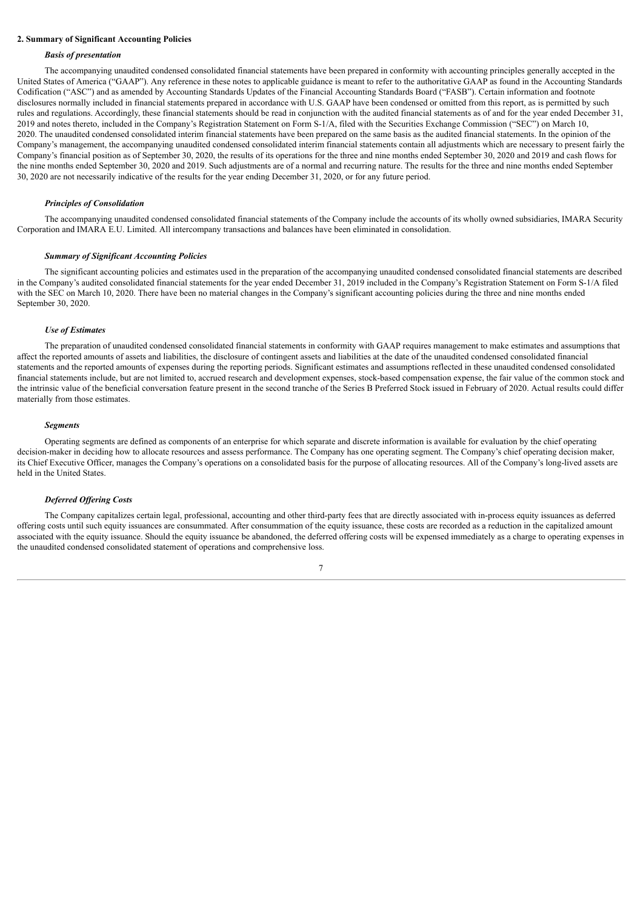# **2. Summary of Significant Accounting Policies**

#### *Basis of presentation*

The accompanying unaudited condensed consolidated financial statements have been prepared in conformity with accounting principles generally accepted in the United States of America ("GAAP"). Any reference in these notes to applicable guidance is meant to refer to the authoritative GAAP as found in the Accounting Standards Codification ("ASC") and as amended by Accounting Standards Updates of the Financial Accounting Standards Board ("FASB"). Certain information and footnote disclosures normally included in financial statements prepared in accordance with U.S. GAAP have been condensed or omitted from this report, as is permitted by such rules and regulations. Accordingly, these financial statements should be read in conjunction with the audited financial statements as of and for the year ended December 31, 2019 and notes thereto, included in the Company's Registration Statement on Form S-1/A, filed with the Securities Exchange Commission ("SEC") on March 10, 2020. The unaudited condensed consolidated interim financial statements have been prepared on the same basis as the audited financial statements. In the opinion of the Company's management, the accompanying unaudited condensed consolidated interim financial statements contain all adjustments which are necessary to present fairly the Company's financial position as of September 30, 2020, the results of its operations for the three and nine months ended September 30, 2020 and 2019 and cash flows for the nine months ended September 30, 2020 and 2019. Such adjustments are of a normal and recurring nature. The results for the three and nine months ended September 30, 2020 are not necessarily indicative of the results for the year ending December 31, 2020, or for any future period.

#### *Principles of Consolidation*

The accompanying unaudited condensed consolidated financial statements of the Company include the accounts of its wholly owned subsidiaries, IMARA Security Corporation and IMARA E.U. Limited. All intercompany transactions and balances have been eliminated in consolidation.

# *Summary of Significant Accounting Policies*

The significant accounting policies and estimates used in the preparation of the accompanying unaudited condensed consolidated financial statements are described in the Company's audited consolidated financial statements for the year ended December 31, 2019 included in the Company's Registration Statement on Form S-1/A filed with the SEC on March 10, 2020. There have been no material changes in the Company's significant accounting policies during the three and nine months ended September 30, 2020.

#### *Use of Estimates*

The preparation of unaudited condensed consolidated financial statements in conformity with GAAP requires management to make estimates and assumptions that affect the reported amounts of assets and liabilities, the disclosure of contingent assets and liabilities at the date of the unaudited condensed consolidated financial statements and the reported amounts of expenses during the reporting periods. Significant estimates and assumptions reflected in these unaudited condensed consolidated financial statements include, but are not limited to, accrued research and development expenses, stock-based compensation expense, the fair value of the common stock and the intrinsic value of the beneficial conversation feature present in the second tranche of the Series B Preferred Stock issued in February of 2020. Actual results could differ materially from those estimates.

#### *Segments*

Operating segments are defined as components of an enterprise for which separate and discrete information is available for evaluation by the chief operating decision-maker in deciding how to allocate resources and assess performance. The Company has one operating segment. The Company's chief operating decision maker, its Chief Executive Officer, manages the Company's operations on a consolidated basis for the purpose of allocating resources. All of the Company's long-lived assets are held in the United States.

#### *Deferred Of ering Costs*

The Company capitalizes certain legal, professional, accounting and other third-party fees that are directly associated with in-process equity issuances as deferred offering costs until such equity issuances are consummated. After consummation of the equity issuance, these costs are recorded as a reduction in the capitalized amount associated with the equity issuance. Should the equity issuance be abandoned, the deferred offering costs will be expensed immediately as a charge to operating expenses in the unaudited condensed consolidated statement of operations and comprehensive loss.

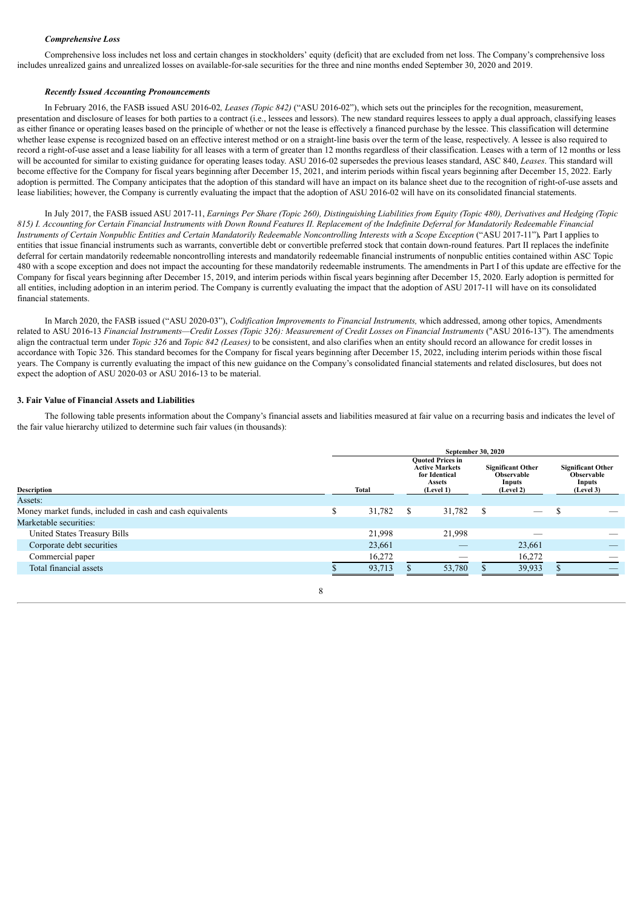# *Comprehensive Loss*

Comprehensive loss includes net loss and certain changes in stockholders' equity (deficit) that are excluded from net loss. The Company's comprehensive loss includes unrealized gains and unrealized losses on available-for-sale securities for the three and nine months ended September 30, 2020 and 2019.

### *Recently Issued Accounting Pronouncements*

In February 2016, the FASB issued ASU 2016-02*, Leases (Topic 842)* ("ASU 2016-02"), which sets out the principles for the recognition, measurement, presentation and disclosure of leases for both parties to a contract (i.e., lessees and lessors). The new standard requires lessees to apply a dual approach, classifying leases as either finance or operating leases based on the principle of whether or not the lease is effectively a financed purchase by the lessee. This classification will determine whether lease expense is recognized based on an effective interest method or on a straight-line basis over the term of the lease, respectively. A lessee is also required to record a right-of-use asset and a lease liability for all leases with a term of greater than 12 months regardless of their classification. Leases with a term of 12 months or less will be accounted for similar to existing guidance for operating leases today. ASU 2016-02 supersedes the previous leases standard, ASC 840, *Leases*. This standard will become effective for the Company for fiscal years beginning after December 15, 2021, and interim periods within fiscal years beginning after December 15, 2022. Early adoption is permitted. The Company anticipates that the adoption of this standard will have an impact on its balance sheet due to the recognition of right-of-use assets and lease liabilities; however, the Company is currently evaluating the impact that the adoption of ASU 2016-02 will have on its consolidated financial statements.

In July 2017, the FASB issued ASU 2017-11, Earnings Per Share (Topic 260), Distinguishing Liabilities from Equity (Topic 480), Derivatives and Hedging (Topic 815) I. Accounting for Certain Financial Instruments with Down Round Features II. Replacement of the Indefinite Deferral for Mandatorily Redeemable Financial Instruments of Certain Nonpublic Entities and Certain Mandatorily Redeemable Noncontrolling Interests with a Scope Exception ("ASU 2017-11"). Part I applies to entities that issue financial instruments such as warrants, convertible debt or convertible preferred stock that contain down-round features. Part II replaces the indefinite deferral for certain mandatorily redeemable noncontrolling interests and mandatorily redeemable financial instruments of nonpublic entities contained within ASC Topic 480 with a scope exception and does not impact the accounting for these mandatorily redeemable instruments. The amendments in Part I of this update are effective for the Company for fiscal years beginning after December 15, 2019, and interim periods within fiscal years beginning after December 15, 2020. Early adoption is permitted for all entities, including adoption in an interim period. The Company is currently evaluating the impact that the adoption of ASU 2017-11 will have on its consolidated financial statements.

In March 2020, the FASB issued ("ASU 2020-03"), *Codification Improvements to Financial Instruments,* which addressed, among other topics, Amendments related to ASU 2016-13 Financial Instruments—Credit Losses (Topic 326): Measurement of Credit Losses on Financial Instruments ("ASU 2016-13"). The amendments align the contractual term under *Topic 326* and *Topic 842 (Leases)* to be consistent, and also clarifies when an entity should record an allowance for credit losses in accordance with Topic 326. This standard becomes for the Company for fiscal years beginning after December 15, 2022, including interim periods within those fiscal years. The Company is currently evaluating the impact of this new guidance on the Company's consolidated financial statements and related disclosures, but does not expect the adoption of ASU 2020-03 or ASU 2016-13 to be material.

# **3. Fair Value of Financial Assets and Liabilities**

The following table presents information about the Company's financial assets and liabilities measured at fair value on a recurring basis and indicates the level of the fair value hierarchy utilized to determine such fair values (in thousands):

|                                                           |              |    | September 30, 2020                                                                              |      |                                                                      |                                                                      |
|-----------------------------------------------------------|--------------|----|-------------------------------------------------------------------------------------------------|------|----------------------------------------------------------------------|----------------------------------------------------------------------|
| Description                                               | <b>Total</b> |    | <b>Ouoted Prices in</b><br><b>Active Markets</b><br>for Identical<br><b>Assets</b><br>(Level 1) |      | <b>Significant Other</b><br><b>Observable</b><br>Inputs<br>(Level 2) | <b>Significant Other</b><br><b>Observable</b><br>Inputs<br>(Level 3) |
| Assets:                                                   |              |    |                                                                                                 |      |                                                                      |                                                                      |
| Money market funds, included in cash and cash equivalents | 31,782       | -S | 31,782                                                                                          | - \$ | $\overline{\phantom{0}}$                                             |                                                                      |
| Marketable securities:                                    |              |    |                                                                                                 |      |                                                                      |                                                                      |
| United States Treasury Bills                              | 21,998       |    | 21,998                                                                                          |      | and the control                                                      |                                                                      |
| Corporate debt securities                                 | 23,661       |    |                                                                                                 |      | 23,661                                                               |                                                                      |
| Commercial paper                                          | 16,272       |    |                                                                                                 |      | 16,272                                                               | __                                                                   |
| Total financial assets                                    | 93.713       |    | 53.780                                                                                          |      | 39.933                                                               |                                                                      |

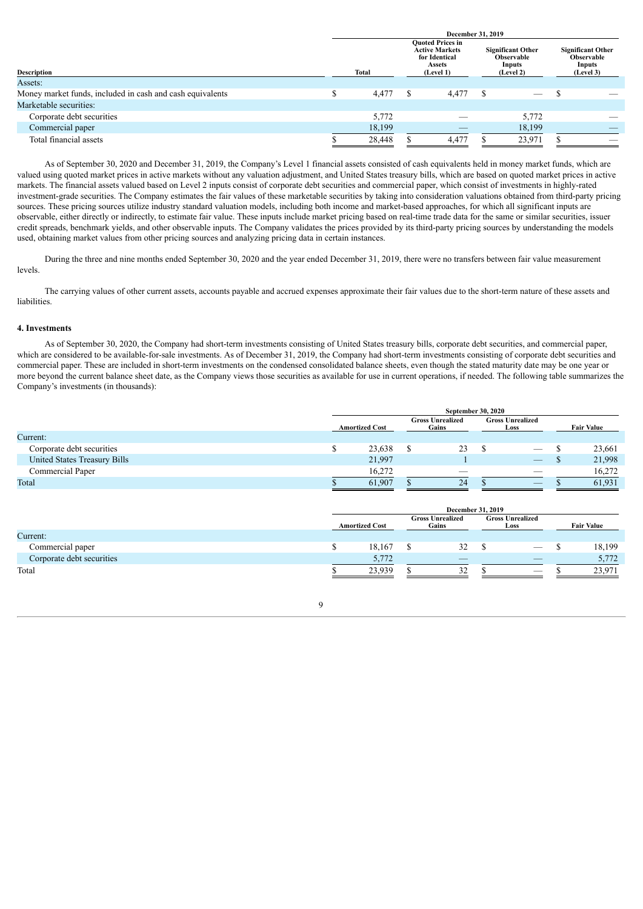|                                                           |              | December 31, 2019                                                                  |      |                                                         |                                                         |
|-----------------------------------------------------------|--------------|------------------------------------------------------------------------------------|------|---------------------------------------------------------|---------------------------------------------------------|
|                                                           | <b>Total</b> | <b>Ouoted Prices in</b><br><b>Active Markets</b><br>for Identical<br><b>Assets</b> |      | <b>Significant Other</b><br><b>Observable</b><br>Inputs | <b>Significant Other</b><br><b>Observable</b><br>Inputs |
| <b>Description</b>                                        |              | (Level 1)                                                                          |      | (Level 2)                                               | (Level 3)                                               |
| Assets:                                                   |              |                                                                                    |      |                                                         |                                                         |
| Money market funds, included in cash and cash equivalents | 4,477        | 4,477                                                                              | - \$ |                                                         |                                                         |
| Marketable securities:                                    |              |                                                                                    |      |                                                         |                                                         |
| Corporate debt securities                                 | 5,772        |                                                                                    |      | 5,772                                                   |                                                         |
| Commercial paper                                          | 18,199       | __                                                                                 |      | 18,199                                                  | __                                                      |
| Total financial assets                                    | 28,448       | 4.477                                                                              |      | 23,971                                                  | __                                                      |

**December 31, 2019**

As of September 30, 2020 and December 31, 2019, the Company's Level 1 financial assets consisted of cash equivalents held in money market funds, which are valued using quoted market prices in active markets without any valuation adjustment, and United States treasury bills, which are based on quoted market prices in active markets. The financial assets valued based on Level 2 inputs consist of corporate debt securities and commercial paper, which consist of investments in highly-rated investment-grade securities. The Company estimates the fair values of these marketable securities by taking into consideration valuations obtained from third-party pricing sources. These pricing sources utilize industry standard valuation models, including both income and market-based approaches, for which all significant inputs are observable, either directly or indirectly, to estimate fair value. These inputs include market pricing based on real-time trade data for the same or similar securities, issuer credit spreads, benchmark yields, and other observable inputs. The Company validates the prices provided by its third-party pricing sources by understanding the models used, obtaining market values from other pricing sources and analyzing pricing data in certain instances.

During the three and nine months ended September 30, 2020 and the year ended December 31, 2019, there were no transfers between fair value measurement levels.

The carrying values of other current assets, accounts payable and accrued expenses approximate their fair values due to the short-term nature of these assets and liabilities.

# **4. Investments**

As of September 30, 2020, the Company had short-term investments consisting of United States treasury bills, corporate debt securities, and commercial paper, which are considered to be available-for-sale investments. As of December 31, 2019, the Company had short-term investments consisting of corporate debt securities and commercial paper. These are included in short-term investments on the condensed consolidated balance sheets, even though the stated maturity date may be one year or more beyond the current balance sheet date, as the Company views those securities as available for use in current operations, if needed. The following table summarizes the Company's investments (in thousands):

|        |                       |    |                                  |                           |                                 | <b>Fair Value</b> |
|--------|-----------------------|----|----------------------------------|---------------------------|---------------------------------|-------------------|
|        |                       |    |                                  |                           |                                 |                   |
| 23,638 |                       | 23 |                                  | $\hspace{0.05cm}$         |                                 | 23,661            |
| 21,997 |                       |    |                                  |                           |                                 | 21,998            |
| 16,272 |                       |    |                                  |                           |                                 | 16,272            |
| 61.907 |                       | 24 |                                  |                           |                                 | 61,931            |
|        | <b>Amortized Cost</b> |    | <b>Gross Unrealized</b><br>Gains | <b>September 30, 2020</b> | <b>Gross Unrealized</b><br>Loss |                   |

|                           |                       | December 31, 2019                |                                 |                   |
|---------------------------|-----------------------|----------------------------------|---------------------------------|-------------------|
|                           | <b>Amortized Cost</b> | <b>Gross Unrealized</b><br>Gains | <b>Gross Unrealized</b><br>Loss | <b>Fair Value</b> |
| Current:                  |                       |                                  |                                 |                   |
| Commercial paper          | 18,167                | 32                               | $\overline{\phantom{0}}$        | 18,199            |
| Corporate debt securities | 5,772                 | $\overline{\phantom{a}}$         | $\overline{\phantom{a}}$        | 5,772             |
| Total                     | 23,939                | 32                               | $\hspace{0.1mm}-\hspace{0.1mm}$ | 23,971            |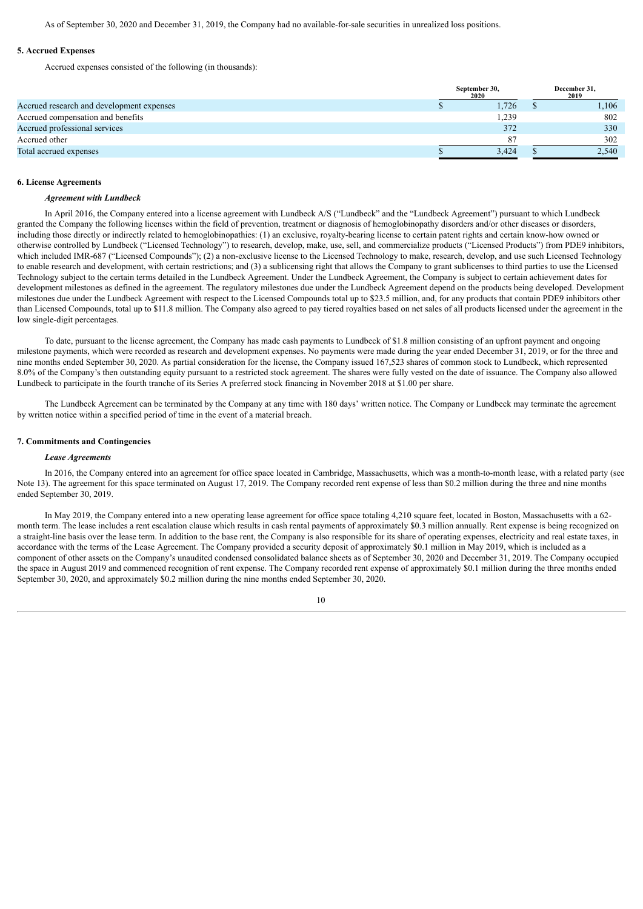As of September 30, 2020 and December 31, 2019, the Company had no available-for-sale securities in unrealized loss positions.

#### **5. Accrued Expenses**

Accrued expenses consisted of the following (in thousands):

|                                           | September 30,<br>2020 |       | December 31,<br>2019 |
|-------------------------------------------|-----------------------|-------|----------------------|
| Accrued research and development expenses |                       | 1,726 | .106                 |
| Accrued compensation and benefits         |                       | 1,239 | 802                  |
| Accrued professional services             |                       | 372   | 330                  |
| Accrued other                             |                       |       | 302                  |
| Total accrued expenses                    |                       | 3,424 | 2.540                |

### **6. License Agreements**

#### *Agreement with Lundbeck*

In April 2016, the Company entered into a license agreement with Lundbeck A/S ("Lundbeck" and the "Lundbeck Agreement") pursuant to which Lundbeck granted the Company the following licenses within the field of prevention, treatment or diagnosis of hemoglobinopathy disorders and/or other diseases or disorders, including those directly or indirectly related to hemoglobinopathies: (1) an exclusive, royalty-bearing license to certain patent rights and certain know-how owned or otherwise controlled by Lundbeck ("Licensed Technology") to research, develop, make, use, sell, and commercialize products ("Licensed Products") from PDE9 inhibitors, which included IMR-687 ("Licensed Compounds"); (2) a non-exclusive license to the Licensed Technology to make, research, develop, and use such Licensed Technology to enable research and development, with certain restrictions; and (3) a sublicensing right that allows the Company to grant sublicenses to third parties to use the Licensed Technology subject to the certain terms detailed in the Lundbeck Agreement. Under the Lundbeck Agreement, the Company is subject to certain achievement dates for development milestones as defined in the agreement. The regulatory milestones due under the Lundbeck Agreement depend on the products being developed. Development milestones due under the Lundbeck Agreement with respect to the Licensed Compounds total up to \$23.5 million, and, for any products that contain PDE9 inhibitors other than Licensed Compounds, total up to \$11.8 million. The Company also agreed to pay tiered royalties based on net sales of all products licensed under the agreement in the low single-digit percentages.

To date, pursuant to the license agreement, the Company has made cash payments to Lundbeck of \$1.8 million consisting of an upfront payment and ongoing milestone payments, which were recorded as research and development expenses. No payments were made during the year ended December 31, 2019, or for the three and nine months ended September 30, 2020. As partial consideration for the license, the Company issued 167,523 shares of common stock to Lundbeck, which represented 8.0% of the Company's then outstanding equity pursuant to a restricted stock agreement. The shares were fully vested on the date of issuance. The Company also allowed Lundbeck to participate in the fourth tranche of its Series A preferred stock financing in November 2018 at \$1.00 per share.

The Lundbeck Agreement can be terminated by the Company at any time with 180 days' written notice. The Company or Lundbeck may terminate the agreement by written notice within a specified period of time in the event of a material breach.

#### **7. Commitments and Contingencies**

#### *Lease Agreements*

In 2016, the Company entered into an agreement for office space located in Cambridge, Massachusetts, which was a month-to-month lease, with a related party (see Note 13). The agreement for this space terminated on August 17, 2019. The Company recorded rent expense of less than \$0.2 million during the three and nine months ended September 30, 2019.

In May 2019, the Company entered into a new operating lease agreement for office space totaling 4,210 square feet, located in Boston, Massachusetts with a 62 month term. The lease includes a rent escalation clause which results in cash rental payments of approximately \$0.3 million annually. Rent expense is being recognized on a straight-line basis over the lease term. In addition to the base rent, the Company is also responsible for its share of operating expenses, electricity and real estate taxes, in accordance with the terms of the Lease Agreement. The Company provided a security deposit of approximately \$0.1 million in May 2019, which is included as a component of other assets on the Company's unaudited condensed consolidated balance sheets as of September 30, 2020 and December 31, 2019. The Company occupied the space in August 2019 and commenced recognition of rent expense. The Company recorded rent expense of approximately \$0.1 million during the three months ended September 30, 2020, and approximately \$0.2 million during the nine months ended September 30, 2020.

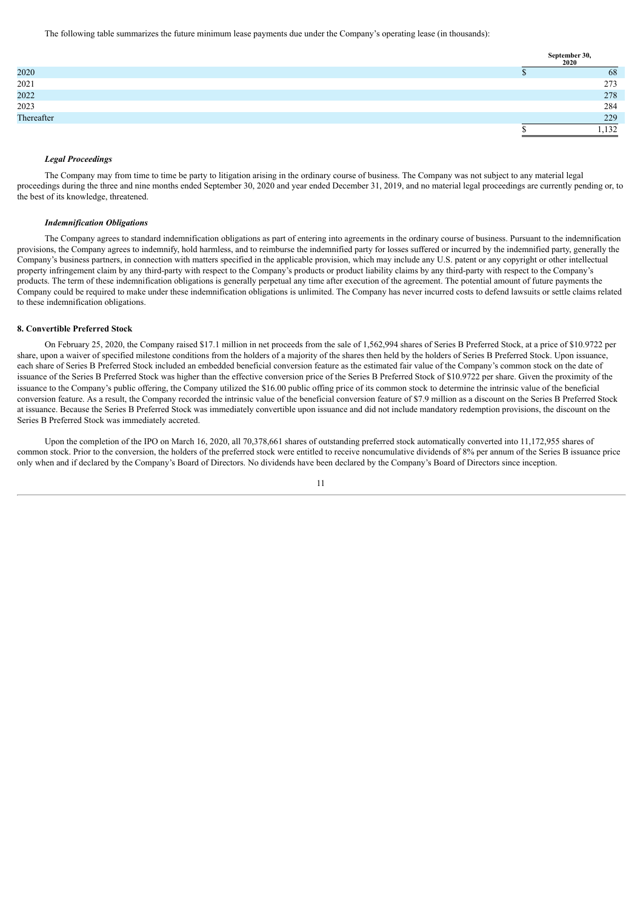The following table summarizes the future minimum lease payments due under the Company's operating lease (in thousands):

|            | September 30,<br>2020 |
|------------|-----------------------|
| 2020       | 68                    |
| 2021       | 273                   |
| 2022       | 278                   |
| 2023       | 284                   |
| Thereafter | 229                   |
|            | ,132                  |

# *Legal Proceedings*

The Company may from time to time be party to litigation arising in the ordinary course of business. The Company was not subject to any material legal proceedings during the three and nine months ended September 30, 2020 and year ended December 31, 2019, and no material legal proceedings are currently pending or, to the best of its knowledge, threatened.

#### *Indemnification Obligations*

The Company agrees to standard indemnification obligations as part of entering into agreements in the ordinary course of business. Pursuant to the indemnification provisions, the Company agrees to indemnify, hold harmless, and to reimburse the indemnified party for losses suffered or incurred by the indemnified party, generally the Company's business partners, in connection with matters specified in the applicable provision, which may include any U.S. patent or any copyright or other intellectual property infringement claim by any third-party with respect to the Company's products or product liability claims by any third-party with respect to the Company's products. The term of these indemnification obligations is generally perpetual any time after execution of the agreement. The potential amount of future payments the Company could be required to make under these indemnification obligations is unlimited. The Company has never incurred costs to defend lawsuits or settle claims related to these indemnification obligations.

#### **8. Convertible Preferred Stock**

On February 25, 2020, the Company raised \$17.1 million in net proceeds from the sale of 1,562,994 shares of Series B Preferred Stock, at a price of \$10.9722 per share, upon a waiver of specified milestone conditions from the holders of a majority of the shares then held by the holders of Series B Preferred Stock. Upon issuance, each share of Series B Preferred Stock included an embedded beneficial conversion feature as the estimated fair value of the Company's common stock on the date of issuance of the Series B Preferred Stock was higher than the effective conversion price of the Series B Preferred Stock of \$10.9722 per share. Given the proximity of the issuance to the Company's public offering, the Company utilized the \$16.00 public offing price of its common stock to determine the intrinsic value of the beneficial conversion feature. As a result, the Company recorded the intrinsic value of the beneficial conversion feature of \$7.9 million as a discount on the Series B Preferred Stock at issuance. Because the Series B Preferred Stock was immediately convertible upon issuance and did not include mandatory redemption provisions, the discount on the Series B Preferred Stock was immediately accreted.

Upon the completion of the IPO on March 16, 2020, all 70,378,661 shares of outstanding preferred stock automatically converted into 11,172,955 shares of common stock. Prior to the conversion, the holders of the preferred stock were entitled to receive noncumulative dividends of 8% per annum of the Series B issuance price only when and if declared by the Company's Board of Directors. No dividends have been declared by the Company's Board of Directors since inception.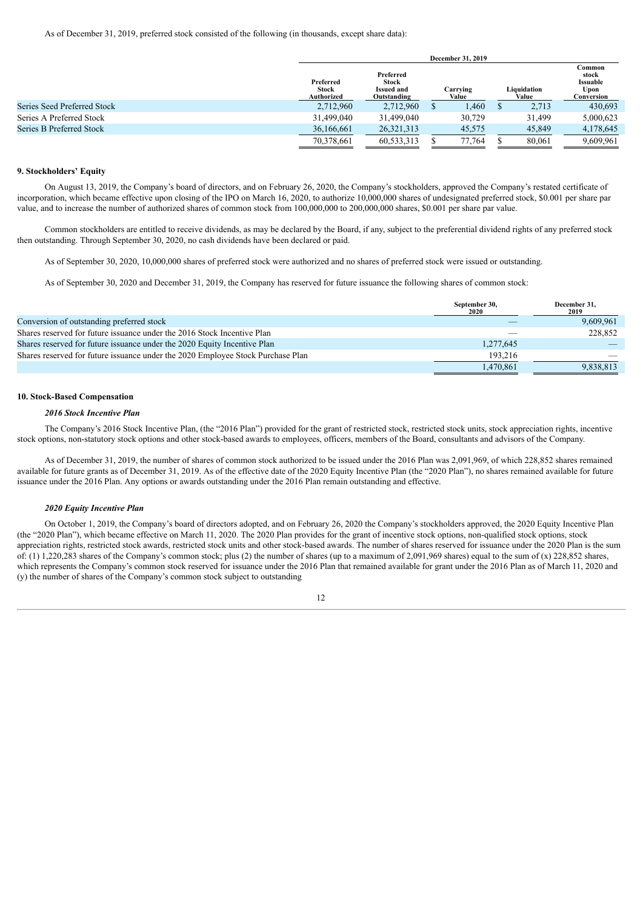As of December 31, 2019, preferred stock consisted of the following (in thousands, except share data):

|                             | <b>December 31, 2019</b>                                                                                 |              |  |                   |  |                      |                                                          |  |
|-----------------------------|----------------------------------------------------------------------------------------------------------|--------------|--|-------------------|--|----------------------|----------------------------------------------------------|--|
|                             | Preferred<br>Preferred<br><b>Stock</b><br><b>Stock</b><br><b>Issued and</b><br>Authorized<br>Outstanding |              |  | Carrying<br>Value |  | Liauidation<br>Value | Common<br>stock<br><b>Issuable</b><br>Upon<br>Conversion |  |
| Series Seed Preferred Stock | 2,712,960                                                                                                | 2,712,960    |  | 1,460             |  | 2,713                | 430,693                                                  |  |
| Series A Preferred Stock    | 31,499,040                                                                                               | 31.499.040   |  | 30,729            |  | 31,499               | 5,000,623                                                |  |
| Series B Preferred Stock    | 36,166,661                                                                                               | 26, 321, 313 |  | 45,575            |  | 45,849               | 4,178,645                                                |  |
|                             | 70,378,661                                                                                               | 60,533,313   |  | 77.764            |  | 80.061               | 9.609.961                                                |  |

# **9. Stockholders' Equity**

On August 13, 2019, the Company's board of directors, and on February 26, 2020, the Company's stockholders, approved the Company's restated certificate of incorporation, which became effective upon closing of the IPO on March 16, 2020, to authorize 10,000,000 shares of undesignated preferred stock, \$0.001 per share par value, and to increase the number of authorized shares of common stock from 100,000,000 to 200,000,000 shares, \$0.001 per share par value.

Common stockholders are entitled to receive dividends, as may be declared by the Board, if any, subject to the preferential dividend rights of any preferred stock then outstanding. Through September 30, 2020, no cash dividends have been declared or paid.

As of September 30, 2020, 10,000,000 shares of preferred stock were authorized and no shares of preferred stock were issued or outstanding.

As of September 30, 2020 and December 31, 2019, the Company has reserved for future issuance the following shares of common stock:

|                                                                                 | September 30,<br>2020 | December 31.<br>2019 |
|---------------------------------------------------------------------------------|-----------------------|----------------------|
| Conversion of outstanding preferred stock                                       |                       | 9,609,961            |
| Shares reserved for future issuance under the 2016 Stock Incentive Plan         |                       | 228,852              |
| Shares reserved for future issuance under the 2020 Equity Incentive Plan        | 1,277,645             |                      |
| Shares reserved for future issuance under the 2020 Employee Stock Purchase Plan | 193.216               |                      |
|                                                                                 | 1,470,861             | 9,838,813            |

# **10. Stock-Based Compensation**

### *2016 Stock Incentive Plan*

The Company's 2016 Stock Incentive Plan, (the "2016 Plan") provided for the grant of restricted stock, restricted stock units, stock appreciation rights, incentive stock options, non-statutory stock options and other stock-based awards to employees, officers, members of the Board, consultants and advisors of the Company.

As of December 31, 2019, the number of shares of common stock authorized to be issued under the 2016 Plan was 2,091,969, of which 228,852 shares remained available for future grants as of December 31, 2019. As of the effective date of the 2020 Equity Incentive Plan (the "2020 Plan"), no shares remained available for future issuance under the 2016 Plan. Any options or awards outstanding under the 2016 Plan remain outstanding and effective.

#### *2020 Equity Incentive Plan*

On October 1, 2019, the Company's board of directors adopted, and on February 26, 2020 the Company's stockholders approved, the 2020 Equity Incentive Plan (the "2020 Plan"), which became effective on March 11, 2020. The 2020 Plan provides for the grant of incentive stock options, non-qualified stock options, stock appreciation rights, restricted stock awards, restricted stock units and other stock-based awards. The number of shares reserved for issuance under the 2020 Plan is the sum of: (1) 1,220,283 shares of the Company's common stock; plus (2) the number of shares (up to a maximum of 2,091,969 shares) equal to the sum of (x) 228,852 shares, which represents the Company's common stock reserved for issuance under the 2016 Plan that remained available for grant under the 2016 Plan as of March 11, 2020 and (y) the number of shares of the Company's common stock subject to outstanding

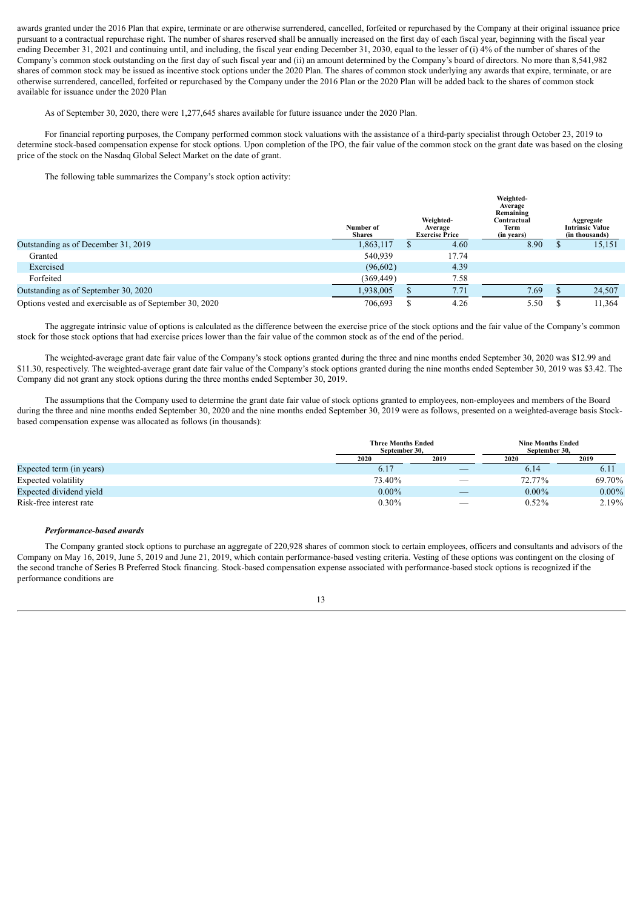awards granted under the 2016 Plan that expire, terminate or are otherwise surrendered, cancelled, forfeited or repurchased by the Company at their original issuance price pursuant to a contractual repurchase right. The number of shares reserved shall be annually increased on the first day of each fiscal year, beginning with the fiscal year ending December 31, 2021 and continuing until, and including, the fiscal year ending December 31, 2030, equal to the lesser of (i) 4% of the number of shares of the Company's common stock outstanding on the first day of such fiscal year and (ii) an amount determined by the Company's board of directors. No more than 8,541,982 shares of common stock may be issued as incentive stock options under the 2020 Plan. The shares of common stock underlying any awards that expire, terminate, or are otherwise surrendered, cancelled, forfeited or repurchased by the Company under the 2016 Plan or the 2020 Plan will be added back to the shares of common stock available for issuance under the 2020 Plan

As of September 30, 2020, there were 1,277,645 shares available for future issuance under the 2020 Plan.

For financial reporting purposes, the Company performed common stock valuations with the assistance of a third-party specialist through October 23, 2019 to determine stock-based compensation expense for stock options. Upon completion of the IPO, the fair value of the common stock on the grant date was based on the closing price of the stock on the Nasdaq Global Select Market on the date of grant.

The following table summarizes the Company's stock option activity:

|                                                         | Number of<br><b>Shares</b> | Weighted-<br>Average<br><b>Exercise Price</b> | Weighted-<br>Average<br>Remaining<br>Contractual<br>Term<br>(in years) | Aggregate<br><b>Intrinsic Value</b><br>(in thousands) |
|---------------------------------------------------------|----------------------------|-----------------------------------------------|------------------------------------------------------------------------|-------------------------------------------------------|
| Outstanding as of December 31, 2019                     | 1,863,117                  | 4.60                                          | 8.90                                                                   | 15,151                                                |
| Granted                                                 | 540,939                    | 17.74                                         |                                                                        |                                                       |
| Exercised                                               | (96,602)                   | 4.39                                          |                                                                        |                                                       |
| Forfeited                                               | (369, 449)                 | 7.58                                          |                                                                        |                                                       |
| Outstanding as of September 30, 2020                    | 1,938,005                  | 7.71                                          | 7.69                                                                   | 24,507                                                |
| Options vested and exercisable as of September 30, 2020 | 706.693                    | 4.26                                          | 5.50                                                                   | 11.364                                                |

The aggregate intrinsic value of options is calculated as the difference between the exercise price of the stock options and the fair value of the Company's common stock for those stock options that had exercise prices lower than the fair value of the common stock as of the end of the period.

The weighted-average grant date fair value of the Company's stock options granted during the three and nine months ended September 30, 2020 was \$12.99 and \$11.30, respectively. The weighted-average grant date fair value of the Company's stock options granted during the nine months ended September 30, 2019 was \$3.42. The Company did not grant any stock options during the three months ended September 30, 2019.

The assumptions that the Company used to determine the grant date fair value of stock options granted to employees, non-employees and members of the Board during the three and nine months ended September 30, 2020 and the nine months ended September 30, 2019 were as follows, presented on a weighted-average basis Stockbased compensation expense was allocated as follows (in thousands):

|                          | <b>Three Months Ended</b><br>September 30, |      | <b>Nine Months Ended</b><br>September 30, |          |  |
|--------------------------|--------------------------------------------|------|-------------------------------------------|----------|--|
|                          | 2020                                       | 2019 | 2020                                      | 2019     |  |
| Expected term (in years) | 6.17                                       |      | 6.14                                      | 6.11     |  |
| Expected volatility      | 73.40%                                     |      | 72.77%                                    | 69.70%   |  |
| Expected dividend yield  | $0.00\%$                                   |      | $0.00\%$                                  | $0.00\%$ |  |
| Risk-free interest rate  | $0.30\%$                                   |      | $0.52\%$                                  | 2.19%    |  |

#### *Performance-based awards*

The Company granted stock options to purchase an aggregate of 220,928 shares of common stock to certain employees, officers and consultants and advisors of the Company on May 16, 2019, June 5, 2019 and June 21, 2019, which contain performance-based vesting criteria. Vesting of these options was contingent on the closing of the second tranche of Series B Preferred Stock financing. Stock-based compensation expense associated with performance-based stock options is recognized if the performance conditions are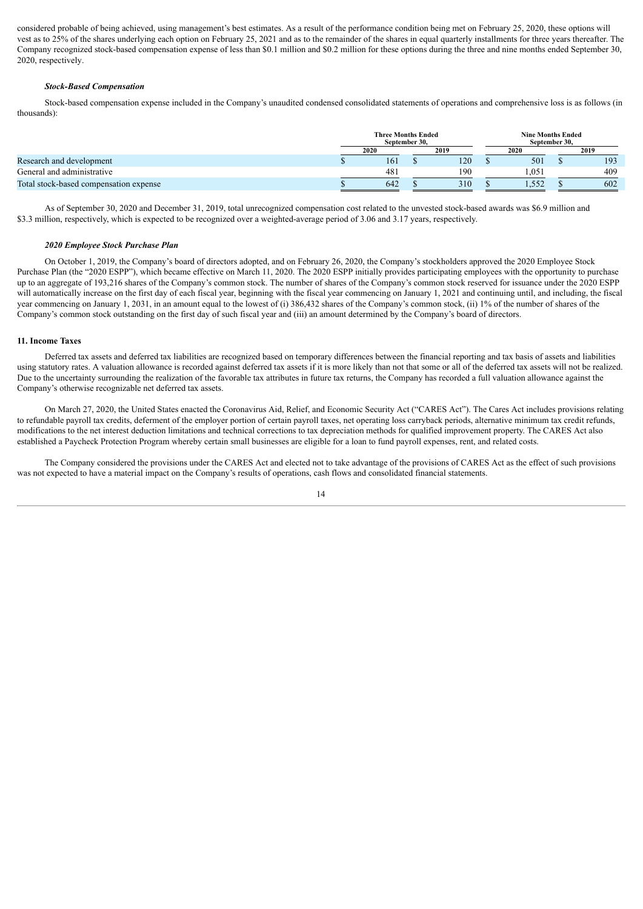considered probable of being achieved, using management's best estimates. As a result of the performance condition being met on February 25, 2020, these options will vest as to 25% of the shares underlying each option on February 25, 2021 and as to the remainder of the shares in equal quarterly installments for three years thereafter. The Company recognized stock-based compensation expense of less than \$0.1 million and \$0.2 million for these options during the three and nine months ended September 30, 2020, respectively.

### *Stock-Based Compensation*

Stock-based compensation expense included in the Company's unaudited condensed consolidated statements of operations and comprehensive loss is as follows (in thousands):

|                                        | <b>Three Months Ended</b><br>September 30, |      |  | <b>Nine Months Ended</b><br>September 30, |  |       |  |      |
|----------------------------------------|--------------------------------------------|------|--|-------------------------------------------|--|-------|--|------|
|                                        |                                            | 2020 |  | 2019                                      |  | 2020  |  | 2019 |
| Research and development               |                                            | 161  |  | 120                                       |  | 501   |  | 193  |
| General and administrative             |                                            | 481  |  | 190                                       |  | .051  |  | 409  |
| Total stock-based compensation expense |                                            | 642  |  | 310                                       |  | 1.552 |  | 602  |

As of September 30, 2020 and December 31, 2019, total unrecognized compensation cost related to the unvested stock-based awards was \$6.9 million and \$3.3 million, respectively, which is expected to be recognized over a weighted-average period of 3.06 and 3.17 years, respectively.

#### *2020 Employee Stock Purchase Plan*

On October 1, 2019, the Company's board of directors adopted, and on February 26, 2020, the Company's stockholders approved the 2020 Employee Stock Purchase Plan (the "2020 ESPP"), which became effective on March 11, 2020. The 2020 ESPP initially provides participating employees with the opportunity to purchase up to an aggregate of 193,216 shares of the Company's common stock. The number of shares of the Company's common stock reserved for issuance under the 2020 ESPP will automatically increase on the first day of each fiscal year, beginning with the fiscal year commencing on January 1, 2021 and continuing until, and including, the fiscal year commencing on January 1, 2031, in an amount equal to the lowest of (i) 386,432 shares of the Company's common stock, (ii) 1% of the number of shares of the Company's common stock outstanding on the first day of such fiscal year and (iii) an amount determined by the Company's board of directors.

#### **11. Income Taxes**

Deferred tax assets and deferred tax liabilities are recognized based on temporary differences between the financial reporting and tax basis of assets and liabilities using statutory rates. A valuation allowance is recorded against deferred tax assets if it is more likely than not that some or all of the deferred tax assets will not be realized. Due to the uncertainty surrounding the realization of the favorable tax attributes in future tax returns, the Company has recorded a full valuation allowance against the Company's otherwise recognizable net deferred tax assets.

On March 27, 2020, the United States enacted the Coronavirus Aid, Relief, and Economic Security Act ("CARES Act"). The Cares Act includes provisions relating to refundable payroll tax credits, deferment of the employer portion of certain payroll taxes, net operating loss carryback periods, alternative minimum tax credit refunds, modifications to the net interest deduction limitations and technical corrections to tax depreciation methods for qualified improvement property. The CARES Act also established a Paycheck Protection Program whereby certain small businesses are eligible for a loan to fund payroll expenses, rent, and related costs.

The Company considered the provisions under the CARES Act and elected not to take advantage of the provisions of CARES Act as the effect of such provisions was not expected to have a material impact on the Company's results of operations, cash flows and consolidated financial statements.

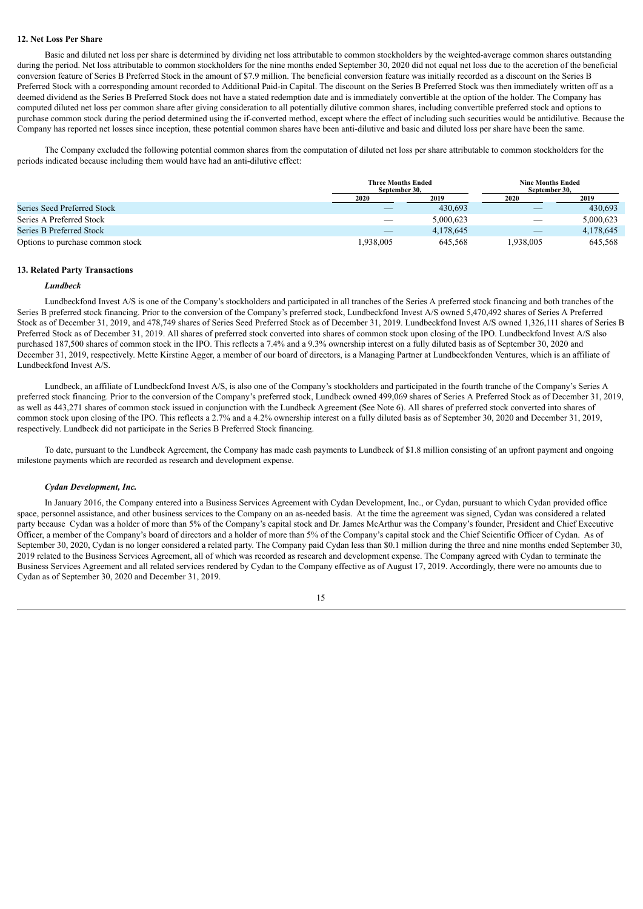### **12. Net Loss Per Share**

Basic and diluted net loss per share is determined by dividing net loss attributable to common stockholders by the weighted-average common shares outstanding during the period. Net loss attributable to common stockholders for the nine months ended September 30, 2020 did not equal net loss due to the accretion of the beneficial conversion feature of Series B Preferred Stock in the amount of \$7.9 million. The beneficial conversion feature was initially recorded as a discount on the Series B Preferred Stock with a corresponding amount recorded to Additional Paid-in Capital. The discount on the Series B Preferred Stock was then immediately written off as a deemed dividend as the Series B Preferred Stock does not have a stated redemption date and is immediately convertible at the option of the holder. The Company has computed diluted net loss per common share after giving consideration to all potentially dilutive common shares, including convertible preferred stock and options to purchase common stock during the period determined using the if-converted method, except where the effect of including such securities would be antidilutive. Because the Company has reported net losses since inception, these potential common shares have been anti-dilutive and basic and diluted loss per share have been the same.

The Company excluded the following potential common shares from the computation of diluted net loss per share attributable to common stockholders for the periods indicated because including them would have had an anti-dilutive effect:

|                                  | <b>Three Months Ended</b><br>September 30. |           | <b>Nine Months Ended</b><br>September 30. |           |
|----------------------------------|--------------------------------------------|-----------|-------------------------------------------|-----------|
|                                  | 2020                                       | 2019      | 2020                                      | 2019      |
| Series Seed Preferred Stock      |                                            | 430.693   | $\overline{\phantom{a}}$                  | 430,693   |
| Series A Preferred Stock         |                                            | 5,000,623 |                                           | 5,000,623 |
| Series B Preferred Stock         |                                            | 4,178,645 | $\overline{\phantom{a}}$                  | 4,178,645 |
| Options to purchase common stock | .938,005                                   | 645,568   | .938,005                                  | 645,568   |

# **13. Related Party Transactions**

### *Lundbeck*

Lundbeckfond Invest A/S is one of the Company's stockholders and participated in all tranches of the Series A preferred stock financing and both tranches of the Series B preferred stock financing. Prior to the conversion of the Company's preferred stock, Lundbeckfond Invest A/S owned 5,470,492 shares of Series A Preferred Stock as of December 31, 2019, and 478,749 shares of Series Seed Preferred Stock as of December 31, 2019. Lundbeckfond Invest A/S owned 1,326,111 shares of Series B Preferred Stock as of December 31, 2019. All shares of preferred stock converted into shares of common stock upon closing of the IPO. Lundbeckfond Invest A/S also purchased 187,500 shares of common stock in the IPO. This reflects a 7.4% and a 9.3% ownership interest on a fully diluted basis as of September 30, 2020 and December 31, 2019, respectively. Mette Kirstine Agger, a member of our board of directors, is a Managing Partner at Lundbeckfonden Ventures, which is an affiliate of Lundbeckfond Invest A/S.

Lundbeck, an affiliate of Lundbeckfond Invest A/S, is also one of the Company's stockholders and participated in the fourth tranche of the Company's Series A preferred stock financing. Prior to the conversion of the Company's preferred stock, Lundbeck owned 499,069 shares of Series A Preferred Stock as of December 31, 2019, as well as 443,271 shares of common stock issued in conjunction with the Lundbeck Agreement (See Note 6). All shares of preferred stock converted into shares of common stock upon closing of the IPO. This reflects a 2.7% and a 4.2% ownership interest on a fully diluted basis as of September 30, 2020 and December 31, 2019, respectively. Lundbeck did not participate in the Series B Preferred Stock financing.

To date, pursuant to the Lundbeck Agreement, the Company has made cash payments to Lundbeck of \$1.8 million consisting of an upfront payment and ongoing milestone payments which are recorded as research and development expense.

#### *Cydan Development, Inc.*

In January 2016, the Company entered into a Business Services Agreement with Cydan Development, Inc., or Cydan, pursuant to which Cydan provided office space, personnel assistance, and other business services to the Company on an as-needed basis. At the time the agreement was signed, Cydan was considered a related party because Cydan was a holder of more than 5% of the Company's capital stock and Dr. James McArthur was the Company's founder, President and Chief Executive Officer, a member of the Company's board of directors and a holder of more than 5% of the Company's capital stock and the Chief Scientific Officer of Cydan. As of September 30, 2020, Cydan is no longer considered a related party. The Company paid Cydan less than \$0.1 million during the three and nine months ended September 30, 2019 related to the Business Services Agreement, all of which was recorded as research and development expense. The Company agreed with Cydan to terminate the Business Services Agreement and all related services rendered by Cydan to the Company effective as of August 17, 2019. Accordingly, there were no amounts due to Cydan as of September 30, 2020 and December 31, 2019.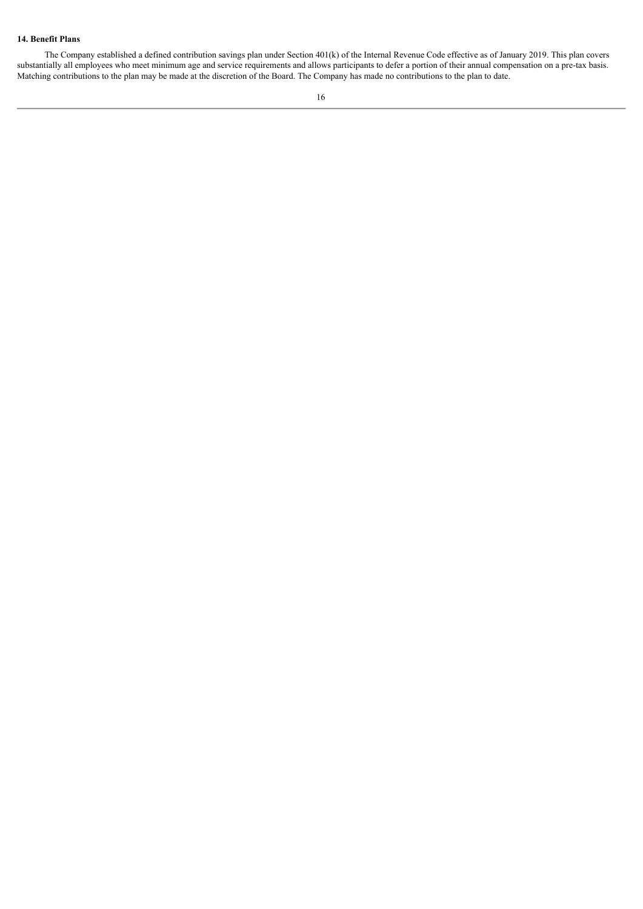# **14. Benefit Plans**

The Company established a defined contribution savings plan under Section 401(k) of the Internal Revenue Code effective as of January 2019. This plan covers substantially all employees who meet minimum age and service requirements and allows participants to defer a portion of their annual compensation on a pre-tax basis. Matching contributions to the plan may be made at the discretion of the Board. The Company has made no contributions to the plan to date.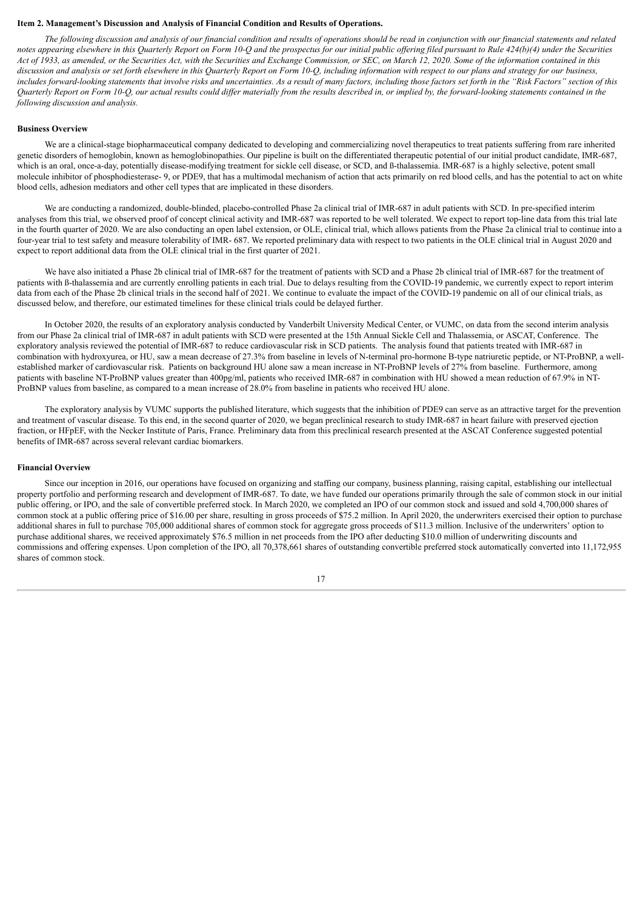#### <span id="page-19-0"></span>**Item 2. Management's Discussion and Analysis of Financial Condition and Results of Operations.**

The following discussion and analysis of our financial condition and results of operations should be read in conjunction with our financial statements and related notes appearing elsewhere in this Quarterly Report on Form 10-Q and the prospectus for our initial public offering filed pursuant to Rule 424(b)(4) under the Securities Act of 1933, as amended, or the Securities Act, with the Securities and Exchange Commission, or SEC, on March 12, 2020. Some of the information contained in this discussion and analysis or set forth elsewhere in this Quarterly Report on Form 10-Q, including information with respect to our plans and strategy for our business, includes forward-looking statements that involve risks and uncertainties. As a result of many factors, including those factors set forth in the "Risk Factors" section of this Ouarterly Report on Form 10-O, our actual results could differ materially from the results described in, or implied by, the forward-looking statements contained in the *following discussion and analysis.*

#### **Business Overview**

We are a clinical-stage biopharmaceutical company dedicated to developing and commercializing novel therapeutics to treat patients suffering from rare inherited genetic disorders of hemoglobin, known as hemoglobinopathies. Our pipeline is built on the differentiated therapeutic potential of our initial product candidate, IMR-687, which is an oral, once-a-day, potentially disease-modifying treatment for sickle cell disease, or SCD, and ß-thalassemia. IMR-687 is a highly selective, potent small molecule inhibitor of phosphodiesterase- 9, or PDE9, that has a multimodal mechanism of action that acts primarily on red blood cells, and has the potential to act on white blood cells, adhesion mediators and other cell types that are implicated in these disorders.

We are conducting a randomized, double-blinded, placebo-controlled Phase 2a clinical trial of IMR-687 in adult patients with SCD. In pre-specified interim analyses from this trial, we observed proof of concept clinical activity and IMR-687 was reported to be well tolerated. We expect to report top-line data from this trial late in the fourth quarter of 2020. We are also conducting an open label extension, or OLE, clinical trial, which allows patients from the Phase 2a clinical trial to continue into a four-year trial to test safety and measure tolerability of IMR- 687. We reported preliminary data with respect to two patients in the OLE clinical trial in August 2020 and expect to report additional data from the OLE clinical trial in the first quarter of 2021.

We have also initiated a Phase 2b clinical trial of IMR-687 for the treatment of patients with SCD and a Phase 2b clinical trial of IMR-687 for the treatment of patients with ß-thalassemia and are currently enrolling patients in each trial. Due to delays resulting from the COVID-19 pandemic, we currently expect to report interim data from each of the Phase 2b clinical trials in the second half of 2021. We continue to evaluate the impact of the COVID-19 pandemic on all of our clinical trials, as discussed below, and therefore, our estimated timelines for these clinical trials could be delayed further.

In October 2020, the results of an exploratory analysis conducted by Vanderbilt University Medical Center, or VUMC, on data from the second interim analysis from our Phase 2a clinical trial of IMR-687 in adult patients with SCD were presented at the 15th Annual Sickle Cell and Thalassemia, or ASCAT, Conference. The exploratory analysis reviewed the potential of IMR-687 to reduce cardiovascular risk in SCD patients. The analysis found that patients treated with IMR-687 in combination with hydroxyurea, or HU, saw a mean decrease of 27.3% from baseline in levels of N-terminal pro-hormone B-type natriuretic peptide, or NT-ProBNP, a wellestablished marker of cardiovascular risk. Patients on background HU alone saw a mean increase in NT-ProBNP levels of 27% from baseline. Furthermore, among patients with baseline NT-ProBNP values greater than 400pg/ml, patients who received IMR-687 in combination with HU showed a mean reduction of 67.9% in NT-ProBNP values from baseline, as compared to a mean increase of 28.0% from baseline in patients who received HU alone.

The exploratory analysis by VUMC supports the published literature, which suggests that the inhibition of PDE9 can serve as an attractive target for the prevention and treatment of vascular disease. To this end, in the second quarter of 2020, we began preclinical research to study IMR-687 in heart failure with preserved ejection fraction, or HFpEF, with the Necker Institute of Paris, France. Preliminary data from this preclinical research presented at the ASCAT Conference suggested potential benefits of IMR-687 across several relevant cardiac biomarkers.

### **Financial Overview**

Since our inception in 2016, our operations have focused on organizing and staffing our company, business planning, raising capital, establishing our intellectual property portfolio and performing research and development of IMR-687. To date, we have funded our operations primarily through the sale of common stock in our initial public offering, or IPO, and the sale of convertible preferred stock. In March 2020, we completed an IPO of our common stock and issued and sold 4,700,000 shares of common stock at a public offering price of \$16.00 per share, resulting in gross proceeds of \$75.2 million. In April 2020, the underwriters exercised their option to purchase additional shares in full to purchase 705,000 additional shares of common stock for aggregate gross proceeds of \$11.3 million. Inclusive of the underwriters' option to purchase additional shares, we received approximately \$76.5 million in net proceeds from the IPO after deducting \$10.0 million of underwriting discounts and commissions and offering expenses. Upon completion of the IPO, all 70,378,661 shares of outstanding convertible preferred stock automatically converted into 11,172,955 shares of common stock.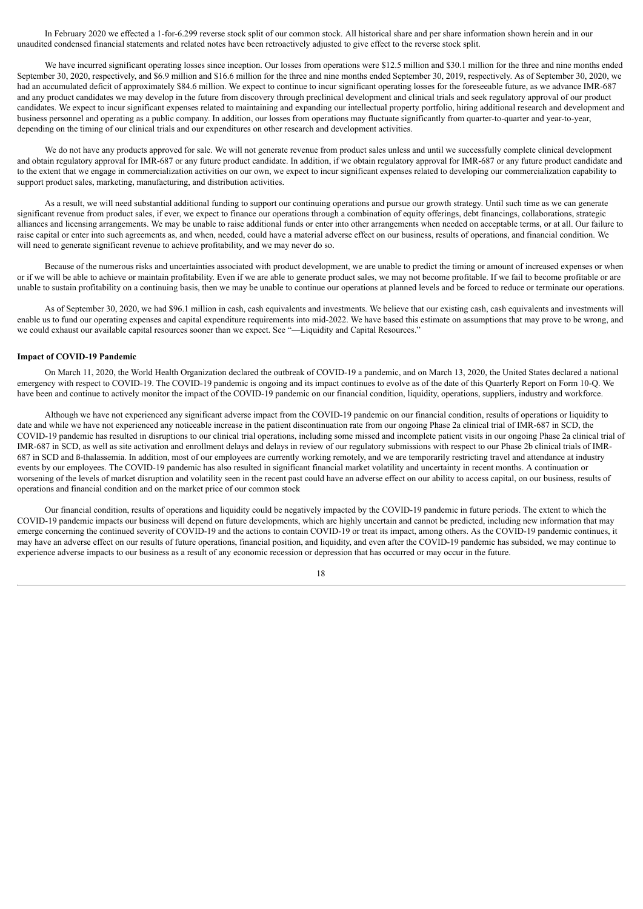In February 2020 we effected a 1-for-6.299 reverse stock split of our common stock. All historical share and per share information shown herein and in our unaudited condensed financial statements and related notes have been retroactively adjusted to give effect to the reverse stock split.

We have incurred significant operating losses since inception. Our losses from operations were \$12.5 million and \$30.1 million for the three and nine months ended September 30, 2020, respectively, and \$6.9 million and \$16.6 million for the three and nine months ended September 30, 2019, respectively. As of September 30, 2020, we had an accumulated deficit of approximately \$84.6 million. We expect to continue to incur significant operating losses for the foreseeable future, as we advance IMR-687 and any product candidates we may develop in the future from discovery through preclinical development and clinical trials and seek regulatory approval of our product candidates. We expect to incur significant expenses related to maintaining and expanding our intellectual property portfolio, hiring additional research and development and business personnel and operating as a public company. In addition, our losses from operations may fluctuate significantly from quarter-to-quarter and year-to-year, depending on the timing of our clinical trials and our expenditures on other research and development activities.

We do not have any products approved for sale. We will not generate revenue from product sales unless and until we successfully complete clinical development and obtain regulatory approval for IMR-687 or any future product candidate. In addition, if we obtain regulatory approval for IMR-687 or any future product candidate and to the extent that we engage in commercialization activities on our own, we expect to incur significant expenses related to developing our commercialization capability to support product sales, marketing, manufacturing, and distribution activities.

As a result, we will need substantial additional funding to support our continuing operations and pursue our growth strategy. Until such time as we can generate significant revenue from product sales, if ever, we expect to finance our operations through a combination of equity offerings, debt financings, collaborations, strategic alliances and licensing arrangements. We may be unable to raise additional funds or enter into other arrangements when needed on acceptable terms, or at all. Our failure to raise capital or enter into such agreements as, and when, needed, could have a material adverse effect on our business, results of operations, and financial condition. We will need to generate significant revenue to achieve profitability, and we may never do so.

Because of the numerous risks and uncertainties associated with product development, we are unable to predict the timing or amount of increased expenses or when or if we will be able to achieve or maintain profitability. Even if we are able to generate product sales, we may not become profitable. If we fail to become profitable or are unable to sustain profitability on a continuing basis, then we may be unable to continue our operations at planned levels and be forced to reduce or terminate our operations.

As of September 30, 2020, we had \$96.1 million in cash, cash equivalents and investments. We believe that our existing cash, cash equivalents and investments will enable us to fund our operating expenses and capital expenditure requirements into mid-2022. We have based this estimate on assumptions that may prove to be wrong, and we could exhaust our available capital resources sooner than we expect. See "—Liquidity and Capital Resources."

#### **Impact of COVID-19 Pandemic**

On March 11, 2020, the World Health Organization declared the outbreak of COVID-19 a pandemic, and on March 13, 2020, the United States declared a national emergency with respect to COVID-19. The COVID-19 pandemic is ongoing and its impact continues to evolve as of the date of this Quarterly Report on Form 10-Q. We have been and continue to actively monitor the impact of the COVID-19 pandemic on our financial condition, liquidity, operations, suppliers, industry and workforce.

Although we have not experienced any significant adverse impact from the COVID-19 pandemic on our financial condition, results of operations or liquidity to date and while we have not experienced any noticeable increase in the patient discontinuation rate from our ongoing Phase 2a clinical trial of IMR-687 in SCD, the COVID-19 pandemic has resulted in disruptions to our clinical trial operations, including some missed and incomplete patient visits in our ongoing Phase 2a clinical trial of IMR-687 in SCD, as well as site activation and enrollment delays and delays in review of our regulatory submissions with respect to our Phase 2b clinical trials of IMR-687 in SCD and ß-thalassemia. In addition, most of our employees are currently working remotely, and we are temporarily restricting travel and attendance at industry events by our employees. The COVID-19 pandemic has also resulted in significant financial market volatility and uncertainty in recent months. A continuation or worsening of the levels of market disruption and volatility seen in the recent past could have an adverse effect on our ability to access capital, on our business, results of operations and financial condition and on the market price of our common stock

Our financial condition, results of operations and liquidity could be negatively impacted by the COVID-19 pandemic in future periods. The extent to which the COVID-19 pandemic impacts our business will depend on future developments, which are highly uncertain and cannot be predicted, including new information that may emerge concerning the continued severity of COVID-19 and the actions to contain COVID-19 or treat its impact, among others. As the COVID-19 pandemic continues, it may have an adverse effect on our results of future operations, financial position, and liquidity, and even after the COVID-19 pandemic has subsided, we may continue to experience adverse impacts to our business as a result of any economic recession or depression that has occurred or may occur in the future.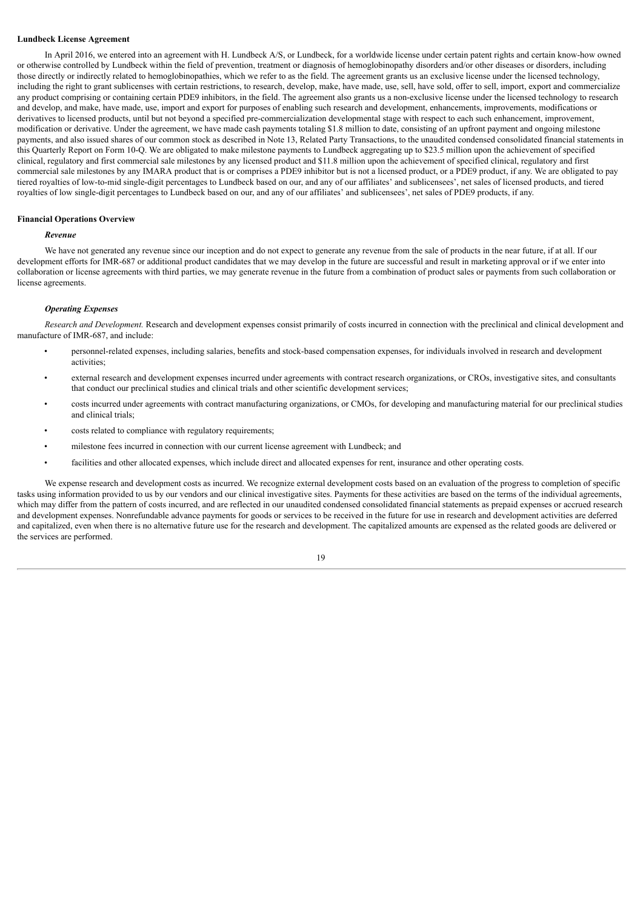# **Lundbeck License Agreement**

In April 2016, we entered into an agreement with H. Lundbeck A/S, or Lundbeck, for a worldwide license under certain patent rights and certain know-how owned or otherwise controlled by Lundbeck within the field of prevention, treatment or diagnosis of hemoglobinopathy disorders and/or other diseases or disorders, including those directly or indirectly related to hemoglobinopathies, which we refer to as the field. The agreement grants us an exclusive license under the licensed technology, including the right to grant sublicenses with certain restrictions, to research, develop, make, have made, use, sell, have sold, offer to sell, import, export and commercialize any product comprising or containing certain PDE9 inhibitors, in the field. The agreement also grants us a non-exclusive license under the licensed technology to research and develop, and make, have made, use, import and export for purposes of enabling such research and development, enhancements, improvements, modifications or derivatives to licensed products, until but not beyond a specified pre-commercialization developmental stage with respect to each such enhancement, improvement, modification or derivative. Under the agreement, we have made cash payments totaling \$1.8 million to date, consisting of an upfront payment and ongoing milestone payments, and also issued shares of our common stock as described in Note 13, Related Party Transactions, to the unaudited condensed consolidated financial statements in this Quarterly Report on Form 10-Q. We are obligated to make milestone payments to Lundbeck aggregating up to \$23.5 million upon the achievement of specified clinical, regulatory and first commercial sale milestones by any licensed product and \$11.8 million upon the achievement of specified clinical, regulatory and first commercial sale milestones by any IMARA product that is or comprises a PDE9 inhibitor but is not a licensed product, or a PDE9 product, if any. We are obligated to pay tiered royalties of low-to-mid single-digit percentages to Lundbeck based on our, and any of our affiliates' and sublicensees', net sales of licensed products, and tiered royalties of low single-digit percentages to Lundbeck based on our, and any of our affiliates' and sublicensees', net sales of PDE9 products, if any.

### **Financial Operations Overview**

#### *Revenue*

We have not generated any revenue since our inception and do not expect to generate any revenue from the sale of products in the near future, if at all. If our development efforts for IMR-687 or additional product candidates that we may develop in the future are successful and result in marketing approval or if we enter into collaboration or license agreements with third parties, we may generate revenue in the future from a combination of product sales or payments from such collaboration or license agreements.

#### *Operating Expenses*

*Research and Development.* Research and development expenses consist primarily of costs incurred in connection with the preclinical and clinical development and manufacture of IMR-687, and include:

- personnel-related expenses, including salaries, benefits and stock-based compensation expenses, for individuals involved in research and development activities;
- external research and development expenses incurred under agreements with contract research organizations, or CROs, investigative sites, and consultants that conduct our preclinical studies and clinical trials and other scientific development services;
- costs incurred under agreements with contract manufacturing organizations, or CMOs, for developing and manufacturing material for our preclinical studies and clinical trials;
- costs related to compliance with regulatory requirements;
- milestone fees incurred in connection with our current license agreement with Lundbeck; and
- facilities and other allocated expenses, which include direct and allocated expenses for rent, insurance and other operating costs.

We expense research and development costs as incurred. We recognize external development costs based on an evaluation of the progress to completion of specific tasks using information provided to us by our vendors and our clinical investigative sites. Payments for these activities are based on the terms of the individual agreements, which may differ from the pattern of costs incurred, and are reflected in our unaudited condensed consolidated financial statements as prepaid expenses or accrued research and development expenses. Nonrefundable advance payments for goods or services to be received in the future for use in research and development activities are deferred and capitalized, even when there is no alternative future use for the research and development. The capitalized amounts are expensed as the related goods are delivered or the services are performed.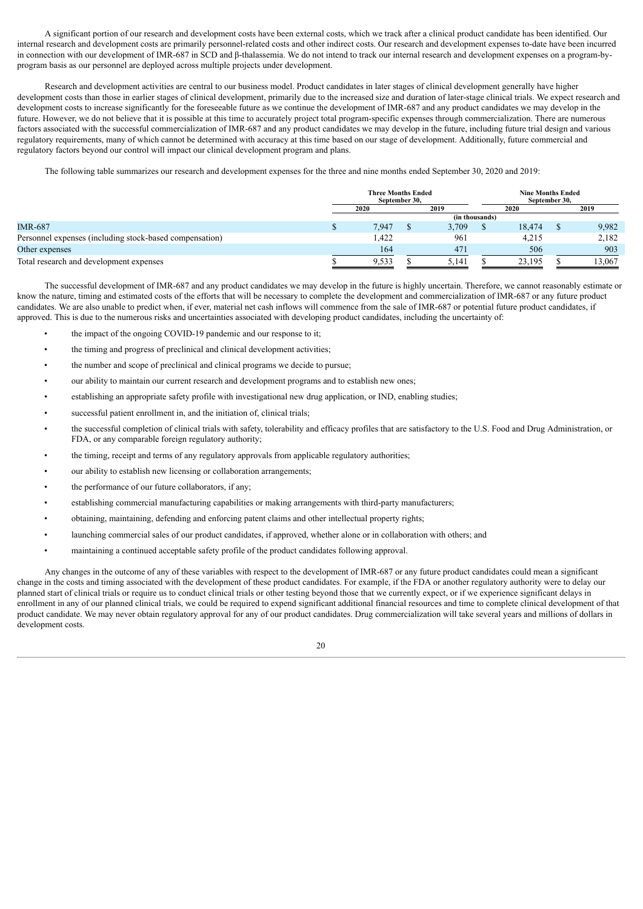A significant portion of our research and development costs have been external costs, which we track after a clinical product candidate has been identified. Our internal research and development costs are primarily personnel-related costs and other indirect costs. Our research and development expenses to-date have been incurred in connection with our development of IMR-687 in SCD and β-thalassemia. We do not intend to track our internal research and development expenses on a program-byprogram basis as our personnel are deployed across multiple projects under development.

Research and development activities are central to our business model. Product candidates in later stages of clinical development generally have higher development costs than those in earlier stages of clinical development, primarily due to the increased size and duration of later-stage clinical trials. We expect research and development costs to increase significantly for the foreseeable future as we continue the development of IMR-687 and any product candidates we may develop in the future. However, we do not believe that it is possible at this time to accurately project total program-specific expenses through commercialization. There are numerous factors associated with the successful commercialization of IMR-687 and any product candidates we may develop in the future, including future trial design and various regulatory requirements, many of which cannot be determined with accuracy at this time based on our stage of development. Additionally, future commercial and regulatory factors beyond our control will impact our clinical development program and plans.

The following table summarizes our research and development expenses for the three and nine months ended September 30, 2020 and 2019:

|                                                         | <b>Three Months Ended</b><br>September 30, |  |                | <b>Nine Months Ended</b><br>September 30, |        |  |        |  |      |
|---------------------------------------------------------|--------------------------------------------|--|----------------|-------------------------------------------|--------|--|--------|--|------|
|                                                         | 2020                                       |  | 2019           |                                           |        |  | 2020   |  | 2019 |
|                                                         |                                            |  | (in thousands) |                                           |        |  |        |  |      |
| <b>IMR-687</b>                                          | 7.947                                      |  | 3,709          |                                           | 18.474 |  | 9,982  |  |      |
| Personnel expenses (including stock-based compensation) | .422                                       |  | 961            |                                           | 4.215  |  | 2,182  |  |      |
| Other expenses                                          | 164                                        |  | 471            |                                           | 506    |  | 903    |  |      |
| Total research and development expenses                 | 9,533                                      |  | 5,141          |                                           | 23,195 |  | 13.067 |  |      |

The successful development of IMR-687 and any product candidates we may develop in the future is highly uncertain. Therefore, we cannot reasonably estimate or know the nature, timing and estimated costs of the efforts that will be necessary to complete the development and commercialization of IMR-687 or any future product candidates. We are also unable to predict when, if ever, material net cash inflows will commence from the sale of IMR-687 or potential future product candidates, if approved. This is due to the numerous risks and uncertainties associated with developing product candidates, including the uncertainty of:

- the impact of the ongoing COVID-19 pandemic and our response to it;
- the timing and progress of preclinical and clinical development activities;
- the number and scope of preclinical and clinical programs we decide to pursue;
- our ability to maintain our current research and development programs and to establish new ones;
- establishing an appropriate safety profile with investigational new drug application, or IND, enabling studies;
- successful patient enrollment in, and the initiation of, clinical trials;
- the successful completion of clinical trials with safety, tolerability and efficacy profiles that are satisfactory to the U.S. Food and Drug Administration, or FDA, or any comparable foreign regulatory authority;
- the timing, receipt and terms of any regulatory approvals from applicable regulatory authorities;
- our ability to establish new licensing or collaboration arrangements;
- the performance of our future collaborators, if any;
- establishing commercial manufacturing capabilities or making arrangements with third-party manufacturers;
- obtaining, maintaining, defending and enforcing patent claims and other intellectual property rights;
- launching commercial sales of our product candidates, if approved, whether alone or in collaboration with others; and
- maintaining a continued acceptable safety profile of the product candidates following approval.

Any changes in the outcome of any of these variables with respect to the development of IMR-687 or any future product candidates could mean a significant change in the costs and timing associated with the development of these product candidates. For example, if the FDA or another regulatory authority were to delay our planned start of clinical trials or require us to conduct clinical trials or other testing beyond those that we currently expect, or if we experience significant delays in enrollment in any of our planned clinical trials, we could be required to expend significant additional financial resources and time to complete clinical development of that product candidate. We may never obtain regulatory approval for any of our product candidates. Drug commercialization will take several years and millions of dollars in development costs.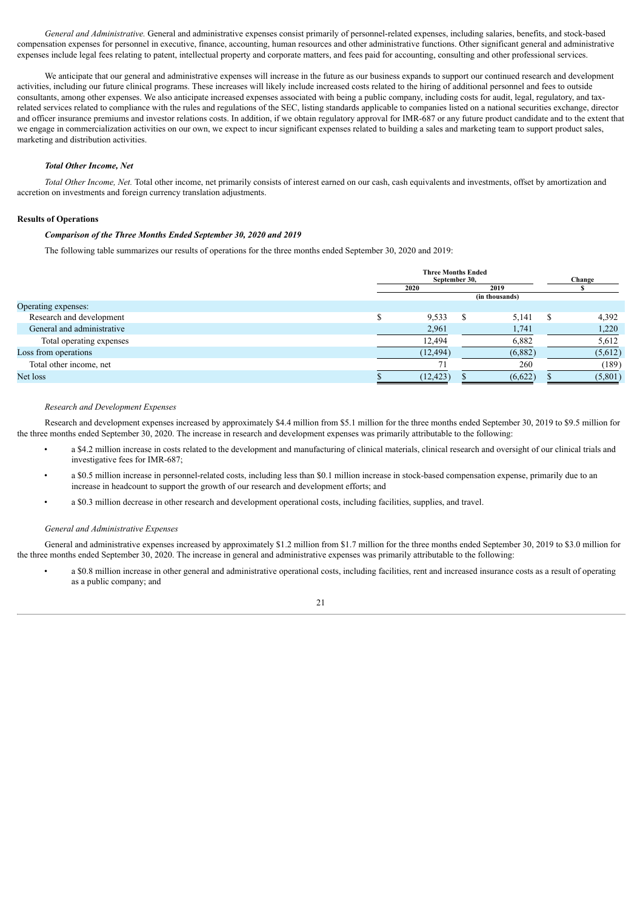*General and Administrative.* General and administrative expenses consist primarily of personnel-related expenses, including salaries, benefits, and stock-based compensation expenses for personnel in executive, finance, accounting, human resources and other administrative functions. Other significant general and administrative expenses include legal fees relating to patent, intellectual property and corporate matters, and fees paid for accounting, consulting and other professional services.

We anticipate that our general and administrative expenses will increase in the future as our business expands to support our continued research and development activities, including our future clinical programs. These increases will likely include increased costs related to the hiring of additional personnel and fees to outside consultants, among other expenses. We also anticipate increased expenses associated with being a public company, including costs for audit, legal, regulatory, and taxrelated services related to compliance with the rules and regulations of the SEC, listing standards applicable to companies listed on a national securities exchange, director and officer insurance premiums and investor relations costs. In addition, if we obtain regulatory approval for IMR-687 or any future product candidate and to the extent that we engage in commercialization activities on our own, we expect to incur significant expenses related to building a sales and marketing team to support product sales, marketing and distribution activities.

## *Total Other Income, Net*

*Total Other Income, Net.* Total other income, net primarily consists of interest earned on our cash, cash equivalents and investments, offset by amortization and accretion on investments and foreign currency translation adjustments.

# **Results of Operations**

#### *Comparison of the Three Months Ended September 30, 2020 and 2019*

The following table summarizes our results of operations for the three months ended September 30, 2020 and 2019:

|                            | <b>Three Months Ended</b><br>September 30, |           |   |                |    | Change  |  |  |
|----------------------------|--------------------------------------------|-----------|---|----------------|----|---------|--|--|
|                            |                                            | 2020      |   | 2019           |    |         |  |  |
|                            |                                            |           |   | (in thousands) |    |         |  |  |
| Operating expenses:        |                                            |           |   |                |    |         |  |  |
| Research and development   |                                            | 9.533     | ъ | 5,141          | -S | 4,392   |  |  |
| General and administrative |                                            | 2,961     |   | 1,741          |    | 1,220   |  |  |
| Total operating expenses   |                                            | 12,494    |   | 6,882          |    | 5,612   |  |  |
| Loss from operations       |                                            | (12, 494) |   | (6,882)        |    | (5,612) |  |  |
| Total other income, net    |                                            |           |   | 260            |    | (189)   |  |  |
| Net loss                   |                                            | (12, 423) |   | (6,622)        |    | (5,801) |  |  |

# *Research and Development Expenses*

Research and development expenses increased by approximately \$4.4 million from \$5.1 million for the three months ended September 30, 2019 to \$9.5 million for the three months ended September 30, 2020. The increase in research and development expenses was primarily attributable to the following:

- a \$4.2 million increase in costs related to the development and manufacturing of clinical materials, clinical research and oversight of our clinical trials and investigative fees for IMR-687;
- a \$0.5 million increase in personnel-related costs, including less than \$0.1 million increase in stock-based compensation expense, primarily due to an increase in headcount to support the growth of our research and development efforts; and
- a \$0.3 million decrease in other research and development operational costs, including facilities, supplies, and travel.

#### *General and Administrative Expenses*

General and administrative expenses increased by approximately \$1.2 million from \$1.7 million for the three months ended September 30, 2019 to \$3.0 million for the three months ended September 30, 2020. The increase in general and administrative expenses was primarily attributable to the following:

a \$0.8 million increase in other general and administrative operational costs, including facilities, rent and increased insurance costs as a result of operating as a public company; and

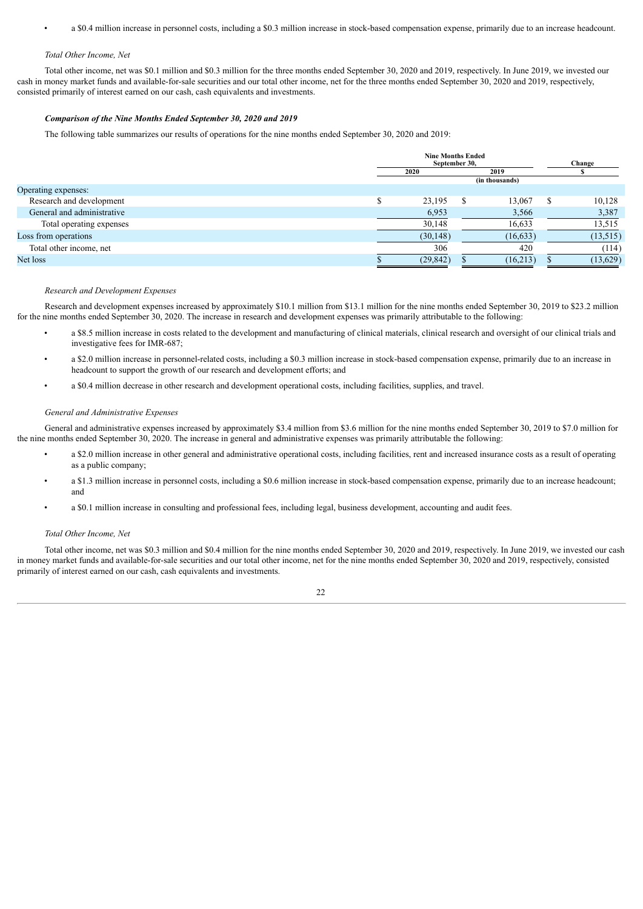• a \$0.4 million increase in personnel costs, including a \$0.3 million increase in stock-based compensation expense, primarily due to an increase headcount.

# *Total Other Income, Net*

Total other income, net was \$0.1 million and \$0.3 million for the three months ended September 30, 2020 and 2019, respectively. In June 2019, we invested our cash in money market funds and available-for-sale securities and our total other income, net for the three months ended September 30, 2020 and 2019, respectively, consisted primarily of interest earned on our cash, cash equivalents and investments.

# *Comparison of the Nine Months Ended September 30, 2020 and 2019*

The following table summarizes our results of operations for the nine months ended September 30, 2020 and 2019:

|                            | <b>Nine Months Ended</b><br>September 30, | Change |                |    |           |
|----------------------------|-------------------------------------------|--------|----------------|----|-----------|
|                            | 2019<br>2020                              |        |                |    |           |
|                            |                                           |        | (in thousands) |    |           |
| Operating expenses:        |                                           |        |                |    |           |
| Research and development   | 23,195                                    |        | 13,067         | S. | 10,128    |
| General and administrative | 6,953                                     |        | 3,566          |    | 3,387     |
| Total operating expenses   | 30,148                                    |        | 16,633         |    | 13,515    |
| Loss from operations       | (30, 148)                                 |        | (16, 633)      |    | (13, 515) |
| Total other income, net    | 306                                       |        | 420            |    | (114)     |
| Net loss                   | (29, 842)                                 |        | (16,213)       |    | (13,629)  |

### *Research and Development Expenses*

Research and development expenses increased by approximately \$10.1 million from \$13.1 million for the nine months ended September 30, 2019 to \$23.2 million for the nine months ended September 30, 2020. The increase in research and development expenses was primarily attributable to the following:

- a \$8.5 million increase in costs related to the development and manufacturing of clinical materials, clinical research and oversight of our clinical trials and investigative fees for IMR-687;
- a \$2.0 million increase in personnel-related costs, including a \$0.3 million increase in stock-based compensation expense, primarily due to an increase in headcount to support the growth of our research and development efforts; and
- a \$0.4 million decrease in other research and development operational costs, including facilities, supplies, and travel.

#### *General and Administrative Expenses*

General and administrative expenses increased by approximately \$3.4 million from \$3.6 million for the nine months ended September 30, 2019 to \$7.0 million for the nine months ended September 30, 2020. The increase in general and administrative expenses was primarily attributable the following:

- a \$2.0 million increase in other general and administrative operational costs, including facilities, rent and increased insurance costs as a result of operating as a public company;
- a \$1.3 million increase in personnel costs, including a \$0.6 million increase in stock-based compensation expense, primarily due to an increase headcount; and
- a \$0.1 million increase in consulting and professional fees, including legal, business development, accounting and audit fees.

#### *Total Other Income, Net*

Total other income, net was \$0.3 million and \$0.4 million for the nine months ended September 30, 2020 and 2019, respectively. In June 2019, we invested our cash in money market funds and available-for-sale securities and our total other income, net for the nine months ended September 30, 2020 and 2019, respectively, consisted primarily of interest earned on our cash, cash equivalents and investments.

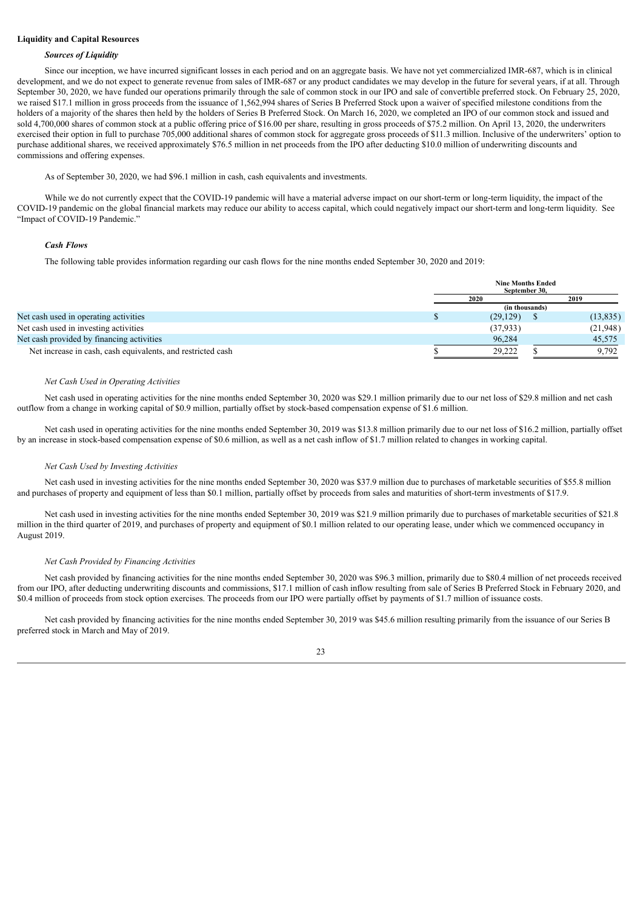# **Liquidity and Capital Resources**

#### *Sources of Liquidity*

Since our inception, we have incurred significant losses in each period and on an aggregate basis. We have not yet commercialized IMR-687, which is in clinical development, and we do not expect to generate revenue from sales of IMR-687 or any product candidates we may develop in the future for several years, if at all. Through September 30, 2020, we have funded our operations primarily through the sale of common stock in our IPO and sale of convertible preferred stock. On February 25, 2020, we raised \$17.1 million in gross proceeds from the issuance of 1,562,994 shares of Series B Preferred Stock upon a waiver of specified milestone conditions from the holders of a majority of the shares then held by the holders of Series B Preferred Stock. On March 16, 2020, we completed an IPO of our common stock and issued and sold 4,700,000 shares of common stock at a public offering price of \$16.00 per share, resulting in gross proceeds of \$75.2 million. On April 13, 2020, the underwriters exercised their option in full to purchase 705,000 additional shares of common stock for aggregate gross proceeds of \$11.3 million. Inclusive of the underwriters' option to purchase additional shares, we received approximately \$76.5 million in net proceeds from the IPO after deducting \$10.0 million of underwriting discounts and commissions and offering expenses.

As of September 30, 2020, we had \$96.1 million in cash, cash equivalents and investments.

While we do not currently expect that the COVID-19 pandemic will have a material adverse impact on our short-term or long-term liquidity, the impact of the COVID-19 pandemic on the global financial markets may reduce our ability to access capital, which could negatively impact our short-term and long-term liquidity. See "Impact of COVID-19 Pandemic."

#### *Cash Flows*

The following table provides information regarding our cash flows for the nine months ended September 30, 2020 and 2019:

|                                                             | <b>Nine Months Ended</b><br>September 30. |  |           |  |  |
|-------------------------------------------------------------|-------------------------------------------|--|-----------|--|--|
|                                                             | 2019<br>2020                              |  |           |  |  |
|                                                             | (in thousands)                            |  |           |  |  |
| Net cash used in operating activities                       | (29, 129)                                 |  | (13, 835) |  |  |
| Net cash used in investing activities                       | (37,933)                                  |  | (21,948)  |  |  |
| Net cash provided by financing activities                   | 96,284                                    |  | 45,575    |  |  |
| Net increase in cash, cash equivalents, and restricted cash | 29,222                                    |  | 9.792     |  |  |

#### *Net Cash Used in Operating Activities*

Net cash used in operating activities for the nine months ended September 30, 2020 was \$29.1 million primarily due to our net loss of \$29.8 million and net cash outflow from a change in working capital of \$0.9 million, partially offset by stock-based compensation expense of \$1.6 million.

Net cash used in operating activities for the nine months ended September 30, 2019 was \$13.8 million primarily due to our net loss of \$16.2 million, partially offset by an increase in stock-based compensation expense of \$0.6 million, as well as a net cash inflow of \$1.7 million related to changes in working capital.

#### *Net Cash Used by Investing Activities*

Net cash used in investing activities for the nine months ended September 30, 2020 was \$37.9 million due to purchases of marketable securities of \$55.8 million and purchases of property and equipment of less than \$0.1 million, partially offset by proceeds from sales and maturities of short-term investments of \$17.9.

Net cash used in investing activities for the nine months ended September 30, 2019 was \$21.9 million primarily due to purchases of marketable securities of \$21.8 million in the third quarter of 2019, and purchases of property and equipment of \$0.1 million related to our operating lease, under which we commenced occupancy in August 2019.

#### *Net Cash Provided by Financing Activities*

Net cash provided by financing activities for the nine months ended September 30, 2020 was \$96.3 million, primarily due to \$80.4 million of net proceeds received from our IPO, after deducting underwriting discounts and commissions, \$17.1 million of cash inflow resulting from sale of Series B Preferred Stock in February 2020, and \$0.4 million of proceeds from stock option exercises. The proceeds from our IPO were partially offset by payments of \$1.7 million of issuance costs.

Net cash provided by financing activities for the nine months ended September 30, 2019 was \$45.6 million resulting primarily from the issuance of our Series B preferred stock in March and May of 2019.

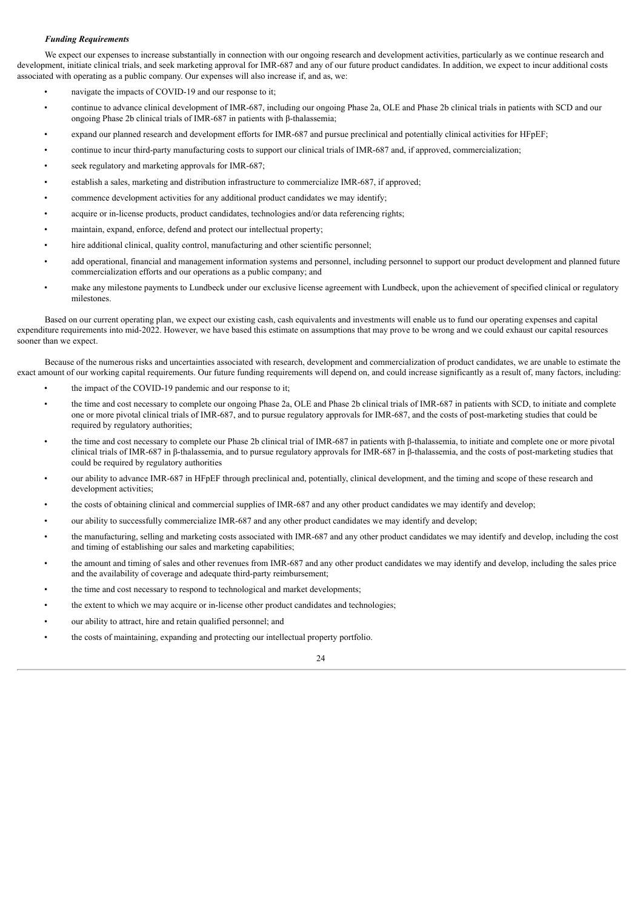# *Funding Requirements*

We expect our expenses to increase substantially in connection with our ongoing research and development activities, particularly as we continue research and development, initiate clinical trials, and seek marketing approval for IMR-687 and any of our future product candidates. In addition, we expect to incur additional costs associated with operating as a public company. Our expenses will also increase if, and as, we:

- navigate the impacts of COVID-19 and our response to it;
- continue to advance clinical development of IMR-687, including our ongoing Phase 2a, OLE and Phase 2b clinical trials in patients with SCD and our ongoing Phase 2b clinical trials of IMR-687 in patients with β-thalassemia;
- expand our planned research and development efforts for IMR-687 and pursue preclinical and potentially clinical activities for HFpEF;
- continue to incur third-party manufacturing costs to support our clinical trials of IMR-687 and, if approved, commercialization;
- seek regulatory and marketing approvals for IMR-687;
- establish a sales, marketing and distribution infrastructure to commercialize IMR-687, if approved;
- commence development activities for any additional product candidates we may identify;
- acquire or in-license products, product candidates, technologies and/or data referencing rights;
- maintain, expand, enforce, defend and protect our intellectual property;
- hire additional clinical, quality control, manufacturing and other scientific personnel;
- add operational, financial and management information systems and personnel, including personnel to support our product development and planned future commercialization efforts and our operations as a public company; and
- make any milestone payments to Lundbeck under our exclusive license agreement with Lundbeck, upon the achievement of specified clinical or regulatory milestones.

Based on our current operating plan, we expect our existing cash, cash equivalents and investments will enable us to fund our operating expenses and capital expenditure requirements into mid-2022. However, we have based this estimate on assumptions that may prove to be wrong and we could exhaust our capital resources sooner than we expect.

Because of the numerous risks and uncertainties associated with research, development and commercialization of product candidates, we are unable to estimate the exact amount of our working capital requirements. Our future funding requirements will depend on, and could increase significantly as a result of, many factors, including:

- the impact of the COVID-19 pandemic and our response to it:
- the time and cost necessary to complete our ongoing Phase 2a, OLE and Phase 2b clinical trials of IMR-687 in patients with SCD, to initiate and complete one or more pivotal clinical trials of IMR-687, and to pursue regulatory approvals for IMR-687, and the costs of post-marketing studies that could be required by regulatory authorities:
- the time and cost necessary to complete our Phase 2b clinical trial of IMR-687 in patients with β-thalassemia, to initiate and complete one or more pivotal clinical trials of IMR-687 in β-thalassemia, and to pursue regulatory approvals for IMR-687 in β-thalassemia, and the costs of post-marketing studies that could be required by regulatory authorities
- our ability to advance IMR-687 in HFpEF through preclinical and, potentially, clinical development, and the timing and scope of these research and development activities;
- the costs of obtaining clinical and commercial supplies of IMR-687 and any other product candidates we may identify and develop;
- our ability to successfully commercialize IMR-687 and any other product candidates we may identify and develop;
- the manufacturing, selling and marketing costs associated with IMR-687 and any other product candidates we may identify and develop, including the cost and timing of establishing our sales and marketing capabilities;
- the amount and timing of sales and other revenues from IMR-687 and any other product candidates we may identify and develop, including the sales price and the availability of coverage and adequate third-party reimbursement;
- the time and cost necessary to respond to technological and market developments;
- the extent to which we may acquire or in-license other product candidates and technologies;
- our ability to attract, hire and retain qualified personnel; and
- the costs of maintaining, expanding and protecting our intellectual property portfolio.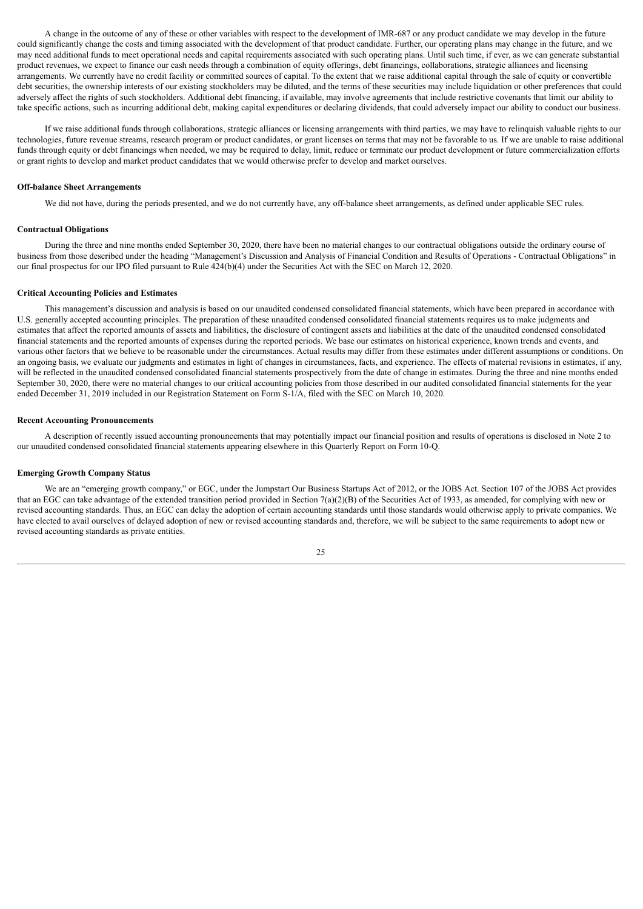A change in the outcome of any of these or other variables with respect to the development of IMR-687 or any product candidate we may develop in the future could significantly change the costs and timing associated with the development of that product candidate. Further, our operating plans may change in the future, and we may need additional funds to meet operational needs and capital requirements associated with such operating plans. Until such time, if ever, as we can generate substantial product revenues, we expect to finance our cash needs through a combination of equity offerings, debt financings, collaborations, strategic alliances and licensing arrangements. We currently have no credit facility or committed sources of capital. To the extent that we raise additional capital through the sale of equity or convertible debt securities, the ownership interests of our existing stockholders may be diluted, and the terms of these securities may include liquidation or other preferences that could adversely affect the rights of such stockholders. Additional debt financing, if available, may involve agreements that include restrictive covenants that limit our ability to take specific actions, such as incurring additional debt, making capital expenditures or declaring dividends, that could adversely impact our ability to conduct our business.

If we raise additional funds through collaborations, strategic alliances or licensing arrangements with third parties, we may have to relinquish valuable rights to our technologies, future revenue streams, research program or product candidates, or grant licenses on terms that may not be favorable to us. If we are unable to raise additional funds through equity or debt financings when needed, we may be required to delay, limit, reduce or terminate our product development or future commercialization efforts or grant rights to develop and market product candidates that we would otherwise prefer to develop and market ourselves.

#### **Off-balance Sheet Arrangements**

We did not have, during the periods presented, and we do not currently have, any off-balance sheet arrangements, as defined under applicable SEC rules.

#### **Contractual Obligations**

During the three and nine months ended September 30, 2020, there have been no material changes to our contractual obligations outside the ordinary course of business from those described under the heading "Management's Discussion and Analysis of Financial Condition and Results of Operations - Contractual Obligations" in our final prospectus for our IPO filed pursuant to Rule 424(b)(4) under the Securities Act with the SEC on March 12, 2020.

#### **Critical Accounting Policies and Estimates**

This management's discussion and analysis is based on our unaudited condensed consolidated financial statements, which have been prepared in accordance with U.S. generally accepted accounting principles. The preparation of these unaudited condensed consolidated financial statements requires us to make judgments and estimates that affect the reported amounts of assets and liabilities, the disclosure of contingent assets and liabilities at the date of the unaudited condensed consolidated financial statements and the reported amounts of expenses during the reported periods. We base our estimates on historical experience, known trends and events, and various other factors that we believe to be reasonable under the circumstances. Actual results may differ from these estimates under different assumptions or conditions. On an ongoing basis, we evaluate our judgments and estimates in light of changes in circumstances, facts, and experience. The effects of material revisions in estimates, if any, will be reflected in the unaudited condensed consolidated financial statements prospectively from the date of change in estimates. During the three and nine months ended September 30, 2020, there were no material changes to our critical accounting policies from those described in our audited consolidated financial statements for the year ended December 31, 2019 included in our Registration Statement on Form S-1/A, filed with the SEC on March 10, 2020.

#### **Recent Accounting Pronouncements**

A description of recently issued accounting pronouncements that may potentially impact our financial position and results of operations is disclosed in Note 2 to our unaudited condensed consolidated financial statements appearing elsewhere in this Quarterly Report on Form 10-Q.

#### **Emerging Growth Company Status**

We are an "emerging growth company," or EGC, under the Jumpstart Our Business Startups Act of 2012, or the JOBS Act. Section 107 of the JOBS Act provides that an EGC can take advantage of the extended transition period provided in Section 7(a)(2)(B) of the Securities Act of 1933, as amended, for complying with new or revised accounting standards. Thus, an EGC can delay the adoption of certain accounting standards until those standards would otherwise apply to private companies. We have elected to avail ourselves of delayed adoption of new or revised accounting standards and, therefore, we will be subject to the same requirements to adopt new or revised accounting standards as private entities.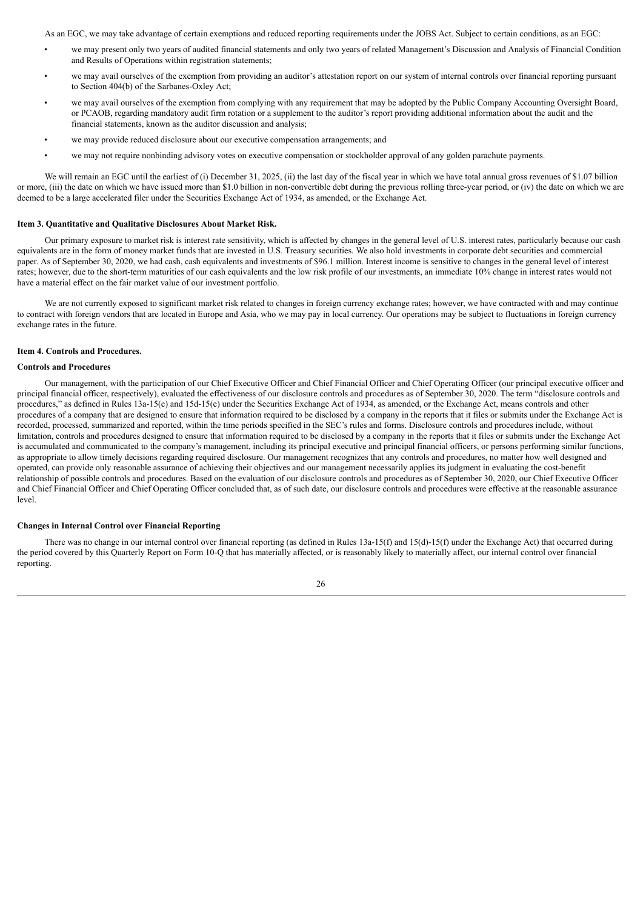As an EGC, we may take advantage of certain exemptions and reduced reporting requirements under the JOBS Act. Subject to certain conditions, as an EGC:

- we may present only two years of audited financial statements and only two years of related Management's Discussion and Analysis of Financial Condition and Results of Operations within registration statements;
- we may avail ourselves of the exemption from providing an auditor's attestation report on our system of internal controls over financial reporting pursuant to Section 404(b) of the Sarbanes-Oxley Act;
- we may avail ourselves of the exemption from complying with any requirement that may be adopted by the Public Company Accounting Oversight Board, or PCAOB, regarding mandatory audit firm rotation or a supplement to the auditor's report providing additional information about the audit and the financial statements, known as the auditor discussion and analysis;
- we may provide reduced disclosure about our executive compensation arrangements; and
- we may not require nonbinding advisory votes on executive compensation or stockholder approval of any golden parachute payments.

We will remain an EGC until the earliest of (i) December 31, 2025, (ii) the last day of the fiscal year in which we have total annual gross revenues of \$1.07 billion or more, (iii) the date on which we have issued more than \$1.0 billion in non-convertible debt during the previous rolling three-year period, or (iv) the date on which we are deemed to be a large accelerated filer under the Securities Exchange Act of 1934, as amended, or the Exchange Act.

#### <span id="page-28-0"></span>**Item 3. Quantitative and Qualitative Disclosures About Market Risk.**

Our primary exposure to market risk is interest rate sensitivity, which is affected by changes in the general level of U.S. interest rates, particularly because our cash equivalents are in the form of money market funds that are invested in U.S. Treasury securities. We also hold investments in corporate debt securities and commercial paper. As of September 30, 2020, we had cash, cash equivalents and investments of \$96.1 million. Interest income is sensitive to changes in the general level of interest rates; however, due to the short-term maturities of our cash equivalents and the low risk profile of our investments, an immediate 10% change in interest rates would not have a material effect on the fair market value of our investment portfolio.

We are not currently exposed to significant market risk related to changes in foreign currency exchange rates; however, we have contracted with and may continue to contract with foreign vendors that are located in Europe and Asia, who we may pay in local currency. Our operations may be subject to fluctuations in foreign currency exchange rates in the future.

# <span id="page-28-1"></span>**Item 4. Controls and Procedures.**

#### **Controls and Procedures**

Our management, with the participation of our Chief Executive Officer and Chief Financial Officer and Chief Operating Officer (our principal executive officer and principal financial officer, respectively), evaluated the effectiveness of our disclosure controls and procedures as of September 30, 2020. The term "disclosure controls and procedures," as defined in Rules 13a-15(e) and 15d-15(e) under the Securities Exchange Act of 1934, as amended, or the Exchange Act, means controls and other procedures of a company that are designed to ensure that information required to be disclosed by a company in the reports that it files or submits under the Exchange Act is recorded, processed, summarized and reported, within the time periods specified in the SEC's rules and forms. Disclosure controls and procedures include, without limitation, controls and procedures designed to ensure that information required to be disclosed by a company in the reports that it files or submits under the Exchange Act is accumulated and communicated to the company's management, including its principal executive and principal financial officers, or persons performing similar functions, as appropriate to allow timely decisions regarding required disclosure. Our management recognizes that any controls and procedures, no matter how well designed and operated, can provide only reasonable assurance of achieving their objectives and our management necessarily applies its judgment in evaluating the cost-benefit relationship of possible controls and procedures. Based on the evaluation of our disclosure controls and procedures as of September 30, 2020, our Chief Executive Officer and Chief Financial Officer and Chief Operating Officer concluded that, as of such date, our disclosure controls and procedures were effective at the reasonable assurance level.

#### **Changes in Internal Control over Financial Reporting**

There was no change in our internal control over financial reporting (as defined in Rules 13a-15(f) and 15(d)-15(f) under the Exchange Act) that occurred during the period covered by this Quarterly Report on Form 10-Q that has materially affected, or is reasonably likely to materially affect, our internal control over financial reporting.

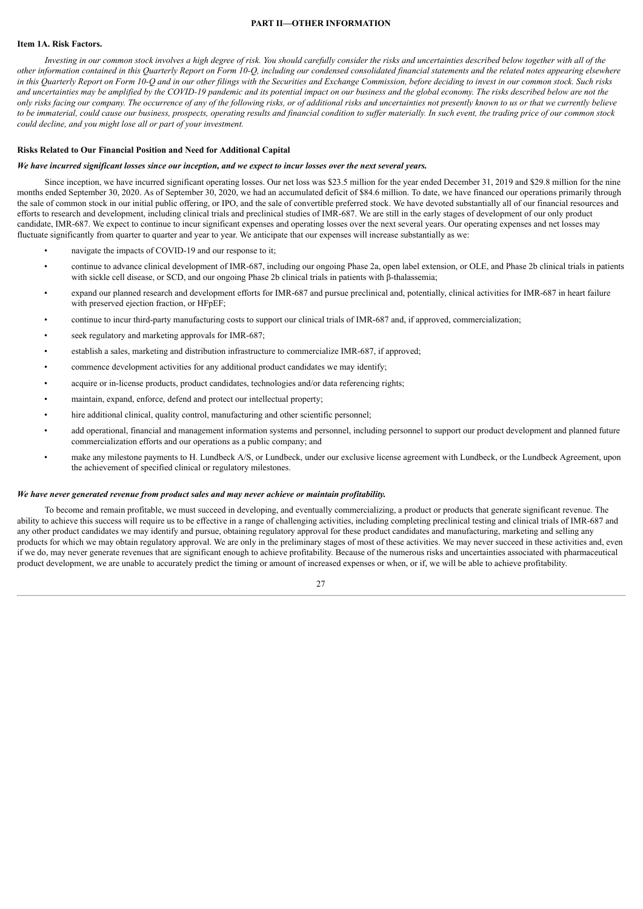# **PART II—OTHER INFORMATION**

# <span id="page-29-1"></span><span id="page-29-0"></span>**Item 1A. Risk Factors.**

Investing in our common stock involves a high degree of risk. You should carefully consider the risks and uncertainties described below together with all of the other information contained in this Quarterly Report on Form 10-Q, including our condensed consolidated financial statements and the related notes appearing elsewhere in this Quarterly Report on Form 10-Q and in our other filings with the Securities and Exchange Commission, before deciding to invest in our common stock. Such risks and uncertainties may be amplified by the COVID-19 pandemic and its potential impact on our business and the global economy. The risks described below are not the only risks facing our company. The occurrence of any of the following risks, or of additional risks and uncertainties not presently known to us or that we currently believe to be immaterial, could cause our business, prospects, operating results and financial condition to suffer materially. In such event, the trading price of our common stock *could decline, and you might lose all or part of your investment.*

#### **Risks Related to Our Financial Position and Need for Additional Capital**

#### We have incurred significant losses since our inception, and we expect to incur losses over the next several years.

Since inception, we have incurred significant operating losses. Our net loss was \$23.5 million for the year ended December 31, 2019 and \$29.8 million for the nine months ended September 30, 2020. As of September 30, 2020, we had an accumulated deficit of \$84.6 million. To date, we have financed our operations primarily through the sale of common stock in our initial public offering, or IPO, and the sale of convertible preferred stock. We have devoted substantially all of our financial resources and efforts to research and development, including clinical trials and preclinical studies of IMR-687. We are still in the early stages of development of our only product candidate, IMR-687. We expect to continue to incur significant expenses and operating losses over the next several years. Our operating expenses and net losses may fluctuate significantly from quarter to quarter and year to year. We anticipate that our expenses will increase substantially as we:

- navigate the impacts of COVID-19 and our response to it;
- continue to advance clinical development of IMR-687, including our ongoing Phase 2a, open label extension, or OLE, and Phase 2b clinical trials in patients with sickle cell disease, or SCD, and our ongoing Phase 2b clinical trials in patients with β-thalassemia;
- expand our planned research and development efforts for IMR-687 and pursue preclinical and, potentially, clinical activities for IMR-687 in heart failure with preserved ejection fraction, or HFpEF;
- continue to incur third-party manufacturing costs to support our clinical trials of IMR-687 and, if approved, commercialization;
- seek regulatory and marketing approvals for IMR-687;
- establish a sales, marketing and distribution infrastructure to commercialize IMR-687, if approved;
- commence development activities for any additional product candidates we may identify;
- acquire or in-license products, product candidates, technologies and/or data referencing rights;
- maintain, expand, enforce, defend and protect our intellectual property;
- hire additional clinical, quality control, manufacturing and other scientific personnel;
- add operational, financial and management information systems and personnel, including personnel to support our product development and planned future commercialization efforts and our operations as a public company; and
- make any milestone payments to H. Lundbeck A/S, or Lundbeck, under our exclusive license agreement with Lundbeck, or the Lundbeck Agreement, upon the achievement of specified clinical or regulatory milestones.

# *We have never generated revenue from product sales and may never achieve or maintain profitability.*

To become and remain profitable, we must succeed in developing, and eventually commercializing, a product or products that generate significant revenue. The ability to achieve this success will require us to be effective in a range of challenging activities, including completing preclinical testing and clinical trials of IMR-687 and any other product candidates we may identify and pursue, obtaining regulatory approval for these product candidates and manufacturing, marketing and selling any products for which we may obtain regulatory approval. We are only in the preliminary stages of most of these activities. We may never succeed in these activities and, even if we do, may never generate revenues that are significant enough to achieve profitability. Because of the numerous risks and uncertainties associated with pharmaceutical product development, we are unable to accurately predict the timing or amount of increased expenses or when, or if, we will be able to achieve profitability.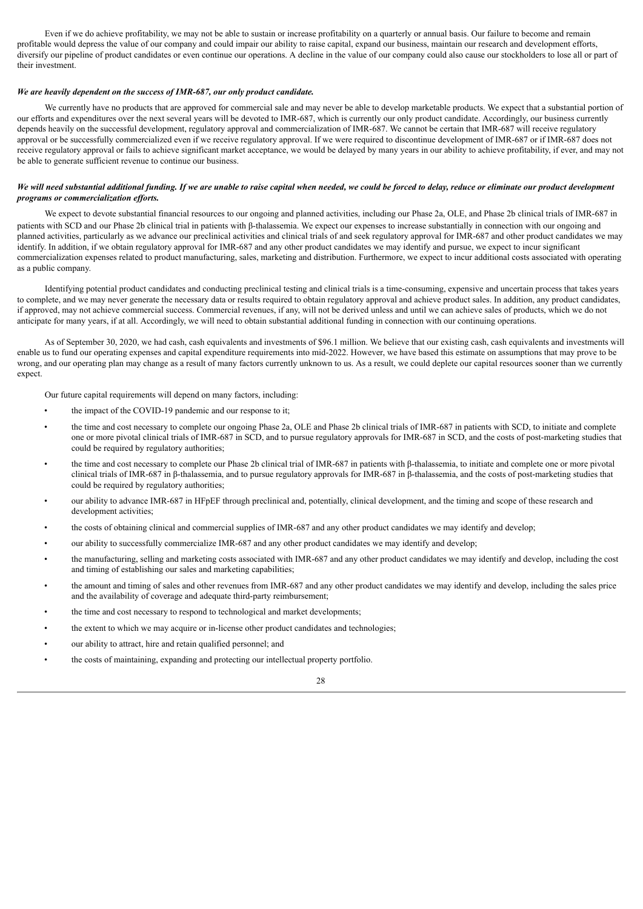Even if we do achieve profitability, we may not be able to sustain or increase profitability on a quarterly or annual basis. Our failure to become and remain profitable would depress the value of our company and could impair our ability to raise capital, expand our business, maintain our research and development efforts, diversify our pipeline of product candidates or even continue our operations. A decline in the value of our company could also cause our stockholders to lose all or part of their investment.

### *We are heavily dependent on the success of IMR-687, our only product candidate.*

We currently have no products that are approved for commercial sale and may never be able to develop marketable products. We expect that a substantial portion of our efforts and expenditures over the next several years will be devoted to IMR-687, which is currently our only product candidate. Accordingly, our business currently depends heavily on the successful development, regulatory approval and commercialization of IMR-687. We cannot be certain that IMR-687 will receive regulatory approval or be successfully commercialized even if we receive regulatory approval. If we were required to discontinue development of IMR-687 or if IMR-687 does not receive regulatory approval or fails to achieve significant market acceptance, we would be delayed by many years in our ability to achieve profitability, if ever, and may not be able to generate sufficient revenue to continue our business.

# We will need substantial additional funding. If we are unable to raise capital when needed, we could be forced to delay, reduce or eliminate our product development *programs or commercialization ef orts.*

We expect to devote substantial financial resources to our ongoing and planned activities, including our Phase 2a, OLE, and Phase 2b clinical trials of IMR-687 in patients with SCD and our Phase 2b clinical trial in patients with β-thalassemia. We expect our expenses to increase substantially in connection with our ongoing and planned activities, particularly as we advance our preclinical activities and clinical trials of and seek regulatory approval for IMR-687 and other product candidates we may identify. In addition, if we obtain regulatory approval for IMR-687 and any other product candidates we may identify and pursue, we expect to incur significant commercialization expenses related to product manufacturing, sales, marketing and distribution. Furthermore, we expect to incur additional costs associated with operating as a public company.

Identifying potential product candidates and conducting preclinical testing and clinical trials is a time-consuming, expensive and uncertain process that takes years to complete, and we may never generate the necessary data or results required to obtain regulatory approval and achieve product sales. In addition, any product candidates, if approved, may not achieve commercial success. Commercial revenues, if any, will not be derived unless and until we can achieve sales of products, which we do not anticipate for many years, if at all. Accordingly, we will need to obtain substantial additional funding in connection with our continuing operations.

As of September 30, 2020, we had cash, cash equivalents and investments of \$96.1 million. We believe that our existing cash, cash equivalents and investments will enable us to fund our operating expenses and capital expenditure requirements into mid-2022. However, we have based this estimate on assumptions that may prove to be wrong, and our operating plan may change as a result of many factors currently unknown to us. As a result, we could deplete our capital resources sooner than we currently expect.

Our future capital requirements will depend on many factors, including:

- the impact of the COVID-19 pandemic and our response to it;
- the time and cost necessary to complete our ongoing Phase 2a, OLE and Phase 2b clinical trials of IMR-687 in patients with SCD, to initiate and complete one or more pivotal clinical trials of IMR-687 in SCD, and to pursue regulatory approvals for IMR-687 in SCD, and the costs of post-marketing studies that could be required by regulatory authorities;
- the time and cost necessary to complete our Phase 2b clinical trial of IMR-687 in patients with β-thalassemia, to initiate and complete one or more pivotal clinical trials of IMR-687 in β-thalassemia, and to pursue regulatory approvals for IMR-687 in β-thalassemia, and the costs of post-marketing studies that could be required by regulatory authorities;
- our ability to advance IMR-687 in HFpEF through preclinical and, potentially, clinical development, and the timing and scope of these research and development activities;
- the costs of obtaining clinical and commercial supplies of IMR-687 and any other product candidates we may identify and develop;
- our ability to successfully commercialize IMR-687 and any other product candidates we may identify and develop;
- the manufacturing, selling and marketing costs associated with IMR-687 and any other product candidates we may identify and develop, including the cost and timing of establishing our sales and marketing capabilities;
- the amount and timing of sales and other revenues from IMR-687 and any other product candidates we may identify and develop, including the sales price and the availability of coverage and adequate third-party reimbursement;
- the time and cost necessary to respond to technological and market developments;
- the extent to which we may acquire or in-license other product candidates and technologies;
- our ability to attract, hire and retain qualified personnel; and
- the costs of maintaining, expanding and protecting our intellectual property portfolio.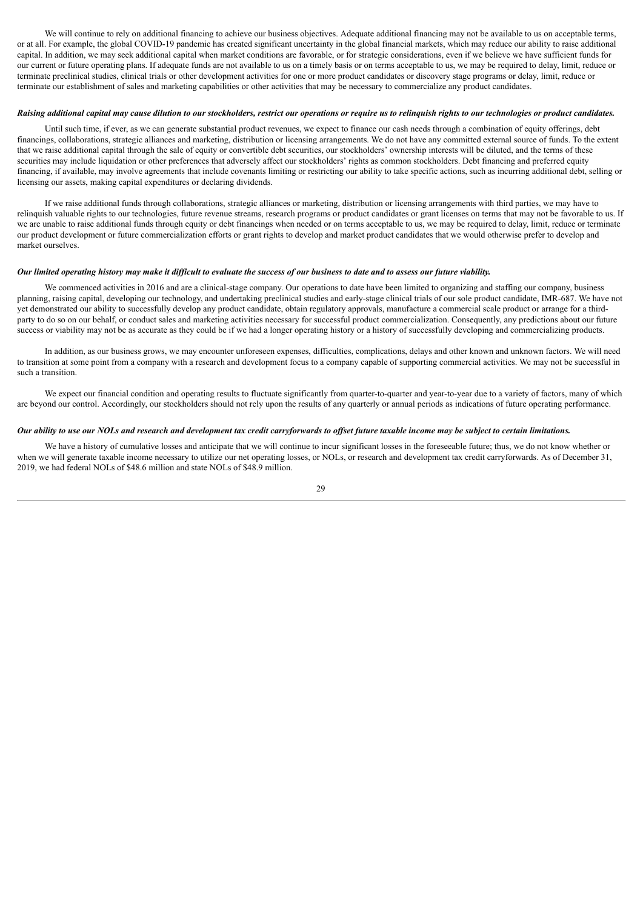We will continue to rely on additional financing to achieve our business objectives. Adequate additional financing may not be available to us on acceptable terms, or at all. For example, the global COVID-19 pandemic has created significant uncertainty in the global financial markets, which may reduce our ability to raise additional capital. In addition, we may seek additional capital when market conditions are favorable, or for strategic considerations, even if we believe we have sufficient funds for our current or future operating plans. If adequate funds are not available to us on a timely basis or on terms acceptable to us, we may be required to delay, limit, reduce or terminate preclinical studies, clinical trials or other development activities for one or more product candidates or discovery stage programs or delay, limit, reduce or terminate our establishment of sales and marketing capabilities or other activities that may be necessary to commercialize any product candidates.

# Raising additional capital may cause dilution to our stockholders, restrict our operations or require us to relinquish rights to our technologies or product candidates.

Until such time, if ever, as we can generate substantial product revenues, we expect to finance our cash needs through a combination of equity offerings, debt financings, collaborations, strategic alliances and marketing, distribution or licensing arrangements. We do not have any committed external source of funds. To the extent that we raise additional capital through the sale of equity or convertible debt securities, our stockholders' ownership interests will be diluted, and the terms of these securities may include liquidation or other preferences that adversely affect our stockholders' rights as common stockholders. Debt financing and preferred equity financing, if available, may involve agreements that include covenants limiting or restricting our ability to take specific actions, such as incurring additional debt, selling or licensing our assets, making capital expenditures or declaring dividends.

If we raise additional funds through collaborations, strategic alliances or marketing, distribution or licensing arrangements with third parties, we may have to relinquish valuable rights to our technologies, future revenue streams, research programs or product candidates or grant licenses on terms that may not be favorable to us. If we are unable to raise additional funds through equity or debt financings when needed or on terms acceptable to us, we may be required to delay, limit, reduce or terminate our product development or future commercialization efforts or grant rights to develop and market product candidates that we would otherwise prefer to develop and market ourselves.

#### Our limited operating history may make it difficult to evaluate the success of our business to date and to assess our future viability.

We commenced activities in 2016 and are a clinical-stage company. Our operations to date have been limited to organizing and staffing our company, business planning, raising capital, developing our technology, and undertaking preclinical studies and early-stage clinical trials of our sole product candidate, IMR-687. We have not yet demonstrated our ability to successfully develop any product candidate, obtain regulatory approvals, manufacture a commercial scale product or arrange for a thirdparty to do so on our behalf, or conduct sales and marketing activities necessary for successful product commercialization. Consequently, any predictions about our future success or viability may not be as accurate as they could be if we had a longer operating history or a history of successfully developing and commercializing products.

In addition, as our business grows, we may encounter unforeseen expenses, difficulties, complications, delays and other known and unknown factors. We will need to transition at some point from a company with a research and development focus to a company capable of supporting commercial activities. We may not be successful in such a transition.

We expect our financial condition and operating results to fluctuate significantly from quarter-to-quarter and year-to-year due to a variety of factors, many of which are beyond our control. Accordingly, our stockholders should not rely upon the results of any quarterly or annual periods as indications of future operating performance.

# Our ability to use our NOLs and research and development tax credit carryforwards to offset future taxable income may be subject to certain limitations.

We have a history of cumulative losses and anticipate that we will continue to incur significant losses in the foreseeable future; thus, we do not know whether or when we will generate taxable income necessary to utilize our net operating losses, or NOLs, or research and development tax credit carryforwards. As of December 31, 2019, we had federal NOLs of \$48.6 million and state NOLs of \$48.9 million.

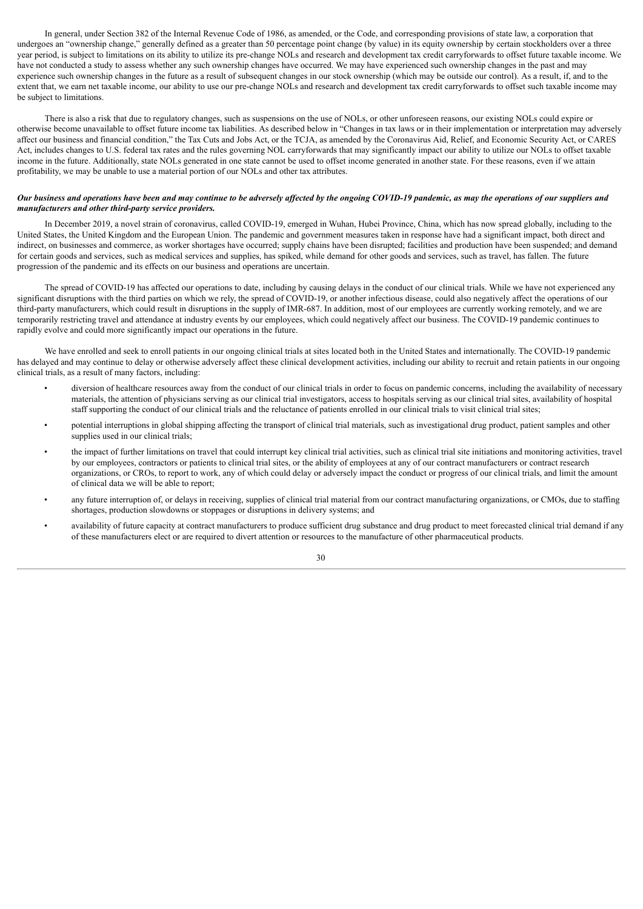In general, under Section 382 of the Internal Revenue Code of 1986, as amended, or the Code, and corresponding provisions of state law, a corporation that undergoes an "ownership change," generally defined as a greater than 50 percentage point change (by value) in its equity ownership by certain stockholders over a three year period, is subject to limitations on its ability to utilize its pre-change NOLs and research and development tax credit carryforwards to offset future taxable income. We have not conducted a study to assess whether any such ownership changes have occurred. We may have experienced such ownership changes in the past and may experience such ownership changes in the future as a result of subsequent changes in our stock ownership (which may be outside our control). As a result, if, and to the extent that, we earn net taxable income, our ability to use our pre-change NOLs and research and development tax credit carryforwards to offset such taxable income may be subject to limitations.

There is also a risk that due to regulatory changes, such as suspensions on the use of NOLs, or other unforeseen reasons, our existing NOLs could expire or otherwise become unavailable to offset future income tax liabilities. As described below in "Changes in tax laws or in their implementation or interpretation may adversely affect our business and financial condition," the Tax Cuts and Jobs Act, or the TCJA, as amended by the Coronavirus Aid, Relief, and Economic Security Act, or CARES Act, includes changes to U.S. federal tax rates and the rules governing NOL carryforwards that may significantly impact our ability to utilize our NOLs to offset taxable income in the future. Additionally, state NOLs generated in one state cannot be used to offset income generated in another state. For these reasons, even if we attain profitability, we may be unable to use a material portion of our NOLs and other tax attributes.

# Our business and operations have been and may continue to be adversely affected by the ongoing COVID-19 pandemic, as may the operations of our suppliers and *manufacturers and other third-party service providers.*

In December 2019, a novel strain of coronavirus, called COVID-19, emerged in Wuhan, Hubei Province, China, which has now spread globally, including to the United States, the United Kingdom and the European Union. The pandemic and government measures taken in response have had a significant impact, both direct and indirect, on businesses and commerce, as worker shortages have occurred; supply chains have been disrupted; facilities and production have been suspended; and demand for certain goods and services, such as medical services and supplies, has spiked, while demand for other goods and services, such as travel, has fallen. The future progression of the pandemic and its effects on our business and operations are uncertain.

The spread of COVID-19 has affected our operations to date, including by causing delays in the conduct of our clinical trials. While we have not experienced any significant disruptions with the third parties on which we rely, the spread of COVID-19, or another infectious disease, could also negatively affect the operations of our third-party manufacturers, which could result in disruptions in the supply of IMR-687. In addition, most of our employees are currently working remotely, and we are temporarily restricting travel and attendance at industry events by our employees, which could negatively affect our business. The COVID-19 pandemic continues to rapidly evolve and could more significantly impact our operations in the future.

We have enrolled and seek to enroll patients in our ongoing clinical trials at sites located both in the United States and internationally. The COVID-19 pandemic has delayed and may continue to delay or otherwise adversely affect these clinical development activities, including our ability to recruit and retain patients in our ongoing clinical trials, as a result of many factors, including:

- diversion of healthcare resources away from the conduct of our clinical trials in order to focus on pandemic concerns, including the availability of necessary materials, the attention of physicians serving as our clinical trial investigators, access to hospitals serving as our clinical trial sites, availability of hospital staff supporting the conduct of our clinical trials and the reluctance of patients enrolled in our clinical trials to visit clinical trial sites;
- potential interruptions in global shipping affecting the transport of clinical trial materials, such as investigational drug product, patient samples and other supplies used in our clinical trials;
- the impact of further limitations on travel that could interrupt key clinical trial activities, such as clinical trial site initiations and monitoring activities, travel by our employees, contractors or patients to clinical trial sites, or the ability of employees at any of our contract manufacturers or contract research organizations, or CROs, to report to work, any of which could delay or adversely impact the conduct or progress of our clinical trials, and limit the amount of clinical data we will be able to report;
- any future interruption of, or delays in receiving, supplies of clinical trial material from our contract manufacturing organizations, or CMOs, due to staffing shortages, production slowdowns or stoppages or disruptions in delivery systems; and
- availability of future capacity at contract manufacturers to produce sufficient drug substance and drug product to meet forecasted clinical trial demand if any of these manufacturers elect or are required to divert attention or resources to the manufacture of other pharmaceutical products.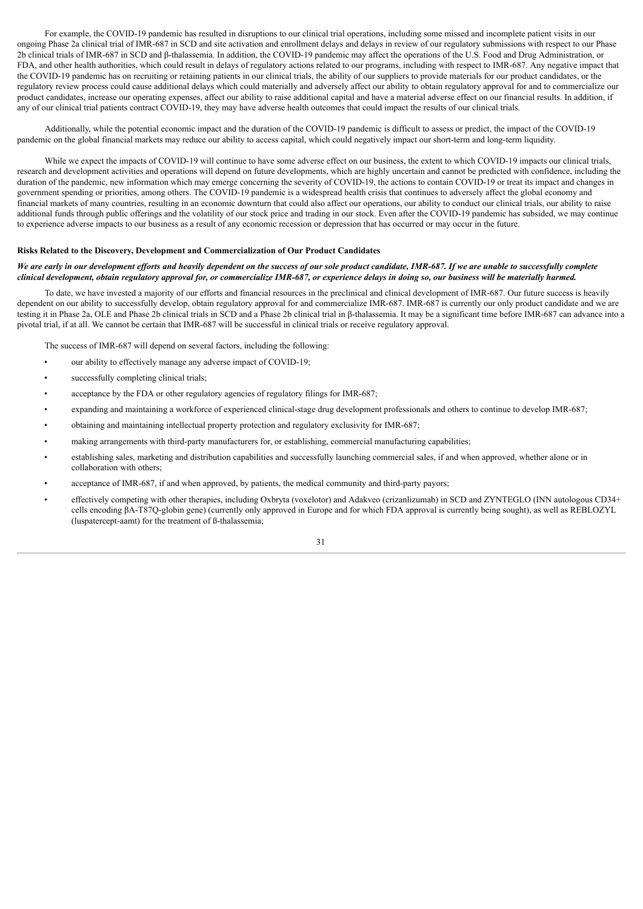For example, the COVID-19 pandemic has resulted in disruptions to our clinical trial operations, including some missed and incomplete patient visits in our ongoing Phase 2a clinical trial of IMR-687 in SCD and site activation and enrollment delays and delays in review of our regulatory submissions with respect to our Phase 2b clinical trials of IMR-687 in SCD and β-thalassemia. In addition, the COVID-19 pandemic may affect the operations of the U.S. Food and Drug Administration, or FDA, and other health authorities, which could result in delays of regulatory actions related to our programs, including with respect to IMR-687. Any negative impact that the COVID-19 pandemic has on recruiting or retaining patients in our clinical trials, the ability of our suppliers to provide materials for our product candidates, or the regulatory review process could cause additional delays which could materially and adversely affect our ability to obtain regulatory approval for and to commercialize our product candidates, increase our operating expenses, affect our ability to raise additional capital and have a material adverse effect on our financial results. In addition, if any of our clinical trial patients contract COVID-19, they may have adverse health outcomes that could impact the results of our clinical trials.

Additionally, while the potential economic impact and the duration of the COVID-19 pandemic is difficult to assess or predict, the impact of the COVID-19 pandemic on the global financial markets may reduce our ability to access capital, which could negatively impact our short-term and long-term liquidity.

While we expect the impacts of COVID-19 will continue to have some adverse effect on our business, the extent to which COVID-19 impacts our clinical trials, research and development activities and operations will depend on future developments, which are highly uncertain and cannot be predicted with confidence, including the duration of the pandemic, new information which may emerge concerning the severity of COVID-19, the actions to contain COVID-19 or treat its impact and changes in government spending or priorities, among others. The COVID-19 pandemic is a widespread health crisis that continues to adversely affect the global economy and financial markets of many countries, resulting in an economic downturn that could also affect our operations, our ability to conduct our clinical trials, our ability to raise additional funds through public offerings and the volatility of our stock price and trading in our stock. Even after the COVID-19 pandemic has subsided, we may continue to experience adverse impacts to our business as a result of any economic recession or depression that has occurred or may occur in the future.

#### **Risks Related to the Discovery, Development and Commercialization of Our Product Candidates**

# We are early in our development efforts and heavily dependent on the success of our sole product candidate, IMR-687. If we are unable to successfully complete clinical development, obtain regulatory approval for, or commercialize IMR-687, or experience delays in doing so, our business will be materially harmed.

To date, we have invested a majority of our efforts and financial resources in the preclinical and clinical development of IMR-687. Our future success is heavily dependent on our ability to successfully develop, obtain regulatory approval for and commercialize IMR-687. IMR-687 is currently our only product candidate and we are testing it in Phase 2a, OLE and Phase 2b clinical trials in SCD and a Phase 2b clinical trial in β-thalassemia. It may be a significant time before IMR-687 can advance into a pivotal trial, if at all. We cannot be certain that IMR-687 will be successful in clinical trials or receive regulatory approval.

The success of IMR-687 will depend on several factors, including the following:

- our ability to effectively manage any adverse impact of COVID-19;
- successfully completing clinical trials;
- acceptance by the FDA or other regulatory agencies of regulatory filings for IMR-687;
- expanding and maintaining a workforce of experienced clinical-stage drug development professionals and others to continue to develop IMR-687;
- obtaining and maintaining intellectual property protection and regulatory exclusivity for IMR-687;
- making arrangements with third-party manufacturers for, or establishing, commercial manufacturing capabilities;
- establishing sales, marketing and distribution capabilities and successfully launching commercial sales, if and when approved, whether alone or in collaboration with others;
- acceptance of IMR-687, if and when approved, by patients, the medical community and third-party payors;
- effectively competing with other therapies, including Oxbryta (voxelotor) and Adakveo (crizanlizumab) in SCD and ZYNTEGLO (INN autologous CD34+ cells encoding βA-T87Q-globin gene) (currently only approved in Europe and for which FDA approval is currently being sought), as well as REBLOZYL (luspatercept-aamt) for the treatment of ß-thalassemia;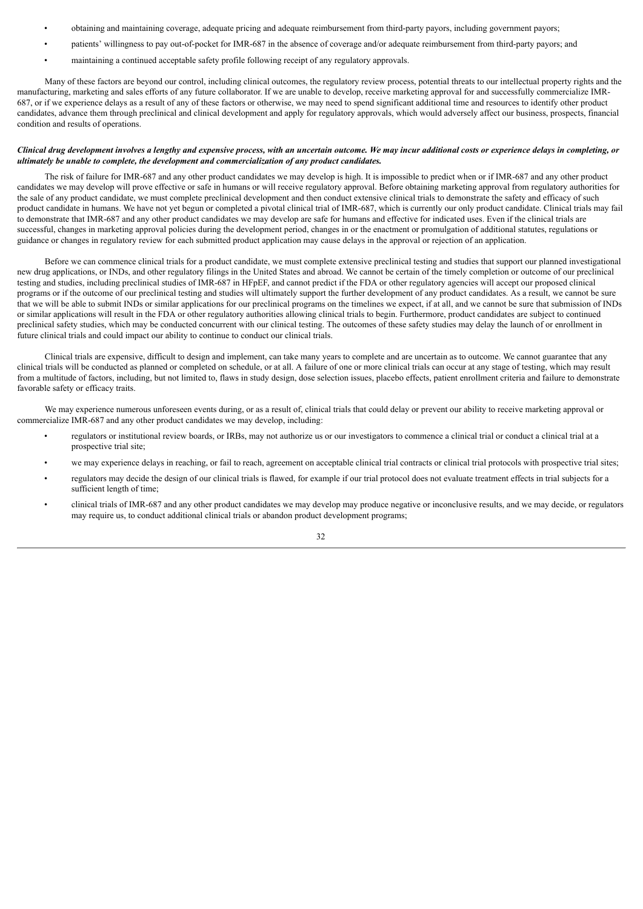- obtaining and maintaining coverage, adequate pricing and adequate reimbursement from third-party payors, including government payors;
- patients' willingness to pay out-of-pocket for IMR-687 in the absence of coverage and/or adequate reimbursement from third-party payors; and
- maintaining a continued acceptable safety profile following receipt of any regulatory approvals.

Many of these factors are beyond our control, including clinical outcomes, the regulatory review process, potential threats to our intellectual property rights and the manufacturing, marketing and sales efforts of any future collaborator. If we are unable to develop, receive marketing approval for and successfully commercialize IMR-687, or if we experience delays as a result of any of these factors or otherwise, we may need to spend significant additional time and resources to identify other product candidates, advance them through preclinical and clinical development and apply for regulatory approvals, which would adversely affect our business, prospects, financial condition and results of operations.

#### Clinical drug development involves a lengthy and expensive process, with an uncertain outcome. We may incur additional costs or experience delays in completing, or *ultimately be unable to complete, the development and commercialization of any product candidates.*

The risk of failure for IMR-687 and any other product candidates we may develop is high. It is impossible to predict when or if IMR-687 and any other product candidates we may develop will prove effective or safe in humans or will receive regulatory approval. Before obtaining marketing approval from regulatory authorities for the sale of any product candidate, we must complete preclinical development and then conduct extensive clinical trials to demonstrate the safety and efficacy of such product candidate in humans. We have not yet begun or completed a pivotal clinical trial of IMR-687, which is currently our only product candidate. Clinical trials may fail to demonstrate that IMR-687 and any other product candidates we may develop are safe for humans and effective for indicated uses. Even if the clinical trials are successful, changes in marketing approval policies during the development period, changes in or the enactment or promulgation of additional statutes, regulations or guidance or changes in regulatory review for each submitted product application may cause delays in the approval or rejection of an application.

Before we can commence clinical trials for a product candidate, we must complete extensive preclinical testing and studies that support our planned investigational new drug applications, or INDs, and other regulatory filings in the United States and abroad. We cannot be certain of the timely completion or outcome of our preclinical testing and studies, including preclinical studies of IMR-687 in HFpEF, and cannot predict if the FDA or other regulatory agencies will accept our proposed clinical programs or if the outcome of our preclinical testing and studies will ultimately support the further development of any product candidates. As a result, we cannot be sure that we will be able to submit INDs or similar applications for our preclinical programs on the timelines we expect, if at all, and we cannot be sure that submission of INDs or similar applications will result in the FDA or other regulatory authorities allowing clinical trials to begin. Furthermore, product candidates are subject to continued preclinical safety studies, which may be conducted concurrent with our clinical testing. The outcomes of these safety studies may delay the launch of or enrollment in future clinical trials and could impact our ability to continue to conduct our clinical trials.

Clinical trials are expensive, difficult to design and implement, can take many years to complete and are uncertain as to outcome. We cannot guarantee that any clinical trials will be conducted as planned or completed on schedule, or at all. A failure of one or more clinical trials can occur at any stage of testing, which may result from a multitude of factors, including, but not limited to, flaws in study design, dose selection issues, placebo effects, patient enrollment criteria and failure to demonstrate favorable safety or efficacy traits.

We may experience numerous unforeseen events during, or as a result of, clinical trials that could delay or prevent our ability to receive marketing approval or commercialize IMR-687 and any other product candidates we may develop, including:

- regulators or institutional review boards, or IRBs, may not authorize us or our investigators to commence a clinical trial or conduct a clinical trial at a prospective trial site;
- we may experience delays in reaching, or fail to reach, agreement on acceptable clinical trial contracts or clinical trial protocols with prospective trial sites;
- regulators may decide the design of our clinical trials is flawed, for example if our trial protocol does not evaluate treatment effects in trial subjects for a sufficient length of time;
- clinical trials of IMR-687 and any other product candidates we may develop may produce negative or inconclusive results, and we may decide, or regulators may require us, to conduct additional clinical trials or abandon product development programs;

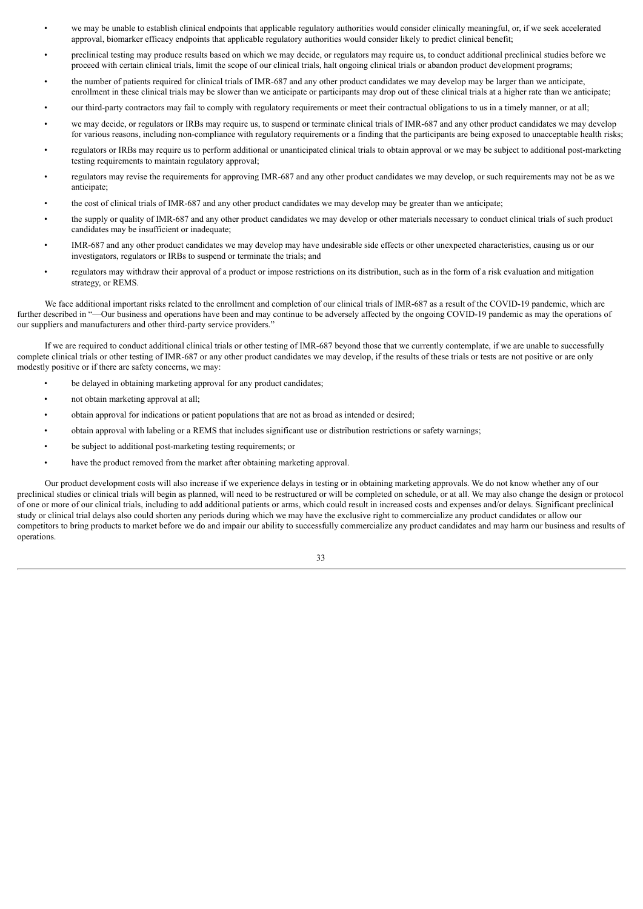- we may be unable to establish clinical endpoints that applicable regulatory authorities would consider clinically meaningful, or, if we seek accelerated approval, biomarker efficacy endpoints that applicable regulatory authorities would consider likely to predict clinical benefit;
- preclinical testing may produce results based on which we may decide, or regulators may require us, to conduct additional preclinical studies before we proceed with certain clinical trials, limit the scope of our clinical trials, halt ongoing clinical trials or abandon product development programs;
- the number of patients required for clinical trials of IMR-687 and any other product candidates we may develop may be larger than we anticipate, enrollment in these clinical trials may be slower than we anticipate or participants may drop out of these clinical trials at a higher rate than we anticipate;
- our third-party contractors may fail to comply with regulatory requirements or meet their contractual obligations to us in a timely manner, or at all;
- we may decide, or regulators or IRBs may require us, to suspend or terminate clinical trials of IMR-687 and any other product candidates we may develop for various reasons, including non-compliance with regulatory requirements or a finding that the participants are being exposed to unacceptable health risks;
- regulators or IRBs may require us to perform additional or unanticipated clinical trials to obtain approval or we may be subject to additional post-marketing testing requirements to maintain regulatory approval;
- regulators may revise the requirements for approving IMR-687 and any other product candidates we may develop, or such requirements may not be as we anticipate;
- the cost of clinical trials of IMR-687 and any other product candidates we may develop may be greater than we anticipate;
- the supply or quality of IMR-687 and any other product candidates we may develop or other materials necessary to conduct clinical trials of such product candidates may be insufficient or inadequate;
- IMR-687 and any other product candidates we may develop may have undesirable side effects or other unexpected characteristics, causing us or our investigators, regulators or IRBs to suspend or terminate the trials; and
- regulators may withdraw their approval of a product or impose restrictions on its distribution, such as in the form of a risk evaluation and mitigation strategy, or REMS.

We face additional important risks related to the enrollment and completion of our clinical trials of IMR-687 as a result of the COVID-19 pandemic, which are further described in "—Our business and operations have been and may continue to be adversely affected by the ongoing COVID-19 pandemic as may the operations of our suppliers and manufacturers and other third-party service providers."

If we are required to conduct additional clinical trials or other testing of IMR-687 beyond those that we currently contemplate, if we are unable to successfully complete clinical trials or other testing of IMR-687 or any other product candidates we may develop, if the results of these trials or tests are not positive or are only modestly positive or if there are safety concerns, we may:

- be delayed in obtaining marketing approval for any product candidates;
- not obtain marketing approval at all;
- obtain approval for indications or patient populations that are not as broad as intended or desired;
- obtain approval with labeling or a REMS that includes significant use or distribution restrictions or safety warnings;
- be subject to additional post-marketing testing requirements; or
- have the product removed from the market after obtaining marketing approval.

Our product development costs will also increase if we experience delays in testing or in obtaining marketing approvals. We do not know whether any of our preclinical studies or clinical trials will begin as planned, will need to be restructured or will be completed on schedule, or at all. We may also change the design or protocol of one or more of our clinical trials, including to add additional patients or arms, which could result in increased costs and expenses and/or delays. Significant preclinical study or clinical trial delays also could shorten any periods during which we may have the exclusive right to commercialize any product candidates or allow our competitors to bring products to market before we do and impair our ability to successfully commercialize any product candidates and may harm our business and results of operations.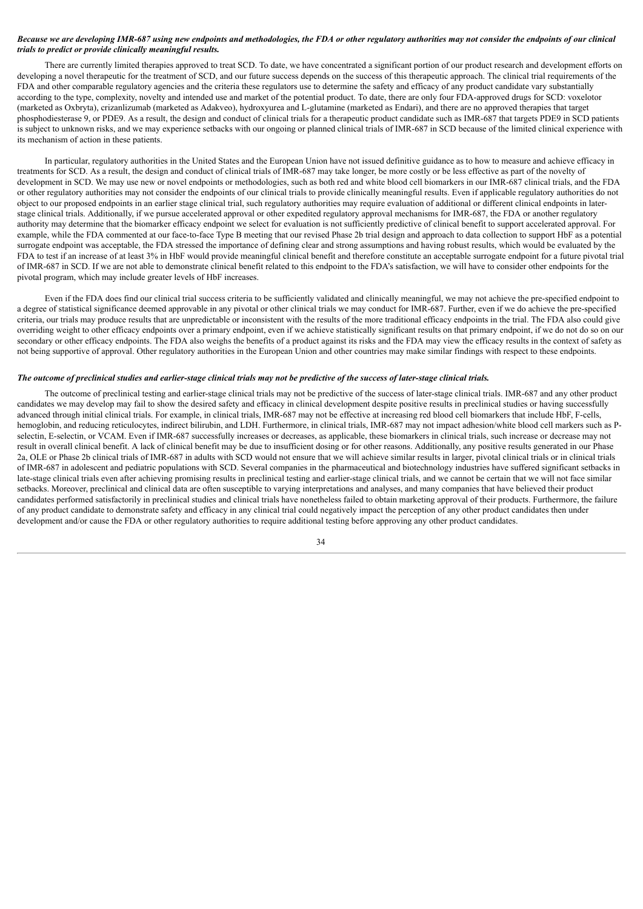## Because we are developing IMR-687 using new endpoints and methodologies, the FDA or other regulatory authorities may not consider the endpoints of our clinical *trials to predict or provide clinically meaningful results.*

There are currently limited therapies approved to treat SCD. To date, we have concentrated a significant portion of our product research and development efforts on developing a novel therapeutic for the treatment of SCD, and our future success depends on the success of this therapeutic approach. The clinical trial requirements of the FDA and other comparable regulatory agencies and the criteria these regulators use to determine the safety and efficacy of any product candidate vary substantially according to the type, complexity, novelty and intended use and market of the potential product. To date, there are only four FDA-approved drugs for SCD: voxelotor (marketed as Oxbryta), crizanlizumab (marketed as Adakveo), hydroxyurea and L-glutamine (marketed as Endari), and there are no approved therapies that target phosphodiesterase 9, or PDE9. As a result, the design and conduct of clinical trials for a therapeutic product candidate such as IMR-687 that targets PDE9 in SCD patients is subject to unknown risks, and we may experience setbacks with our ongoing or planned clinical trials of IMR-687 in SCD because of the limited clinical experience with its mechanism of action in these patients.

In particular, regulatory authorities in the United States and the European Union have not issued definitive guidance as to how to measure and achieve efficacy in treatments for SCD. As a result, the design and conduct of clinical trials of IMR-687 may take longer, be more costly or be less effective as part of the novelty of development in SCD. We may use new or novel endpoints or methodologies, such as both red and white blood cell biomarkers in our IMR-687 clinical trials, and the FDA or other regulatory authorities may not consider the endpoints of our clinical trials to provide clinically meaningful results. Even if applicable regulatory authorities do not object to our proposed endpoints in an earlier stage clinical trial, such regulatory authorities may require evaluation of additional or different clinical endpoints in laterstage clinical trials. Additionally, if we pursue accelerated approval or other expedited regulatory approval mechanisms for IMR-687, the FDA or another regulatory authority may determine that the biomarker efficacy endpoint we select for evaluation is not sufficiently predictive of clinical benefit to support accelerated approval. For example, while the FDA commented at our face-to-face Type B meeting that our revised Phase 2b trial design and approach to data collection to support HbF as a potential surrogate endpoint was acceptable, the FDA stressed the importance of defining clear and strong assumptions and having robust results, which would be evaluated by the FDA to test if an increase of at least 3% in HbF would provide meaningful clinical benefit and therefore constitute an acceptable surrogate endpoint for a future pivotal trial of IMR-687 in SCD. If we are not able to demonstrate clinical benefit related to this endpoint to the FDA's satisfaction, we will have to consider other endpoints for the pivotal program, which may include greater levels of HbF increases.

Even if the FDA does find our clinical trial success criteria to be sufficiently validated and clinically meaningful, we may not achieve the pre-specified endpoint to a degree of statistical significance deemed approvable in any pivotal or other clinical trials we may conduct for IMR-687. Further, even if we do achieve the pre-specified criteria, our trials may produce results that are unpredictable or inconsistent with the results of the more traditional efficacy endpoints in the trial. The FDA also could give overriding weight to other efficacy endpoints over a primary endpoint, even if we achieve statistically significant results on that primary endpoint, if we do not do so on our secondary or other efficacy endpoints. The FDA also weighs the benefits of a product against its risks and the FDA may view the efficacy results in the context of safety as not being supportive of approval. Other regulatory authorities in the European Union and other countries may make similar findings with respect to these endpoints.

#### The outcome of preclinical studies and earlier-stage clinical trials may not be predictive of the success of later-stage clinical trials.

The outcome of preclinical testing and earlier-stage clinical trials may not be predictive of the success of later-stage clinical trials. IMR-687 and any other product candidates we may develop may fail to show the desired safety and efficacy in clinical development despite positive results in preclinical studies or having successfully advanced through initial clinical trials. For example, in clinical trials, IMR-687 may not be effective at increasing red blood cell biomarkers that include HbF, F-cells, hemoglobin, and reducing reticulocytes, indirect bilirubin, and LDH. Furthermore, in clinical trials, IMR-687 may not impact adhesion/white blood cell markers such as Pselectin, E-selectin, or VCAM. Even if IMR-687 successfully increases or decreases, as applicable, these biomarkers in clinical trials, such increase or decrease may not result in overall clinical benefit. A lack of clinical benefit may be due to insufficient dosing or for other reasons. Additionally, any positive results generated in our Phase 2a, OLE or Phase 2b clinical trials of IMR-687 in adults with SCD would not ensure that we will achieve similar results in larger, pivotal clinical trials or in clinical trials of IMR-687 in adolescent and pediatric populations with SCD. Several companies in the pharmaceutical and biotechnology industries have suffered significant setbacks in late-stage clinical trials even after achieving promising results in preclinical testing and earlier-stage clinical trials, and we cannot be certain that we will not face similar setbacks. Moreover, preclinical and clinical data are often susceptible to varying interpretations and analyses, and many companies that have believed their product candidates performed satisfactorily in preclinical studies and clinical trials have nonetheless failed to obtain marketing approval of their products. Furthermore, the failure of any product candidate to demonstrate safety and efficacy in any clinical trial could negatively impact the perception of any other product candidates then under development and/or cause the FDA or other regulatory authorities to require additional testing before approving any other product candidates.

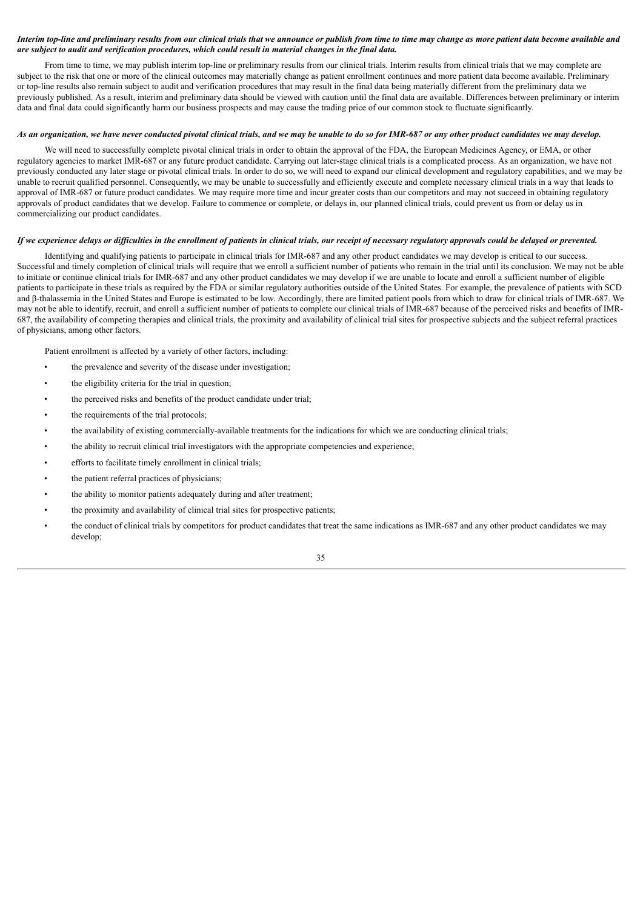# Interim top-line and preliminary results from our clinical trials that we announce or publish from time to time may change as more patient data become available and are subject to audit and verification procedures, which could result in material changes in the final data.

From time to time, we may publish interim top-line or preliminary results from our clinical trials. Interim results from clinical trials that we may complete are subject to the risk that one or more of the clinical outcomes may materially change as patient enrollment continues and more patient data become available. Preliminary or top-line results also remain subject to audit and verification procedures that may result in the final data being materially different from the preliminary data we previously published. As a result, interim and preliminary data should be viewed with caution until the final data are available. Differences between preliminary or interim data and final data could significantly harm our business prospects and may cause the trading price of our common stock to fluctuate significantly.

# As an organization, we have never conducted pivotal clinical trials, and we may be unable to do so for IMR-687 or any other product candidates we may develop.

We will need to successfully complete pivotal clinical trials in order to obtain the approval of the FDA, the European Medicines Agency, or EMA, or other regulatory agencies to market IMR-687 or any future product candidate. Carrying out later-stage clinical trials is a complicated process. As an organization, we have not previously conducted any later stage or pivotal clinical trials. In order to do so, we will need to expand our clinical development and regulatory capabilities, and we may be unable to recruit qualified personnel. Consequently, we may be unable to successfully and efficiently execute and complete necessary clinical trials in a way that leads to approval of IMR-687 or future product candidates. We may require more time and incur greater costs than our competitors and may not succeed in obtaining regulatory approvals of product candidates that we develop. Failure to commence or complete, or delays in, our planned clinical trials, could prevent us from or delay us in commercializing our product candidates.

## If we experience delays or difficulties in the enrollment of patients in clinical trials, our receipt of necessary regulatory approvals could be delayed or prevented.

Identifying and qualifying patients to participate in clinical trials for IMR-687 and any other product candidates we may develop is critical to our success. Successful and timely completion of clinical trials will require that we enroll a sufficient number of patients who remain in the trial until its conclusion. We may not be able to initiate or continue clinical trials for IMR-687 and any other product candidates we may develop if we are unable to locate and enroll a sufficient number of eligible patients to participate in these trials as required by the FDA or similar regulatory authorities outside of the United States. For example, the prevalence of patients with SCD and β-thalassemia in the United States and Europe is estimated to be low. Accordingly, there are limited patient pools from which to draw for clinical trials of IMR-687. We may not be able to identify, recruit, and enroll a sufficient number of patients to complete our clinical trials of IMR-687 because of the perceived risks and benefits of IMR-687, the availability of competing therapies and clinical trials, the proximity and availability of clinical trial sites for prospective subjects and the subject referral practices of physicians, among other factors.

Patient enrollment is affected by a variety of other factors, including:

- the prevalence and severity of the disease under investigation:
- the eligibility criteria for the trial in question;
- the perceived risks and benefits of the product candidate under trial;
- the requirements of the trial protocols;
- the availability of existing commercially-available treatments for the indications for which we are conducting clinical trials;
- the ability to recruit clinical trial investigators with the appropriate competencies and experience;
- efforts to facilitate timely enrollment in clinical trials;
- the patient referral practices of physicians;
- the ability to monitor patients adequately during and after treatment;
- the proximity and availability of clinical trial sites for prospective patients;
- the conduct of clinical trials by competitors for product candidates that treat the same indications as IMR-687 and any other product candidates we may develop;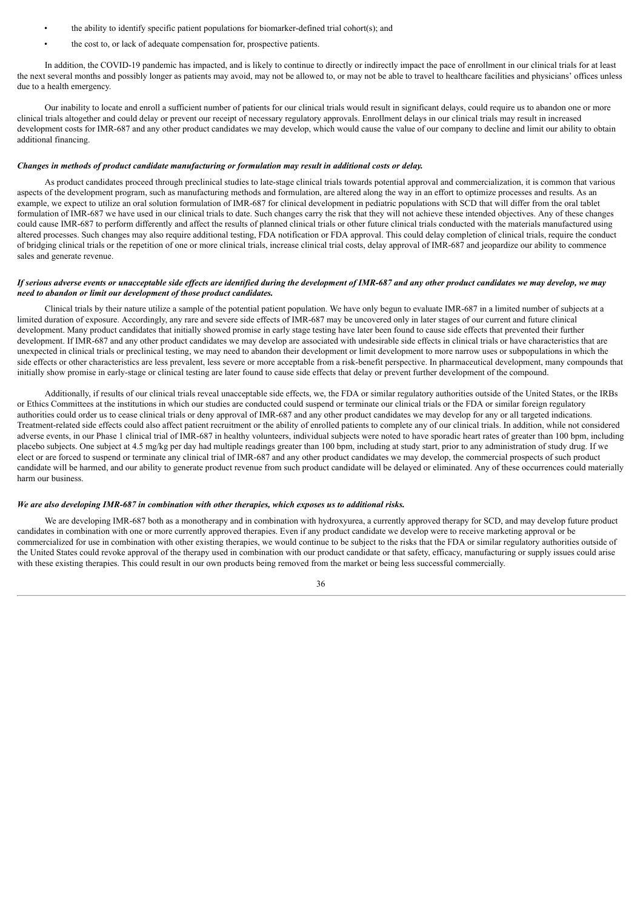- the ability to identify specific patient populations for biomarker-defined trial cohort(s); and
- the cost to, or lack of adequate compensation for, prospective patients.

In addition, the COVID-19 pandemic has impacted, and is likely to continue to directly or indirectly impact the pace of enrollment in our clinical trials for at least the next several months and possibly longer as patients may avoid, may not be allowed to, or may not be able to travel to healthcare facilities and physicians' offices unless due to a health emergency.

Our inability to locate and enroll a sufficient number of patients for our clinical trials would result in significant delays, could require us to abandon one or more clinical trials altogether and could delay or prevent our receipt of necessary regulatory approvals. Enrollment delays in our clinical trials may result in increased development costs for IMR-687 and any other product candidates we may develop, which would cause the value of our company to decline and limit our ability to obtain additional financing.

#### *Changes in methods of product candidate manufacturing or formulation may result in additional costs or delay.*

As product candidates proceed through preclinical studies to late-stage clinical trials towards potential approval and commercialization, it is common that various aspects of the development program, such as manufacturing methods and formulation, are altered along the way in an effort to optimize processes and results. As an example, we expect to utilize an oral solution formulation of IMR-687 for clinical development in pediatric populations with SCD that will differ from the oral tablet formulation of IMR-687 we have used in our clinical trials to date. Such changes carry the risk that they will not achieve these intended objectives. Any of these changes could cause IMR-687 to perform differently and affect the results of planned clinical trials or other future clinical trials conducted with the materials manufactured using altered processes. Such changes may also require additional testing, FDA notification or FDA approval. This could delay completion of clinical trials, require the conduct of bridging clinical trials or the repetition of one or more clinical trials, increase clinical trial costs, delay approval of IMR-687 and jeopardize our ability to commence sales and generate revenue.

### If serious adverse events or unacceptable side effects are identified during the development of IMR-687 and any other product candidates we may develop, we may *need to abandon or limit our development of those product candidates.*

Clinical trials by their nature utilize a sample of the potential patient population. We have only begun to evaluate IMR-687 in a limited number of subjects at a limited duration of exposure. Accordingly, any rare and severe side effects of IMR-687 may be uncovered only in later stages of our current and future clinical development. Many product candidates that initially showed promise in early stage testing have later been found to cause side effects that prevented their further development. If IMR-687 and any other product candidates we may develop are associated with undesirable side effects in clinical trials or have characteristics that are unexpected in clinical trials or preclinical testing, we may need to abandon their development or limit development to more narrow uses or subpopulations in which the side effects or other characteristics are less prevalent, less severe or more acceptable from a risk-benefit perspective. In pharmaceutical development, many compounds that initially show promise in early-stage or clinical testing are later found to cause side effects that delay or prevent further development of the compound.

Additionally, if results of our clinical trials reveal unacceptable side effects, we, the FDA or similar regulatory authorities outside of the United States, or the IRBs or Ethics Committees at the institutions in which our studies are conducted could suspend or terminate our clinical trials or the FDA or similar foreign regulatory authorities could order us to cease clinical trials or deny approval of IMR-687 and any other product candidates we may develop for any or all targeted indications. Treatment-related side effects could also affect patient recruitment or the ability of enrolled patients to complete any of our clinical trials. In addition, while not considered adverse events, in our Phase 1 clinical trial of IMR-687 in healthy volunteers, individual subjects were noted to have sporadic heart rates of greater than 100 bpm, including placebo subjects. One subject at 4.5 mg/kg per day had multiple readings greater than 100 bpm, including at study start, prior to any administration of study drug. If we elect or are forced to suspend or terminate any clinical trial of IMR-687 and any other product candidates we may develop, the commercial prospects of such product candidate will be harmed, and our ability to generate product revenue from such product candidate will be delayed or eliminated. Any of these occurrences could materially harm our business.

### *We are also developing IMR-687 in combination with other therapies, which exposes us to additional risks.*

We are developing IMR-687 both as a monotherapy and in combination with hydroxyurea, a currently approved therapy for SCD, and may develop future product candidates in combination with one or more currently approved therapies. Even if any product candidate we develop were to receive marketing approval or be commercialized for use in combination with other existing therapies, we would continue to be subject to the risks that the FDA or similar regulatory authorities outside of the United States could revoke approval of the therapy used in combination with our product candidate or that safety, efficacy, manufacturing or supply issues could arise with these existing therapies. This could result in our own products being removed from the market or being less successful commercially.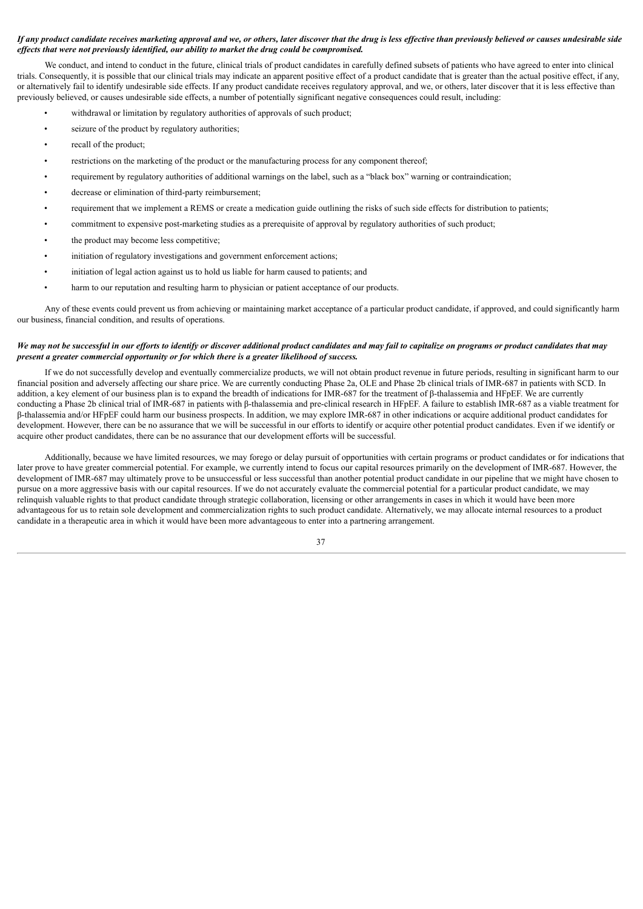# If any product candidate receives marketing approval and we, or others, later discover that the drug is less effective than previously believed or causes undesirable side *ef ects that were not previously identified, our ability to market the drug could be compromised.*

We conduct, and intend to conduct in the future, clinical trials of product candidates in carefully defined subsets of patients who have agreed to enter into clinical trials. Consequently, it is possible that our clinical trials may indicate an apparent positive effect of a product candidate that is greater than the actual positive effect, if any, or alternatively fail to identify undesirable side effects. If any product candidate receives regulatory approval, and we, or others, later discover that it is less effective than previously believed, or causes undesirable side effects, a number of potentially significant negative consequences could result, including:

- withdrawal or limitation by regulatory authorities of approvals of such product;
- seizure of the product by regulatory authorities;
- recall of the product;
- restrictions on the marketing of the product or the manufacturing process for any component thereof;
- requirement by regulatory authorities of additional warnings on the label, such as a "black box" warning or contraindication;
- decrease or elimination of third-party reimbursement;
- requirement that we implement a REMS or create a medication guide outlining the risks of such side effects for distribution to patients;
- commitment to expensive post-marketing studies as a prerequisite of approval by regulatory authorities of such product;
- the product may become less competitive:
- initiation of regulatory investigations and government enforcement actions;
- initiation of legal action against us to hold us liable for harm caused to patients; and
- harm to our reputation and resulting harm to physician or patient acceptance of our products.

Any of these events could prevent us from achieving or maintaining market acceptance of a particular product candidate, if approved, and could significantly harm our business, financial condition, and results of operations.

### We may not be successful in our efforts to identify or discover additional product candidates and may fail to capitalize on programs or product candidates that may *present a greater commercial opportunity or for which there is a greater likelihood of success.*

If we do not successfully develop and eventually commercialize products, we will not obtain product revenue in future periods, resulting in significant harm to our financial position and adversely affecting our share price. We are currently conducting Phase 2a, OLE and Phase 2b clinical trials of IMR-687 in patients with SCD. In addition, a key element of our business plan is to expand the breadth of indications for IMR-687 for the treatment of β-thalassemia and HFpEF. We are currently conducting a Phase 2b clinical trial of IMR-687 in patients with β-thalassemia and pre-clinical research in HFpEF. A failure to establish IMR-687 as a viable treatment for β-thalassemia and/or HFpEF could harm our business prospects. In addition, we may explore IMR-687 in other indications or acquire additional product candidates for development. However, there can be no assurance that we will be successful in our efforts to identify or acquire other potential product candidates. Even if we identify or acquire other product candidates, there can be no assurance that our development efforts will be successful.

Additionally, because we have limited resources, we may forego or delay pursuit of opportunities with certain programs or product candidates or for indications that later prove to have greater commercial potential. For example, we currently intend to focus our capital resources primarily on the development of IMR-687. However, the development of IMR-687 may ultimately prove to be unsuccessful or less successful than another potential product candidate in our pipeline that we might have chosen to pursue on a more aggressive basis with our capital resources. If we do not accurately evaluate the commercial potential for a particular product candidate, we may relinquish valuable rights to that product candidate through strategic collaboration, licensing or other arrangements in cases in which it would have been more advantageous for us to retain sole development and commercialization rights to such product candidate. Alternatively, we may allocate internal resources to a product candidate in a therapeutic area in which it would have been more advantageous to enter into a partnering arrangement.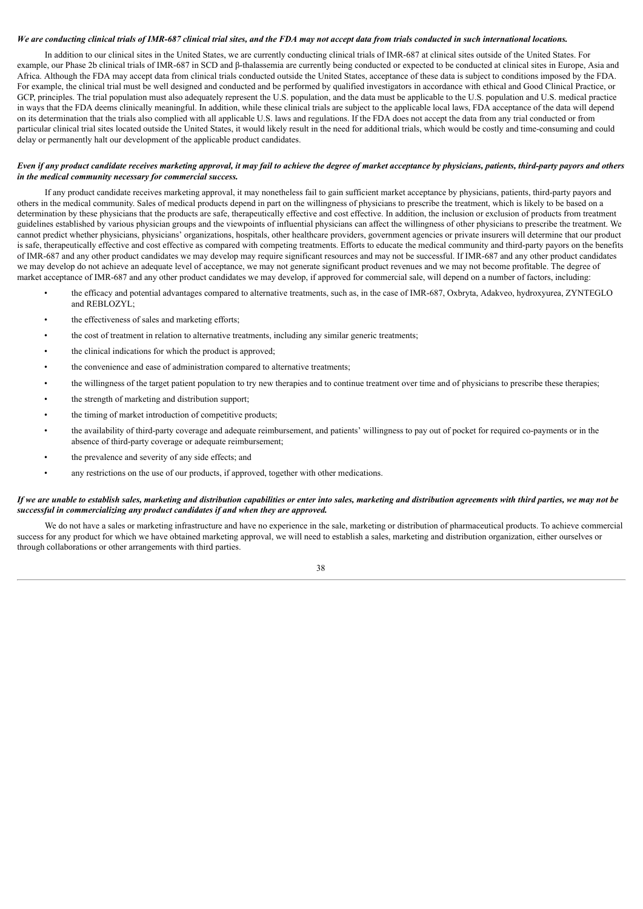### We are conducting clinical trials of IMR-687 clinical trial sites, and the FDA may not accept data from trials conducted in such international locations.

In addition to our clinical sites in the United States, we are currently conducting clinical trials of IMR-687 at clinical sites outside of the United States. For example, our Phase 2b clinical trials of IMR-687 in SCD and β-thalassemia are currently being conducted or expected to be conducted at clinical sites in Europe, Asia and Africa. Although the FDA may accept data from clinical trials conducted outside the United States, acceptance of these data is subject to conditions imposed by the FDA. For example, the clinical trial must be well designed and conducted and be performed by qualified investigators in accordance with ethical and Good Clinical Practice, or GCP, principles. The trial population must also adequately represent the U.S. population, and the data must be applicable to the U.S. population and U.S. medical practice in ways that the FDA deems clinically meaningful. In addition, while these clinical trials are subject to the applicable local laws, FDA acceptance of the data will depend on its determination that the trials also complied with all applicable U.S. laws and regulations. If the FDA does not accept the data from any trial conducted or from particular clinical trial sites located outside the United States, it would likely result in the need for additional trials, which would be costly and time-consuming and could delay or permanently halt our development of the applicable product candidates.

### Even if any product candidate receives marketing approval, it may fail to achieve the degree of market acceptance by physicians, patients, third-party payors and others *in the medical community necessary for commercial success.*

If any product candidate receives marketing approval, it may nonetheless fail to gain sufficient market acceptance by physicians, patients, third-party payors and others in the medical community. Sales of medical products depend in part on the willingness of physicians to prescribe the treatment, which is likely to be based on a determination by these physicians that the products are safe, therapeutically effective and cost effective. In addition, the inclusion or exclusion of products from treatment guidelines established by various physician groups and the viewpoints of influential physicians can affect the willingness of other physicians to prescribe the treatment. We cannot predict whether physicians, physicians' organizations, hospitals, other healthcare providers, government agencies or private insurers will determine that our product is safe, therapeutically effective and cost effective as compared with competing treatments. Efforts to educate the medical community and third-party payors on the benefits of IMR-687 and any other product candidates we may develop may require significant resources and may not be successful. If IMR-687 and any other product candidates we may develop do not achieve an adequate level of acceptance, we may not generate significant product revenues and we may not become profitable. The degree of market acceptance of IMR-687 and any other product candidates we may develop, if approved for commercial sale, will depend on a number of factors, including:

- the efficacy and potential advantages compared to alternative treatments, such as, in the case of IMR-687, Oxbryta, Adakveo, hydroxyurea, ZYNTEGLO and REBLOZYL;
- the effectiveness of sales and marketing efforts:
- the cost of treatment in relation to alternative treatments, including any similar generic treatments;
- the clinical indications for which the product is approved;
- the convenience and ease of administration compared to alternative treatments;
- the willingness of the target patient population to try new therapies and to continue treatment over time and of physicians to prescribe these therapies;
- the strength of marketing and distribution support;
- the timing of market introduction of competitive products;
- the availability of third-party coverage and adequate reimbursement, and patients' willingness to pay out of pocket for required co-payments or in the absence of third-party coverage or adequate reimbursement;
- the prevalence and severity of any side effects; and
- any restrictions on the use of our products, if approved, together with other medications.

### If we are unable to establish sales, marketing and distribution capabilities or enter into sales, marketing and distribution agreements with third parties, we may not be *successful in commercializing any product candidates if and when they are approved.*

We do not have a sales or marketing infrastructure and have no experience in the sale, marketing or distribution of pharmaceutical products. To achieve commercial success for any product for which we have obtained marketing approval, we will need to establish a sales, marketing and distribution organization, either ourselves or through collaborations or other arrangements with third parties.

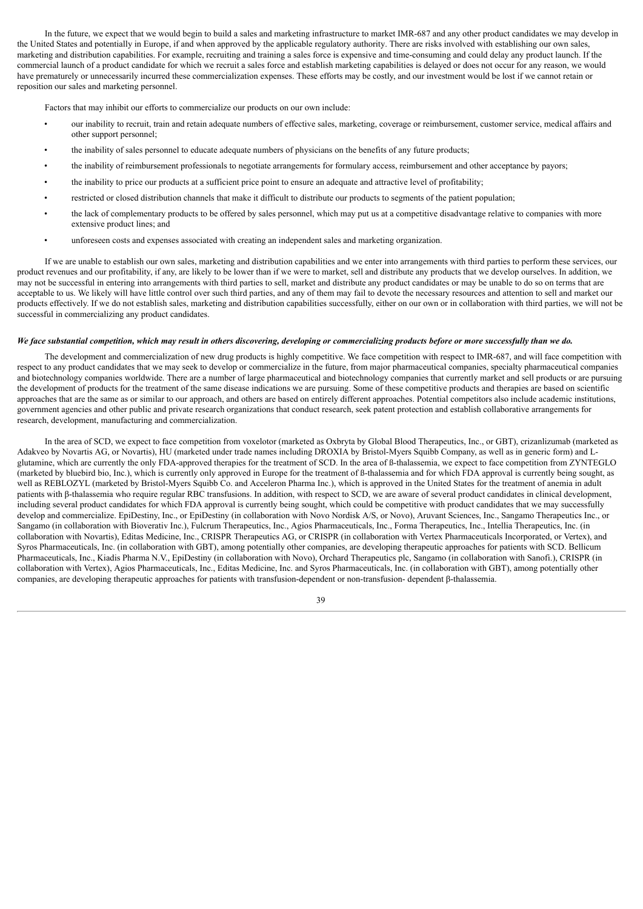In the future, we expect that we would begin to build a sales and marketing infrastructure to market IMR-687 and any other product candidates we may develop in the United States and potentially in Europe, if and when approved by the applicable regulatory authority. There are risks involved with establishing our own sales, marketing and distribution capabilities. For example, recruiting and training a sales force is expensive and time-consuming and could delay any product launch. If the commercial launch of a product candidate for which we recruit a sales force and establish marketing capabilities is delayed or does not occur for any reason, we would have prematurely or unnecessarily incurred these commercialization expenses. These efforts may be costly, and our investment would be lost if we cannot retain or reposition our sales and marketing personnel.

Factors that may inhibit our efforts to commercialize our products on our own include:

- our inability to recruit, train and retain adequate numbers of effective sales, marketing, coverage or reimbursement, customer service, medical affairs and other support personnel;
- the inability of sales personnel to educate adequate numbers of physicians on the benefits of any future products;
- the inability of reimbursement professionals to negotiate arrangements for formulary access, reimbursement and other acceptance by payors;
- the inability to price our products at a sufficient price point to ensure an adequate and attractive level of profitability;
- restricted or closed distribution channels that make it difficult to distribute our products to segments of the patient population;
- the lack of complementary products to be offered by sales personnel, which may put us at a competitive disadvantage relative to companies with more extensive product lines; and
- unforeseen costs and expenses associated with creating an independent sales and marketing organization.

If we are unable to establish our own sales, marketing and distribution capabilities and we enter into arrangements with third parties to perform these services, our product revenues and our profitability, if any, are likely to be lower than if we were to market, sell and distribute any products that we develop ourselves. In addition, we may not be successful in entering into arrangements with third parties to sell, market and distribute any product candidates or may be unable to do so on terms that are acceptable to us. We likely will have little control over such third parties, and any of them may fail to devote the necessary resources and attention to sell and market our products effectively. If we do not establish sales, marketing and distribution capabilities successfully, either on our own or in collaboration with third parties, we will not be successful in commercializing any product candidates.

#### We face substantial competition, which may result in others discovering, developing or commercializing products before or more successfully than we do.

The development and commercialization of new drug products is highly competitive. We face competition with respect to IMR-687, and will face competition with respect to any product candidates that we may seek to develop or commercialize in the future, from major pharmaceutical companies, specialty pharmaceutical companies and biotechnology companies worldwide. There are a number of large pharmaceutical and biotechnology companies that currently market and sell products or are pursuing the development of products for the treatment of the same disease indications we are pursuing. Some of these competitive products and therapies are based on scientific approaches that are the same as or similar to our approach, and others are based on entirely different approaches. Potential competitors also include academic institutions, government agencies and other public and private research organizations that conduct research, seek patent protection and establish collaborative arrangements for research, development, manufacturing and commercialization.

In the area of SCD, we expect to face competition from voxelotor (marketed as Oxbryta by Global Blood Therapeutics, Inc., or GBT), crizanlizumab (marketed as Adakveo by Novartis AG, or Novartis), HU (marketed under trade names including DROXIA by Bristol-Myers Squibb Company, as well as in generic form) and Lglutamine, which are currently the only FDA-approved therapies for the treatment of SCD. In the area of ß-thalassemia, we expect to face competition from ZYNTEGLO (marketed by bluebird bio, Inc.), which is currently only approved in Europe for the treatment of ß-thalassemia and for which FDA approval is currently being sought, as well as REBLOZYL (marketed by Bristol-Myers Squibb Co. and Acceleron Pharma Inc.), which is approved in the United States for the treatment of anemia in adult patients with β-thalassemia who require regular RBC transfusions. In addition, with respect to SCD, we are aware of several product candidates in clinical development, including several product candidates for which FDA approval is currently being sought, which could be competitive with product candidates that we may successfully develop and commercialize. EpiDestiny, Inc., or EpiDestiny (in collaboration with Novo Nordisk A/S, or Novo), Aruvant Sciences, Inc., Sangamo Therapeutics Inc., or Sangamo (in collaboration with Bioverativ Inc.), Fulcrum Therapeutics, Inc., Agios Pharmaceuticals, Inc., Forma Therapeutics, Inc., Intellia Therapeutics, Inc. (in collaboration with Novartis), Editas Medicine, Inc., CRISPR Therapeutics AG, or CRISPR (in collaboration with Vertex Pharmaceuticals Incorporated, or Vertex), and Syros Pharmaceuticals, Inc. (in collaboration with GBT), among potentially other companies, are developing therapeutic approaches for patients with SCD. Bellicum Pharmaceuticals, Inc., Kiadis Pharma N.V., EpiDestiny (in collaboration with Novo), Orchard Therapeutics plc, Sangamo (in collaboration with Sanofi.), CRISPR (in collaboration with Vertex), Agios Pharmaceuticals, Inc., Editas Medicine, Inc. and Syros Pharmaceuticals, Inc. (in collaboration with GBT), among potentially other companies, are developing therapeutic approaches for patients with transfusion-dependent or non-transfusion- dependent β-thalassemia.

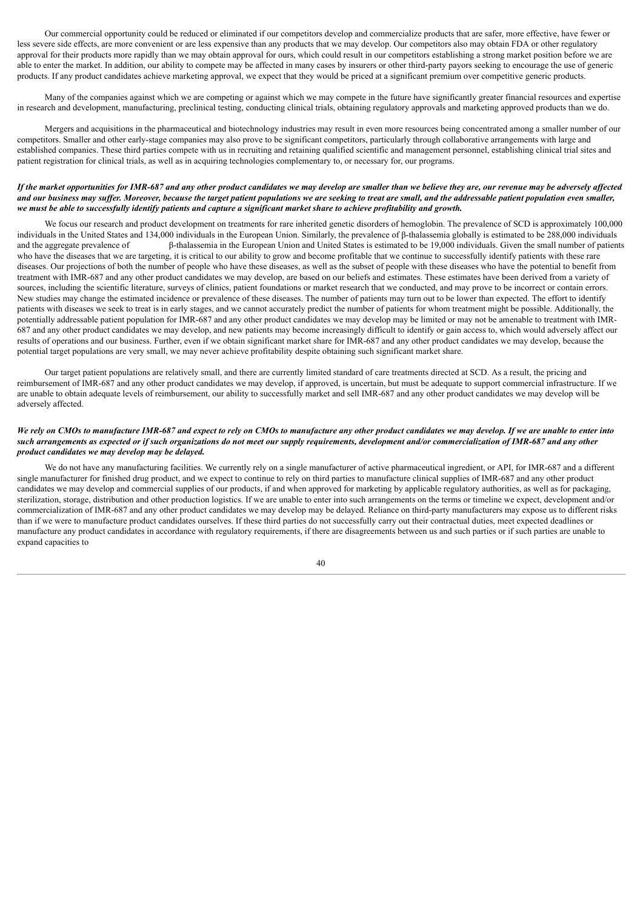Our commercial opportunity could be reduced or eliminated if our competitors develop and commercialize products that are safer, more effective, have fewer or less severe side effects, are more convenient or are less expensive than any products that we may develop. Our competitors also may obtain FDA or other regulatory approval for their products more rapidly than we may obtain approval for ours, which could result in our competitors establishing a strong market position before we are able to enter the market. In addition, our ability to compete may be affected in many cases by insurers or other third-party payors seeking to encourage the use of generic products. If any product candidates achieve marketing approval, we expect that they would be priced at a significant premium over competitive generic products.

Many of the companies against which we are competing or against which we may compete in the future have significantly greater financial resources and expertise in research and development, manufacturing, preclinical testing, conducting clinical trials, obtaining regulatory approvals and marketing approved products than we do.

Mergers and acquisitions in the pharmaceutical and biotechnology industries may result in even more resources being concentrated among a smaller number of our competitors. Smaller and other early-stage companies may also prove to be significant competitors, particularly through collaborative arrangements with large and established companies. These third parties compete with us in recruiting and retaining qualified scientific and management personnel, establishing clinical trial sites and patient registration for clinical trials, as well as in acquiring technologies complementary to, or necessary for, our programs.

### If the market opportunities for IMR-687 and any other product candidates we may develop are smaller than we believe they are, our revenue may be adversely affected and our business may suffer. Moreover, because the target patient populations we are seeking to treat are small, and the addressable patient population even smaller, we must be able to successfully identify patients and capture a significant market share to achieve profitability and growth.

We focus our research and product development on treatments for rare inherited genetic disorders of hemoglobin. The prevalence of SCD is approximately 100,000 individuals in the United States and 134,000 individuals in the European Union. Similarly, the prevalence of β-thalassemia globally is estimated to be 288,000 individuals and the aggregate prevalence of β-thalassemia in the European Union and United States is estimated to be 19,000 individuals. Given the small number of patients who have the diseases that we are targeting, it is critical to our ability to grow and become profitable that we continue to successfully identify patients with these rare diseases. Our projections of both the number of people who have these diseases, as well as the subset of people with these diseases who have the potential to benefit from treatment with IMR-687 and any other product candidates we may develop, are based on our beliefs and estimates. These estimates have been derived from a variety of sources, including the scientific literature, surveys of clinics, patient foundations or market research that we conducted, and may prove to be incorrect or contain errors. New studies may change the estimated incidence or prevalence of these diseases. The number of patients may turn out to be lower than expected. The effort to identify patients with diseases we seek to treat is in early stages, and we cannot accurately predict the number of patients for whom treatment might be possible. Additionally, the potentially addressable patient population for IMR-687 and any other product candidates we may develop may be limited or may not be amenable to treatment with IMR-687 and any other product candidates we may develop, and new patients may become increasingly difficult to identify or gain access to, which would adversely affect our results of operations and our business. Further, even if we obtain significant market share for IMR-687 and any other product candidates we may develop, because the potential target populations are very small, we may never achieve profitability despite obtaining such significant market share.

Our target patient populations are relatively small, and there are currently limited standard of care treatments directed at SCD. As a result, the pricing and reimbursement of IMR-687 and any other product candidates we may develop, if approved, is uncertain, but must be adequate to support commercial infrastructure. If we are unable to obtain adequate levels of reimbursement, our ability to successfully market and sell IMR-687 and any other product candidates we may develop will be adversely affected.

## We rely on CMOs to manufacture IMR-687 and expect to rely on CMOs to manufacture any other product candidates we may develop. If we are unable to enter into such arrangements as expected or if such organizations do not meet our supply requirements, development and/or commercialization of IMR-687 and any other *product candidates we may develop may be delayed.*

We do not have any manufacturing facilities. We currently rely on a single manufacturer of active pharmaceutical ingredient, or API, for IMR-687 and a different single manufacturer for finished drug product, and we expect to continue to rely on third parties to manufacture clinical supplies of IMR-687 and any other product candidates we may develop and commercial supplies of our products, if and when approved for marketing by applicable regulatory authorities, as well as for packaging, sterilization, storage, distribution and other production logistics. If we are unable to enter into such arrangements on the terms or timeline we expect, development and/or commercialization of IMR-687 and any other product candidates we may develop may be delayed. Reliance on third-party manufacturers may expose us to different risks than if we were to manufacture product candidates ourselves. If these third parties do not successfully carry out their contractual duties, meet expected deadlines or manufacture any product candidates in accordance with regulatory requirements, if there are disagreements between us and such parties or if such parties are unable to expand capacities to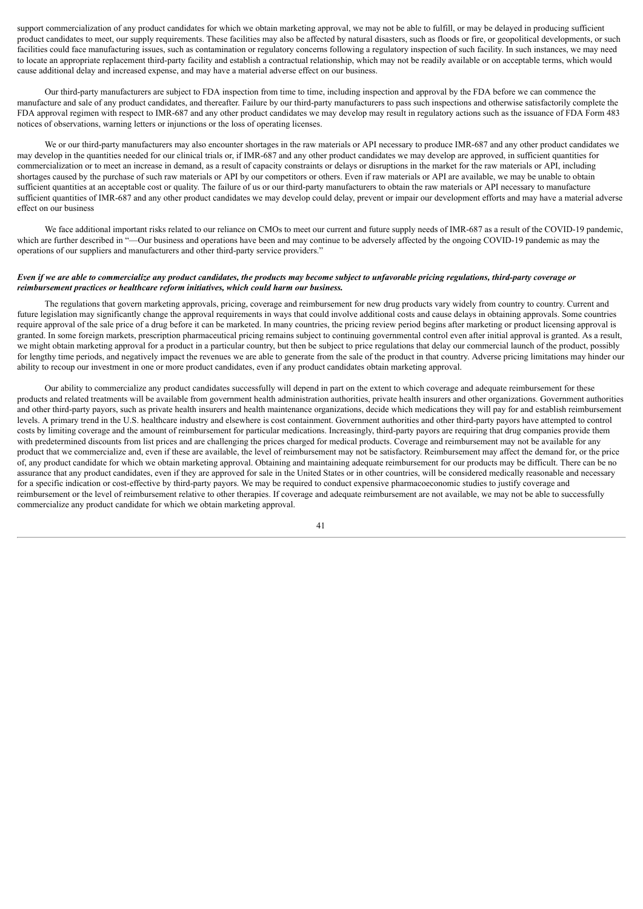support commercialization of any product candidates for which we obtain marketing approval, we may not be able to fulfill, or may be delayed in producing sufficient product candidates to meet, our supply requirements. These facilities may also be affected by natural disasters, such as floods or fire, or geopolitical developments, or such facilities could face manufacturing issues, such as contamination or regulatory concerns following a regulatory inspection of such facility. In such instances, we may need to locate an appropriate replacement third-party facility and establish a contractual relationship, which may not be readily available or on acceptable terms, which would cause additional delay and increased expense, and may have a material adverse effect on our business.

Our third-party manufacturers are subject to FDA inspection from time to time, including inspection and approval by the FDA before we can commence the manufacture and sale of any product candidates, and thereafter. Failure by our third-party manufacturers to pass such inspections and otherwise satisfactorily complete the FDA approval regimen with respect to IMR-687 and any other product candidates we may develop may result in regulatory actions such as the issuance of FDA Form 483 notices of observations, warning letters or injunctions or the loss of operating licenses.

We or our third-party manufacturers may also encounter shortages in the raw materials or API necessary to produce IMR-687 and any other product candidates we may develop in the quantities needed for our clinical trials or, if IMR-687 and any other product candidates we may develop are approved, in sufficient quantities for commercialization or to meet an increase in demand, as a result of capacity constraints or delays or disruptions in the market for the raw materials or API, including shortages caused by the purchase of such raw materials or API by our competitors or others. Even if raw materials or API are available, we may be unable to obtain sufficient quantities at an acceptable cost or quality. The failure of us or our third-party manufacturers to obtain the raw materials or API necessary to manufacture sufficient quantities of IMR-687 and any other product candidates we may develop could delay, prevent or impair our development efforts and may have a material adverse effect on our business

We face additional important risks related to our reliance on CMOs to meet our current and future supply needs of IMR-687 as a result of the COVID-19 pandemic, which are further described in "—Our business and operations have been and may continue to be adversely affected by the ongoing COVID-19 pandemic as may the operations of our suppliers and manufacturers and other third-party service providers."

## Even if we are able to commercialize any product candidates, the products may become subject to unfavorable pricing regulations, third-party coverage or *reimbursement practices or healthcare reform initiatives, which could harm our business.*

The regulations that govern marketing approvals, pricing, coverage and reimbursement for new drug products vary widely from country to country. Current and future legislation may significantly change the approval requirements in ways that could involve additional costs and cause delays in obtaining approvals. Some countries require approval of the sale price of a drug before it can be marketed. In many countries, the pricing review period begins after marketing or product licensing approval is granted. In some foreign markets, prescription pharmaceutical pricing remains subject to continuing governmental control even after initial approval is granted. As a result, we might obtain marketing approval for a product in a particular country, but then be subject to price regulations that delay our commercial launch of the product, possibly for lengthy time periods, and negatively impact the revenues we are able to generate from the sale of the product in that country. Adverse pricing limitations may hinder our ability to recoup our investment in one or more product candidates, even if any product candidates obtain marketing approval.

Our ability to commercialize any product candidates successfully will depend in part on the extent to which coverage and adequate reimbursement for these products and related treatments will be available from government health administration authorities, private health insurers and other organizations. Government authorities and other third-party payors, such as private health insurers and health maintenance organizations, decide which medications they will pay for and establish reimbursement levels. A primary trend in the U.S. healthcare industry and elsewhere is cost containment. Government authorities and other third-party payors have attempted to control costs by limiting coverage and the amount of reimbursement for particular medications. Increasingly, third-party payors are requiring that drug companies provide them with predetermined discounts from list prices and are challenging the prices charged for medical products. Coverage and reimbursement may not be available for any product that we commercialize and, even if these are available, the level of reimbursement may not be satisfactory. Reimbursement may affect the demand for, or the price of, any product candidate for which we obtain marketing approval. Obtaining and maintaining adequate reimbursement for our products may be difficult. There can be no assurance that any product candidates, even if they are approved for sale in the United States or in other countries, will be considered medically reasonable and necessary for a specific indication or cost-effective by third-party payors. We may be required to conduct expensive pharmacoeconomic studies to justify coverage and reimbursement or the level of reimbursement relative to other therapies. If coverage and adequate reimbursement are not available, we may not be able to successfully commercialize any product candidate for which we obtain marketing approval.

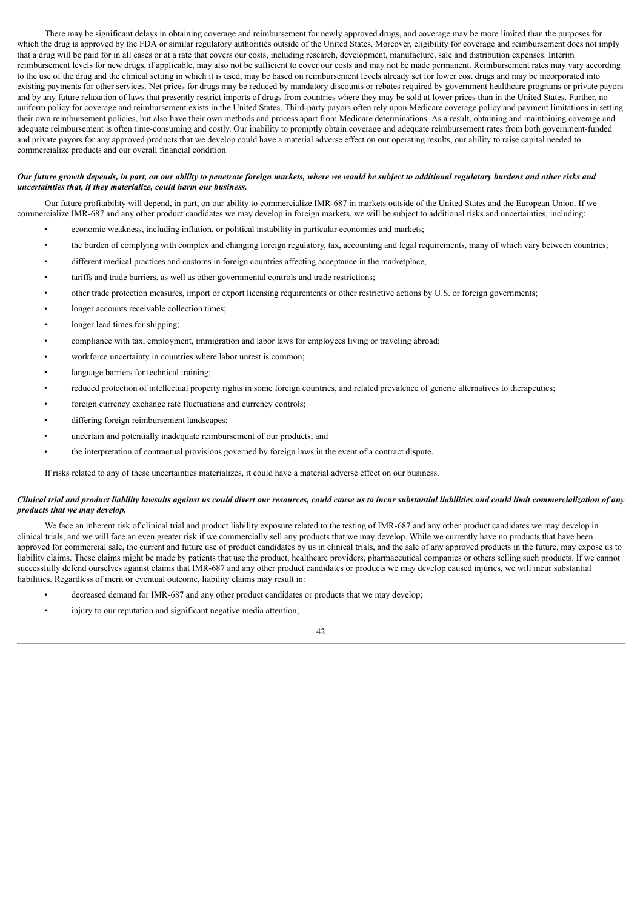There may be significant delays in obtaining coverage and reimbursement for newly approved drugs, and coverage may be more limited than the purposes for which the drug is approved by the FDA or similar regulatory authorities outside of the United States. Moreover, eligibility for coverage and reimbursement does not imply that a drug will be paid for in all cases or at a rate that covers our costs, including research, development, manufacture, sale and distribution expenses. Interim reimbursement levels for new drugs, if applicable, may also not be sufficient to cover our costs and may not be made permanent. Reimbursement rates may vary according to the use of the drug and the clinical setting in which it is used, may be based on reimbursement levels already set for lower cost drugs and may be incorporated into existing payments for other services. Net prices for drugs may be reduced by mandatory discounts or rebates required by government healthcare programs or private payors and by any future relaxation of laws that presently restrict imports of drugs from countries where they may be sold at lower prices than in the United States. Further, no uniform policy for coverage and reimbursement exists in the United States. Third-party payors often rely upon Medicare coverage policy and payment limitations in setting their own reimbursement policies, but also have their own methods and process apart from Medicare determinations. As a result, obtaining and maintaining coverage and adequate reimbursement is often time-consuming and costly. Our inability to promptly obtain coverage and adequate reimbursement rates from both government-funded and private payors for any approved products that we develop could have a material adverse effect on our operating results, our ability to raise capital needed to commercialize products and our overall financial condition.

## Our future growth depends, in part, on our ability to penetrate foreign markets, where we would be subject to additional regulatory burdens and other risks and *uncertainties that, if they materialize, could harm our business.*

Our future profitability will depend, in part, on our ability to commercialize IMR-687 in markets outside of the United States and the European Union. If we commercialize IMR-687 and any other product candidates we may develop in foreign markets, we will be subject to additional risks and uncertainties, including:

- economic weakness, including inflation, or political instability in particular economies and markets;
- the burden of complying with complex and changing foreign regulatory, tax, accounting and legal requirements, many of which vary between countries;
- different medical practices and customs in foreign countries affecting acceptance in the marketplace;
- tariffs and trade barriers, as well as other governmental controls and trade restrictions;
- other trade protection measures, import or export licensing requirements or other restrictive actions by U.S. or foreign governments;
- longer accounts receivable collection times;
- longer lead times for shipping;
- compliance with tax, employment, immigration and labor laws for employees living or traveling abroad;
- workforce uncertainty in countries where labor unrest is common;
- language barriers for technical training;
- reduced protection of intellectual property rights in some foreign countries, and related prevalence of generic alternatives to therapeutics;
- foreign currency exchange rate fluctuations and currency controls;
- differing foreign reimbursement landscapes;
- uncertain and potentially inadequate reimbursement of our products; and
- the interpretation of contractual provisions governed by foreign laws in the event of a contract dispute.

If risks related to any of these uncertainties materializes, it could have a material adverse effect on our business.

## Clinical trial and product liability lawsuits against us could divert our resources, could cause us to incur substantial liabilities and could limit commercialization of any *products that we may develop.*

We face an inherent risk of clinical trial and product liability exposure related to the testing of IMR-687 and any other product candidates we may develop in clinical trials, and we will face an even greater risk if we commercially sell any products that we may develop. While we currently have no products that have been approved for commercial sale, the current and future use of product candidates by us in clinical trials, and the sale of any approved products in the future, may expose us to liability claims. These claims might be made by patients that use the product, healthcare providers, pharmaceutical companies or others selling such products. If we cannot successfully defend ourselves against claims that IMR-687 and any other product candidates or products we may develop caused injuries, we will incur substantial liabilities. Regardless of merit or eventual outcome, liability claims may result in:

- decreased demand for IMR-687 and any other product candidates or products that we may develop;
- injury to our reputation and significant negative media attention;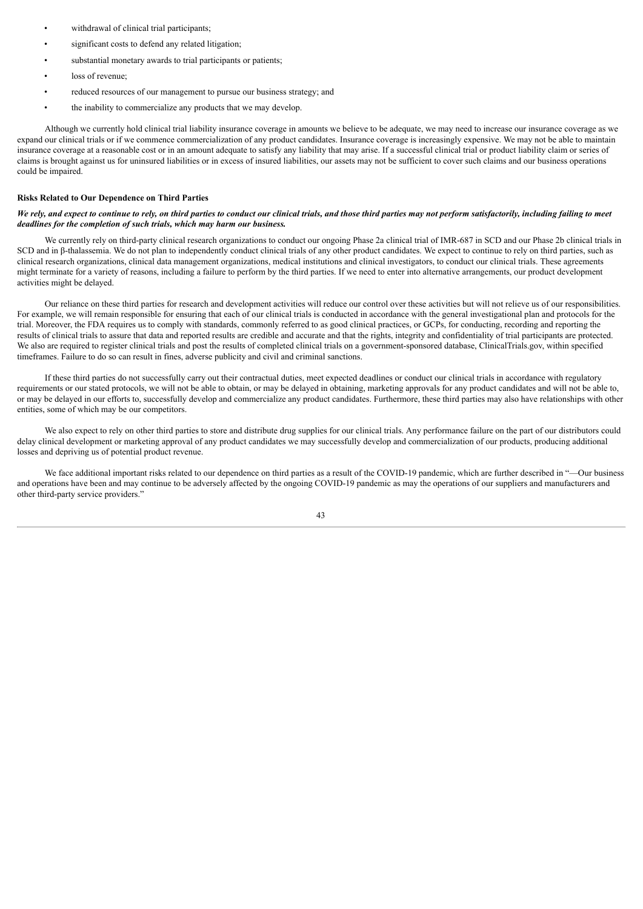- withdrawal of clinical trial participants;
- significant costs to defend any related litigation:
- substantial monetary awards to trial participants or patients;
- loss of revenue;
- reduced resources of our management to pursue our business strategy; and
- the inability to commercialize any products that we may develop.

Although we currently hold clinical trial liability insurance coverage in amounts we believe to be adequate, we may need to increase our insurance coverage as we expand our clinical trials or if we commence commercialization of any product candidates. Insurance coverage is increasingly expensive. We may not be able to maintain insurance coverage at a reasonable cost or in an amount adequate to satisfy any liability that may arise. If a successful clinical trial or product liability claim or series of claims is brought against us for uninsured liabilities or in excess of insured liabilities, our assets may not be sufficient to cover such claims and our business operations could be impaired.

## **Risks Related to Our Dependence on Third Parties**

### We rely, and expect to continue to rely, on third parties to conduct our clinical trials, and those third parties may not perform satisfactorily, including failing to meet *deadlines for the completion of such trials, which may harm our business.*

We currently rely on third-party clinical research organizations to conduct our ongoing Phase 2a clinical trial of IMR-687 in SCD and our Phase 2b clinical trials in SCD and in β-thalassemia. We do not plan to independently conduct clinical trials of any other product candidates. We expect to continue to rely on third parties, such as clinical research organizations, clinical data management organizations, medical institutions and clinical investigators, to conduct our clinical trials. These agreements might terminate for a variety of reasons, including a failure to perform by the third parties. If we need to enter into alternative arrangements, our product development activities might be delayed.

Our reliance on these third parties for research and development activities will reduce our control over these activities but will not relieve us of our responsibilities. For example, we will remain responsible for ensuring that each of our clinical trials is conducted in accordance with the general investigational plan and protocols for the trial. Moreover, the FDA requires us to comply with standards, commonly referred to as good clinical practices, or GCPs, for conducting, recording and reporting the results of clinical trials to assure that data and reported results are credible and accurate and that the rights, integrity and confidentiality of trial participants are protected. We also are required to register clinical trials and post the results of completed clinical trials on a government-sponsored database, ClinicalTrials.gov, within specified timeframes. Failure to do so can result in fines, adverse publicity and civil and criminal sanctions.

If these third parties do not successfully carry out their contractual duties, meet expected deadlines or conduct our clinical trials in accordance with regulatory requirements or our stated protocols, we will not be able to obtain, or may be delayed in obtaining, marketing approvals for any product candidates and will not be able to. or may be delayed in our efforts to, successfully develop and commercialize any product candidates. Furthermore, these third parties may also have relationships with other entities, some of which may be our competitors.

We also expect to rely on other third parties to store and distribute drug supplies for our clinical trials. Any performance failure on the part of our distributors could delay clinical development or marketing approval of any product candidates we may successfully develop and commercialization of our products, producing additional losses and depriving us of potential product revenue.

We face additional important risks related to our dependence on third parties as a result of the COVID-19 pandemic, which are further described in "—Our business" and operations have been and may continue to be adversely affected by the ongoing COVID-19 pandemic as may the operations of our suppliers and manufacturers and other third-party service providers."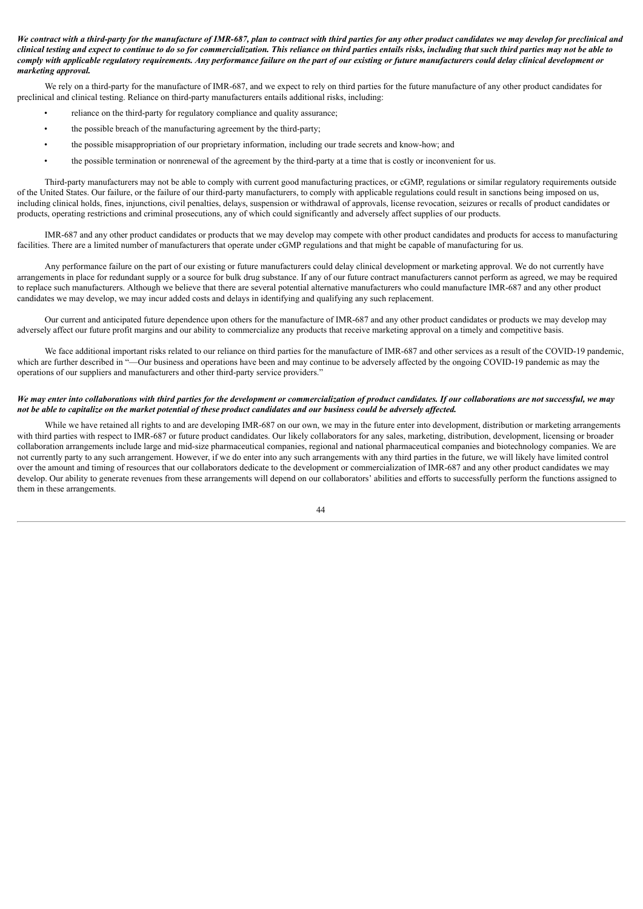We contract with a third-party for the manufacture of IMR-687, plan to contract with third parties for any other product candidates we may develop for preclinical and clinical testing and expect to continue to do so for commercialization. This reliance on third parties entails risks, including that such third parties may not be able to comply with applicable regulatory requirements. Any performance failure on the part of our existing or future manufacturers could delay clinical development or *marketing approval.*

We rely on a third-party for the manufacture of IMR-687, and we expect to rely on third parties for the future manufacture of any other product candidates for preclinical and clinical testing. Reliance on third-party manufacturers entails additional risks, including:

- reliance on the third-party for regulatory compliance and quality assurance;
- the possible breach of the manufacturing agreement by the third-party;
- the possible misappropriation of our proprietary information, including our trade secrets and know-how; and
- the possible termination or nonrenewal of the agreement by the third-party at a time that is costly or inconvenient for us.

Third-party manufacturers may not be able to comply with current good manufacturing practices, or cGMP, regulations or similar regulatory requirements outside of the United States. Our failure, or the failure of our third-party manufacturers, to comply with applicable regulations could result in sanctions being imposed on us, including clinical holds, fines, injunctions, civil penalties, delays, suspension or withdrawal of approvals, license revocation, seizures or recalls of product candidates or products, operating restrictions and criminal prosecutions, any of which could significantly and adversely affect supplies of our products.

IMR-687 and any other product candidates or products that we may develop may compete with other product candidates and products for access to manufacturing facilities. There are a limited number of manufacturers that operate under cGMP regulations and that might be capable of manufacturing for us.

Any performance failure on the part of our existing or future manufacturers could delay clinical development or marketing approval. We do not currently have arrangements in place for redundant supply or a source for bulk drug substance. If any of our future contract manufacturers cannot perform as agreed, we may be required to replace such manufacturers. Although we believe that there are several potential alternative manufacturers who could manufacture IMR-687 and any other product candidates we may develop, we may incur added costs and delays in identifying and qualifying any such replacement.

Our current and anticipated future dependence upon others for the manufacture of IMR-687 and any other product candidates or products we may develop may adversely affect our future profit margins and our ability to commercialize any products that receive marketing approval on a timely and competitive basis.

We face additional important risks related to our reliance on third parties for the manufacture of IMR-687 and other services as a result of the COVID-19 pandemic, which are further described in "—Our business and operations have been and may continue to be adversely affected by the ongoing COVID-19 pandemic as may the operations of our suppliers and manufacturers and other third-party service providers."

### We may enter into collaborations with third parties for the development or commercialization of product candidates. If our collaborations are not successful, we may not be able to capitalize on the market potential of these product candidates and our business could be adversely affected.

While we have retained all rights to and are developing IMR-687 on our own, we may in the future enter into development, distribution or marketing arrangements with third parties with respect to IMR-687 or future product candidates. Our likely collaborators for any sales, marketing, distribution, development, licensing or broader collaboration arrangements include large and mid-size pharmaceutical companies, regional and national pharmaceutical companies and biotechnology companies. We are not currently party to any such arrangement. However, if we do enter into any such arrangements with any third parties in the future, we will likely have limited control over the amount and timing of resources that our collaborators dedicate to the development or commercialization of IMR-687 and any other product candidates we may develop. Our ability to generate revenues from these arrangements will depend on our collaborators' abilities and efforts to successfully perform the functions assigned to them in these arrangements.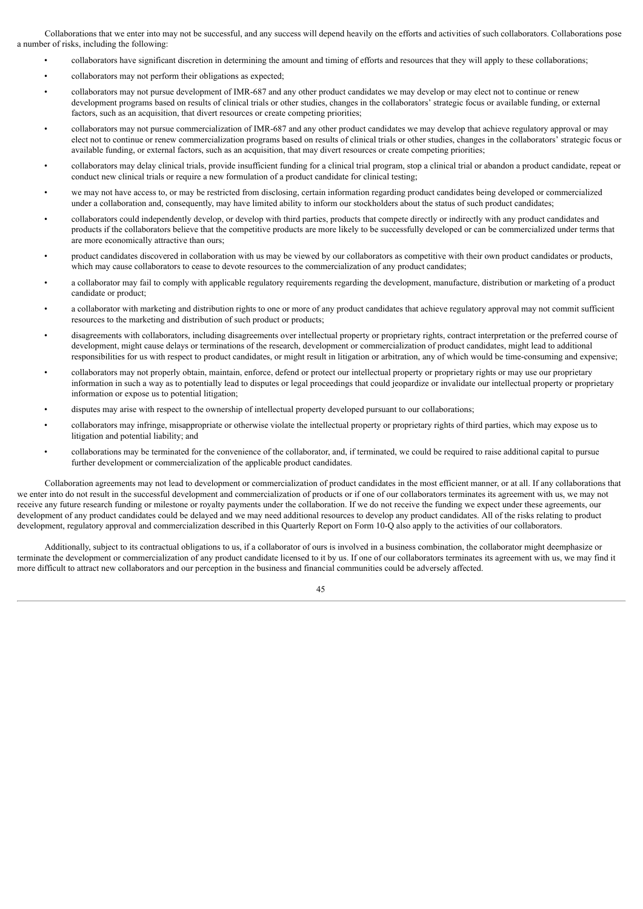Collaborations that we enter into may not be successful, and any success will depend heavily on the efforts and activities of such collaborators. Collaborations pose a number of risks, including the following:

- collaborators have significant discretion in determining the amount and timing of efforts and resources that they will apply to these collaborations;
- collaborators may not perform their obligations as expected;
- collaborators may not pursue development of IMR-687 and any other product candidates we may develop or may elect not to continue or renew development programs based on results of clinical trials or other studies, changes in the collaborators' strategic focus or available funding, or external factors, such as an acquisition, that divert resources or create competing priorities;
- collaborators may not pursue commercialization of IMR-687 and any other product candidates we may develop that achieve regulatory approval or may elect not to continue or renew commercialization programs based on results of clinical trials or other studies, changes in the collaborators' strategic focus or available funding, or external factors, such as an acquisition, that may divert resources or create competing priorities;
- collaborators may delay clinical trials, provide insufficient funding for a clinical trial program, stop a clinical trial or abandon a product candidate, repeat or conduct new clinical trials or require a new formulation of a product candidate for clinical testing;
- we may not have access to, or may be restricted from disclosing, certain information regarding product candidates being developed or commercialized under a collaboration and, consequently, may have limited ability to inform our stockholders about the status of such product candidates;
- collaborators could independently develop, or develop with third parties, products that compete directly or indirectly with any product candidates and products if the collaborators believe that the competitive products are more likely to be successfully developed or can be commercialized under terms that are more economically attractive than ours;
- product candidates discovered in collaboration with us may be viewed by our collaborators as competitive with their own product candidates or products, which may cause collaborators to cease to devote resources to the commercialization of any product candidates;
- a collaborator may fail to comply with applicable regulatory requirements regarding the development, manufacture, distribution or marketing of a product candidate or product;
- a collaborator with marketing and distribution rights to one or more of any product candidates that achieve regulatory approval may not commit sufficient resources to the marketing and distribution of such product or products;
- disagreements with collaborators, including disagreements over intellectual property or proprietary rights, contract interpretation or the preferred course of development, might cause delays or terminations of the research, development or commercialization of product candidates, might lead to additional responsibilities for us with respect to product candidates, or might result in litigation or arbitration, any of which would be time-consuming and expensive;
- collaborators may not properly obtain, maintain, enforce, defend or protect our intellectual property or proprietary rights or may use our proprietary information in such a way as to potentially lead to disputes or legal proceedings that could jeopardize or invalidate our intellectual property or proprietary information or expose us to potential litigation;
- disputes may arise with respect to the ownership of intellectual property developed pursuant to our collaborations;
- collaborators may infringe, misappropriate or otherwise violate the intellectual property or proprietary rights of third parties, which may expose us to litigation and potential liability; and
- collaborations may be terminated for the convenience of the collaborator, and, if terminated, we could be required to raise additional capital to pursue further development or commercialization of the applicable product candidates.

Collaboration agreements may not lead to development or commercialization of product candidates in the most efficient manner, or at all. If any collaborations that we enter into do not result in the successful development and commercialization of products or if one of our collaborators terminates its agreement with us, we may not receive any future research funding or milestone or royalty payments under the collaboration. If we do not receive the funding we expect under these agreements, our development of any product candidates could be delayed and we may need additional resources to develop any product candidates. All of the risks relating to product development, regulatory approval and commercialization described in this Quarterly Report on Form 10-Q also apply to the activities of our collaborators.

Additionally, subject to its contractual obligations to us, if a collaborator of ours is involved in a business combination, the collaborator might deemphasize or terminate the development or commercialization of any product candidate licensed to it by us. If one of our collaborators terminates its agreement with us, we may find it more difficult to attract new collaborators and our perception in the business and financial communities could be adversely affected.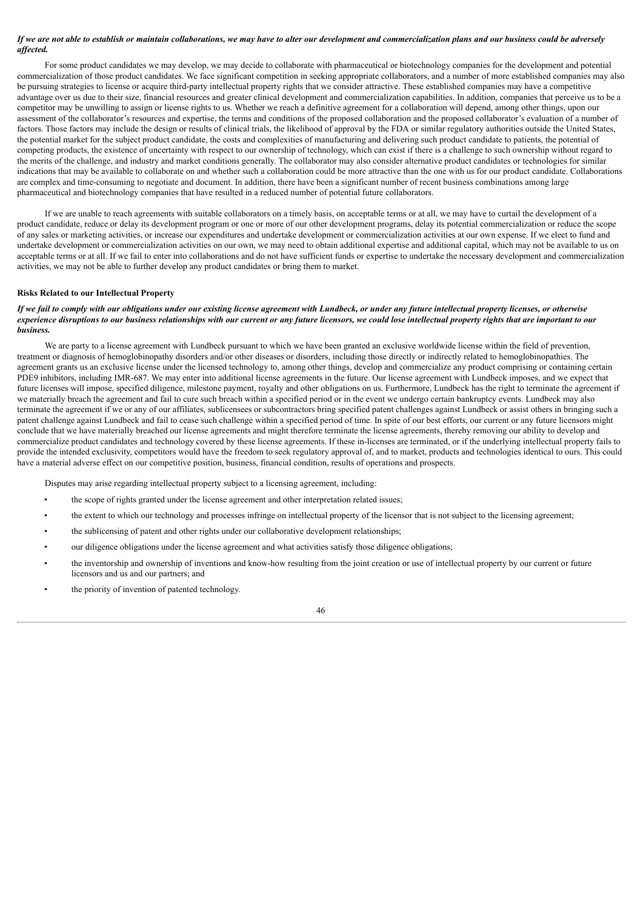### If we are not able to establish or maintain collaborations, we may have to alter our development and commercialization plans and our business could be adversely *af ected.*

For some product candidates we may develop, we may decide to collaborate with pharmaceutical or biotechnology companies for the development and potential commercialization of those product candidates. We face significant competition in seeking appropriate collaborators, and a number of more established companies may also be pursuing strategies to license or acquire third-party intellectual property rights that we consider attractive. These established companies may have a competitive advantage over us due to their size, financial resources and greater clinical development and commercialization capabilities. In addition, companies that perceive us to be a competitor may be unwilling to assign or license rights to us. Whether we reach a definitive agreement for a collaboration will depend, among other things, upon our assessment of the collaborator's resources and expertise, the terms and conditions of the proposed collaboration and the proposed collaborator's evaluation of a number of factors. Those factors may include the design or results of clinical trials, the likelihood of approval by the FDA or similar regulatory authorities outside the United States, the potential market for the subject product candidate, the costs and complexities of manufacturing and delivering such product candidate to patients, the potential of competing products, the existence of uncertainty with respect to our ownership of technology, which can exist if there is a challenge to such ownership without regard to the merits of the challenge, and industry and market conditions generally. The collaborator may also consider alternative product candidates or technologies for similar indications that may be available to collaborate on and whether such a collaboration could be more attractive than the one with us for our product candidate. Collaborations are complex and time-consuming to negotiate and document. In addition, there have been a significant number of recent business combinations among large pharmaceutical and biotechnology companies that have resulted in a reduced number of potential future collaborators.

If we are unable to reach agreements with suitable collaborators on a timely basis, on acceptable terms or at all, we may have to curtail the development of a product candidate, reduce or delay its development program or one or more of our other development programs, delay its potential commercialization or reduce the scope of any sales or marketing activities, or increase our expenditures and undertake development or commercialization activities at our own expense. If we elect to fund and undertake development or commercialization activities on our own, we may need to obtain additional expertise and additional capital, which may not be available to us on acceptable terms or at all. If we fail to enter into collaborations and do not have sufficient funds or expertise to undertake the necessary development and commercialization activities, we may not be able to further develop any product candidates or bring them to market.

## **Risks Related to our Intellectual Property**

## If we fail to comply with our obligations under our existing license agreement with Lundbeck, or under any future intellectual property licenses, or otherwise experience disruptions to our business relationships with our current or any future licensors, we could lose intellectual property rights that are important to our *business.*

We are party to a license agreement with Lundbeck pursuant to which we have been granted an exclusive worldwide license within the field of prevention, treatment or diagnosis of hemoglobinopathy disorders and/or other diseases or disorders, including those directly or indirectly related to hemoglobinopathies. The agreement grants us an exclusive license under the licensed technology to, among other things, develop and commercialize any product comprising or containing certain PDE9 inhibitors, including IMR-687. We may enter into additional license agreements in the future. Our license agreement with Lundbeck imposes, and we expect that future licenses will impose, specified diligence, milestone payment, royalty and other obligations on us. Furthermore, Lundbeck has the right to terminate the agreement if we materially breach the agreement and fail to cure such breach within a specified period or in the event we undergo certain bankruptcy events. Lundbeck may also terminate the agreement if we or any of our affiliates, sublicensees or subcontractors bring specified patent challenges against Lundbeck or assist others in bringing such a patent challenge against Lundbeck and fail to cease such challenge within a specified period of time. In spite of our best efforts, our current or any future licensors might conclude that we have materially breached our license agreements and might therefore terminate the license agreements, thereby removing our ability to develop and commercialize product candidates and technology covered by these license agreements. If these in-licenses are terminated, or if the underlying intellectual property fails to provide the intended exclusivity, competitors would have the freedom to seek regulatory approval of, and to market, products and technologies identical to ours. This could have a material adverse effect on our competitive position, business, financial condition, results of operations and prospects.

Disputes may arise regarding intellectual property subject to a licensing agreement, including:

- the scope of rights granted under the license agreement and other interpretation related issues;
- the extent to which our technology and processes infringe on intellectual property of the licensor that is not subject to the licensing agreement;
- the sublicensing of patent and other rights under our collaborative development relationships;
- our diligence obligations under the license agreement and what activities satisfy those diligence obligations;
- the inventorship and ownership of inventions and know-how resulting from the joint creation or use of intellectual property by our current or future licensors and us and our partners; and
- the priority of invention of patented technology.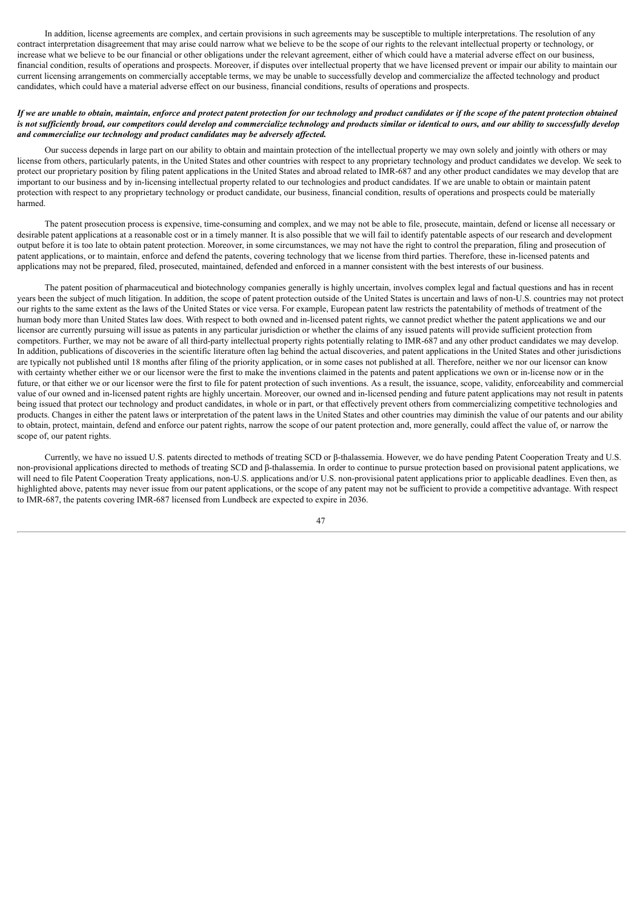In addition, license agreements are complex, and certain provisions in such agreements may be susceptible to multiple interpretations. The resolution of any contract interpretation disagreement that may arise could narrow what we believe to be the scope of our rights to the relevant intellectual property or technology, or increase what we believe to be our financial or other obligations under the relevant agreement, either of which could have a material adverse effect on our business, financial condition, results of operations and prospects. Moreover, if disputes over intellectual property that we have licensed prevent or impair our ability to maintain our current licensing arrangements on commercially acceptable terms, we may be unable to successfully develop and commercialize the affected technology and product candidates, which could have a material adverse effect on our business, financial conditions, results of operations and prospects.

## If we are unable to obtain, maintain, enforce and protect patent protection for our technology and product candidates or if the scope of the patent protection obtained is not sufficiently broad, our competitors could develop and commercialize technology and products similar or identical to ours, and our ability to successfully develop *and commercialize our technology and product candidates may be adversely af ected.*

Our success depends in large part on our ability to obtain and maintain protection of the intellectual property we may own solely and jointly with others or may license from others, particularly patents, in the United States and other countries with respect to any proprietary technology and product candidates we develop. We seek to protect our proprietary position by filing patent applications in the United States and abroad related to IMR-687 and any other product candidates we may develop that are important to our business and by in-licensing intellectual property related to our technologies and product candidates. If we are unable to obtain or maintain patent protection with respect to any proprietary technology or product candidate, our business, financial condition, results of operations and prospects could be materially harmed.

The patent prosecution process is expensive, time-consuming and complex, and we may not be able to file, prosecute, maintain, defend or license all necessary or desirable patent applications at a reasonable cost or in a timely manner. It is also possible that we will fail to identify patentable aspects of our research and development output before it is too late to obtain patent protection. Moreover, in some circumstances, we may not have the right to control the preparation, filing and prosecution of patent applications, or to maintain, enforce and defend the patents, covering technology that we license from third parties. Therefore, these in-licensed patents and applications may not be prepared, filed, prosecuted, maintained, defended and enforced in a manner consistent with the best interests of our business.

The patent position of pharmaceutical and biotechnology companies generally is highly uncertain, involves complex legal and factual questions and has in recent years been the subject of much litigation. In addition, the scope of patent protection outside of the United States is uncertain and laws of non-U.S. countries may not protect our rights to the same extent as the laws of the United States or vice versa. For example, European patent law restricts the patentability of methods of treatment of the human body more than United States law does. With respect to both owned and in-licensed patent rights, we cannot predict whether the patent applications we and our licensor are currently pursuing will issue as patents in any particular jurisdiction or whether the claims of any issued patents will provide sufficient protection from competitors. Further, we may not be aware of all third-party intellectual property rights potentially relating to IMR-687 and any other product candidates we may develop. In addition, publications of discoveries in the scientific literature often lag behind the actual discoveries, and patent applications in the United States and other jurisdictions are typically not published until 18 months after filing of the priority application, or in some cases not published at all. Therefore, neither we nor our licensor can know with certainty whether either we or our licensor were the first to make the inventions claimed in the patents and patent applications we own or in-license now or in the future, or that either we or our licensor were the first to file for patent protection of such inventions. As a result, the issuance, scope, validity, enforceability and commercial value of our owned and in-licensed patent rights are highly uncertain. Moreover, our owned and in-licensed pending and future patent applications may not result in patents being issued that protect our technology and product candidates, in whole or in part, or that effectively prevent others from commercializing competitive technologies and products. Changes in either the patent laws or interpretation of the patent laws in the United States and other countries may diminish the value of our patents and our ability to obtain, protect, maintain, defend and enforce our patent rights, narrow the scope of our patent protection and, more generally, could affect the value of, or narrow the scope of, our patent rights.

Currently, we have no issued U.S. patents directed to methods of treating SCD or β-thalassemia. However, we do have pending Patent Cooperation Treaty and U.S. non-provisional applications directed to methods of treating SCD and β-thalassemia. In order to continue to pursue protection based on provisional patent applications, we will need to file Patent Cooperation Treaty applications, non-U.S. applications and/or U.S. non-provisional patent applications prior to applicable deadlines. Even then, as highlighted above, patents may never issue from our patent applications, or the scope of any patent may not be sufficient to provide a competitive advantage. With respect to IMR-687, the patents covering IMR-687 licensed from Lundbeck are expected to expire in 2036.

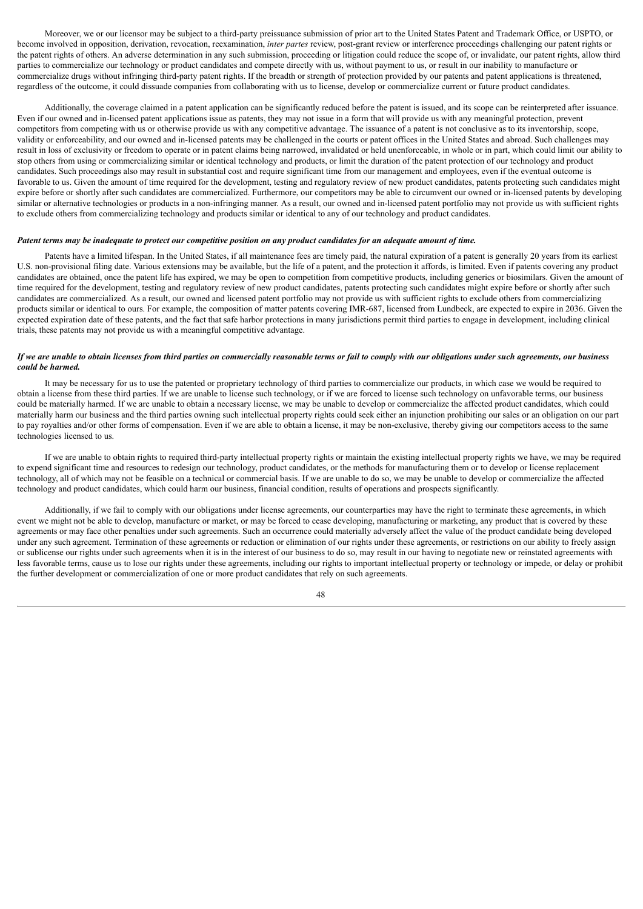Moreover, we or our licensor may be subject to a third-party preissuance submission of prior art to the United States Patent and Trademark Office, or USPTO, or become involved in opposition, derivation, revocation, reexamination, *inter partes* review, post-grant review or interference proceedings challenging our patent rights or the patent rights of others. An adverse determination in any such submission, proceeding or litigation could reduce the scope of, or invalidate, our patent rights, allow third parties to commercialize our technology or product candidates and compete directly with us, without payment to us, or result in our inability to manufacture or commercialize drugs without infringing third-party patent rights. If the breadth or strength of protection provided by our patents and patent applications is threatened, regardless of the outcome, it could dissuade companies from collaborating with us to license, develop or commercialize current or future product candidates.

Additionally, the coverage claimed in a patent application can be significantly reduced before the patent is issued, and its scope can be reinterpreted after issuance. Even if our owned and in-licensed patent applications issue as patents, they may not issue in a form that will provide us with any meaningful protection, prevent competitors from competing with us or otherwise provide us with any competitive advantage. The issuance of a patent is not conclusive as to its inventorship, scope, validity or enforceability, and our owned and in-licensed patents may be challenged in the courts or patent offices in the United States and abroad. Such challenges may result in loss of exclusivity or freedom to operate or in patent claims being narrowed, invalidated or held unenforceable, in whole or in part, which could limit our ability to stop others from using or commercializing similar or identical technology and products, or limit the duration of the patent protection of our technology and product candidates. Such proceedings also may result in substantial cost and require significant time from our management and employees, even if the eventual outcome is favorable to us. Given the amount of time required for the development, testing and regulatory review of new product candidates, patents protecting such candidates might expire before or shortly after such candidates are commercialized. Furthermore, our competitors may be able to circumvent our owned or in-licensed patents by developing similar or alternative technologies or products in a non-infringing manner. As a result, our owned and in-licensed patent portfolio may not provide us with sufficient rights to exclude others from commercializing technology and products similar or identical to any of our technology and product candidates.

#### Patent terms may be inadequate to protect our competitive position on any product candidates for an adequate amount of time.

Patents have a limited lifespan. In the United States, if all maintenance fees are timely paid, the natural expiration of a patent is generally 20 years from its earliest U.S. non-provisional filing date. Various extensions may be available, but the life of a patent, and the protection it affords, is limited. Even if patents covering any product candidates are obtained, once the patent life has expired, we may be open to competition from competitive products, including generics or biosimilars. Given the amount of time required for the development, testing and regulatory review of new product candidates, patents protecting such candidates might expire before or shortly after such candidates are commercialized. As a result, our owned and licensed patent portfolio may not provide us with sufficient rights to exclude others from commercializing products similar or identical to ours. For example, the composition of matter patents covering IMR-687, licensed from Lundbeck, are expected to expire in 2036. Given the expected expiration date of these patents, and the fact that safe harbor protections in many jurisdictions permit third parties to engage in development, including clinical trials, these patents may not provide us with a meaningful competitive advantage.

#### If we are unable to obtain licenses from third parties on commercially reasonable terms or fail to comply with our obligations under such agreements, our business *could be harmed.*

It may be necessary for us to use the patented or proprietary technology of third parties to commercialize our products, in which case we would be required to obtain a license from these third parties. If we are unable to license such technology, or if we are forced to license such technology on unfavorable terms, our business could be materially harmed. If we are unable to obtain a necessary license, we may be unable to develop or commercialize the affected product candidates, which could materially harm our business and the third parties owning such intellectual property rights could seek either an injunction prohibiting our sales or an obligation on our part to pay royalties and/or other forms of compensation. Even if we are able to obtain a license, it may be non-exclusive, thereby giving our competitors access to the same technologies licensed to us.

If we are unable to obtain rights to required third-party intellectual property rights or maintain the existing intellectual property rights we have, we may be required to expend significant time and resources to redesign our technology, product candidates, or the methods for manufacturing them or to develop or license replacement technology, all of which may not be feasible on a technical or commercial basis. If we are unable to do so, we may be unable to develop or commercialize the affected technology and product candidates, which could harm our business, financial condition, results of operations and prospects significantly.

Additionally, if we fail to comply with our obligations under license agreements, our counterparties may have the right to terminate these agreements, in which event we might not be able to develop, manufacture or market, or may be forced to cease developing, manufacturing or marketing, any product that is covered by these agreements or may face other penalties under such agreements. Such an occurrence could materially adversely affect the value of the product candidate being developed under any such agreement. Termination of these agreements or reduction or elimination of our rights under these agreements, or restrictions on our ability to freely assign or sublicense our rights under such agreements when it is in the interest of our business to do so, may result in our having to negotiate new or reinstated agreements with less favorable terms, cause us to lose our rights under these agreements, including our rights to important intellectual property or technology or impede, or delay or prohibit the further development or commercialization of one or more product candidates that rely on such agreements.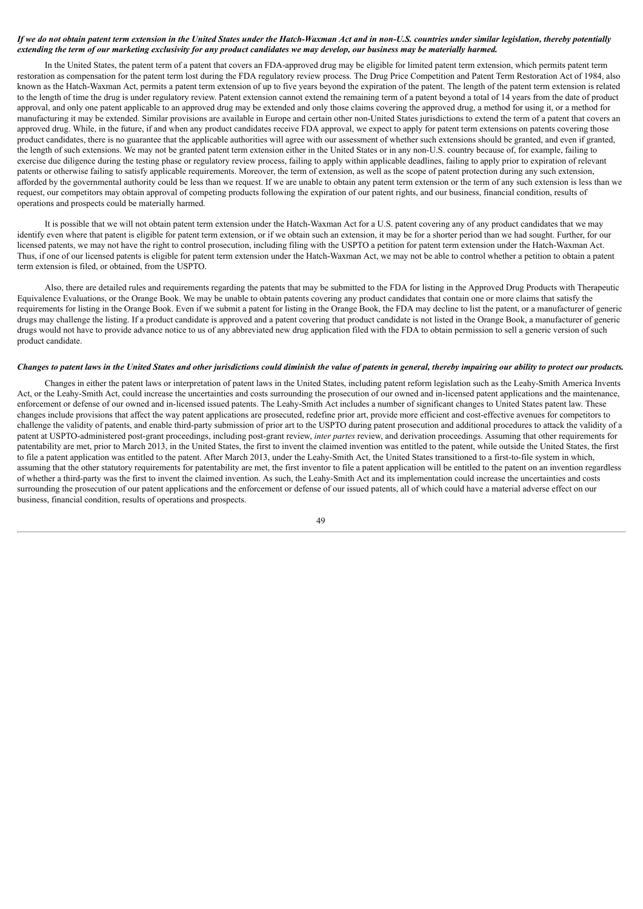### If we do not obtain patent term extension in the United States under the Hatch-Waxman Act and in non-U.S. countries under similar legislation, thereby potentially extending the term of our marketing exclusivity for any product candidates we may develop, our business may be materially harmed.

In the United States, the patent term of a patent that covers an FDA-approved drug may be eligible for limited patent term extension, which permits patent term restoration as compensation for the patent term lost during the FDA regulatory review process. The Drug Price Competition and Patent Term Restoration Act of 1984, also known as the Hatch-Waxman Act, permits a patent term extension of up to five years beyond the expiration of the patent. The length of the patent term extension is related to the length of time the drug is under regulatory review. Patent extension cannot extend the remaining term of a patent beyond a total of 14 years from the date of product approval, and only one patent applicable to an approved drug may be extended and only those claims covering the approved drug, a method for using it, or a method for manufacturing it may be extended. Similar provisions are available in Europe and certain other non-United States jurisdictions to extend the term of a patent that covers an approved drug. While, in the future, if and when any product candidates receive FDA approval, we expect to apply for patent term extensions on patents covering those product candidates, there is no guarantee that the applicable authorities will agree with our assessment of whether such extensions should be granted, and even if granted, the length of such extensions. We may not be granted patent term extension either in the United States or in any non-U.S. country because of, for example, failing to exercise due diligence during the testing phase or regulatory review process, failing to apply within applicable deadlines, failing to apply prior to expiration of relevant patents or otherwise failing to satisfy applicable requirements. Moreover, the term of extension, as well as the scope of patent protection during any such extension, afforded by the governmental authority could be less than we request. If we are unable to obtain any patent term extension or the term of any such extension is less than we request, our competitors may obtain approval of competing products following the expiration of our patent rights, and our business, financial condition, results of operations and prospects could be materially harmed.

It is possible that we will not obtain patent term extension under the Hatch-Waxman Act for a U.S. patent covering any of any product candidates that we may identify even where that patent is eligible for patent term extension, or if we obtain such an extension, it may be for a shorter period than we had sought. Further, for our licensed patents, we may not have the right to control prosecution, including filing with the USPTO a petition for patent term extension under the Hatch-Waxman Act. Thus, if one of our licensed patents is eligible for patent term extension under the Hatch-Waxman Act, we may not be able to control whether a petition to obtain a patent term extension is filed, or obtained, from the USPTO.

Also, there are detailed rules and requirements regarding the patents that may be submitted to the FDA for listing in the Approved Drug Products with Therapeutic Equivalence Evaluations, or the Orange Book. We may be unable to obtain patents covering any product candidates that contain one or more claims that satisfy the requirements for listing in the Orange Book. Even if we submit a patent for listing in the Orange Book, the FDA may decline to list the patent, or a manufacturer of generic drugs may challenge the listing. If a product candidate is approved and a patent covering that product candidate is not listed in the Orange Book, a manufacturer of generic drugs would not have to provide advance notice to us of any abbreviated new drug application filed with the FDA to obtain permission to sell a generic version of such product candidate.

#### Changes to patent laws in the United States and other jurisdictions could diminish the value of patents in general, thereby impairing our ability to protect our products.

Changes in either the patent laws or interpretation of patent laws in the United States, including patent reform legislation such as the Leahy-Smith America Invents Act, or the Leahy-Smith Act, could increase the uncertainties and costs surrounding the prosecution of our owned and in-licensed patent applications and the maintenance, enforcement or defense of our owned and in-licensed issued patents. The Leahy-Smith Act includes a number of significant changes to United States patent law. These changes include provisions that affect the way patent applications are prosecuted, redefine prior art, provide more efficient and cost-effective avenues for competitors to challenge the validity of patents, and enable third-party submission of prior art to the USPTO during patent prosecution and additional procedures to attack the validity of a patent at USPTO-administered post-grant proceedings, including post-grant review, *inter partes* review, and derivation proceedings. Assuming that other requirements for patentability are met, prior to March 2013, in the United States, the first to invent the claimed invention was entitled to the patent, while outside the United States, the first to file a patent application was entitled to the patent. After March 2013, under the Leahy-Smith Act, the United States transitioned to a first-to-file system in which, assuming that the other statutory requirements for patentability are met, the first inventor to file a patent application will be entitled to the patent on an invention regardless of whether a third-party was the first to invent the claimed invention. As such, the Leahy-Smith Act and its implementation could increase the uncertainties and costs surrounding the prosecution of our patent applications and the enforcement or defense of our issued patents, all of which could have a material adverse effect on our business, financial condition, results of operations and prospects.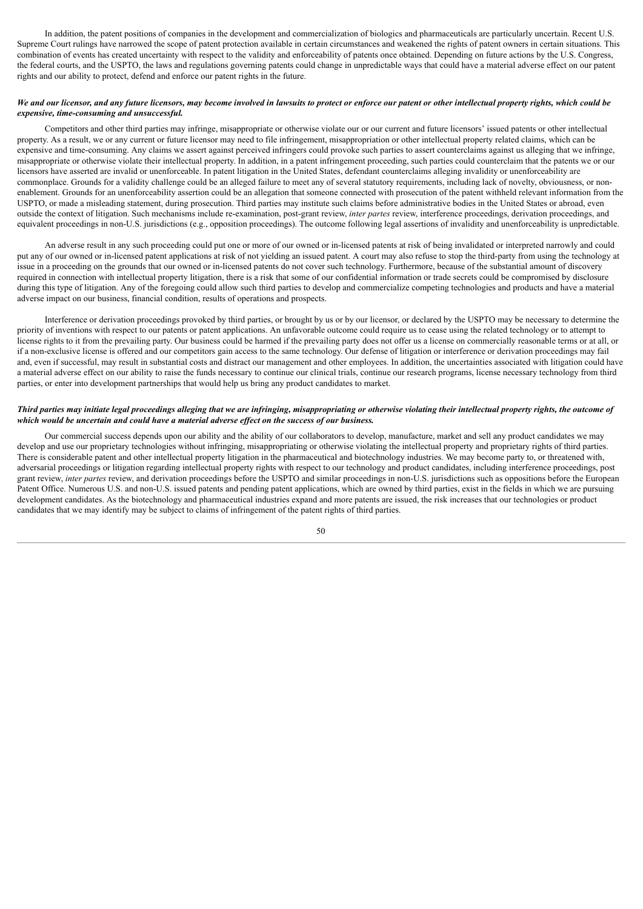In addition, the patent positions of companies in the development and commercialization of biologics and pharmaceuticals are particularly uncertain. Recent U.S. Supreme Court rulings have narrowed the scope of patent protection available in certain circumstances and weakened the rights of patent owners in certain situations. This combination of events has created uncertainty with respect to the validity and enforceability of patents once obtained. Depending on future actions by the U.S. Congress, the federal courts, and the USPTO, the laws and regulations governing patents could change in unpredictable ways that could have a material adverse effect on our patent rights and our ability to protect, defend and enforce our patent rights in the future.

## We and our licensor, and any future licensors, may become involved in lawsuits to protect or enforce our patent or other intellectual property rights, which could be *expensive, time-consuming and unsuccessful.*

Competitors and other third parties may infringe, misappropriate or otherwise violate our or our current and future licensors' issued patents or other intellectual property. As a result, we or any current or future licensor may need to file infringement, misappropriation or other intellectual property related claims, which can be expensive and time-consuming. Any claims we assert against perceived infringers could provoke such parties to assert counterclaims against us alleging that we infringe, misappropriate or otherwise violate their intellectual property. In addition, in a patent infringement proceeding, such parties could counterclaim that the patents we or our licensors have asserted are invalid or unenforceable. In patent litigation in the United States, defendant counterclaims alleging invalidity or unenforceability are commonplace. Grounds for a validity challenge could be an alleged failure to meet any of several statutory requirements, including lack of novelty, obviousness, or nonenablement. Grounds for an unenforceability assertion could be an allegation that someone connected with prosecution of the patent withheld relevant information from the USPTO, or made a misleading statement, during prosecution. Third parties may institute such claims before administrative bodies in the United States or abroad, even outside the context of litigation. Such mechanisms include re-examination, post-grant review, *inter partes* review, interference proceedings, derivation proceedings, and equivalent proceedings in non-U.S. jurisdictions (e.g., opposition proceedings). The outcome following legal assertions of invalidity and unenforceability is unpredictable.

An adverse result in any such proceeding could put one or more of our owned or in-licensed patents at risk of being invalidated or interpreted narrowly and could put any of our owned or in-licensed patent applications at risk of not yielding an issued patent. A court may also refuse to stop the third-party from using the technology at issue in a proceeding on the grounds that our owned or in-licensed patents do not cover such technology. Furthermore, because of the substantial amount of discovery required in connection with intellectual property litigation, there is a risk that some of our confidential information or trade secrets could be compromised by disclosure during this type of litigation. Any of the foregoing could allow such third parties to develop and commercialize competing technologies and products and have a material adverse impact on our business, financial condition, results of operations and prospects.

Interference or derivation proceedings provoked by third parties, or brought by us or by our licensor, or declared by the USPTO may be necessary to determine the priority of inventions with respect to our patents or patent applications. An unfavorable outcome could require us to cease using the related technology or to attempt to license rights to it from the prevailing party. Our business could be harmed if the prevailing party does not offer us a license on commercially reasonable terms or at all, or if a non-exclusive license is offered and our competitors gain access to the same technology. Our defense of litigation or interference or derivation proceedings may fail and, even if successful, may result in substantial costs and distract our management and other employees. In addition, the uncertainties associated with litigation could have a material adverse effect on our ability to raise the funds necessary to continue our clinical trials, continue our research programs, license necessary technology from third parties, or enter into development partnerships that would help us bring any product candidates to market.

## Third parties may initiate legal proceedings alleging that we are infringing, misappropriating or otherwise violating their intellectual property rights, the outcome of *which would be uncertain and could have a material adverse ef ect on the success of our business.*

Our commercial success depends upon our ability and the ability of our collaborators to develop, manufacture, market and sell any product candidates we may develop and use our proprietary technologies without infringing, misappropriating or otherwise violating the intellectual property and proprietary rights of third parties. There is considerable patent and other intellectual property litigation in the pharmaceutical and biotechnology industries. We may become party to, or threatened with, adversarial proceedings or litigation regarding intellectual property rights with respect to our technology and product candidates, including interference proceedings, post grant review, *inter partes* review, and derivation proceedings before the USPTO and similar proceedings in non-U.S. jurisdictions such as oppositions before the European Patent Office. Numerous U.S. and non-U.S. issued patents and pending patent applications, which are owned by third parties, exist in the fields in which we are pursuing development candidates. As the biotechnology and pharmaceutical industries expand and more patents are issued, the risk increases that our technologies or product candidates that we may identify may be subject to claims of infringement of the patent rights of third parties.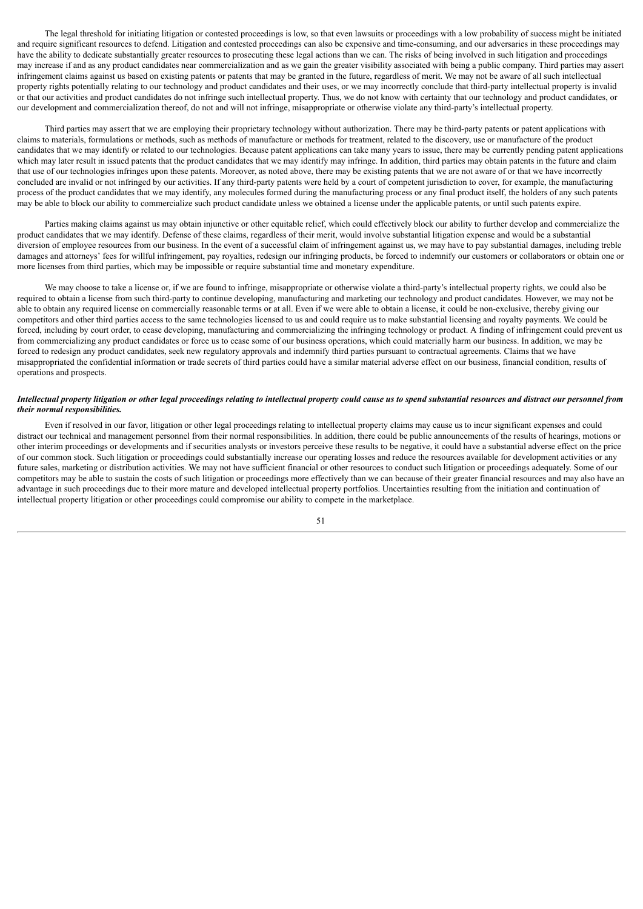The legal threshold for initiating litigation or contested proceedings is low, so that even lawsuits or proceedings with a low probability of success might be initiated and require significant resources to defend. Litigation and contested proceedings can also be expensive and time-consuming, and our adversaries in these proceedings may have the ability to dedicate substantially greater resources to prosecuting these legal actions than we can. The risks of being involved in such litigation and proceedings may increase if and as any product candidates near commercialization and as we gain the greater visibility associated with being a public company. Third parties may assert infringement claims against us based on existing patents or patents that may be granted in the future, regardless of merit. We may not be aware of all such intellectual property rights potentially relating to our technology and product candidates and their uses, or we may incorrectly conclude that third-party intellectual property is invalid or that our activities and product candidates do not infringe such intellectual property. Thus, we do not know with certainty that our technology and product candidates, or our development and commercialization thereof, do not and will not infringe, misappropriate or otherwise violate any third-party's intellectual property.

Third parties may assert that we are employing their proprietary technology without authorization. There may be third-party patents or patent applications with claims to materials, formulations or methods, such as methods of manufacture or methods for treatment, related to the discovery, use or manufacture of the product candidates that we may identify or related to our technologies. Because patent applications can take many years to issue, there may be currently pending patent applications which may later result in issued patents that the product candidates that we may identify may infringe. In addition, third parties may obtain patents in the future and claim that use of our technologies infringes upon these patents. Moreover, as noted above, there may be existing patents that we are not aware of or that we have incorrectly concluded are invalid or not infringed by our activities. If any third-party patents were held by a court of competent jurisdiction to cover, for example, the manufacturing process of the product candidates that we may identify, any molecules formed during the manufacturing process or any final product itself, the holders of any such patents may be able to block our ability to commercialize such product candidate unless we obtained a license under the applicable patents, or until such patents expire.

Parties making claims against us may obtain injunctive or other equitable relief, which could effectively block our ability to further develop and commercialize the product candidates that we may identify. Defense of these claims, regardless of their merit, would involve substantial litigation expense and would be a substantial diversion of employee resources from our business. In the event of a successful claim of infringement against us, we may have to pay substantial damages, including treble damages and attorneys' fees for willful infringement, pay royalties, redesign our infringing products, be forced to indemnify our customers or collaborators or obtain one or more licenses from third parties, which may be impossible or require substantial time and monetary expenditure.

We may choose to take a license or, if we are found to infringe, misappropriate or otherwise violate a third-party's intellectual property rights, we could also be required to obtain a license from such third-party to continue developing, manufacturing and marketing our technology and product candidates. However, we may not be able to obtain any required license on commercially reasonable terms or at all. Even if we were able to obtain a license, it could be non-exclusive, thereby giving our competitors and other third parties access to the same technologies licensed to us and could require us to make substantial licensing and royalty payments. We could be forced, including by court order, to cease developing, manufacturing and commercializing the infringing technology or product. A finding of infringement could prevent us from commercializing any product candidates or force us to cease some of our business operations, which could materially harm our business. In addition, we may be forced to redesign any product candidates, seek new regulatory approvals and indemnify third parties pursuant to contractual agreements. Claims that we have misappropriated the confidential information or trade secrets of third parties could have a similar material adverse effect on our business, financial condition, results of operations and prospects.

## Intellectual property litigation or other legal proceedings relating to intellectual property could cause us to spend substantial resources and distract our personnel from *their normal responsibilities.*

Even if resolved in our favor, litigation or other legal proceedings relating to intellectual property claims may cause us to incur significant expenses and could distract our technical and management personnel from their normal responsibilities. In addition, there could be public announcements of the results of hearings, motions or other interim proceedings or developments and if securities analysts or investors perceive these results to be negative, it could have a substantial adverse effect on the price of our common stock. Such litigation or proceedings could substantially increase our operating losses and reduce the resources available for development activities or any future sales, marketing or distribution activities. We may not have sufficient financial or other resources to conduct such litigation or proceedings adequately. Some of our competitors may be able to sustain the costs of such litigation or proceedings more effectively than we can because of their greater financial resources and may also have an advantage in such proceedings due to their more mature and developed intellectual property portfolios. Uncertainties resulting from the initiation and continuation of intellectual property litigation or other proceedings could compromise our ability to compete in the marketplace.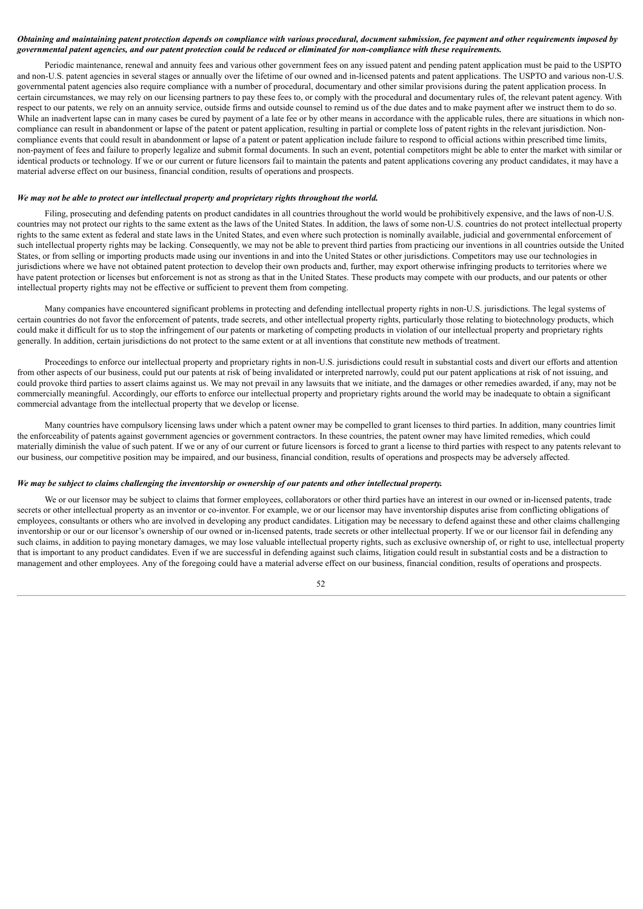## Obtaining and maintaining patent protection depends on compliance with various procedural, document submission, fee payment and other requirements imposed by governmental patent agencies, and our patent protection could be reduced or eliminated for non-compliance with these requirements.

Periodic maintenance, renewal and annuity fees and various other government fees on any issued patent and pending patent application must be paid to the USPTO and non-U.S. patent agencies in several stages or annually over the lifetime of our owned and in-licensed patents and patent applications. The USPTO and various non-U.S. governmental patent agencies also require compliance with a number of procedural, documentary and other similar provisions during the patent application process. In certain circumstances, we may rely on our licensing partners to pay these fees to, or comply with the procedural and documentary rules of, the relevant patent agency. With respect to our patents, we rely on an annuity service, outside firms and outside counsel to remind us of the due dates and to make payment after we instruct them to do so. While an inadvertent lapse can in many cases be cured by payment of a late fee or by other means in accordance with the applicable rules, there are situations in which noncompliance can result in abandonment or lapse of the patent or patent application, resulting in partial or complete loss of patent rights in the relevant jurisdiction. Noncompliance events that could result in abandonment or lapse of a patent or patent application include failure to respond to official actions within prescribed time limits, non-payment of fees and failure to properly legalize and submit formal documents. In such an event, potential competitors might be able to enter the market with similar or identical products or technology. If we or our current or future licensors fail to maintain the patents and patent applications covering any product candidates, it may have a material adverse effect on our business, financial condition, results of operations and prospects.

# *We may not be able to protect our intellectual property and proprietary rights throughout the world.*

Filing, prosecuting and defending patents on product candidates in all countries throughout the world would be prohibitively expensive, and the laws of non-U.S. countries may not protect our rights to the same extent as the laws of the United States. In addition, the laws of some non-U.S. countries do not protect intellectual property rights to the same extent as federal and state laws in the United States, and even where such protection is nominally available, judicial and governmental enforcement of such intellectual property rights may be lacking. Consequently, we may not be able to prevent third parties from practicing our inventions in all countries outside the United States, or from selling or importing products made using our inventions in and into the United States or other jurisdictions. Competitors may use our technologies in jurisdictions where we have not obtained patent protection to develop their own products and, further, may export otherwise infringing products to territories where we have patent protection or licenses but enforcement is not as strong as that in the United States. These products may compete with our products, and our patents or other intellectual property rights may not be effective or sufficient to prevent them from competing.

Many companies have encountered significant problems in protecting and defending intellectual property rights in non-U.S. jurisdictions. The legal systems of certain countries do not favor the enforcement of patents, trade secrets, and other intellectual property rights, particularly those relating to biotechnology products, which could make it difficult for us to stop the infringement of our patents or marketing of competing products in violation of our intellectual property and proprietary rights generally. In addition, certain jurisdictions do not protect to the same extent or at all inventions that constitute new methods of treatment.

Proceedings to enforce our intellectual property and proprietary rights in non-U.S. jurisdictions could result in substantial costs and divert our efforts and attention from other aspects of our business, could put our patents at risk of being invalidated or interpreted narrowly, could put our patent applications at risk of not issuing, and could provoke third parties to assert claims against us. We may not prevail in any lawsuits that we initiate, and the damages or other remedies awarded, if any, may not be commercially meaningful. Accordingly, our efforts to enforce our intellectual property and proprietary rights around the world may be inadequate to obtain a significant commercial advantage from the intellectual property that we develop or license.

Many countries have compulsory licensing laws under which a patent owner may be compelled to grant licenses to third parties. In addition, many countries limit the enforceability of patents against government agencies or government contractors. In these countries, the patent owner may have limited remedies, which could materially diminish the value of such patent. If we or any of our current or future licensors is forced to grant a license to third parties with respect to any patents relevant to our business, our competitive position may be impaired, and our business, financial condition, results of operations and prospects may be adversely affected.

#### We may be subject to claims challenging the inventorship or ownership of our patents and other intellectual property.

We or our licensor may be subject to claims that former employees, collaborators or other third parties have an interest in our owned or in-licensed patents, trade secrets or other intellectual property as an inventor or co-inventor. For example, we or our licensor may have inventorship disputes arise from conflicting obligations of employees, consultants or others who are involved in developing any product candidates. Litigation may be necessary to defend against these and other claims challenging inventorship or our or our licensor's ownership of our owned or in-licensed patents, trade secrets or other intellectual property. If we or our licensor fail in defending any such claims, in addition to paying monetary damages, we may lose valuable intellectual property rights, such as exclusive ownership of, or right to use, intellectual property that is important to any product candidates. Even if we are successful in defending against such claims, litigation could result in substantial costs and be a distraction to management and other employees. Any of the foregoing could have a material adverse effect on our business, financial condition, results of operations and prospects.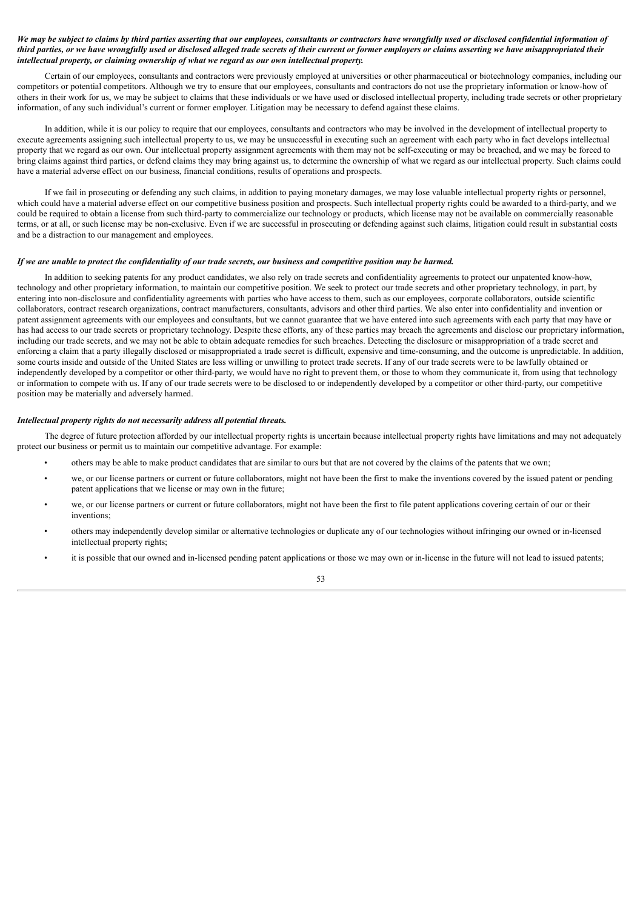## We may be subject to claims by third parties asserting that our employees, consultants or contractors have wrongfully used or disclosed confidential information of third parties, or we have wrongfully used or disclosed alleged trade secrets of their current or former employers or claims asserting we have misappropriated their *intellectual property, or claiming ownership of what we regard as our own intellectual property.*

Certain of our employees, consultants and contractors were previously employed at universities or other pharmaceutical or biotechnology companies, including our competitors or potential competitors. Although we try to ensure that our employees, consultants and contractors do not use the proprietary information or know-how of others in their work for us, we may be subject to claims that these individuals or we have used or disclosed intellectual property, including trade secrets or other proprietary information, of any such individual's current or former employer. Litigation may be necessary to defend against these claims.

In addition, while it is our policy to require that our employees, consultants and contractors who may be involved in the development of intellectual property to execute agreements assigning such intellectual property to us, we may be unsuccessful in executing such an agreement with each party who in fact develops intellectual property that we regard as our own. Our intellectual property assignment agreements with them may not be self-executing or may be breached, and we may be forced to bring claims against third parties, or defend claims they may bring against us, to determine the ownership of what we regard as our intellectual property. Such claims could have a material adverse effect on our business, financial conditions, results of operations and prospects.

If we fail in prosecuting or defending any such claims, in addition to paying monetary damages, we may lose valuable intellectual property rights or personnel, which could have a material adverse effect on our competitive business position and prospects. Such intellectual property rights could be awarded to a third-party, and we could be required to obtain a license from such third-party to commercialize our technology or products, which license may not be available on commercially reasonable terms, or at all, or such license may be non-exclusive. Even if we are successful in prosecuting or defending against such claims, litigation could result in substantial costs and be a distraction to our management and employees.

#### If we are unable to protect the confidentiality of our trade secrets, our business and competitive position may be harmed.

In addition to seeking patents for any product candidates, we also rely on trade secrets and confidentiality agreements to protect our unpatented know-how, technology and other proprietary information, to maintain our competitive position. We seek to protect our trade secrets and other proprietary technology, in part, by entering into non-disclosure and confidentiality agreements with parties who have access to them, such as our employees, corporate collaborators, outside scientific collaborators, contract research organizations, contract manufacturers, consultants, advisors and other third parties. We also enter into confidentiality and invention or patent assignment agreements with our employees and consultants, but we cannot guarantee that we have entered into such agreements with each party that may have or has had access to our trade secrets or proprietary technology. Despite these efforts, any of these parties may breach the agreements and disclose our proprietary information, including our trade secrets, and we may not be able to obtain adequate remedies for such breaches. Detecting the disclosure or misappropriation of a trade secret and enforcing a claim that a party illegally disclosed or misappropriated a trade secret is difficult, expensive and time-consuming, and the outcome is unpredictable. In addition, some courts inside and outside of the United States are less willing or unwilling to protect trade secrets. If any of our trade secrets were to be lawfully obtained or independently developed by a competitor or other third-party, we would have no right to prevent them, or those to whom they communicate it, from using that technology or information to compete with us. If any of our trade secrets were to be disclosed to or independently developed by a competitor or other third-party, our competitive position may be materially and adversely harmed.

#### *Intellectual property rights do not necessarily address all potential threats.*

The degree of future protection afforded by our intellectual property rights is uncertain because intellectual property rights have limitations and may not adequately protect our business or permit us to maintain our competitive advantage. For example:

- others may be able to make product candidates that are similar to ours but that are not covered by the claims of the patents that we own;
- we, or our license partners or current or future collaborators, might not have been the first to make the inventions covered by the issued patent or pending patent applications that we license or may own in the future;
- we, or our license partners or current or future collaborators, might not have been the first to file patent applications covering certain of our or their inventions;
- others may independently develop similar or alternative technologies or duplicate any of our technologies without infringing our owned or in-licensed intellectual property rights;
- it is possible that our owned and in-licensed pending patent applications or those we may own or in-license in the future will not lead to issued patents; 53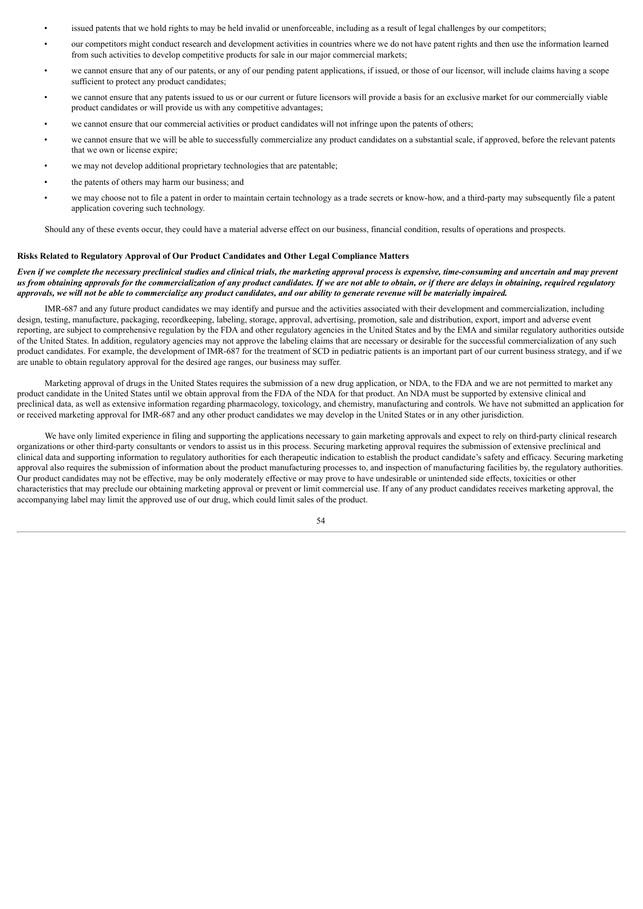- issued patents that we hold rights to may be held invalid or unenforceable, including as a result of legal challenges by our competitors;
- our competitors might conduct research and development activities in countries where we do not have patent rights and then use the information learned from such activities to develop competitive products for sale in our major commercial markets;
- we cannot ensure that any of our patents, or any of our pending patent applications, if issued, or those of our licensor, will include claims having a scope sufficient to protect any product candidates;
- we cannot ensure that any patents issued to us or our current or future licensors will provide a basis for an exclusive market for our commercially viable product candidates or will provide us with any competitive advantages;
- we cannot ensure that our commercial activities or product candidates will not infringe upon the patents of others;
- we cannot ensure that we will be able to successfully commercialize any product candidates on a substantial scale, if approved, before the relevant patents that we own or license expire;
- we may not develop additional proprietary technologies that are patentable;
- the patents of others may harm our business; and
- we may choose not to file a patent in order to maintain certain technology as a trade secrets or know-how, and a third-party may subsequently file a patent application covering such technology.

Should any of these events occur, they could have a material adverse effect on our business, financial condition, results of operations and prospects.

#### **Risks Related to Regulatory Approval of Our Product Candidates and Other Legal Compliance Matters**

### Even if we complete the necessary preclinical studies and clinical trials, the marketing approval process is expensive, time-consuming and uncertain and may prevent us from obtaining approvals for the commercialization of any product candidates. If we are not able to obtain, or if there are delays in obtaining, required regulatory approvals, we will not be able to commercialize any product candidates, and our ability to generate revenue will be materially impaired.

IMR-687 and any future product candidates we may identify and pursue and the activities associated with their development and commercialization, including design, testing, manufacture, packaging, recordkeeping, labeling, storage, approval, advertising, promotion, sale and distribution, export, import and adverse event reporting, are subject to comprehensive regulation by the FDA and other regulatory agencies in the United States and by the EMA and similar regulatory authorities outside of the United States. In addition, regulatory agencies may not approve the labeling claims that are necessary or desirable for the successful commercialization of any such product candidates. For example, the development of IMR-687 for the treatment of SCD in pediatric patients is an important part of our current business strategy, and if we are unable to obtain regulatory approval for the desired age ranges, our business may suffer.

Marketing approval of drugs in the United States requires the submission of a new drug application, or NDA, to the FDA and we are not permitted to market any product candidate in the United States until we obtain approval from the FDA of the NDA for that product. An NDA must be supported by extensive clinical and preclinical data, as well as extensive information regarding pharmacology, toxicology, and chemistry, manufacturing and controls. We have not submitted an application for or received marketing approval for IMR-687 and any other product candidates we may develop in the United States or in any other jurisdiction.

We have only limited experience in filing and supporting the applications necessary to gain marketing approvals and expect to rely on third-party clinical research organizations or other third-party consultants or vendors to assist us in this process. Securing marketing approval requires the submission of extensive preclinical and clinical data and supporting information to regulatory authorities for each therapeutic indication to establish the product candidate's safety and efficacy. Securing marketing approval also requires the submission of information about the product manufacturing processes to, and inspection of manufacturing facilities by, the regulatory authorities. Our product candidates may not be effective, may be only moderately effective or may prove to have undesirable or unintended side effects, toxicities or other characteristics that may preclude our obtaining marketing approval or prevent or limit commercial use. If any of any product candidates receives marketing approval, the accompanying label may limit the approved use of our drug, which could limit sales of the product.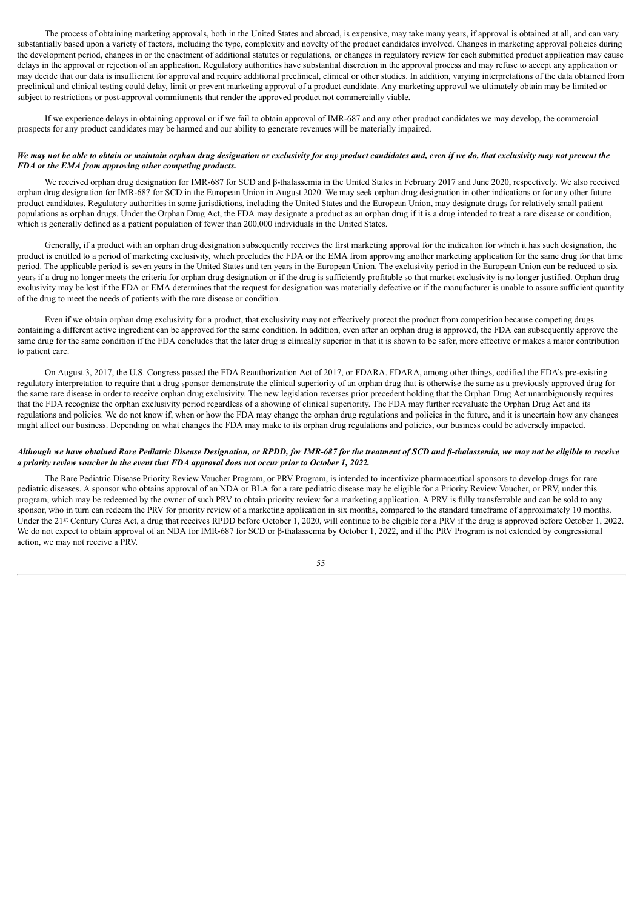The process of obtaining marketing approvals, both in the United States and abroad, is expensive, may take many years, if approval is obtained at all, and can vary substantially based upon a variety of factors, including the type, complexity and novelty of the product candidates involved. Changes in marketing approval policies during the development period, changes in or the enactment of additional statutes or regulations, or changes in regulatory review for each submitted product application may cause delays in the approval or rejection of an application. Regulatory authorities have substantial discretion in the approval process and may refuse to accept any application or may decide that our data is insufficient for approval and require additional preclinical, clinical or other studies. In addition, varying interpretations of the data obtained from preclinical and clinical testing could delay, limit or prevent marketing approval of a product candidate. Any marketing approval we ultimately obtain may be limited or subject to restrictions or post-approval commitments that render the approved product not commercially viable.

If we experience delays in obtaining approval or if we fail to obtain approval of IMR-687 and any other product candidates we may develop, the commercial prospects for any product candidates may be harmed and our ability to generate revenues will be materially impaired.

## We may not be able to obtain or maintain orphan drug designation or exclusivity for any product candidates and, even if we do, that exclusivity may not prevent the *FDA or the EMA from approving other competing products.*

We received orphan drug designation for IMR-687 for SCD and β-thalassemia in the United States in February 2017 and June 2020, respectively. We also received orphan drug designation for IMR-687 for SCD in the European Union in August 2020. We may seek orphan drug designation in other indications or for any other future product candidates. Regulatory authorities in some jurisdictions, including the United States and the European Union, may designate drugs for relatively small patient populations as orphan drugs. Under the Orphan Drug Act, the FDA may designate a product as an orphan drug if it is a drug intended to treat a rare disease or condition, which is generally defined as a patient population of fewer than 200,000 individuals in the United States.

Generally, if a product with an orphan drug designation subsequently receives the first marketing approval for the indication for which it has such designation, the product is entitled to a period of marketing exclusivity, which precludes the FDA or the EMA from approving another marketing application for the same drug for that time period. The applicable period is seven years in the United States and ten years in the European Union. The exclusivity period in the European Union can be reduced to six years if a drug no longer meets the criteria for orphan drug designation or if the drug is sufficiently profitable so that market exclusivity is no longer justified. Orphan drug exclusivity may be lost if the FDA or EMA determines that the request for designation was materially defective or if the manufacturer is unable to assure sufficient quantity of the drug to meet the needs of patients with the rare disease or condition.

Even if we obtain orphan drug exclusivity for a product, that exclusivity may not effectively protect the product from competition because competing drugs containing a different active ingredient can be approved for the same condition. In addition, even after an orphan drug is approved, the FDA can subsequently approve the same drug for the same condition if the FDA concludes that the later drug is clinically superior in that it is shown to be safer, more effective or makes a major contribution to patient care.

On August 3, 2017, the U.S. Congress passed the FDA Reauthorization Act of 2017, or FDARA. FDARA, among other things, codified the FDA's pre-existing regulatory interpretation to require that a drug sponsor demonstrate the clinical superiority of an orphan drug that is otherwise the same as a previously approved drug for the same rare disease in order to receive orphan drug exclusivity. The new legislation reverses prior precedent holding that the Orphan Drug Act unambiguously requires that the FDA recognize the orphan exclusivity period regardless of a showing of clinical superiority. The FDA may further reevaluate the Orphan Drug Act and its regulations and policies. We do not know if, when or how the FDA may change the orphan drug regulations and policies in the future, and it is uncertain how any changes might affect our business. Depending on what changes the FDA may make to its orphan drug regulations and policies, our business could be adversely impacted.

## Although we have obtained Rare Pediatric Disease Designation, or RPDD, for IMR-687 for the treatment of SCD and B-thalassemia, we may not be eligible to receive *a priority review voucher in the event that FDA approval does not occur prior to October 1, 2022.*

The Rare Pediatric Disease Priority Review Voucher Program, or PRV Program, is intended to incentivize pharmaceutical sponsors to develop drugs for rare pediatric diseases. A sponsor who obtains approval of an NDA or BLA for a rare pediatric disease may be eligible for a Priority Review Voucher, or PRV, under this program, which may be redeemed by the owner of such PRV to obtain priority review for a marketing application. A PRV is fully transferrable and can be sold to any sponsor, who in turn can redeem the PRV for priority review of a marketing application in six months, compared to the standard timeframe of approximately 10 months. Under the 21st Century Cures Act, a drug that receives RPDD before October 1, 2020, will continue to be eligible for a PRV if the drug is approved before October 1, 2022. We do not expect to obtain approval of an NDA for IMR-687 for SCD or β-thalassemia by October 1, 2022, and if the PRV Program is not extended by congressional action, we may not receive a PRV.

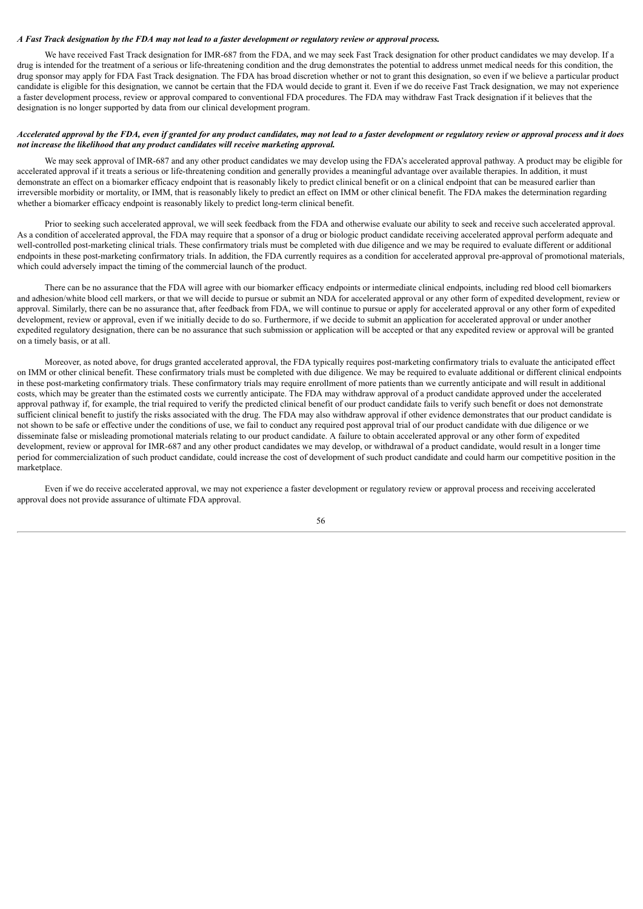### A Fast Track designation by the FDA may not lead to a faster development or regulatory review or approval process.

We have received Fast Track designation for IMR-687 from the FDA, and we may seek Fast Track designation for other product candidates we may develop. If a drug is intended for the treatment of a serious or life-threatening condition and the drug demonstrates the potential to address unmet medical needs for this condition, the drug sponsor may apply for FDA Fast Track designation. The FDA has broad discretion whether or not to grant this designation, so even if we believe a particular product candidate is eligible for this designation, we cannot be certain that the FDA would decide to grant it. Even if we do receive Fast Track designation, we may not experience a faster development process, review or approval compared to conventional FDA procedures. The FDA may withdraw Fast Track designation if it believes that the designation is no longer supported by data from our clinical development program.

## Accelerated approval by the FDA, even if granted for any product candidates, may not lead to a faster development or regulatory review or approval process and it does *not increase the likelihood that any product candidates will receive marketing approval.*

We may seek approval of IMR-687 and any other product candidates we may develop using the FDA's accelerated approval pathway. A product may be eligible for accelerated approval if it treats a serious or life-threatening condition and generally provides a meaningful advantage over available therapies. In addition, it must demonstrate an effect on a biomarker efficacy endpoint that is reasonably likely to predict clinical benefit or on a clinical endpoint that can be measured earlier than irreversible morbidity or mortality, or IMM, that is reasonably likely to predict an effect on IMM or other clinical benefit. The FDA makes the determination regarding whether a biomarker efficacy endpoint is reasonably likely to predict long-term clinical benefit.

Prior to seeking such accelerated approval, we will seek feedback from the FDA and otherwise evaluate our ability to seek and receive such accelerated approval. As a condition of accelerated approval, the FDA may require that a sponsor of a drug or biologic product candidate receiving accelerated approval perform adequate and well-controlled post-marketing clinical trials. These confirmatory trials must be completed with due diligence and we may be required to evaluate different or additional endpoints in these post-marketing confirmatory trials. In addition, the FDA currently requires as a condition for accelerated approval pre-approval of promotional materials, which could adversely impact the timing of the commercial launch of the product.

There can be no assurance that the FDA will agree with our biomarker efficacy endpoints or intermediate clinical endpoints, including red blood cell biomarkers and adhesion/white blood cell markers, or that we will decide to pursue or submit an NDA for accelerated approval or any other form of expedited development, review or approval. Similarly, there can be no assurance that, after feedback from FDA, we will continue to pursue or apply for accelerated approval or any other form of expedited development, review or approval, even if we initially decide to do so. Furthermore, if we decide to submit an application for accelerated approval or under another expedited regulatory designation, there can be no assurance that such submission or application will be accepted or that any expedited review or approval will be granted on a timely basis, or at all.

Moreover, as noted above, for drugs granted accelerated approval, the FDA typically requires post-marketing confirmatory trials to evaluate the anticipated effect on IMM or other clinical benefit. These confirmatory trials must be completed with due diligence. We may be required to evaluate additional or different clinical endpoints in these post-marketing confirmatory trials. These confirmatory trials may require enrollment of more patients than we currently anticipate and will result in additional costs, which may be greater than the estimated costs we currently anticipate. The FDA may withdraw approval of a product candidate approved under the accelerated approval pathway if, for example, the trial required to verify the predicted clinical benefit of our product candidate fails to verify such benefit or does not demonstrate sufficient clinical benefit to justify the risks associated with the drug. The FDA may also withdraw approval if other evidence demonstrates that our product candidate is not shown to be safe or effective under the conditions of use, we fail to conduct any required post approval trial of our product candidate with due diligence or we disseminate false or misleading promotional materials relating to our product candidate. A failure to obtain accelerated approval or any other form of expedited development, review or approval for IMR-687 and any other product candidates we may develop, or withdrawal of a product candidate, would result in a longer time period for commercialization of such product candidate, could increase the cost of development of such product candidate and could harm our competitive position in the marketplace.

Even if we do receive accelerated approval, we may not experience a faster development or regulatory review or approval process and receiving accelerated approval does not provide assurance of ultimate FDA approval.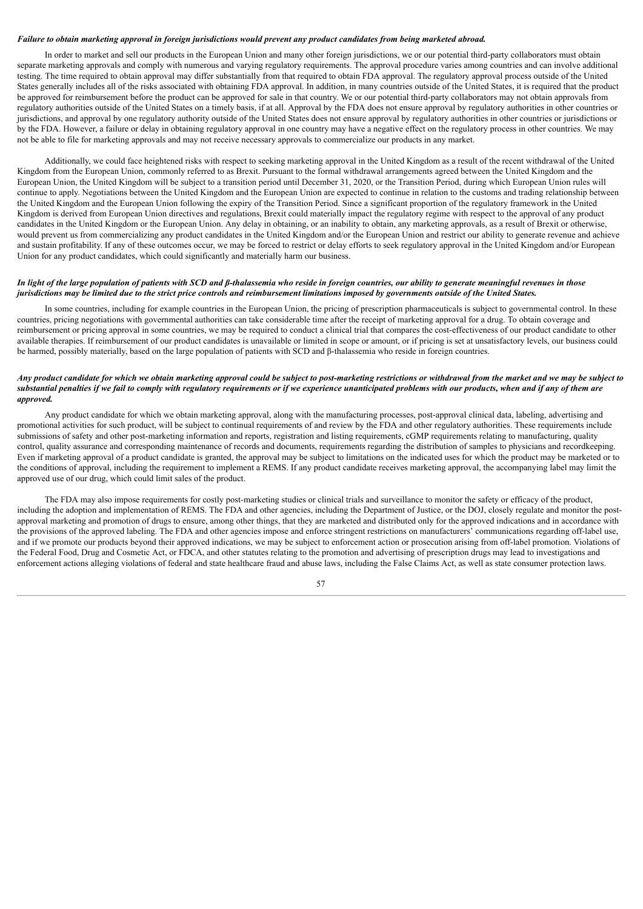### Failure to obtain marketing approval in foreign jurisdictions would prevent any product candidates from being marketed abroad.

In order to market and sell our products in the European Union and many other foreign jurisdictions, we or our potential third-party collaborators must obtain separate marketing approvals and comply with numerous and varying regulatory requirements. The approval procedure varies among countries and can involve additional testing. The time required to obtain approval may differ substantially from that required to obtain FDA approval. The regulatory approval process outside of the United States generally includes all of the risks associated with obtaining FDA approval. In addition, in many countries outside of the United States, it is required that the product be approved for reimbursement before the product can be approved for sale in that country. We or our potential third-party collaborators may not obtain approvals from regulatory authorities outside of the United States on a timely basis, if at all. Approval by the FDA does not ensure approval by regulatory authorities in other countries or jurisdictions, and approval by one regulatory authority outside of the United States does not ensure approval by regulatory authorities in other countries or jurisdictions or by the FDA. However, a failure or delay in obtaining regulatory approval in one country may have a negative effect on the regulatory process in other countries. We may not be able to file for marketing approvals and may not receive necessary approvals to commercialize our products in any market.

Additionally, we could face heightened risks with respect to seeking marketing approval in the United Kingdom as a result of the recent withdrawal of the United Kingdom from the European Union, commonly referred to as Brexit. Pursuant to the formal withdrawal arrangements agreed between the United Kingdom and the European Union, the United Kingdom will be subject to a transition period until December 31, 2020, or the Transition Period, during which European Union rules will continue to apply. Negotiations between the United Kingdom and the European Union are expected to continue in relation to the customs and trading relationship between the United Kingdom and the European Union following the expiry of the Transition Period. Since a significant proportion of the regulatory framework in the United Kingdom is derived from European Union directives and regulations, Brexit could materially impact the regulatory regime with respect to the approval of any product candidates in the United Kingdom or the European Union. Any delay in obtaining, or an inability to obtain, any marketing approvals, as a result of Brexit or otherwise, would prevent us from commercializing any product candidates in the United Kingdom and/or the European Union and restrict our ability to generate revenue and achieve and sustain profitability. If any of these outcomes occur, we may be forced to restrict or delay efforts to seek regulatory approval in the United Kingdom and/or European Union for any product candidates, which could significantly and materially harm our business.

### In light of the large population of patients with SCD and *ß*-thalassemia who reside in foreign countries, our ability to generate meaningful revenues in those jurisdictions may be limited due to the strict price controls and reimbursement limitations imposed by governments outside of the United States.

In some countries, including for example countries in the European Union, the pricing of prescription pharmaceuticals is subject to governmental control. In these countries, pricing negotiations with governmental authorities can take considerable time after the receipt of marketing approval for a drug. To obtain coverage and reimbursement or pricing approval in some countries, we may be required to conduct a clinical trial that compares the cost-effectiveness of our product candidate to other available therapies. If reimbursement of our product candidates is unavailable or limited in scope or amount, or if pricing is set at unsatisfactory levels, our business could be harmed, possibly materially, based on the large population of patients with SCD and β-thalassemia who reside in foreign countries.

## Any product candidate for which we obtain marketing approval could be subject to post-marketing restrictions or withdrawal from the market and we may be subject to substantial penalties if we fail to comply with regulatory requirements or if we experience unanticipated problems with our products, when and if any of them are *approved.*

Any product candidate for which we obtain marketing approval, along with the manufacturing processes, post-approval clinical data, labeling, advertising and promotional activities for such product, will be subject to continual requirements of and review by the FDA and other regulatory authorities. These requirements include submissions of safety and other post-marketing information and reports, registration and listing requirements, cGMP requirements relating to manufacturing, quality control, quality assurance and corresponding maintenance of records and documents, requirements regarding the distribution of samples to physicians and recordkeeping. Even if marketing approval of a product candidate is granted, the approval may be subject to limitations on the indicated uses for which the product may be marketed or to the conditions of approval, including the requirement to implement a REMS. If any product candidate receives marketing approval, the accompanying label may limit the approved use of our drug, which could limit sales of the product.

The FDA may also impose requirements for costly post-marketing studies or clinical trials and surveillance to monitor the safety or efficacy of the product, including the adoption and implementation of REMS. The FDA and other agencies, including the Department of Justice, or the DOJ, closely regulate and monitor the postapproval marketing and promotion of drugs to ensure, among other things, that they are marketed and distributed only for the approved indications and in accordance with the provisions of the approved labeling. The FDA and other agencies impose and enforce stringent restrictions on manufacturers' communications regarding off-label use, and if we promote our products beyond their approved indications, we may be subject to enforcement action or prosecution arising from off-label promotion. Violations of the Federal Food, Drug and Cosmetic Act, or FDCA, and other statutes relating to the promotion and advertising of prescription drugs may lead to investigations and enforcement actions alleging violations of federal and state healthcare fraud and abuse laws, including the False Claims Act, as well as state consumer protection laws.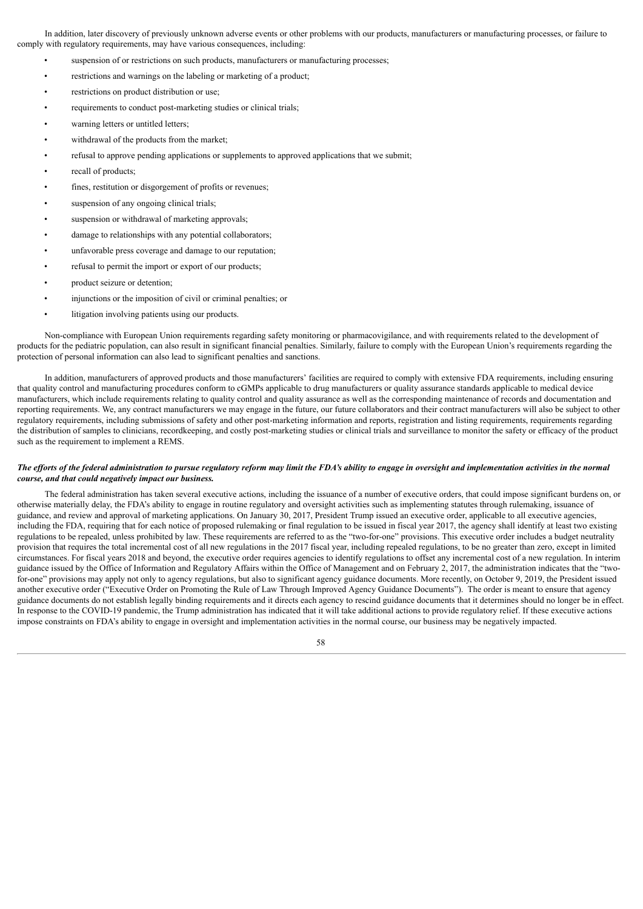In addition, later discovery of previously unknown adverse events or other problems with our products, manufacturers or manufacturing processes, or failure to comply with regulatory requirements, may have various consequences, including:

- suspension of or restrictions on such products, manufacturers or manufacturing processes;
- restrictions and warnings on the labeling or marketing of a product;
- restrictions on product distribution or use;
- requirements to conduct post-marketing studies or clinical trials;
- warning letters or untitled letters;
- withdrawal of the products from the market;
- refusal to approve pending applications or supplements to approved applications that we submit;
- recall of products;
- fines, restitution or disgorgement of profits or revenues;
- suspension of any ongoing clinical trials;
- suspension or withdrawal of marketing approvals;
- damage to relationships with any potential collaborators;
- unfavorable press coverage and damage to our reputation;
- refusal to permit the import or export of our products;
- product seizure or detention;
- injunctions or the imposition of civil or criminal penalties; or
- litigation involving patients using our products.

Non-compliance with European Union requirements regarding safety monitoring or pharmacovigilance, and with requirements related to the development of products for the pediatric population, can also result in significant financial penalties. Similarly, failure to comply with the European Union's requirements regarding the protection of personal information can also lead to significant penalties and sanctions.

In addition, manufacturers of approved products and those manufacturers' facilities are required to comply with extensive FDA requirements, including ensuring that quality control and manufacturing procedures conform to cGMPs applicable to drug manufacturers or quality assurance standards applicable to medical device manufacturers, which include requirements relating to quality control and quality assurance as well as the corresponding maintenance of records and documentation and reporting requirements. We, any contract manufacturers we may engage in the future, our future collaborators and their contract manufacturers will also be subject to other regulatory requirements, including submissions of safety and other post-marketing information and reports, registration and listing requirements, requirements regarding the distribution of samples to clinicians, recordkeeping, and costly post-marketing studies or clinical trials and surveillance to monitor the safety or efficacy of the product such as the requirement to implement a REMS.

### The efforts of the federal administration to pursue regulatory reform may limit the FDA's ability to engage in oversight and implementation activities in the normal *course, and that could negatively impact our business.*

The federal administration has taken several executive actions, including the issuance of a number of executive orders, that could impose significant burdens on, or otherwise materially delay, the FDA's ability to engage in routine regulatory and oversight activities such as implementing statutes through rulemaking, issuance of guidance, and review and approval of marketing applications. On January 30, 2017, President Trump issued an executive order, applicable to all executive agencies, including the FDA, requiring that for each notice of proposed rulemaking or final regulation to be issued in fiscal year 2017, the agency shall identify at least two existing regulations to be repealed, unless prohibited by law. These requirements are referred to as the "two-for-one" provisions. This executive order includes a budget neutrality provision that requires the total incremental cost of all new regulations in the 2017 fiscal year, including repealed regulations, to be no greater than zero, except in limited circumstances. For fiscal years 2018 and beyond, the executive order requires agencies to identify regulations to offset any incremental cost of a new regulation. In interim guidance issued by the Office of Information and Regulatory Affairs within the Office of Management and on February 2, 2017, the administration indicates that the "twofor-one" provisions may apply not only to agency regulations, but also to significant agency guidance documents. More recently, on October 9, 2019, the President issued another executive order ("Executive Order on Promoting the Rule of Law Through Improved Agency Guidance Documents"). The order is meant to ensure that agency guidance documents do not establish legally binding requirements and it directs each agency to rescind guidance documents that it determines should no longer be in effect. In response to the COVID-19 pandemic, the Trump administration has indicated that it will take additional actions to provide regulatory relief. If these executive actions impose constraints on FDA's ability to engage in oversight and implementation activities in the normal course, our business may be negatively impacted.

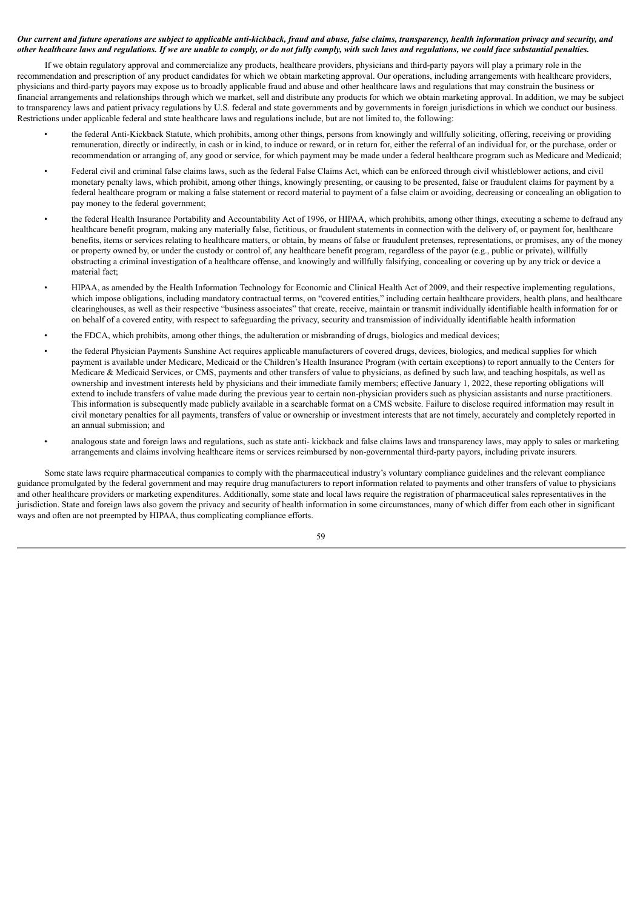# Our current and future operations are subject to applicable anti-kickback, fraud and abuse, false claims, transparency, health information privacy and security, and other healthcare laws and regulations. If we are unable to comply, or do not fully comply, with such laws and regulations, we could face substantial penalties.

If we obtain regulatory approval and commercialize any products, healthcare providers, physicians and third-party payors will play a primary role in the recommendation and prescription of any product candidates for which we obtain marketing approval. Our operations, including arrangements with healthcare providers, physicians and third-party payors may expose us to broadly applicable fraud and abuse and other healthcare laws and regulations that may constrain the business or financial arrangements and relationships through which we market, sell and distribute any products for which we obtain marketing approval. In addition, we may be subject to transparency laws and patient privacy regulations by U.S. federal and state governments and by governments in foreign jurisdictions in which we conduct our business. Restrictions under applicable federal and state healthcare laws and regulations include, but are not limited to, the following:

- the federal Anti-Kickback Statute, which prohibits, among other things, persons from knowingly and willfully soliciting, offering, receiving or providing remuneration, directly or indirectly, in cash or in kind, to induce or reward, or in return for, either the referral of an individual for, or the purchase, order or recommendation or arranging of, any good or service, for which payment may be made under a federal healthcare program such as Medicare and Medicaid;
- Federal civil and criminal false claims laws, such as the federal False Claims Act, which can be enforced through civil whistleblower actions, and civil monetary penalty laws, which prohibit, among other things, knowingly presenting, or causing to be presented, false or fraudulent claims for payment by a federal healthcare program or making a false statement or record material to payment of a false claim or avoiding, decreasing or concealing an obligation to pay money to the federal government;
- the federal Health Insurance Portability and Accountability Act of 1996, or HIPAA, which prohibits, among other things, executing a scheme to defraud any healthcare benefit program, making any materially false, fictitious, or fraudulent statements in connection with the delivery of, or payment for, healthcare benefits, items or services relating to healthcare matters, or obtain, by means of false or fraudulent pretenses, representations, or promises, any of the money or property owned by, or under the custody or control of, any healthcare benefit program, regardless of the payor (e.g., public or private), willfully obstructing a criminal investigation of a healthcare offense, and knowingly and willfully falsifying, concealing or covering up by any trick or device a material fact;
- HIPAA, as amended by the Health Information Technology for Economic and Clinical Health Act of 2009, and their respective implementing regulations, which impose obligations, including mandatory contractual terms, on "covered entities," including certain healthcare providers, health plans, and healthcare clearinghouses, as well as their respective "business associates" that create, receive, maintain or transmit individually identifiable health information for or on behalf of a covered entity, with respect to safeguarding the privacy, security and transmission of individually identifiable health information
- the FDCA, which prohibits, among other things, the adulteration or misbranding of drugs, biologics and medical devices;
- the federal Physician Payments Sunshine Act requires applicable manufacturers of covered drugs, devices, biologics, and medical supplies for which payment is available under Medicare, Medicaid or the Children's Health Insurance Program (with certain exceptions) to report annually to the Centers for Medicare & Medicaid Services, or CMS, payments and other transfers of value to physicians, as defined by such law, and teaching hospitals, as well as ownership and investment interests held by physicians and their immediate family members; effective January 1, 2022, these reporting obligations will extend to include transfers of value made during the previous year to certain non-physician providers such as physician assistants and nurse practitioners. This information is subsequently made publicly available in a searchable format on a CMS website. Failure to disclose required information may result in civil monetary penalties for all payments, transfers of value or ownership or investment interests that are not timely, accurately and completely reported in an annual submission; and
- analogous state and foreign laws and regulations, such as state anti- kickback and false claims laws and transparency laws, may apply to sales or marketing arrangements and claims involving healthcare items or services reimbursed by non-governmental third-party payors, including private insurers.

Some state laws require pharmaceutical companies to comply with the pharmaceutical industry's voluntary compliance guidelines and the relevant compliance guidance promulgated by the federal government and may require drug manufacturers to report information related to payments and other transfers of value to physicians and other healthcare providers or marketing expenditures. Additionally, some state and local laws require the registration of pharmaceutical sales representatives in the jurisdiction. State and foreign laws also govern the privacy and security of health information in some circumstances, many of which differ from each other in significant ways and often are not preempted by HIPAA, thus complicating compliance efforts.

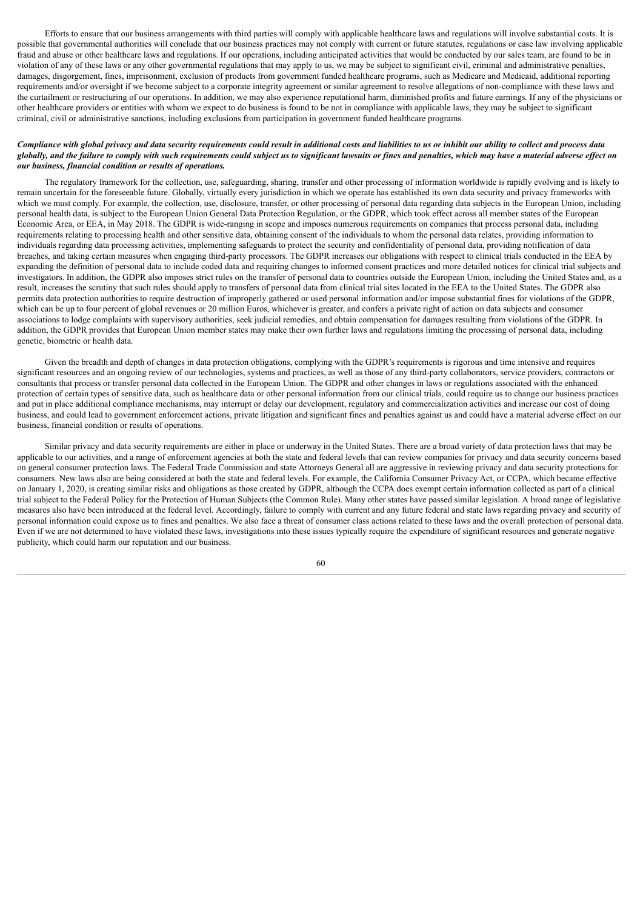Efforts to ensure that our business arrangements with third parties will comply with applicable healthcare laws and regulations will involve substantial costs. It is possible that governmental authorities will conclude that our business practices may not comply with current or future statutes, regulations or case law involving applicable fraud and abuse or other healthcare laws and regulations. If our operations, including anticipated activities that would be conducted by our sales team, are found to be in violation of any of these laws or any other governmental regulations that may apply to us, we may be subject to significant civil, criminal and administrative penalties, damages, disgorgement, fines, imprisonment, exclusion of products from government funded healthcare programs, such as Medicare and Medicaid, additional reporting requirements and/or oversight if we become subject to a corporate integrity agreement or similar agreement to resolve allegations of non-compliance with these laws and the curtailment or restructuring of our operations. In addition, we may also experience reputational harm, diminished profits and future earnings. If any of the physicians or other healthcare providers or entities with whom we expect to do business is found to be not in compliance with applicable laws, they may be subject to significant criminal, civil or administrative sanctions, including exclusions from participation in government funded healthcare programs.

### Compliance with global privacy and data security requirements could result in additional costs and liabilities to us or inhibit our ability to collect and process data globally, and the failure to comply with such requirements could subject us to significant lawsuits or fines and penalties, which may have a material adverse effect on *our business, financial condition or results of operations.*

The regulatory framework for the collection, use, safeguarding, sharing, transfer and other processing of information worldwide is rapidly evolving and is likely to remain uncertain for the foreseeable future. Globally, virtually every jurisdiction in which we operate has established its own data security and privacy frameworks with which we must comply. For example, the collection, use, disclosure, transfer, or other processing of personal data regarding data subjects in the European Union, including personal health data, is subject to the European Union General Data Protection Regulation, or the GDPR, which took effect across all member states of the European Economic Area, or EEA, in May 2018. The GDPR is wide-ranging in scope and imposes numerous requirements on companies that process personal data, including requirements relating to processing health and other sensitive data, obtaining consent of the individuals to whom the personal data relates, providing information to individuals regarding data processing activities, implementing safeguards to protect the security and confidentiality of personal data, providing notification of data breaches, and taking certain measures when engaging third-party processors. The GDPR increases our obligations with respect to clinical trials conducted in the EEA by expanding the definition of personal data to include coded data and requiring changes to informed consent practices and more detailed notices for clinical trial subjects and investigators. In addition, the GDPR also imposes strict rules on the transfer of personal data to countries outside the European Union, including the United States and, as a result, increases the scrutiny that such rules should apply to transfers of personal data from clinical trial sites located in the EEA to the United States. The GDPR also permits data protection authorities to require destruction of improperly gathered or used personal information and/or impose substantial fines for violations of the GDPR, which can be up to four percent of global revenues or 20 million Euros, whichever is greater, and confers a private right of action on data subjects and consumer associations to lodge complaints with supervisory authorities, seek judicial remedies, and obtain compensation for damages resulting from violations of the GDPR. In addition, the GDPR provides that European Union member states may make their own further laws and regulations limiting the processing of personal data, including genetic, biometric or health data.

Given the breadth and depth of changes in data protection obligations, complying with the GDPR's requirements is rigorous and time intensive and requires significant resources and an ongoing review of our technologies, systems and practices, as well as those of any third-party collaborators, service providers, contractors or consultants that process or transfer personal data collected in the European Union. The GDPR and other changes in laws or regulations associated with the enhanced protection of certain types of sensitive data, such as healthcare data or other personal information from our clinical trials, could require us to change our business practices and put in place additional compliance mechanisms, may interrupt or delay our development, regulatory and commercialization activities and increase our cost of doing business, and could lead to government enforcement actions, private litigation and significant fines and penalties against us and could have a material adverse effect on our business, financial condition or results of operations.

Similar privacy and data security requirements are either in place or underway in the United States. There are a broad variety of data protection laws that may be applicable to our activities, and a range of enforcement agencies at both the state and federal levels that can review companies for privacy and data security concerns based on general consumer protection laws. The Federal Trade Commission and state Attorneys General all are aggressive in reviewing privacy and data security protections for consumers. New laws also are being considered at both the state and federal levels. For example, the California Consumer Privacy Act, or CCPA, which became effective on January 1, 2020, is creating similar risks and obligations as those created by GDPR, although the CCPA does exempt certain information collected as part of a clinical trial subject to the Federal Policy for the Protection of Human Subjects (the Common Rule). Many other states have passed similar legislation. A broad range of legislative measures also have been introduced at the federal level. Accordingly, failure to comply with current and any future federal and state laws regarding privacy and security of personal information could expose us to fines and penalties. We also face a threat of consumer class actions related to these laws and the overall protection of personal data. Even if we are not determined to have violated these laws, investigations into these issues typically require the expenditure of significant resources and generate negative publicity, which could harm our reputation and our business.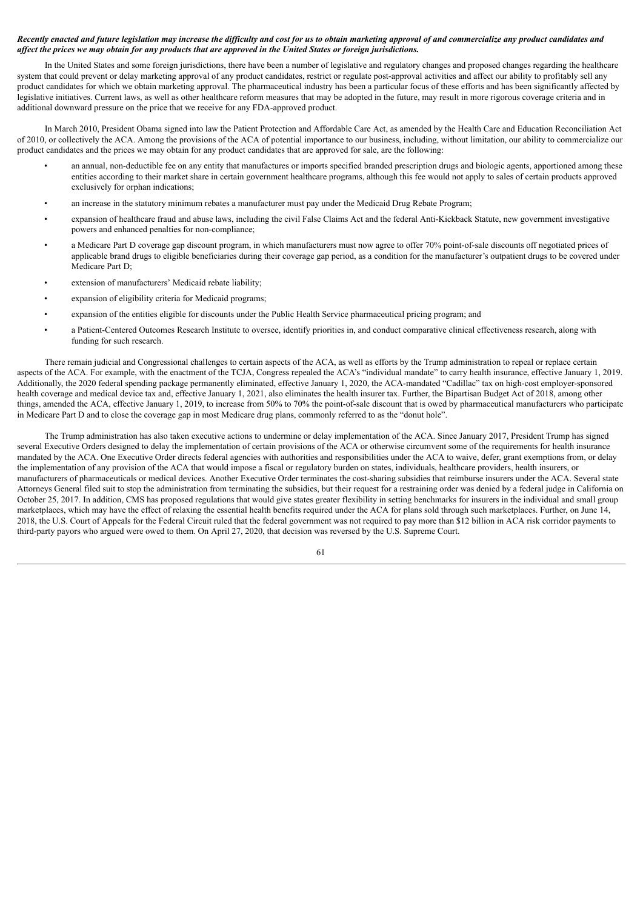## Recently enacted and future legislation may increase the difficulty and cost for us to obtain marketing approval of and commercialize any product candidates and affect the prices we may obtain for any products that are approved in the United States or foreign jurisdictions.

In the United States and some foreign jurisdictions, there have been a number of legislative and regulatory changes and proposed changes regarding the healthcare system that could prevent or delay marketing approval of any product candidates, restrict or regulate post-approval activities and affect our ability to profitably sell any product candidates for which we obtain marketing approval. The pharmaceutical industry has been a particular focus of these efforts and has been significantly affected by legislative initiatives. Current laws, as well as other healthcare reform measures that may be adopted in the future, may result in more rigorous coverage criteria and in additional downward pressure on the price that we receive for any FDA-approved product.

In March 2010, President Obama signed into law the Patient Protection and Affordable Care Act, as amended by the Health Care and Education Reconciliation Act of 2010, or collectively the ACA. Among the provisions of the ACA of potential importance to our business, including, without limitation, our ability to commercialize our product candidates and the prices we may obtain for any product candidates that are approved for sale, are the following:

- an annual, non-deductible fee on any entity that manufactures or imports specified branded prescription drugs and biologic agents, apportioned among these entities according to their market share in certain government healthcare programs, although this fee would not apply to sales of certain products approved exclusively for orphan indications;
- an increase in the statutory minimum rebates a manufacturer must pay under the Medicaid Drug Rebate Program;
- expansion of healthcare fraud and abuse laws, including the civil False Claims Act and the federal Anti-Kickback Statute, new government investigative powers and enhanced penalties for non-compliance;
- a Medicare Part D coverage gap discount program, in which manufacturers must now agree to offer 70% point-of-sale discounts off negotiated prices of applicable brand drugs to eligible beneficiaries during their coverage gap period, as a condition for the manufacturer's outpatient drugs to be covered under Medicare Part D;
- extension of manufacturers' Medicaid rebate liability;
- expansion of eligibility criteria for Medicaid programs;
- expansion of the entities eligible for discounts under the Public Health Service pharmaceutical pricing program; and
- a Patient-Centered Outcomes Research Institute to oversee, identify priorities in, and conduct comparative clinical effectiveness research, along with funding for such research.

There remain judicial and Congressional challenges to certain aspects of the ACA, as well as efforts by the Trump administration to repeal or replace certain aspects of the ACA. For example, with the enactment of the TCJA, Congress repealed the ACA's "individual mandate" to carry health insurance, effective January 1, 2019. Additionally, the 2020 federal spending package permanently eliminated, effective January 1, 2020, the ACA-mandated "Cadillac" tax on high-cost employer-sponsored health coverage and medical device tax and, effective January 1, 2021, also eliminates the health insurer tax. Further, the Bipartisan Budget Act of 2018, among other things, amended the ACA, effective January 1, 2019, to increase from 50% to 70% the point-of-sale discount that is owed by pharmaceutical manufacturers who participate in Medicare Part D and to close the coverage gap in most Medicare drug plans, commonly referred to as the "donut hole".

The Trump administration has also taken executive actions to undermine or delay implementation of the ACA. Since January 2017, President Trump has signed several Executive Orders designed to delay the implementation of certain provisions of the ACA or otherwise circumvent some of the requirements for health insurance mandated by the ACA. One Executive Order directs federal agencies with authorities and responsibilities under the ACA to waive, defer, grant exemptions from, or delay the implementation of any provision of the ACA that would impose a fiscal or regulatory burden on states, individuals, healthcare providers, health insurers, or manufacturers of pharmaceuticals or medical devices. Another Executive Order terminates the cost-sharing subsidies that reimburse insurers under the ACA. Several state Attorneys General filed suit to stop the administration from terminating the subsidies, but their request for a restraining order was denied by a federal judge in California on October 25, 2017. In addition, CMS has proposed regulations that would give states greater flexibility in setting benchmarks for insurers in the individual and small group marketplaces, which may have the effect of relaxing the essential health benefits required under the ACA for plans sold through such marketplaces. Further, on June 14, 2018, the U.S. Court of Appeals for the Federal Circuit ruled that the federal government was not required to pay more than \$12 billion in ACA risk corridor payments to third-party payors who argued were owed to them. On April 27, 2020, that decision was reversed by the U.S. Supreme Court.

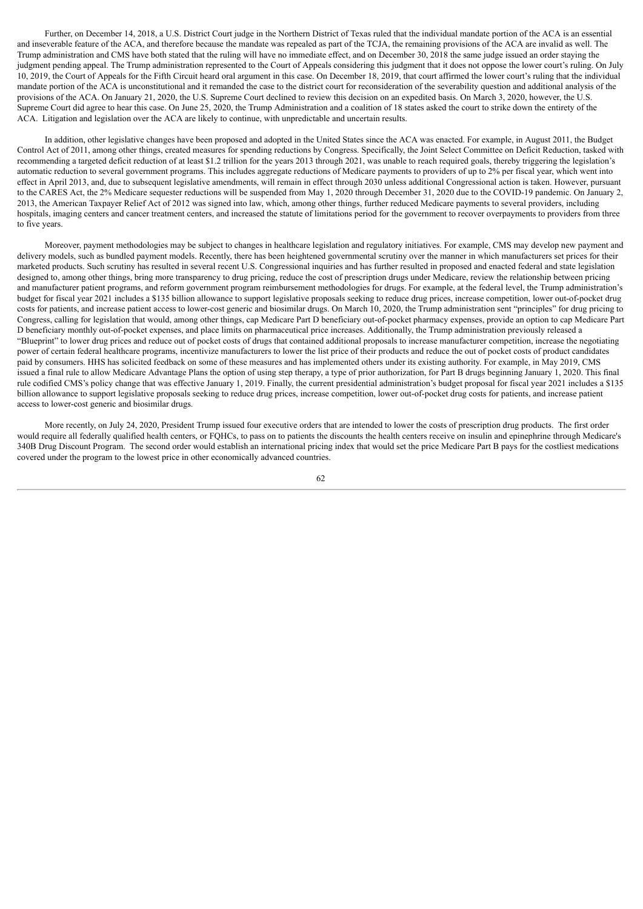Further, on December 14, 2018, a U.S. District Court judge in the Northern District of Texas ruled that the individual mandate portion of the ACA is an essential and inseverable feature of the ACA, and therefore because the mandate was repealed as part of the TCJA, the remaining provisions of the ACA are invalid as well. The Trump administration and CMS have both stated that the ruling will have no immediate effect, and on December 30, 2018 the same judge issued an order staying the judgment pending appeal. The Trump administration represented to the Court of Appeals considering this judgment that it does not oppose the lower court's ruling. On July 10, 2019, the Court of Appeals for the Fifth Circuit heard oral argument in this case. On December 18, 2019, that court affirmed the lower court's ruling that the individual mandate portion of the ACA is unconstitutional and it remanded the case to the district court for reconsideration of the severability question and additional analysis of the provisions of the ACA. On January 21, 2020, the U.S. Supreme Court declined to review this decision on an expedited basis. On March 3, 2020, however, the U.S. Supreme Court did agree to hear this case. On June 25, 2020, the Trump Administration and a coalition of 18 states asked the court to strike down the entirety of the ACA. Litigation and legislation over the ACA are likely to continue, with unpredictable and uncertain results.

In addition, other legislative changes have been proposed and adopted in the United States since the ACA was enacted. For example, in August 2011, the Budget Control Act of 2011, among other things, created measures for spending reductions by Congress. Specifically, the Joint Select Committee on Deficit Reduction, tasked with recommending a targeted deficit reduction of at least \$1.2 trillion for the years 2013 through 2021, was unable to reach required goals, thereby triggering the legislation's automatic reduction to several government programs. This includes aggregate reductions of Medicare payments to providers of up to 2% per fiscal year, which went into effect in April 2013, and, due to subsequent legislative amendments, will remain in effect through 2030 unless additional Congressional action is taken. However, pursuant to the CARES Act, the 2% Medicare sequester reductions will be suspended from May 1, 2020 through December 31, 2020 due to the COVID-19 pandemic. On January 2, 2013, the American Taxpayer Relief Act of 2012 was signed into law, which, among other things, further reduced Medicare payments to several providers, including hospitals, imaging centers and cancer treatment centers, and increased the statute of limitations period for the government to recover overpayments to providers from three to five years.

Moreover, payment methodologies may be subject to changes in healthcare legislation and regulatory initiatives. For example, CMS may develop new payment and delivery models, such as bundled payment models. Recently, there has been heightened governmental scrutiny over the manner in which manufacturers set prices for their marketed products. Such scrutiny has resulted in several recent U.S. Congressional inquiries and has further resulted in proposed and enacted federal and state legislation designed to, among other things, bring more transparency to drug pricing, reduce the cost of prescription drugs under Medicare, review the relationship between pricing and manufacturer patient programs, and reform government program reimbursement methodologies for drugs. For example, at the federal level, the Trump administration's budget for fiscal year 2021 includes a \$135 billion allowance to support legislative proposals seeking to reduce drug prices, increase competition, lower out-of-pocket drug costs for patients, and increase patient access to lower-cost generic and biosimilar drugs. On March 10, 2020, the Trump administration sent "principles" for drug pricing to Congress, calling for legislation that would, among other things, cap Medicare Part D beneficiary out-of-pocket pharmacy expenses, provide an option to cap Medicare Part D beneficiary monthly out-of-pocket expenses, and place limits on pharmaceutical price increases. Additionally, the Trump administration previously released a "Blueprint" to lower drug prices and reduce out of pocket costs of drugs that contained additional proposals to increase manufacturer competition, increase the negotiating power of certain federal healthcare programs, incentivize manufacturers to lower the list price of their products and reduce the out of pocket costs of product candidates paid by consumers. HHS has solicited feedback on some of these measures and has implemented others under its existing authority. For example, in May 2019, CMS issued a final rule to allow Medicare Advantage Plans the option of using step therapy, a type of prior authorization, for Part B drugs beginning January 1, 2020. This final rule codified CMS's policy change that was effective January 1, 2019. Finally, the current presidential administration's budget proposal for fiscal year 2021 includes a \$135 billion allowance to support legislative proposals seeking to reduce drug prices, increase competition, lower out-of-pocket drug costs for patients, and increase patient access to lower-cost generic and biosimilar drugs.

More recently, on July 24, 2020, President Trump issued four executive orders that are intended to lower the costs of prescription drug products. The first order would require all federally qualified health centers, or FQHCs, to pass on to patients the discounts the health centers receive on insulin and epinephrine through Medicare's 340B Drug Discount Program. The second order would establish an international pricing index that would set the price Medicare Part B pays for the costliest medications covered under the program to the lowest price in other economically advanced countries.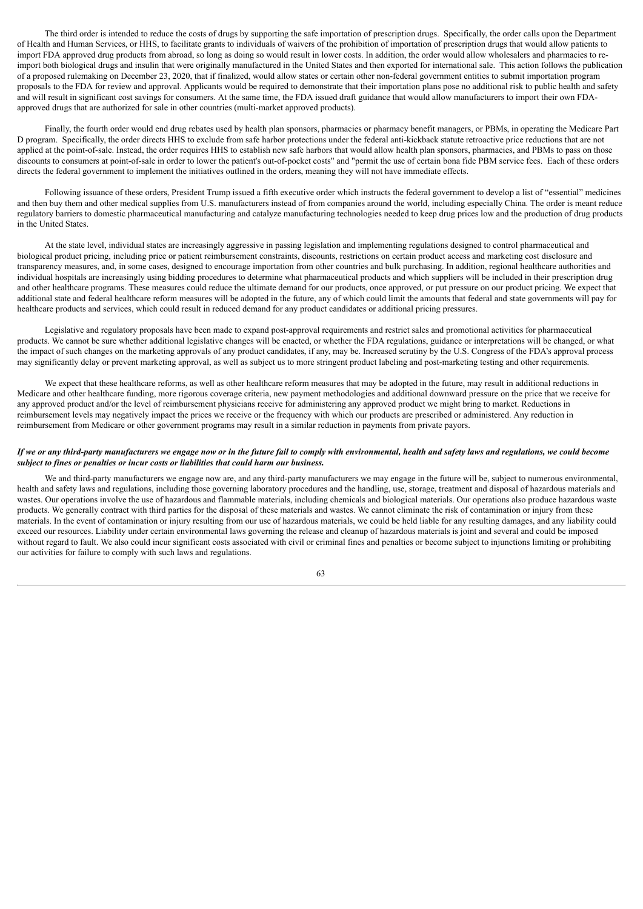The third order is intended to reduce the costs of drugs by supporting the safe importation of prescription drugs. Specifically, the order calls upon the Department of Health and Human Services, or HHS, to facilitate grants to individuals of waivers of the prohibition of importation of prescription drugs that would allow patients to import FDA approved drug products from abroad, so long as doing so would result in lower costs. In addition, the order would allow wholesalers and pharmacies to reimport both biological drugs and insulin that were originally manufactured in the United States and then exported for international sale. This action follows the publication of a proposed rulemaking on December 23, 2020, that if finalized, would allow states or certain other non-federal government entities to submit importation program proposals to the FDA for review and approval. Applicants would be required to demonstrate that their importation plans pose no additional risk to public health and safety and will result in significant cost savings for consumers. At the same time, the FDA issued draft guidance that would allow manufacturers to import their own FDAapproved drugs that are authorized for sale in other countries (multi-market approved products).

Finally, the fourth order would end drug rebates used by health plan sponsors, pharmacies or pharmacy benefit managers, or PBMs, in operating the Medicare Part D program. Specifically, the order directs HHS to exclude from safe harbor protections under the federal anti-kickback statute retroactive price reductions that are not applied at the point-of-sale. Instead, the order requires HHS to establish new safe harbors that would allow health plan sponsors, pharmacies, and PBMs to pass on those discounts to consumers at point-of-sale in order to lower the patient's out-of-pocket costs" and "permit the use of certain bona fide PBM service fees. Each of these orders directs the federal government to implement the initiatives outlined in the orders, meaning they will not have immediate effects.

Following issuance of these orders, President Trump issued a fifth executive order which instructs the federal government to develop a list of "essential" medicines and then buy them and other medical supplies from U.S. manufacturers instead of from companies around the world, including especially China. The order is meant reduce regulatory barriers to domestic pharmaceutical manufacturing and catalyze manufacturing technologies needed to keep drug prices low and the production of drug products in the United States.

At the state level, individual states are increasingly aggressive in passing legislation and implementing regulations designed to control pharmaceutical and biological product pricing, including price or patient reimbursement constraints, discounts, restrictions on certain product access and marketing cost disclosure and transparency measures, and, in some cases, designed to encourage importation from other countries and bulk purchasing. In addition, regional healthcare authorities and individual hospitals are increasingly using bidding procedures to determine what pharmaceutical products and which suppliers will be included in their prescription drug and other healthcare programs. These measures could reduce the ultimate demand for our products, once approved, or put pressure on our product pricing. We expect that additional state and federal healthcare reform measures will be adopted in the future, any of which could limit the amounts that federal and state governments will pay for healthcare products and services, which could result in reduced demand for any product candidates or additional pricing pressures.

Legislative and regulatory proposals have been made to expand post-approval requirements and restrict sales and promotional activities for pharmaceutical products. We cannot be sure whether additional legislative changes will be enacted, or whether the FDA regulations, guidance or interpretations will be changed, or what the impact of such changes on the marketing approvals of any product candidates, if any, may be. Increased scrutiny by the U.S. Congress of the FDA's approval process may significantly delay or prevent marketing approval, as well as subject us to more stringent product labeling and post-marketing testing and other requirements.

We expect that these healthcare reforms, as well as other healthcare reform measures that may be adopted in the future, may result in additional reductions in Medicare and other healthcare funding, more rigorous coverage criteria, new payment methodologies and additional downward pressure on the price that we receive for any approved product and/or the level of reimbursement physicians receive for administering any approved product we might bring to market. Reductions in reimbursement levels may negatively impact the prices we receive or the frequency with which our products are prescribed or administered. Any reduction in reimbursement from Medicare or other government programs may result in a similar reduction in payments from private payors.

## If we or any third-party manufacturers we engage now or in the future fail to comply with environmental, health and safety laws and regulations, we could become *subject to fines or penalties or incur costs or liabilities that could harm our business.*

We and third-party manufacturers we engage now are, and any third-party manufacturers we may engage in the future will be, subject to numerous environmental, health and safety laws and regulations, including those governing laboratory procedures and the handling, use, storage, treatment and disposal of hazardous materials and wastes. Our operations involve the use of hazardous and flammable materials, including chemicals and biological materials. Our operations also produce hazardous waste products. We generally contract with third parties for the disposal of these materials and wastes. We cannot eliminate the risk of contamination or injury from these materials. In the event of contamination or injury resulting from our use of hazardous materials, we could be held liable for any resulting damages, and any liability could exceed our resources. Liability under certain environmental laws governing the release and cleanup of hazardous materials is joint and several and could be imposed without regard to fault. We also could incur significant costs associated with civil or criminal fines and penalties or become subject to injunctions limiting or prohibiting our activities for failure to comply with such laws and regulations.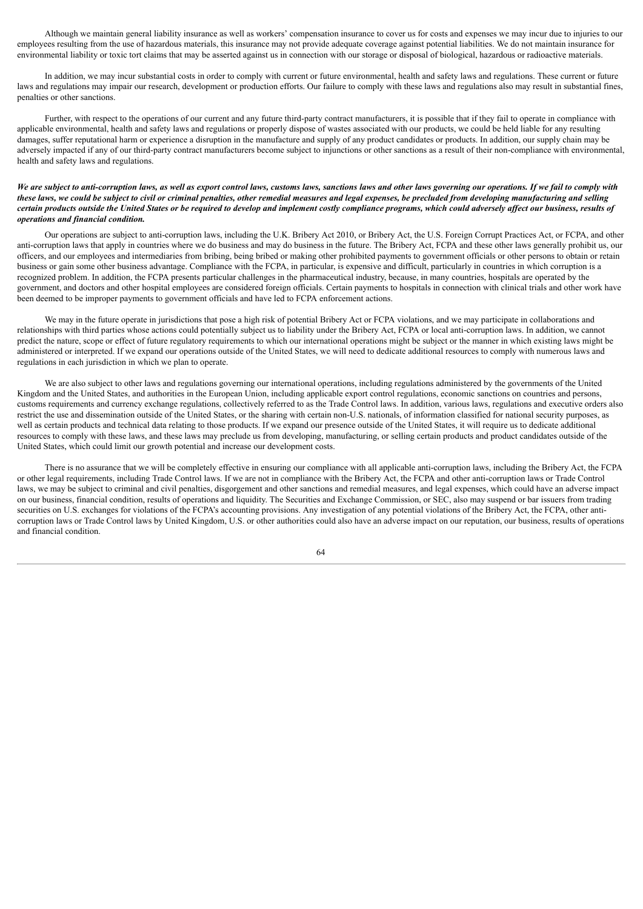Although we maintain general liability insurance as well as workers' compensation insurance to cover us for costs and expenses we may incur due to injuries to our employees resulting from the use of hazardous materials, this insurance may not provide adequate coverage against potential liabilities. We do not maintain insurance for environmental liability or toxic tort claims that may be asserted against us in connection with our storage or disposal of biological, hazardous or radioactive materials.

In addition, we may incur substantial costs in order to comply with current or future environmental, health and safety laws and regulations. These current or future laws and regulations may impair our research, development or production efforts. Our failure to comply with these laws and regulations also may result in substantial fines, penalties or other sanctions.

Further, with respect to the operations of our current and any future third-party contract manufacturers, it is possible that if they fail to operate in compliance with applicable environmental, health and safety laws and regulations or properly dispose of wastes associated with our products, we could be held liable for any resulting damages, suffer reputational harm or experience a disruption in the manufacture and supply of any product candidates or products. In addition, our supply chain may be adversely impacted if any of our third-party contract manufacturers become subject to injunctions or other sanctions as a result of their non-compliance with environmental, health and safety laws and regulations.

### We are subject to anti-corruption laws, as well as export control laws, customs laws, sanctions laws and other laws governing our operations. If we fail to comply with these laws, we could be subject to civil or criminal penalties, other remedial measures and legal expenses, be precluded from developing manufacturing and selling certain products outside the United States or be required to develop and implement costly compliance programs, which could adversely affect our business, results of *operations and financial condition.*

Our operations are subject to anti-corruption laws, including the U.K. Bribery Act 2010, or Bribery Act, the U.S. Foreign Corrupt Practices Act, or FCPA, and other anti-corruption laws that apply in countries where we do business and may do business in the future. The Bribery Act, FCPA and these other laws generally prohibit us, our officers, and our employees and intermediaries from bribing, being bribed or making other prohibited payments to government officials or other persons to obtain or retain business or gain some other business advantage. Compliance with the FCPA, in particular, is expensive and difficult, particularly in countries in which corruption is a recognized problem. In addition, the FCPA presents particular challenges in the pharmaceutical industry, because, in many countries, hospitals are operated by the government, and doctors and other hospital employees are considered foreign officials. Certain payments to hospitals in connection with clinical trials and other work have been deemed to be improper payments to government officials and have led to FCPA enforcement actions.

We may in the future operate in jurisdictions that pose a high risk of potential Bribery Act or FCPA violations, and we may participate in collaborations and relationships with third parties whose actions could potentially subject us to liability under the Bribery Act, FCPA or local anti-corruption laws. In addition, we cannot predict the nature, scope or effect of future regulatory requirements to which our international operations might be subject or the manner in which existing laws might be administered or interpreted. If we expand our operations outside of the United States, we will need to dedicate additional resources to comply with numerous laws and regulations in each jurisdiction in which we plan to operate.

We are also subject to other laws and regulations governing our international operations, including regulations administered by the governments of the United Kingdom and the United States, and authorities in the European Union, including applicable export control regulations, economic sanctions on countries and persons, customs requirements and currency exchange regulations, collectively referred to as the Trade Control laws. In addition, various laws, regulations and executive orders also restrict the use and dissemination outside of the United States, or the sharing with certain non-U.S. nationals, of information classified for national security purposes, as well as certain products and technical data relating to those products. If we expand our presence outside of the United States, it will require us to dedicate additional resources to comply with these laws, and these laws may preclude us from developing, manufacturing, or selling certain products and product candidates outside of the United States, which could limit our growth potential and increase our development costs.

There is no assurance that we will be completely effective in ensuring our compliance with all applicable anti-corruption laws, including the Bribery Act, the FCPA or other legal requirements, including Trade Control laws. If we are not in compliance with the Bribery Act, the FCPA and other anti-corruption laws or Trade Control laws, we may be subject to criminal and civil penalties, disgorgement and other sanctions and remedial measures, and legal expenses, which could have an adverse impact on our business, financial condition, results of operations and liquidity. The Securities and Exchange Commission, or SEC, also may suspend or bar issuers from trading securities on U.S. exchanges for violations of the FCPA's accounting provisions. Any investigation of any potential violations of the Bribery Act, the FCPA, other anticorruption laws or Trade Control laws by United Kingdom, U.S. or other authorities could also have an adverse impact on our reputation, our business, results of operations and financial condition.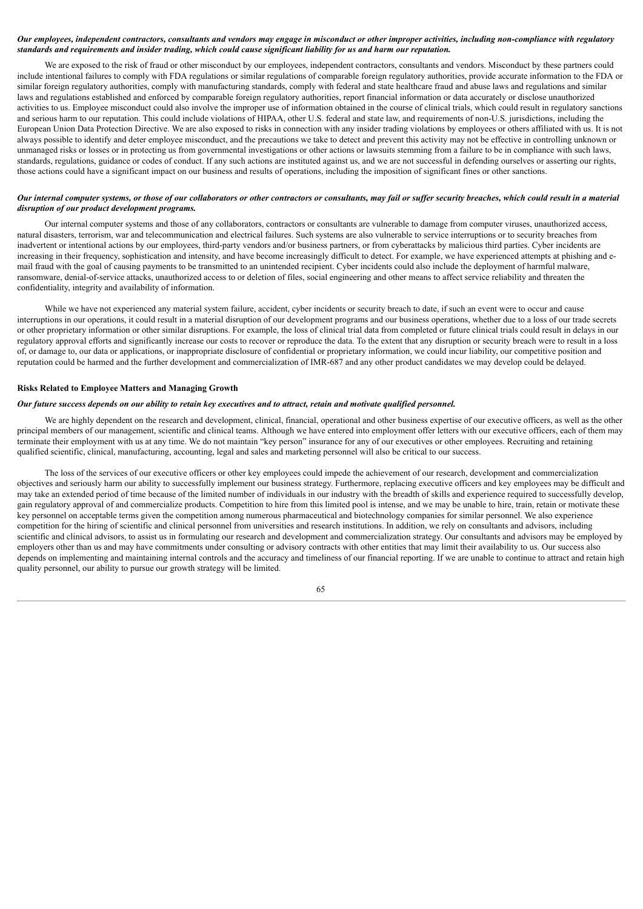## Our employees, independent contractors, consultants and vendors may engage in misconduct or other improper activities, including non-compliance with regulatory standards and requirements and insider trading, which could cause significant liability for us and harm our reputation.

We are exposed to the risk of fraud or other misconduct by our employees, independent contractors, consultants and vendors. Misconduct by these partners could include intentional failures to comply with FDA regulations or similar regulations of comparable foreign regulatory authorities, provide accurate information to the FDA or similar foreign regulatory authorities, comply with manufacturing standards, comply with federal and state healthcare fraud and abuse laws and regulations and similar laws and regulations established and enforced by comparable foreign regulatory authorities, report financial information or data accurately or disclose unauthorized activities to us. Employee misconduct could also involve the improper use of information obtained in the course of clinical trials, which could result in regulatory sanctions and serious harm to our reputation. This could include violations of HIPAA, other U.S. federal and state law, and requirements of non-U.S. jurisdictions, including the European Union Data Protection Directive. We are also exposed to risks in connection with any insider trading violations by employees or others affiliated with us. It is not always possible to identify and deter employee misconduct, and the precautions we take to detect and prevent this activity may not be effective in controlling unknown or unmanaged risks or losses or in protecting us from governmental investigations or other actions or lawsuits stemming from a failure to be in compliance with such laws, standards, regulations, guidance or codes of conduct. If any such actions are instituted against us, and we are not successful in defending ourselves or asserting our rights, those actions could have a significant impact on our business and results of operations, including the imposition of significant fines or other sanctions.

## Our internal computer systems, or those of our collaborators or other contractors or consultants, may fail or suffer security breaches, which could result in a material *disruption of our product development programs.*

Our internal computer systems and those of any collaborators, contractors or consultants are vulnerable to damage from computer viruses, unauthorized access, natural disasters, terrorism, war and telecommunication and electrical failures. Such systems are also vulnerable to service interruptions or to security breaches from inadvertent or intentional actions by our employees, third-party vendors and/or business partners, or from cyberattacks by malicious third parties. Cyber incidents are increasing in their frequency, sophistication and intensity, and have become increasingly difficult to detect. For example, we have experienced attempts at phishing and email fraud with the goal of causing payments to be transmitted to an unintended recipient. Cyber incidents could also include the deployment of harmful malware, ransomware, denial-of-service attacks, unauthorized access to or deletion of files, social engineering and other means to affect service reliability and threaten the confidentiality, integrity and availability of information.

While we have not experienced any material system failure, accident, cyber incidents or security breach to date, if such an event were to occur and cause interruptions in our operations, it could result in a material disruption of our development programs and our business operations, whether due to a loss of our trade secrets or other proprietary information or other similar disruptions. For example, the loss of clinical trial data from completed or future clinical trials could result in delays in our regulatory approval efforts and significantly increase our costs to recover or reproduce the data. To the extent that any disruption or security breach were to result in a loss of, or damage to, our data or applications, or inappropriate disclosure of confidential or proprietary information, we could incur liability, our competitive position and reputation could be harmed and the further development and commercialization of IMR-687 and any other product candidates we may develop could be delayed.

### **Risks Related to Employee Matters and Managing Growth**

#### Our future success depends on our ability to retain key executives and to attract, retain and motivate qualified personnel.

We are highly dependent on the research and development, clinical, financial, operational and other business expertise of our executive officers, as well as the other principal members of our management, scientific and clinical teams. Although we have entered into employment offer letters with our executive officers, each of them may terminate their employment with us at any time. We do not maintain "key person" insurance for any of our executives or other employees. Recruiting and retaining qualified scientific, clinical, manufacturing, accounting, legal and sales and marketing personnel will also be critical to our success.

The loss of the services of our executive officers or other key employees could impede the achievement of our research, development and commercialization objectives and seriously harm our ability to successfully implement our business strategy. Furthermore, replacing executive officers and key employees may be difficult and may take an extended period of time because of the limited number of individuals in our industry with the breadth of skills and experience required to successfully develop, gain regulatory approval of and commercialize products. Competition to hire from this limited pool is intense, and we may be unable to hire, train, retain or motivate these key personnel on acceptable terms given the competition among numerous pharmaceutical and biotechnology companies for similar personnel. We also experience competition for the hiring of scientific and clinical personnel from universities and research institutions. In addition, we rely on consultants and advisors, including scientific and clinical advisors, to assist us in formulating our research and development and commercialization strategy. Our consultants and advisors may be employed by employers other than us and may have commitments under consulting or advisory contracts with other entities that may limit their availability to us. Our success also depends on implementing and maintaining internal controls and the accuracy and timeliness of our financial reporting. If we are unable to continue to attract and retain high quality personnel, our ability to pursue our growth strategy will be limited.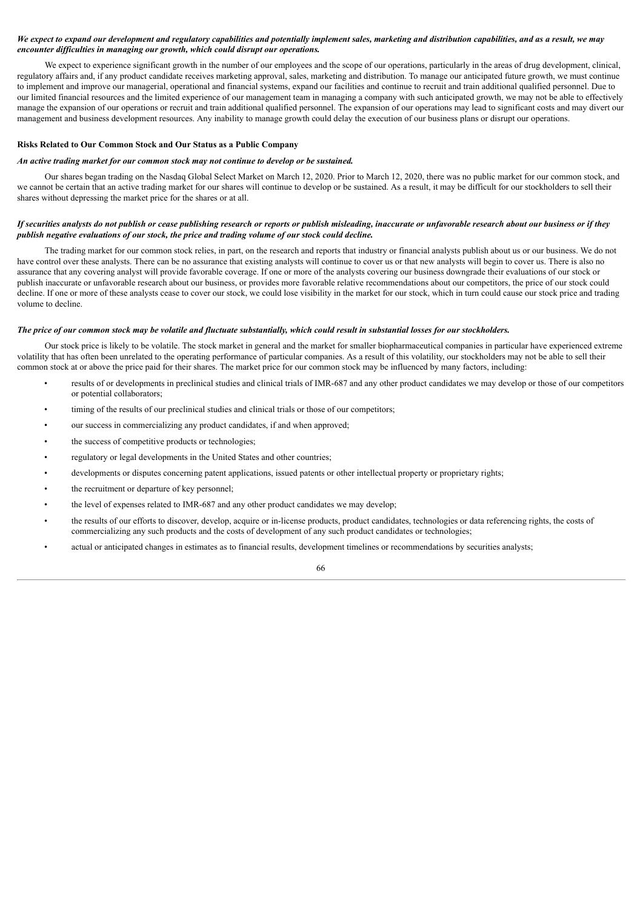## We expect to expand our development and regulatory capabilities and potentially implement sales, marketing and distribution capabilities, and as a result, we may *encounter dif iculties in managing our growth, which could disrupt our operations.*

We expect to experience significant growth in the number of our employees and the scope of our operations, particularly in the areas of drug development, clinical, regulatory affairs and, if any product candidate receives marketing approval, sales, marketing and distribution. To manage our anticipated future growth, we must continue to implement and improve our managerial, operational and financial systems, expand our facilities and continue to recruit and train additional qualified personnel. Due to our limited financial resources and the limited experience of our management team in managing a company with such anticipated growth, we may not be able to effectively manage the expansion of our operations or recruit and train additional qualified personnel. The expansion of our operations may lead to significant costs and may divert our management and business development resources. Any inability to manage growth could delay the execution of our business plans or disrupt our operations.

#### **Risks Related to Our Common Stock and Our Status as a Public Company**

#### *An active trading market for our common stock may not continue to develop or be sustained.*

Our shares began trading on the Nasdaq Global Select Market on March 12, 2020. Prior to March 12, 2020, there was no public market for our common stock, and we cannot be certain that an active trading market for our shares will continue to develop or be sustained. As a result, it may be difficult for our stockholders to sell their shares without depressing the market price for the shares or at all.

## If securities analysts do not publish or cease publishing research or reports or publish misleading, inaccurate or unfavorable research about our business or if they *publish negative evaluations of our stock, the price and trading volume of our stock could decline.*

The trading market for our common stock relies, in part, on the research and reports that industry or financial analysts publish about us or our business. We do not have control over these analysts. There can be no assurance that existing analysts will continue to cover us or that new analysts will begin to cover us. There is also no assurance that any covering analyst will provide favorable coverage. If one or more of the analysts covering our business downgrade their evaluations of our stock or publish inaccurate or unfavorable research about our business, or provides more favorable relative recommendations about our competitors, the price of our stock could decline. If one or more of these analysts cease to cover our stock, we could lose visibility in the market for our stock, which in turn could cause our stock price and trading volume to decline.

### The price of our common stock may be volatile and fluctuate substantially, which could result in substantial losses for our stockholders.

Our stock price is likely to be volatile. The stock market in general and the market for smaller biopharmaceutical companies in particular have experienced extreme volatility that has often been unrelated to the operating performance of particular companies. As a result of this volatility, our stockholders may not be able to sell their common stock at or above the price paid for their shares. The market price for our common stock may be influenced by many factors, including:

- results of or developments in preclinical studies and clinical trials of IMR-687 and any other product candidates we may develop or those of our competitors or potential collaborators;
- timing of the results of our preclinical studies and clinical trials or those of our competitors;
- our success in commercializing any product candidates, if and when approved;
- the success of competitive products or technologies;
- regulatory or legal developments in the United States and other countries;
- developments or disputes concerning patent applications, issued patents or other intellectual property or proprietary rights;
- the recruitment or departure of key personnel;
- the level of expenses related to IMR-687 and any other product candidates we may develop;
- the results of our efforts to discover, develop, acquire or in-license products, product candidates, technologies or data referencing rights, the costs of commercializing any such products and the costs of development of any such product candidates or technologies;
- actual or anticipated changes in estimates as to financial results, development timelines or recommendations by securities analysts;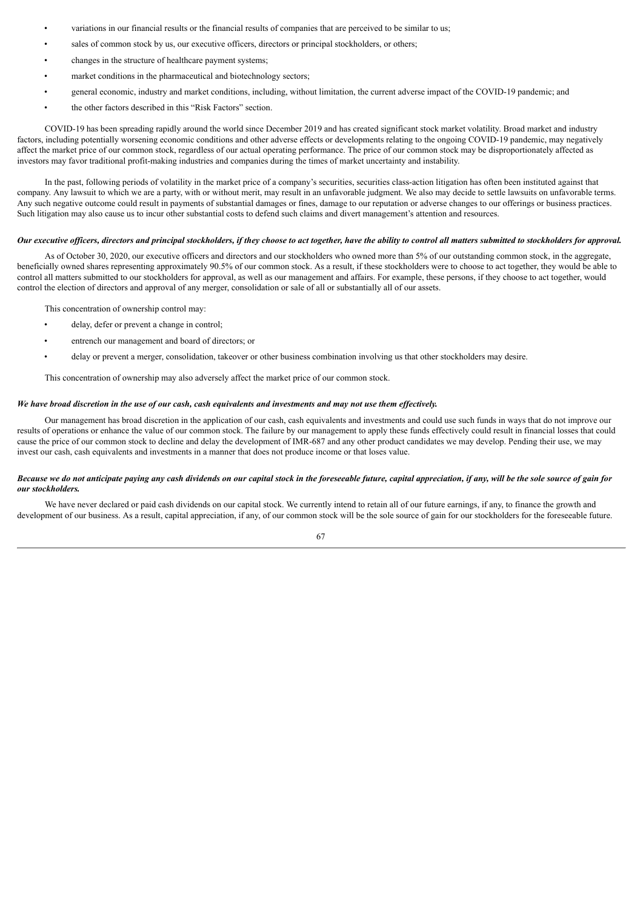- variations in our financial results or the financial results of companies that are perceived to be similar to us;
- sales of common stock by us, our executive officers, directors or principal stockholders, or others;
- changes in the structure of healthcare payment systems;
- market conditions in the pharmaceutical and biotechnology sectors;
- general economic, industry and market conditions, including, without limitation, the current adverse impact of the COVID-19 pandemic; and
- the other factors described in this "Risk Factors" section.

COVID-19 has been spreading rapidly around the world since December 2019 and has created significant stock market volatility. Broad market and industry factors, including potentially worsening economic conditions and other adverse effects or developments relating to the ongoing COVID-19 pandemic, may negatively affect the market price of our common stock, regardless of our actual operating performance. The price of our common stock may be disproportionately affected as investors may favor traditional profit-making industries and companies during the times of market uncertainty and instability.

In the past, following periods of volatility in the market price of a company's securities, securities class-action litigation has often been instituted against that company. Any lawsuit to which we are a party, with or without merit, may result in an unfavorable judgment. We also may decide to settle lawsuits on unfavorable terms. Any such negative outcome could result in payments of substantial damages or fines, damage to our reputation or adverse changes to our offerings or business practices. Such litigation may also cause us to incur other substantial costs to defend such claims and divert management's attention and resources.

#### Our executive officers, directors and principal stockholders, if they choose to act together, have the ability to control all matters submitted to stockholders for approval.

As of October 30, 2020, our executive officers and directors and our stockholders who owned more than 5% of our outstanding common stock, in the aggregate, beneficially owned shares representing approximately 90.5% of our common stock. As a result, if these stockholders were to choose to act together, they would be able to control all matters submitted to our stockholders for approval, as well as our management and affairs. For example, these persons, if they choose to act together, would control the election of directors and approval of any merger, consolidation or sale of all or substantially all of our assets.

This concentration of ownership control may:

- delay, defer or prevent a change in control;
- entrench our management and board of directors; or
- delay or prevent a merger, consolidation, takeover or other business combination involving us that other stockholders may desire.

This concentration of ownership may also adversely affect the market price of our common stock.

#### We have broad discretion in the use of our cash, cash equivalents and investments and may not use them effectively.

Our management has broad discretion in the application of our cash, cash equivalents and investments and could use such funds in ways that do not improve our results of operations or enhance the value of our common stock. The failure by our management to apply these funds effectively could result in financial losses that could cause the price of our common stock to decline and delay the development of IMR-687 and any other product candidates we may develop. Pending their use, we may invest our cash, cash equivalents and investments in a manner that does not produce income or that loses value.

## Because we do not anticipate paying any cash dividends on our capital stock in the foreseeable future, capital appreciation, if any, will be the sole source of gain for *our stockholders.*

We have never declared or paid cash dividends on our capital stock. We currently intend to retain all of our future earnings, if any, to finance the growth and development of our business. As a result, capital appreciation, if any, of our common stock will be the sole source of gain for our stockholders for the foreseeable future.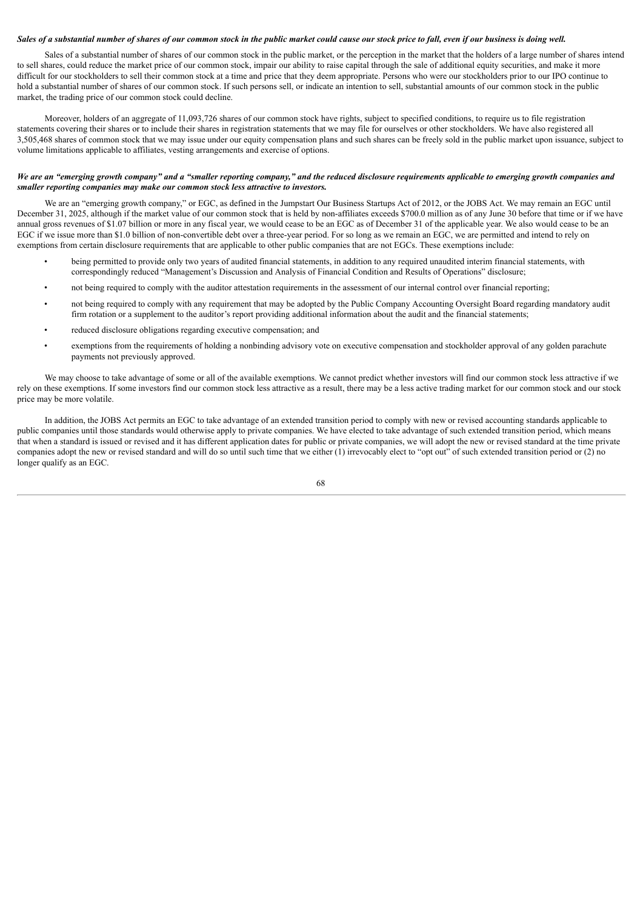## Sales of a substantial number of shares of our common stock in the public market could cause our stock price to fall, even if our business is doing well.

Sales of a substantial number of shares of our common stock in the public market, or the perception in the market that the holders of a large number of shares intend to sell shares, could reduce the market price of our common stock, impair our ability to raise capital through the sale of additional equity securities, and make it more difficult for our stockholders to sell their common stock at a time and price that they deem appropriate. Persons who were our stockholders prior to our IPO continue to hold a substantial number of shares of our common stock. If such persons sell, or indicate an intention to sell, substantial amounts of our common stock in the public market, the trading price of our common stock could decline.

Moreover, holders of an aggregate of 11,093,726 shares of our common stock have rights, subject to specified conditions, to require us to file registration statements covering their shares or to include their shares in registration statements that we may file for ourselves or other stockholders. We have also registered all 3,505,468 shares of common stock that we may issue under our equity compensation plans and such shares can be freely sold in the public market upon issuance, subject to volume limitations applicable to affiliates, vesting arrangements and exercise of options.

## We are an "emerging growth company" and a "smaller reporting company," and the reduced disclosure requirements applicable to emerging growth companies and *smaller reporting companies may make our common stock less attractive to investors.*

We are an "emerging growth company," or EGC, as defined in the Jumpstart Our Business Startups Act of 2012, or the JOBS Act. We may remain an EGC until December 31, 2025, although if the market value of our common stock that is held by non-affiliates exceeds \$700.0 million as of any June 30 before that time or if we have annual gross revenues of \$1.07 billion or more in any fiscal year, we would cease to be an EGC as of December 31 of the applicable year. We also would cease to be an EGC if we issue more than \$1.0 billion of non-convertible debt over a three-year period. For so long as we remain an EGC, we are permitted and intend to rely on exemptions from certain disclosure requirements that are applicable to other public companies that are not EGCs. These exemptions include:

- being permitted to provide only two years of audited financial statements, in addition to any required unaudited interim financial statements, with correspondingly reduced "Management's Discussion and Analysis of Financial Condition and Results of Operations" disclosure;
- not being required to comply with the auditor attestation requirements in the assessment of our internal control over financial reporting;
- not being required to comply with any requirement that may be adopted by the Public Company Accounting Oversight Board regarding mandatory audit firm rotation or a supplement to the auditor's report providing additional information about the audit and the financial statements;
- reduced disclosure obligations regarding executive compensation; and
- exemptions from the requirements of holding a nonbinding advisory vote on executive compensation and stockholder approval of any golden parachute payments not previously approved.

We may choose to take advantage of some or all of the available exemptions. We cannot predict whether investors will find our common stock less attractive if we rely on these exemptions. If some investors find our common stock less attractive as a result, there may be a less active trading market for our common stock and our stock price may be more volatile.

In addition, the JOBS Act permits an EGC to take advantage of an extended transition period to comply with new or revised accounting standards applicable to public companies until those standards would otherwise apply to private companies. We have elected to take advantage of such extended transition period, which means that when a standard is issued or revised and it has different application dates for public or private companies, we will adopt the new or revised standard at the time private companies adopt the new or revised standard and will do so until such time that we either (1) irrevocably elect to "opt out" of such extended transition period or (2) no longer qualify as an EGC.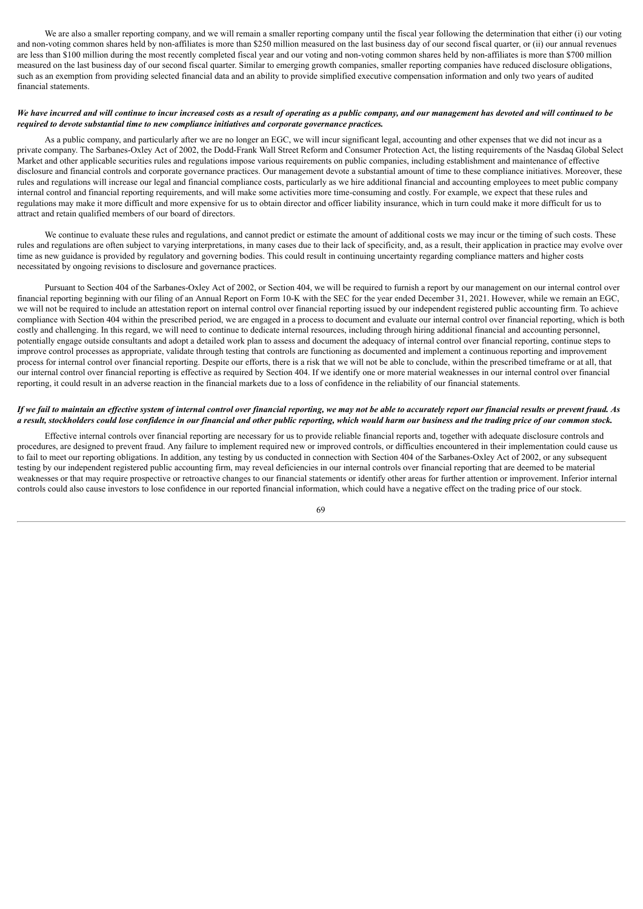We are also a smaller reporting company, and we will remain a smaller reporting company until the fiscal year following the determination that either (i) our voting and non-voting common shares held by non-affiliates is more than \$250 million measured on the last business day of our second fiscal quarter, or (ii) our annual revenues are less than \$100 million during the most recently completed fiscal year and our voting and non-voting common shares held by non-affiliates is more than \$700 million measured on the last business day of our second fiscal quarter. Similar to emerging growth companies, smaller reporting companies have reduced disclosure obligations, such as an exemption from providing selected financial data and an ability to provide simplified executive compensation information and only two years of audited financial statements.

## We have incurred and will continue to incur increased costs as a result of operating as a public company, and our management has devoted and will continued to be *required to devote substantial time to new compliance initiatives and corporate governance practices.*

As a public company, and particularly after we are no longer an EGC, we will incur significant legal, accounting and other expenses that we did not incur as a private company. The Sarbanes-Oxley Act of 2002, the Dodd-Frank Wall Street Reform and Consumer Protection Act, the listing requirements of the Nasdaq Global Select Market and other applicable securities rules and regulations impose various requirements on public companies, including establishment and maintenance of effective disclosure and financial controls and corporate governance practices. Our management devote a substantial amount of time to these compliance initiatives. Moreover, these rules and regulations will increase our legal and financial compliance costs, particularly as we hire additional financial and accounting employees to meet public company internal control and financial reporting requirements, and will make some activities more time-consuming and costly. For example, we expect that these rules and regulations may make it more difficult and more expensive for us to obtain director and officer liability insurance, which in turn could make it more difficult for us to attract and retain qualified members of our board of directors.

We continue to evaluate these rules and regulations, and cannot predict or estimate the amount of additional costs we may incur or the timing of such costs. These rules and regulations are often subject to varying interpretations, in many cases due to their lack of specificity, and, as a result, their application in practice may evolve over time as new guidance is provided by regulatory and governing bodies. This could result in continuing uncertainty regarding compliance matters and higher costs necessitated by ongoing revisions to disclosure and governance practices.

Pursuant to Section 404 of the Sarbanes-Oxley Act of 2002, or Section 404, we will be required to furnish a report by our management on our internal control over financial reporting beginning with our filing of an Annual Report on Form 10-K with the SEC for the year ended December 31, 2021. However, while we remain an EGC, we will not be required to include an attestation report on internal control over financial reporting issued by our independent registered public accounting firm. To achieve compliance with Section 404 within the prescribed period, we are engaged in a process to document and evaluate our internal control over financial reporting, which is both costly and challenging. In this regard, we will need to continue to dedicate internal resources, including through hiring additional financial and accounting personnel, potentially engage outside consultants and adopt a detailed work plan to assess and document the adequacy of internal control over financial reporting, continue steps to improve control processes as appropriate, validate through testing that controls are functioning as documented and implement a continuous reporting and improvement process for internal control over financial reporting. Despite our efforts, there is a risk that we will not be able to conclude, within the prescribed timeframe or at all, that our internal control over financial reporting is effective as required by Section 404. If we identify one or more material weaknesses in our internal control over financial reporting, it could result in an adverse reaction in the financial markets due to a loss of confidence in the reliability of our financial statements.

## If we fail to maintain an effective system of internal control over financial reporting, we may not be able to accurately report our financial results or prevent fraud. As a result, stockholders could lose confidence in our financial and other public reporting, which would harm our business and the trading price of our common stock.

Effective internal controls over financial reporting are necessary for us to provide reliable financial reports and, together with adequate disclosure controls and procedures, are designed to prevent fraud. Any failure to implement required new or improved controls, or difficulties encountered in their implementation could cause us to fail to meet our reporting obligations. In addition, any testing by us conducted in connection with Section 404 of the Sarbanes-Oxley Act of 2002, or any subsequent testing by our independent registered public accounting firm, may reveal deficiencies in our internal controls over financial reporting that are deemed to be material weaknesses or that may require prospective or retroactive changes to our financial statements or identify other areas for further attention or improvement. Inferior internal controls could also cause investors to lose confidence in our reported financial information, which could have a negative effect on the trading price of our stock.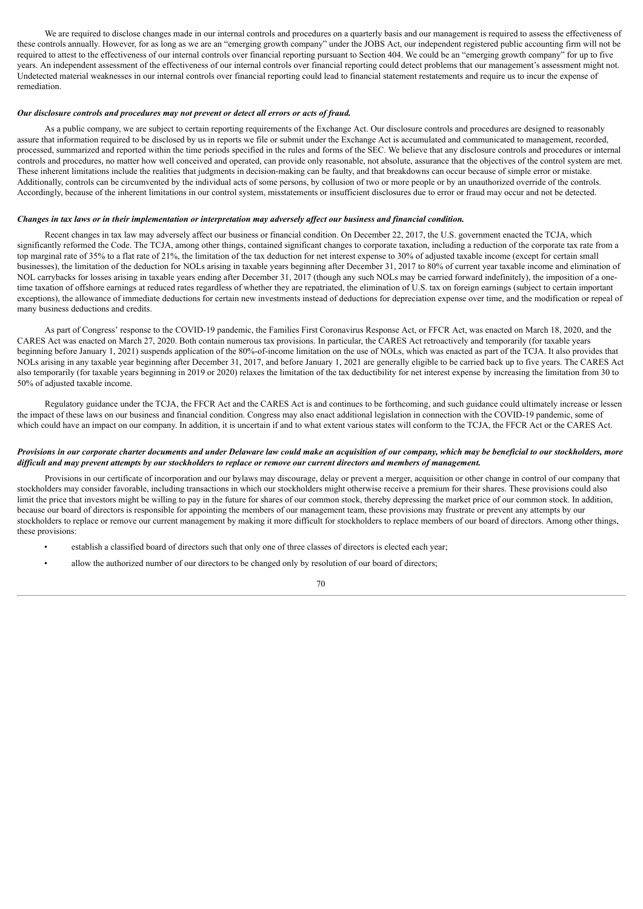We are required to disclose changes made in our internal controls and procedures on a quarterly basis and our management is required to assess the effectiveness of these controls annually. However, for as long as we are an "emerging growth company" under the JOBS Act, our independent registered public accounting firm will not be required to attest to the effectiveness of our internal controls over financial reporting pursuant to Section 404. We could be an "emerging growth company" for up to five years. An independent assessment of the effectiveness of our internal controls over financial reporting could detect problems that our management's assessment might not. Undetected material weaknesses in our internal controls over financial reporting could lead to financial statement restatements and require us to incur the expense of remediation.

#### *Our disclosure controls and procedures may not prevent or detect all errors or acts of fraud.*

As a public company, we are subject to certain reporting requirements of the Exchange Act. Our disclosure controls and procedures are designed to reasonably assure that information required to be disclosed by us in reports we file or submit under the Exchange Act is accumulated and communicated to management, recorded, processed, summarized and reported within the time periods specified in the rules and forms of the SEC. We believe that any disclosure controls and procedures or internal controls and procedures, no matter how well conceived and operated, can provide only reasonable, not absolute, assurance that the objectives of the control system are met. These inherent limitations include the realities that judgments in decision-making can be faulty, and that breakdowns can occur because of simple error or mistake. Additionally, controls can be circumvented by the individual acts of some persons, by collusion of two or more people or by an unauthorized override of the controls. Accordingly, because of the inherent limitations in our control system, misstatements or insufficient disclosures due to error or fraud may occur and not be detected.

### Changes in tax laws or in their implementation or interpretation may adversely affect our business and financial condition.

Recent changes in tax law may adversely affect our business or financial condition. On December 22, 2017, the U.S. government enacted the TCJA, which significantly reformed the Code. The TCJA, among other things, contained significant changes to corporate taxation, including a reduction of the corporate tax rate from a top marginal rate of 35% to a flat rate of 21%, the limitation of the tax deduction for net interest expense to 30% of adjusted taxable income (except for certain small businesses), the limitation of the deduction for NOLs arising in taxable years beginning after December 31, 2017 to 80% of current year taxable income and elimination of NOL carrybacks for losses arising in taxable years ending after December 31, 2017 (though any such NOLs may be carried forward indefinitely), the imposition of a onetime taxation of offshore earnings at reduced rates regardless of whether they are repatriated, the elimination of U.S. tax on foreign earnings (subject to certain important exceptions), the allowance of immediate deductions for certain new investments instead of deductions for depreciation expense over time, and the modification or repeal of many business deductions and credits.

As part of Congress' response to the COVID-19 pandemic, the Families First Coronavirus Response Act, or FFCR Act, was enacted on March 18, 2020, and the CARES Act was enacted on March 27, 2020. Both contain numerous tax provisions. In particular, the CARES Act retroactively and temporarily (for taxable years beginning before January 1, 2021) suspends application of the 80%-of-income limitation on the use of NOLs, which was enacted as part of the TCJA. It also provides that NOLs arising in any taxable year beginning after December 31, 2017, and before January 1, 2021 are generally eligible to be carried back up to five years. The CARES Act also temporarily (for taxable years beginning in 2019 or 2020) relaxes the limitation of the tax deductibility for net interest expense by increasing the limitation from 30 to 50% of adjusted taxable income.

Regulatory guidance under the TCJA, the FFCR Act and the CARES Act is and continues to be forthcoming, and such guidance could ultimately increase or lessen the impact of these laws on our business and financial condition. Congress may also enact additional legislation in connection with the COVID-19 pandemic, some of which could have an impact on our company. In addition, it is uncertain if and to what extent various states will conform to the TCJA, the FFCR Act or the CARES Act.

#### Provisions in our corporate charter documents and under Delaware law could make an acquisition of our company, which may be beneficial to our stockholders, more difficult and may prevent attempts by our stockholders to replace or remove our current directors and members of management.

Provisions in our certificate of incorporation and our bylaws may discourage, delay or prevent a merger, acquisition or other change in control of our company that stockholders may consider favorable, including transactions in which our stockholders might otherwise receive a premium for their shares. These provisions could also limit the price that investors might be willing to pay in the future for shares of our common stock, thereby depressing the market price of our common stock. In addition, because our board of directors is responsible for appointing the members of our management team, these provisions may frustrate or prevent any attempts by our stockholders to replace or remove our current management by making it more difficult for stockholders to replace members of our board of directors. Among other things, these provisions:

- establish a classified board of directors such that only one of three classes of directors is elected each year;
- allow the authorized number of our directors to be changed only by resolution of our board of directors;

#### 70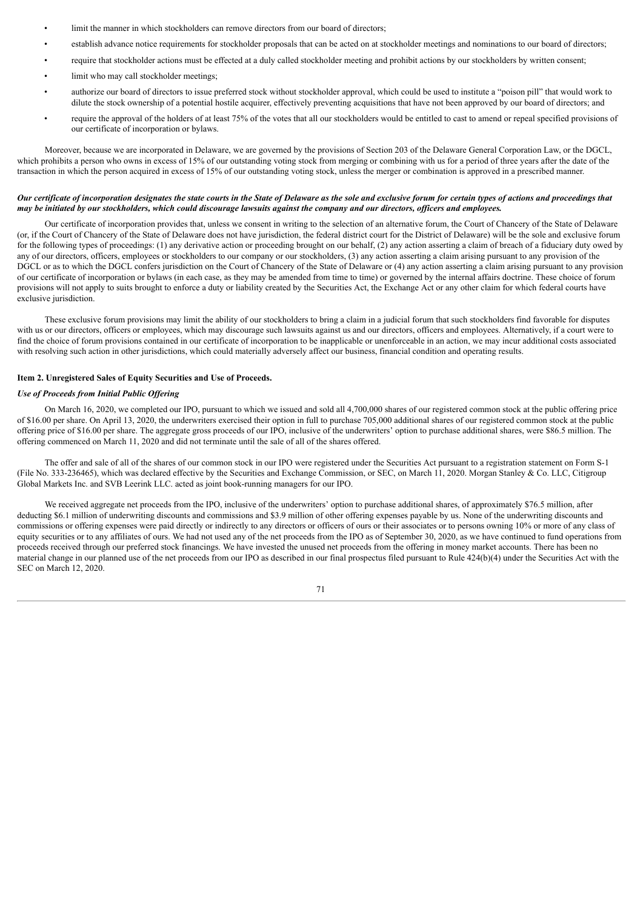- limit the manner in which stockholders can remove directors from our board of directors:
- establish advance notice requirements for stockholder proposals that can be acted on at stockholder meetings and nominations to our board of directors;
- require that stockholder actions must be effected at a duly called stockholder meeting and prohibit actions by our stockholders by written consent;
- limit who may call stockholder meetings;
- authorize our board of directors to issue preferred stock without stockholder approval, which could be used to institute a "poison pill" that would work to dilute the stock ownership of a potential hostile acquirer, effectively preventing acquisitions that have not been approved by our board of directors; and
- require the approval of the holders of at least 75% of the votes that all our stockholders would be entitled to cast to amend or repeal specified provisions of our certificate of incorporation or bylaws.

Moreover, because we are incorporated in Delaware, we are governed by the provisions of Section 203 of the Delaware General Corporation Law, or the DGCL, which prohibits a person who owns in excess of 15% of our outstanding voting stock from merging or combining with us for a period of three years after the date of the transaction in which the person acquired in excess of 15% of our outstanding voting stock, unless the merger or combination is approved in a prescribed manner.

### Our certificate of incorporation designates the state courts in the State of Delaware as the sole and exclusive forum for certain types of actions and proceedings that may be initiated by our stockholders, which could discourage lawsuits against the company and our directors, officers and employees.

Our certificate of incorporation provides that, unless we consent in writing to the selection of an alternative forum, the Court of Chancery of the State of Delaware (or, if the Court of Chancery of the State of Delaware does not have jurisdiction, the federal district court for the District of Delaware) will be the sole and exclusive forum for the following types of proceedings: (1) any derivative action or proceeding brought on our behalf, (2) any action asserting a claim of breach of a fiduciary duty owed by any of our directors, officers, employees or stockholders to our company or our stockholders, (3) any action asserting a claim arising pursuant to any provision of the DGCL or as to which the DGCL confers jurisdiction on the Court of Chancery of the State of Delaware or (4) any action asserting a claim arising pursuant to any provision of our certificate of incorporation or bylaws (in each case, as they may be amended from time to time) or governed by the internal affairs doctrine. These choice of forum provisions will not apply to suits brought to enforce a duty or liability created by the Securities Act, the Exchange Act or any other claim for which federal courts have exclusive jurisdiction.

These exclusive forum provisions may limit the ability of our stockholders to bring a claim in a judicial forum that such stockholders find favorable for disputes with us or our directors, officers or employees, which may discourage such lawsuits against us and our directors, officers and employees. Alternatively, if a court were to find the choice of forum provisions contained in our certificate of incorporation to be inapplicable or unenforceable in an action, we may incur additional costs associated with resolving such action in other jurisdictions, which could materially adversely affect our business, financial condition and operating results.

#### **Item 2. Unregistered Sales of Equity Securities and Use of Proceeds.**

## *Use of Proceeds from Initial Public Of ering*

On March 16, 2020, we completed our IPO, pursuant to which we issued and sold all 4,700,000 shares of our registered common stock at the public offering price of \$16.00 per share. On April 13, 2020, the underwriters exercised their option in full to purchase 705,000 additional shares of our registered common stock at the public offering price of \$16.00 per share. The aggregate gross proceeds of our IPO, inclusive of the underwriters' option to purchase additional shares, were \$86.5 million. The offering commenced on March 11, 2020 and did not terminate until the sale of all of the shares offered.

The offer and sale of all of the shares of our common stock in our IPO were registered under the Securities Act pursuant to a registration statement on Form S-1 (File No. 333-236465), which was declared effective by the Securities and Exchange Commission, or SEC, on March 11, 2020. Morgan Stanley & Co. LLC, Citigroup Global Markets Inc. and SVB Leerink LLC. acted as joint book-running managers for our IPO.

We received aggregate net proceeds from the IPO, inclusive of the underwriters' option to purchase additional shares, of approximately \$76.5 million, after deducting \$6.1 million of underwriting discounts and commissions and \$3.9 million of other offering expenses payable by us. None of the underwriting discounts and commissions or offering expenses were paid directly or indirectly to any directors or officers of ours or their associates or to persons owning 10% or more of any class of equity securities or to any affiliates of ours. We had not used any of the net proceeds from the IPO as of September 30, 2020, as we have continued to fund operations from proceeds received through our preferred stock financings. We have invested the unused net proceeds from the offering in money market accounts. There has been no material change in our planned use of the net proceeds from our IPO as described in our final prospectus filed pursuant to Rule 424(b)(4) under the Securities Act with the SEC on March 12, 2020.

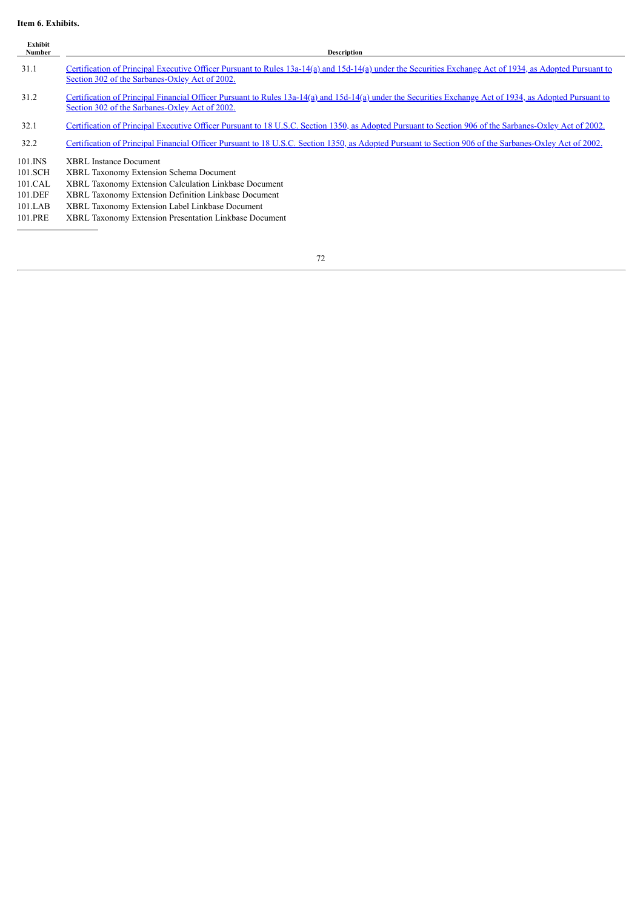**Item 6. Exhibits.**

| Exhibit<br>Number | <b>Description</b>                                                                                                                                                                                         |
|-------------------|------------------------------------------------------------------------------------------------------------------------------------------------------------------------------------------------------------|
| 31.1              | Certification of Principal Executive Officer Pursuant to Rules 13a-14(a) and 15d-14(a) under the Securities Exchange Act of 1934, as Adopted Pursuant to<br>Section 302 of the Sarbanes-Oxley Act of 2002. |
| 31.2              | Certification of Principal Financial Officer Pursuant to Rules 13a-14(a) and 15d-14(a) under the Securities Exchange Act of 1934, as Adopted Pursuant to<br>Section 302 of the Sarbanes-Oxley Act of 2002. |
| 32.1              | Certification of Principal Executive Officer Pursuant to 18 U.S.C. Section 1350, as Adopted Pursuant to Section 906 of the Sarbanes-Oxley Act of 2002.                                                     |
| 32.2              | Certification of Principal Financial Officer Pursuant to 18 U.S.C. Section 1350, as Adopted Pursuant to Section 906 of the Sarbanes-Oxley Act of 2002.                                                     |
| 101.INS           | <b>XBRL</b> Instance Document                                                                                                                                                                              |
| 101.SCH           | <b>XBRL Taxonomy Extension Schema Document</b>                                                                                                                                                             |
| 101.CAL           | XBRL Taxonomy Extension Calculation Linkbase Document                                                                                                                                                      |
| 101.DEF           | XBRL Taxonomy Extension Definition Linkbase Document                                                                                                                                                       |
| $101$ .LAB        | XBRL Taxonomy Extension Label Linkbase Document                                                                                                                                                            |
| 101.PRE           | XBRL Taxonomy Extension Presentation Linkbase Document                                                                                                                                                     |
|                   |                                                                                                                                                                                                            |
|                   | 72                                                                                                                                                                                                         |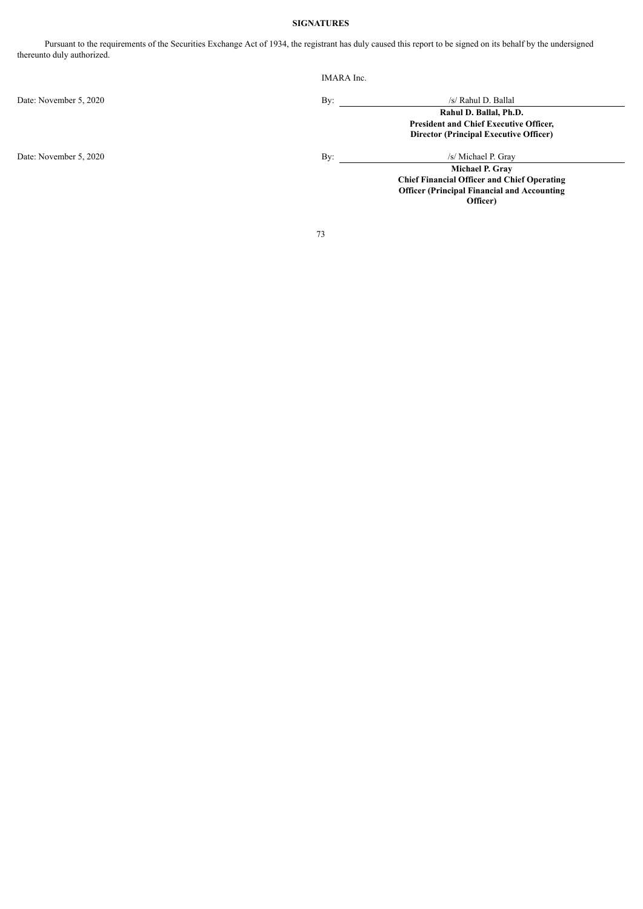# **SIGNATURES**

Pursuant to the requirements of the Securities Exchange Act of 1934, the registrant has duly caused this report to be signed on its behalf by the undersigned thereunto duly authorized.

IMARA Inc.

Date: November 5, 2020 <br>By: /s/ Rahul D. Ballal **Rahul D. Ballal, Ph.D. President and Chief Executive Officer, Director (Principal Executive Officer)**

Date: November 5, 2020 By: /s/ Michael P. Gray

**Michael P. Gray Chief Financial Officer and Chief Operating Officer (Principal Financial and Accounting Officer)**

73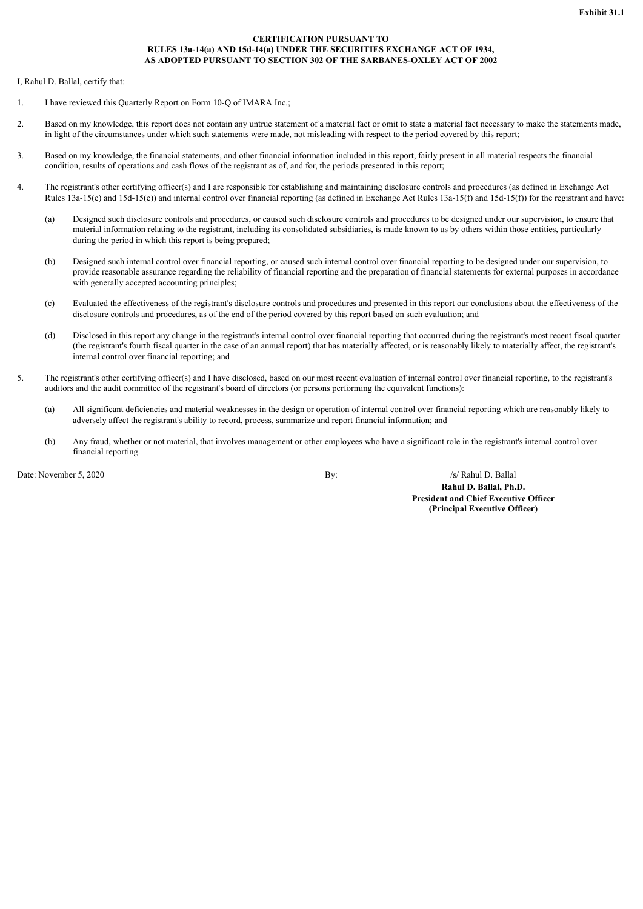### **CERTIFICATION PURSUANT TO RULES 13a-14(a) AND 15d-14(a) UNDER THE SECURITIES EXCHANGE ACT OF 1934, AS ADOPTED PURSUANT TO SECTION 302 OF THE SARBANES-OXLEY ACT OF 2002**

<span id="page-76-0"></span>I, Rahul D. Ballal, certify that:

- 1. I have reviewed this Quarterly Report on Form 10-Q of IMARA Inc.;
- 2. Based on my knowledge, this report does not contain any untrue statement of a material fact or omit to state a material fact necessary to make the statements made, in light of the circumstances under which such statements were made, not misleading with respect to the period covered by this report;
- 3. Based on my knowledge, the financial statements, and other financial information included in this report, fairly present in all material respects the financial condition, results of operations and cash flows of the registrant as of, and for, the periods presented in this report;
- 4. The registrant's other certifying officer(s) and I are responsible for establishing and maintaining disclosure controls and procedures (as defined in Exchange Act Rules  $13a-15(e)$  and  $15d-15(e)$  and internal control over financial reporting (as defined in Exchange Act Rules  $13a-15(f)$  and  $15d-15(f)$ ) for the registrant and have:
	- (a) Designed such disclosure controls and procedures, or caused such disclosure controls and procedures to be designed under our supervision, to ensure that material information relating to the registrant, including its consolidated subsidiaries, is made known to us by others within those entities, particularly during the period in which this report is being prepared;
	- (b) Designed such internal control over financial reporting, or caused such internal control over financial reporting to be designed under our supervision, to provide reasonable assurance regarding the reliability of financial reporting and the preparation of financial statements for external purposes in accordance with generally accepted accounting principles;
	- (c) Evaluated the effectiveness of the registrant's disclosure controls and procedures and presented in this report our conclusions about the effectiveness of the disclosure controls and procedures, as of the end of the period covered by this report based on such evaluation; and
	- (d) Disclosed in this report any change in the registrant's internal control over financial reporting that occurred during the registrant's most recent fiscal quarter (the registrant's fourth fiscal quarter in the case of an annual report) that has materially affected, or is reasonably likely to materially affect, the registrant's internal control over financial reporting; and
- 5. The registrant's other certifying officer(s) and I have disclosed, based on our most recent evaluation of internal control over financial reporting, to the registrant's auditors and the audit committee of the registrant's board of directors (or persons performing the equivalent functions):
	- (a) All significant deficiencies and material weaknesses in the design or operation of internal control over financial reporting which are reasonably likely to adversely affect the registrant's ability to record, process, summarize and report financial information; and
	- (b) Any fraud, whether or not material, that involves management or other employees who have a significant role in the registrant's internal control over financial reporting.

Date: November 5, 2020 By: /s/ Rahul D. Ballal

**Rahul D. Ballal, Ph.D. President and Chief Executive Officer (Principal Executive Officer)**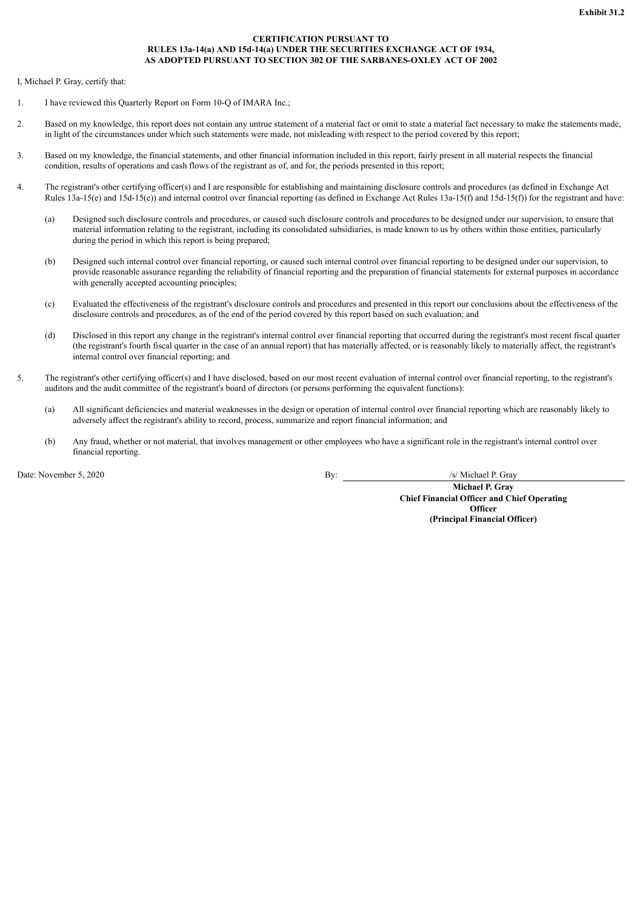### **CERTIFICATION PURSUANT TO RULES 13a-14(a) AND 15d-14(a) UNDER THE SECURITIES EXCHANGE ACT OF 1934, AS ADOPTED PURSUANT TO SECTION 302 OF THE SARBANES-OXLEY ACT OF 2002**

<span id="page-77-0"></span>I, Michael P. Gray, certify that:

- 1. I have reviewed this Quarterly Report on Form 10-Q of IMARA Inc.;
- 2. Based on my knowledge, this report does not contain any untrue statement of a material fact or omit to state a material fact necessary to make the statements made, in light of the circumstances under which such statements were made, not misleading with respect to the period covered by this report;
- 3. Based on my knowledge, the financial statements, and other financial information included in this report, fairly present in all material respects the financial condition, results of operations and cash flows of the registrant as of, and for, the periods presented in this report;
- 4. The registrant's other certifying officer(s) and I are responsible for establishing and maintaining disclosure controls and procedures (as defined in Exchange Act Rules  $13a-15(e)$  and  $15d-15(e)$  and internal control over financial reporting (as defined in Exchange Act Rules  $13a-15(f)$  and  $15d-15(f)$ ) for the registrant and have:
	- (a) Designed such disclosure controls and procedures, or caused such disclosure controls and procedures to be designed under our supervision, to ensure that material information relating to the registrant, including its consolidated subsidiaries, is made known to us by others within those entities, particularly during the period in which this report is being prepared;
	- (b) Designed such internal control over financial reporting, or caused such internal control over financial reporting to be designed under our supervision, to provide reasonable assurance regarding the reliability of financial reporting and the preparation of financial statements for external purposes in accordance with generally accepted accounting principles;
	- (c) Evaluated the effectiveness of the registrant's disclosure controls and procedures and presented in this report our conclusions about the effectiveness of the disclosure controls and procedures, as of the end of the period covered by this report based on such evaluation; and
	- (d) Disclosed in this report any change in the registrant's internal control over financial reporting that occurred during the registrant's most recent fiscal quarter (the registrant's fourth fiscal quarter in the case of an annual report) that has materially affected, or is reasonably likely to materially affect, the registrant's internal control over financial reporting; and
- 5. The registrant's other certifying officer(s) and I have disclosed, based on our most recent evaluation of internal control over financial reporting, to the registrant's auditors and the audit committee of the registrant's board of directors (or persons performing the equivalent functions):
	- (a) All significant deficiencies and material weaknesses in the design or operation of internal control over financial reporting which are reasonably likely to adversely affect the registrant's ability to record, process, summarize and report financial information; and
	- (b) Any fraud, whether or not material, that involves management or other employees who have a significant role in the registrant's internal control over financial reporting.

Date: November 5, 2020 By: /s/ Michael P. Gray

**Michael P. Gray Chief Financial Officer and Chief Operating Officer (Principal Financial Officer)**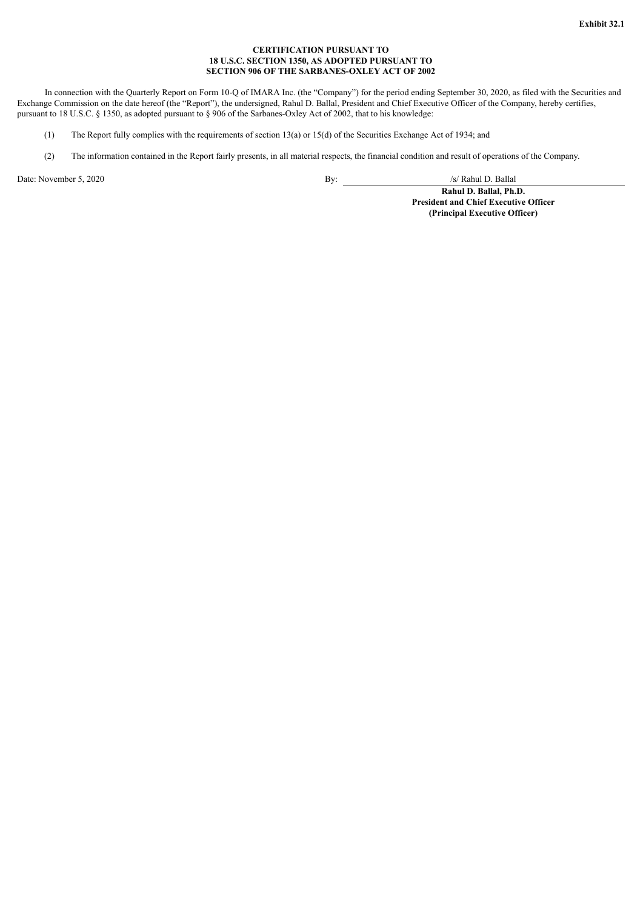### **CERTIFICATION PURSUANT TO 18 U.S.C. SECTION 1350, AS ADOPTED PURSUANT TO SECTION 906 OF THE SARBANES-OXLEY ACT OF 2002**

<span id="page-78-0"></span>In connection with the Quarterly Report on Form 10-Q of IMARA Inc. (the "Company") for the period ending September 30, 2020, as filed with the Securities and Exchange Commission on the date hereof (the "Report"), the undersigned, Rahul D. Ballal, President and Chief Executive Officer of the Company, hereby certifies, pursuant to 18 U.S.C. § 1350, as adopted pursuant to § 906 of the Sarbanes-Oxley Act of 2002, that to his knowledge:

- (1) The Report fully complies with the requirements of section 13(a) or 15(d) of the Securities Exchange Act of 1934; and
- (2) The information contained in the Report fairly presents, in all material respects, the financial condition and result of operations of the Company.

Date: November 5, 2020 <br>By: /s/ Rahul D. Ballal

**Rahul D. Ballal, Ph.D. President and Chief Executive Officer (Principal Executive Officer)**